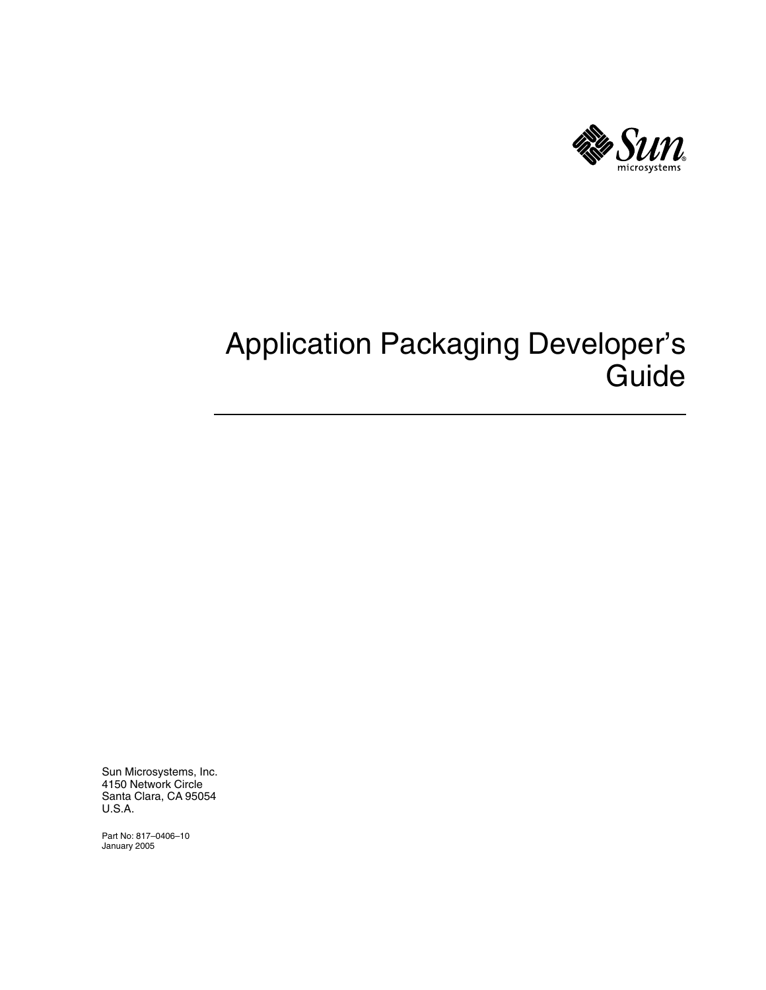

# Application Packaging Developer's Guide

Sun Microsystems, Inc. 4150 Network Circle Santa Clara, CA 95054 U.S.A.

Part No: 817–0406–10 January 2005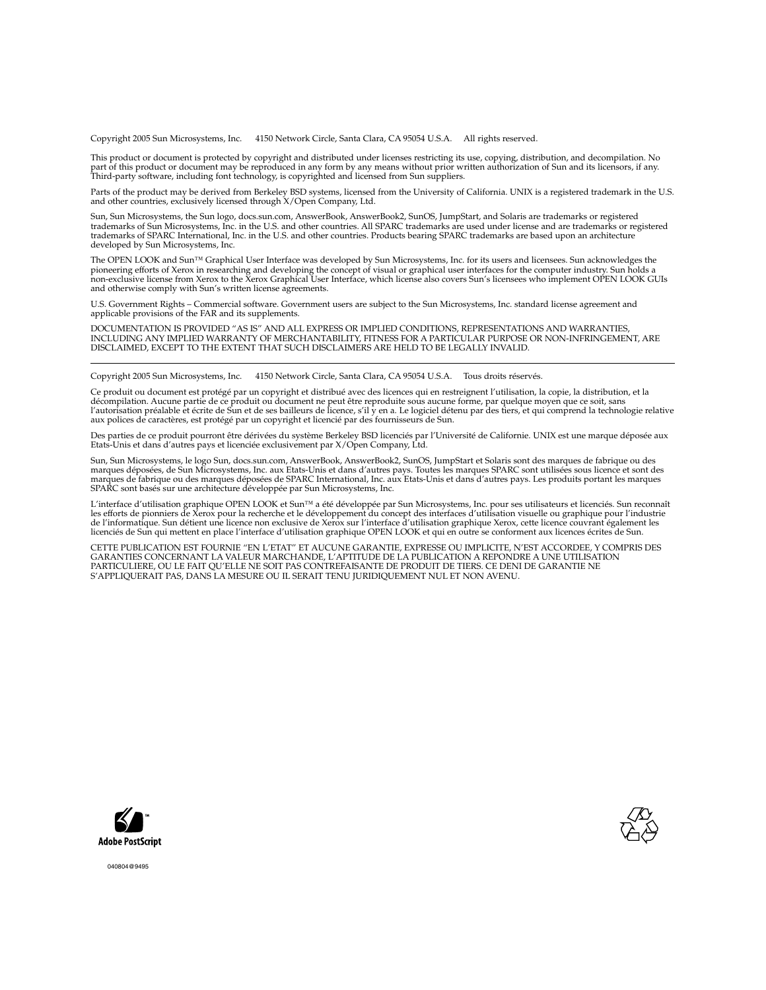Copyright 2005 Sun Microsystems, Inc. 4150 Network Circle, Santa Clara, CA 95054 U.S.A. All rights reserved.

This product or document is protected by copyright and distributed under licenses restricting its use, copying, distribution, and decompilation. No part of this product or document may be reproduced in any form by any means without prior written authorization of Sun and its licensors, if any.<br>Third-party software, including font technology, is copyrighted and licensed

Parts of the product may be derived from Berkeley BSD systems, licensed from the University of California. UNIX is a registered trademark in the U.S. and other countries, exclusively licensed through X/Open Company, Ltd.

Sun, Sun Microsystems, the Sun logo, docs.sun.com, AnswerBook, AnswerBook2, SunOS, JumpStart, and Solaris are trademarks or registered<br>trademarks of Sun Microsystems, Inc. in the U.S. and other countries. All SPARC tradema developed by Sun Microsystems, Inc.

The OPEN LOOK and Sun™ Graphical User Interface was developed by Sun Microsystems, Inc. for its users and licensees. Sun acknowledges the pioneering efforts of Xerox in researching and developing the concept of visual or graphical user interfaces for the computer industry. Sun holds a<br>non-exclusive license from Xerox to the Xerox Graphical User Interface, wh and otherwise comply with Sun's written license agreements.

U.S. Government Rights – Commercial software. Government users are subject to the Sun Microsystems, Inc. standard license agreement and applicable provisions of the FAR and its supplements.

DOCUMENTATION IS PROVIDED "AS IS" AND ALL EXPRESS OR IMPLIED CONDITIONS, REPRESENTATIONS AND WARRANTIES,<br>INCLUDING ANY IMPLIED WARRANTY OF MERCHANTABILITY, FITNESS FOR A PARTICULAR PURPOSE OR NON-INFRINGEMENT, ARE<br>DISCLAIM

Copyright 2005 Sun Microsystems, Inc. 4150 Network Circle, Santa Clara, CA 95054 U.S.A. Tous droits réservés.

Ce produit ou document est protégé par un copyright et distribué avec des licences qui en restreignent l'utilisation, la copie, la distribution, et la décompilation. Aucune partie de ce produit ou document ne peut être reproduite sous aucune forme, par quelque moyen que ce soit, sans<br>l'autorisation préalable et écrite de Sun et de ses bailleurs de licence, s'il y en a. L

Des parties de ce produit pourront être dérivées du système Berkeley BSD licenciés par l'Université de Californie. UNIX est une marque déposée aux Etats-Unis et dans d'autres pays et licenciée exclusivement par X/Open Company, Ltd.

Sun, Sun Microsystems, le logo Sun, docs.sun.com, AnswerBook, AnswerBook2, SunOS, JumpStart et Solaris sont des marques de fabrique ou des<br>marques déposées, de Sun Microsystems, Inc. aux Etats-Unis et dans d'autres pays. T SPARC sont basés sur une architecture développée par Sun Microsystems, Inc.

L'interface d'utilisation graphique OPEN LOOK et Sun™a été développée par Sun Microsystems, Inc. pour ses utilisateurs et licenciés. Sun reconnaît<br>les efforts de pionniers de Xerox pour la recherche et le développement du de l'informatique. Sun détient une licence non exclusive de Xerox sur l'interface d'utilisation graphique Xerox, cette licence couvrant également les<br>licenciés de Sun qui mettent en place l'interface d'utilisation graphiqu

CETTE PUBLICATION EST FOURNIE "EN L'ETAT" ET AUCUNE GARANTIE, EXPRESSE OU IMPLICITE, N'EST ACCORDEE, Y COMPRIS DES GARANTIES CONCERNANT LA VALEUR MARCHANDE, L'APTITUDE DE LA PUBLICATION A REPONDRE A UNE UTILISATION<br>PARTICULIERE, OU LE FAIT QU'ELLE NE SOIT PAS CONTREFAISANTE DE PRODUIT DE TIERS. CE DENI DE GARANTIE NE<br>S'APPLIQUERAIT PAS





040804@9495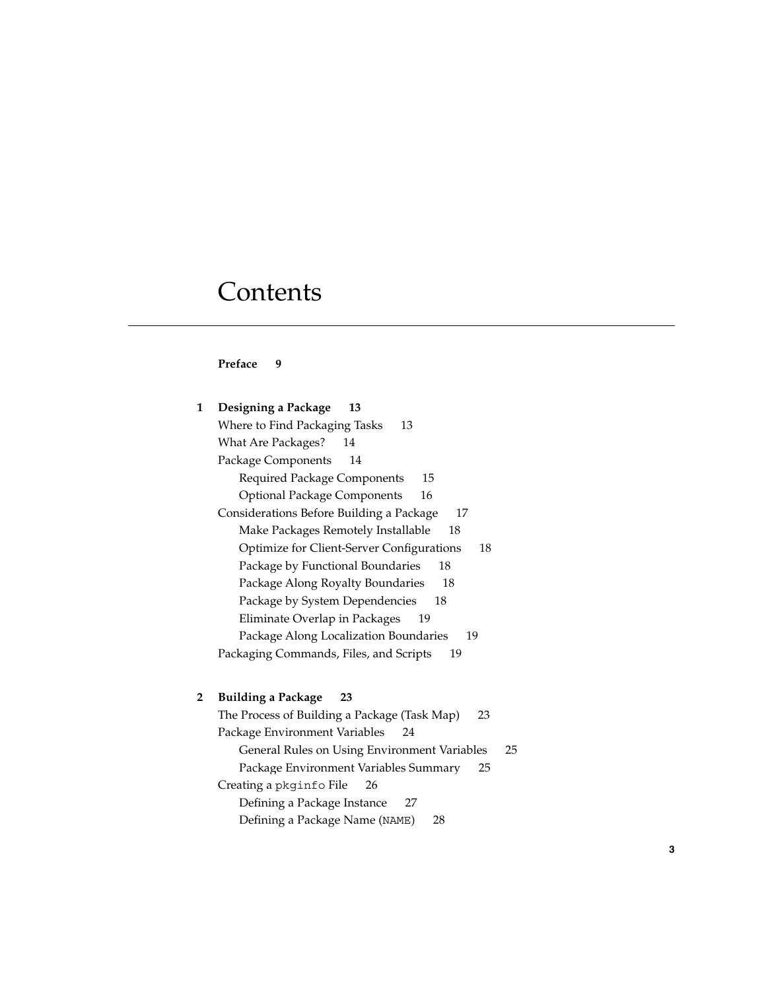# **Contents**

#### **[Preface 9](#page-8-0)**

| 1 | Designing a Package<br>13                          |
|---|----------------------------------------------------|
|   | Where to Find Packaging Tasks<br>13                |
|   | <b>What Are Packages?</b><br>14                    |
|   | Package Components<br>14                           |
|   | Required Package Components<br>15                  |
|   | <b>Optional Package Components</b><br>16           |
|   | Considerations Before Building a Package<br>17     |
|   | Make Packages Remotely Installable<br>18           |
|   | Optimize for Client-Server Configurations<br>18    |
|   | Package by Functional Boundaries<br>18             |
|   | Package Along Royalty Boundaries<br>18             |
|   | Package by System Dependencies<br>18               |
|   | Eliminate Overlap in Packages<br>19                |
|   | Package Along Localization Boundaries<br>19        |
|   | Packaging Commands, Files, and Scripts<br>19       |
|   |                                                    |
| 2 | <b>Building a Package</b><br>23                    |
|   | The Process of Building a Package (Task Map)<br>23 |
|   |                                                    |
|   | Package Environment Variables<br>24                |
|   | General Rules on Using Environment Variables<br>25 |
|   | Package Environment Variables Summary<br>25        |
|   | Creating a pkginfo File<br>26                      |
|   | Defining a Package Instance<br>27                  |
|   | Defining a Package Name (NAME)<br>28               |
|   |                                                    |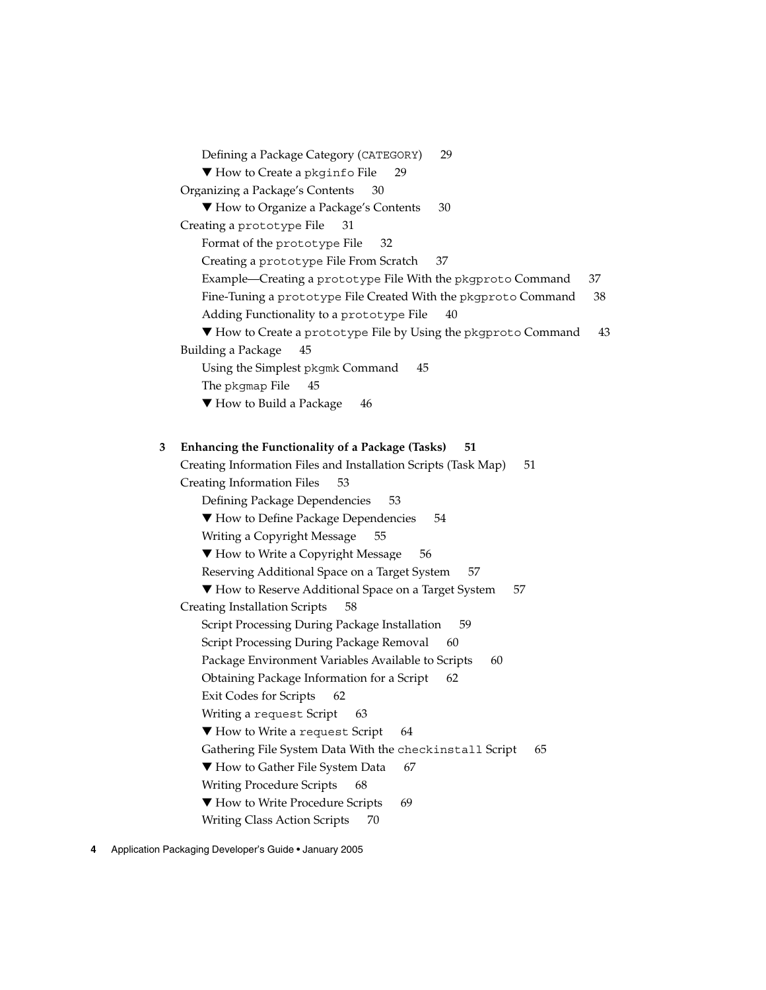[Defining a Package Category \(](#page-28-0)CATEGORY) 29 ▼ [How to Create a](#page-28-0) pkginfo File 29 [Organizing a Package's Contents 30](#page-29-0) ▼ [How to Organize a Package's Contents 30](#page-29-0) Creating a [prototype](#page-30-0) File 31 [Format of the](#page-31-0) prototype File 32 Creating a prototype [File From Scratch 37](#page-36-0) [Example—Creating a](#page-36-0) prototype File With the pkgproto Command 37 Fine-Tuning a prototype [File Created With the](#page-37-0) pkgproto Command 38 [Adding Functionality to a](#page-39-0) prototype File 40 ▼ How to Create a prototype [File by Using the](#page-42-0) pkgproto Command 43 [Building a Package 45](#page-44-0) [Using the Simplest](#page-44-0) pkgmk Command 45 The pkgmap [File 45](#page-44-0) ▼ [How to Build a Package 46](#page-45-0) **[3 Enhancing the Functionality of a Package \(Tasks\) 51](#page-50-0)** [Creating Information Files and Installation Scripts \(Task Map\) 51](#page-50-0) [Creating Information Files 53](#page-52-0) [Defining Package Dependencies 53](#page-52-0) ▼ [How to Define Package Dependencies 54](#page-53-0) [Writing a Copyright Message 55](#page-54-0) ▼ [How to Write a Copyright Message 56](#page-55-0) [Reserving Additional Space on a Target System 57](#page-56-0) ▼ [How to Reserve Additional Space on a Target System 57](#page-56-0) [Creating Installation Scripts 58](#page-57-0) [Script Processing During Package Installation 59](#page-58-0) [Script Processing During Package Removal 60](#page-59-0) [Package Environment Variables Available to Scripts 60](#page-59-0) [Obtaining Package Information for a Script 62](#page-61-0) [Exit Codes for Scripts 62](#page-61-0) Writing a request [Script 63](#page-62-0) ▼ [How to Write a](#page-63-0) request Script 64 [Gathering File System Data With the](#page-64-0) checkinstall Script 65

▼ [How to Gather File System Data 67](#page-66-0) [Writing Procedure Scripts 68](#page-67-0)

▼ [How to Write Procedure Scripts 69](#page-68-0) [Writing Class Action Scripts 70](#page-69-0)

**4** Application Packaging Developer's Guide • January 2005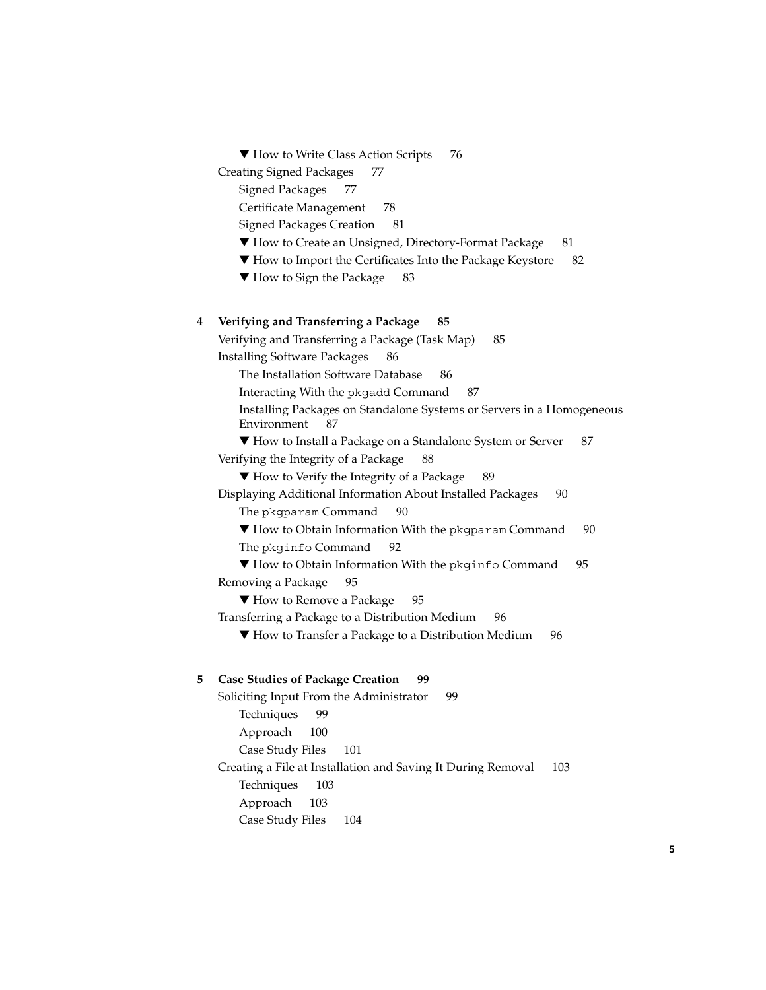▼ [How to Write Class Action Scripts 76](#page-75-0) [Creating Signed Packages 77](#page-76-0) [Signed Packages 77](#page-76-0) [Certificate Management 78](#page-77-0) [Signed Packages Creation 81](#page-80-0) ▼ [How to Create an Unsigned, Directory-Format Package 81](#page-80-0) ▼ [How to Import the Certificates Into the Package Keystore 82](#page-81-0) ▼ [How to Sign the Package 83](#page-82-0) **[4 Verifying and Transferring a Package 85](#page-84-0)** [Verifying and Transferring a Package \(Task Map\) 85](#page-84-0) [Installing Software Packages 86](#page-85-0) [The Installation Software Database 86](#page-85-0) [Interacting With the](#page-86-0) pkgadd Command 87 [Installing Packages on Standalone Systems or Servers in a Homogeneous](#page-86-0) [Environment 87](#page-86-0) ▼ [How to Install a Package on a Standalone System or Server 87](#page-86-0) [Verifying the Integrity of a Package 88](#page-87-0) ▼ [How to Verify the Integrity of a Package 89](#page-88-0) [Displaying Additional Information About Installed Packages 90](#page-89-0) The pkgparam [Command 90](#page-89-0) ▼ [How to Obtain Information With the](#page-89-0) pkgparam Command 90 The pkginfo [Command 92](#page-91-0) ▼ [How to Obtain Information With the](#page-94-0) pkginfo Command 95 [Removing a Package 95](#page-94-0) ▼ [How to Remove a Package 95](#page-94-0) [Transferring a Package to a Distribution Medium 96](#page-95-0) ▼ [How to Transfer a Package to a Distribution Medium 96](#page-95-0) **[5 Case Studies of Package Creation 99](#page-98-0)** [Soliciting Input From the Administrator 99](#page-98-0) [Techniques 99](#page-98-0) [Approach 100](#page-99-0) [Case Study Files 101](#page-100-0) [Creating a File at Installation and Saving It During Removal 103](#page-102-0) [Techniques 103](#page-102-0) [Approach 103](#page-102-0) [Case Study Files 104](#page-103-0)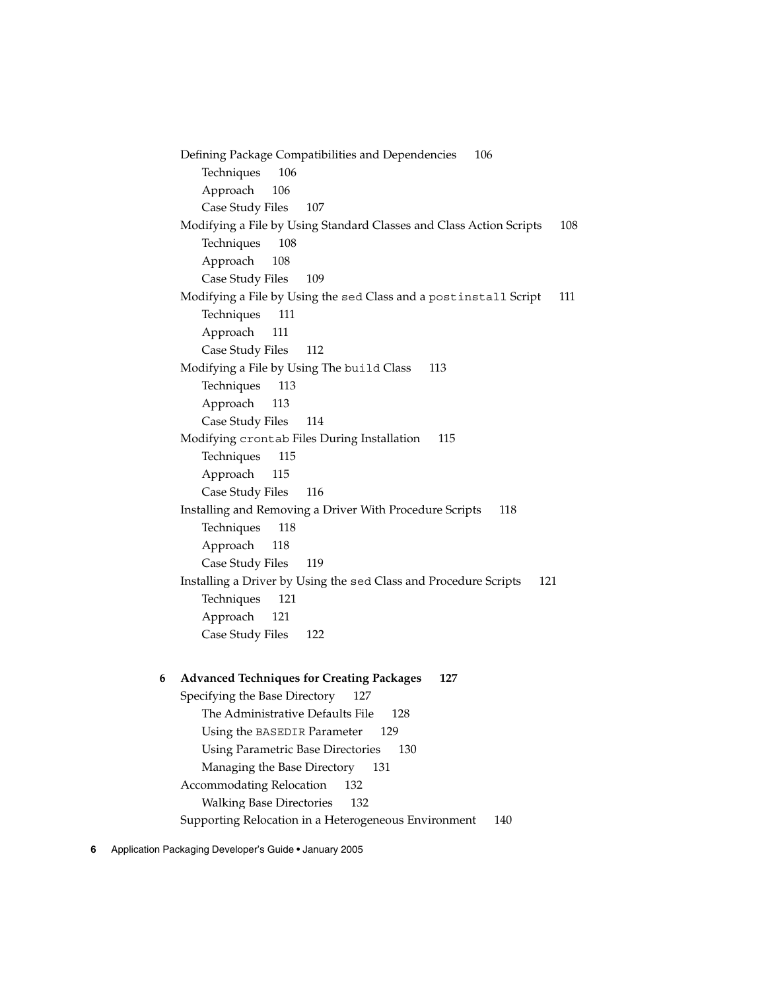[Defining Package Compatibilities and Dependencies 106](#page-105-0) [Techniques 106](#page-105-0) [Approach 106](#page-105-0) [Case Study Files 107](#page-106-0) [Modifying a File by Using Standard Classes and Class Action Scripts 108](#page-107-0) [Techniques 108](#page-107-0) [Approach 108](#page-107-0) [Case Study Files 109](#page-108-0) [Modifying a File by Using the](#page-110-0) sed Class and a postinstall Script 111 [Techniques 111](#page-110-0) [Approach 111](#page-110-0) [Case Study Files 112](#page-111-0) [Modifying a File by Using The](#page-112-0) build Class 113 [Techniques 113](#page-112-0) [Approach 113](#page-112-0) [Case Study Files 114](#page-113-0) Modifying crontab [Files During Installation 115](#page-114-0) [Techniques 115](#page-114-0) [Approach 115](#page-114-0) [Case Study Files 116](#page-115-0) [Installing and Removing a Driver With Procedure Scripts 118](#page-117-0) [Techniques 118](#page-117-0) [Approach 118](#page-117-0) [Case Study Files 119](#page-118-0) Installing a Driver by Using the sed [Class and Procedure Scripts 121](#page-120-0) [Techniques 121](#page-120-0) [Approach 121](#page-120-0) [Case Study Files 122](#page-121-0)

**[6 Advanced Techniques for Creating Packages 127](#page-126-0)** [Specifying the Base Directory 127](#page-126-0) [The Administrative Defaults File 128](#page-127-0) Using the BASEDIR [Parameter 129](#page-128-0) [Using Parametric Base Directories 130](#page-129-0) [Managing the Base Directory 131](#page-130-0) [Accommodating Relocation 132](#page-131-0) [Walking Base Directories 132](#page-131-0) [Supporting Relocation in a Heterogeneous Environment 140](#page-139-0)

**6** Application Packaging Developer's Guide • January 2005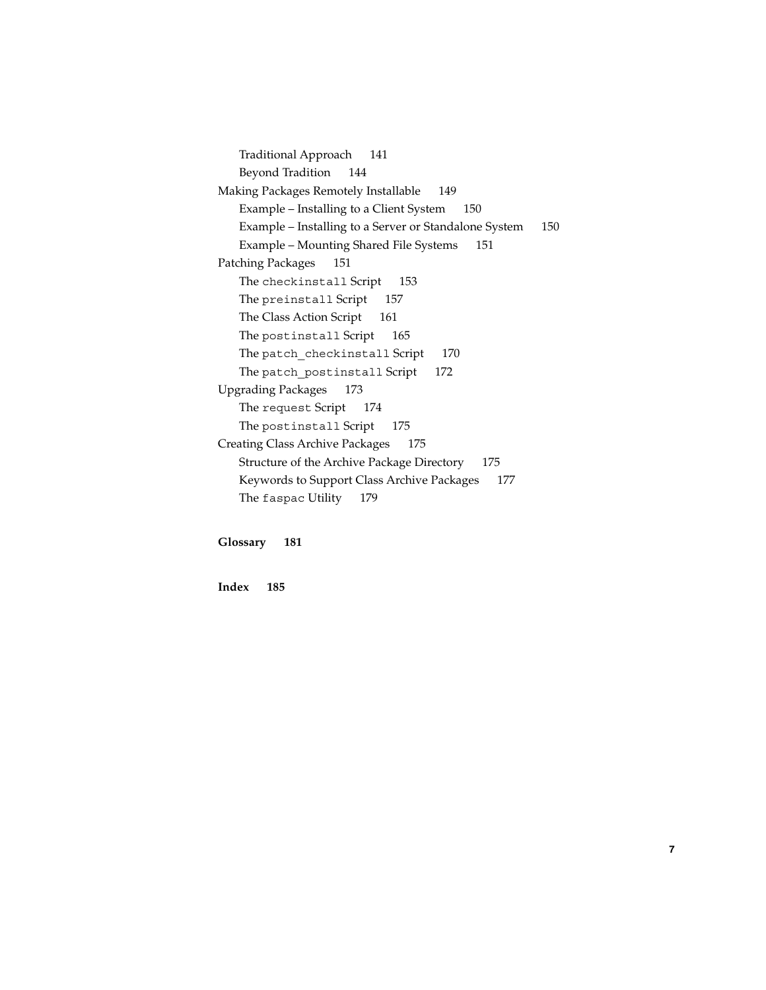[Traditional Approach 141](#page-140-0) [Beyond Tradition 144](#page-143-0) [Making Packages Remotely Installable 149](#page-148-0) Example – [Installing to a Client System 150](#page-149-0) Example – [Installing to a Server or Standalone System 150](#page-149-0) Example – [Mounting Shared File Systems 151](#page-150-0) [Patching Packages 151](#page-150-0) The [checkinstall](#page-152-0) Script 153 The [preinstall](#page-156-0) Script 157 [The Class Action Script 161](#page-160-0) The [postinstall](#page-164-0) Script 165 The patch checkinstall Script 170 The patch postinstall Script 172 [Upgrading Packages 173](#page-172-0) The request [Script 174](#page-173-0) The [postinstall](#page-174-0) Script 175 [Creating Class Archive Packages 175](#page-174-0) [Structure of the Archive Package Directory 175](#page-174-0) [Keywords to Support Class Archive Packages 177](#page-176-0) The faspac [Utility 179](#page-178-0)

**[Glossary 181](#page-180-0)**

**[Index 185](#page-184-0)**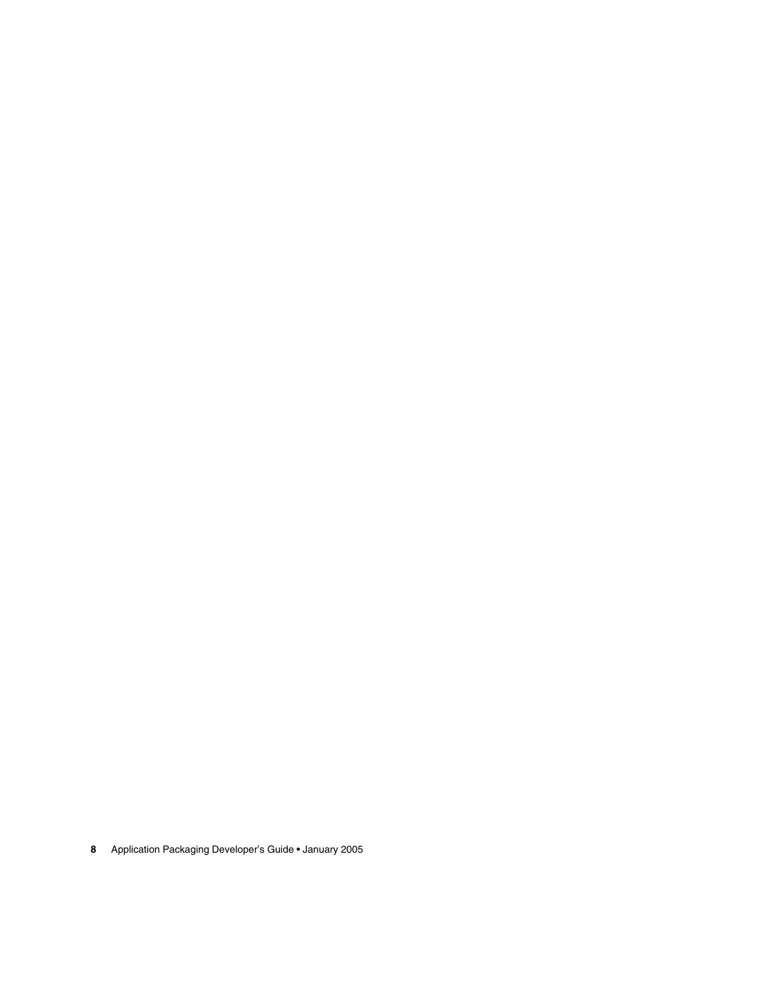Application Packaging Developer's Guide • January 2005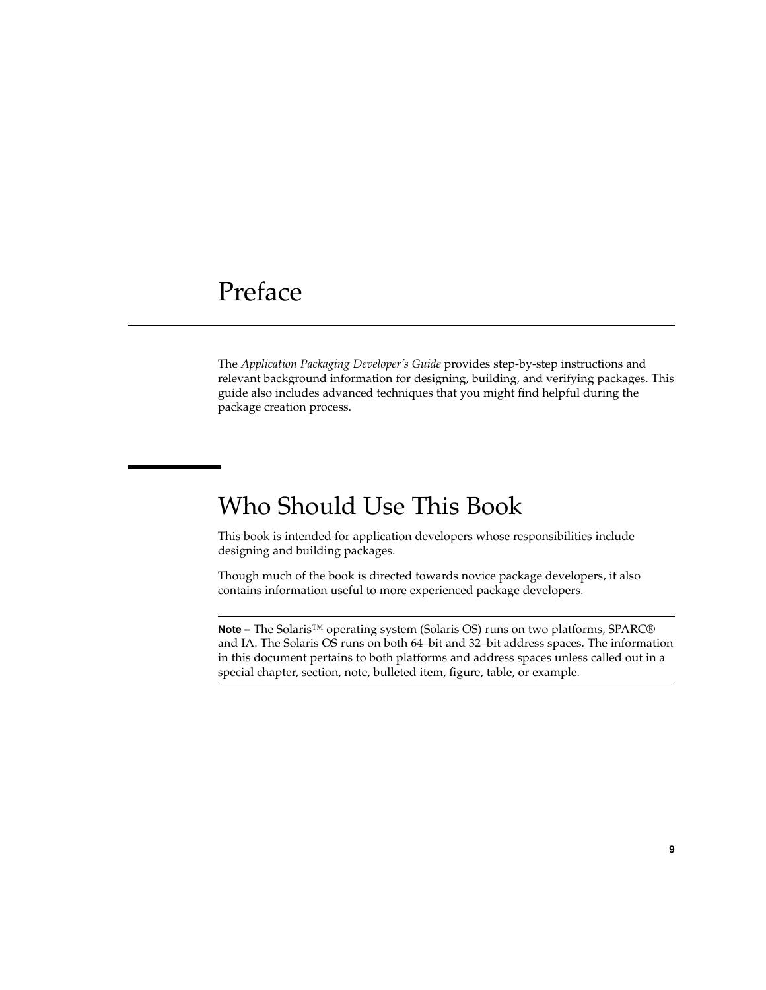# <span id="page-8-0"></span>Preface

The *Application Packaging Developer's Guide* provides step-by-step instructions and relevant background information for designing, building, and verifying packages. This guide also includes advanced techniques that you might find helpful during the package creation process.

## Who Should Use This Book

This book is intended for application developers whose responsibilities include designing and building packages.

Though much of the book is directed towards novice package developers, it also contains information useful to more experienced package developers.

**Note** – The Solaris™ operating system (Solaris OS) runs on two platforms, SPARC<sup>®</sup> and IA. The Solaris OS runs on both 64–bit and 32–bit address spaces. The information in this document pertains to both platforms and address spaces unless called out in a special chapter, section, note, bulleted item, figure, table, or example.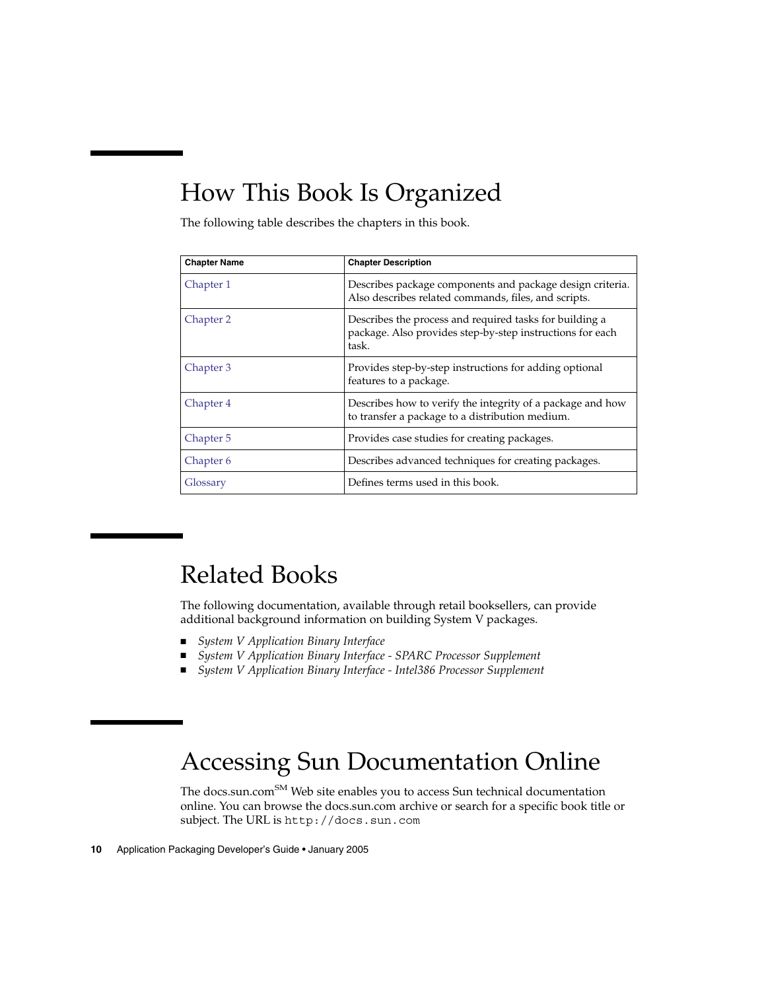# How This Book Is Organized

The following table describes the chapters in this book.

| <b>Chapter Name</b> | <b>Chapter Description</b>                                                                                                    |  |
|---------------------|-------------------------------------------------------------------------------------------------------------------------------|--|
| Chapter 1           | Describes package components and package design criteria.<br>Also describes related commands, files, and scripts.             |  |
| Chapter 2           | Describes the process and required tasks for building a<br>package. Also provides step-by-step instructions for each<br>task. |  |
| Chapter 3           | Provides step-by-step instructions for adding optional<br>features to a package.                                              |  |
| Chapter 4           | Describes how to verify the integrity of a package and how<br>to transfer a package to a distribution medium.                 |  |
| Chapter 5           | Provides case studies for creating packages.                                                                                  |  |
| Chapter 6           | Describes advanced techniques for creating packages.                                                                          |  |
| Glossary            | Defines terms used in this book.                                                                                              |  |

## Related Books

The following documentation, available through retail booksellers, can provide additional background information on building System V packages.

- *System V Application Binary Interface*
- *System V Application Binary Interface SPARC Processor Supplement*
- *System V Application Binary Interface Intel386 Processor Supplement*

# Accessing Sun Documentation Online

The docs.sun.com<sup>SM</sup> Web site enables you to access Sun technical documentation online. You can browse the docs.sun.com archive or search for a specific book title or subject. The URL is <http://docs.sun.com>.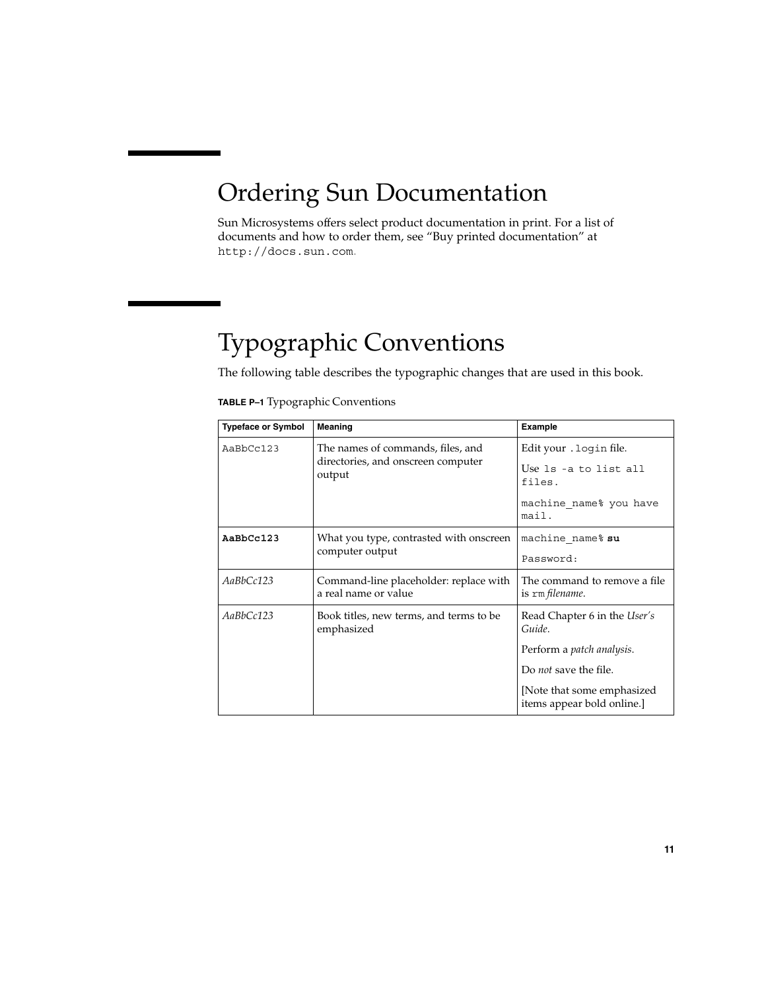# Ordering Sun Documentation

Sun Microsystems offers select product documentation in print. For a list of documents and how to order them, see "Buy printed documentation" at <http://docs.sun.com>.

# Typographic Conventions

The following table describes the typographic changes that are used in this book.

|  |  | TABLE P-1 Typographic Conventions |
|--|--|-----------------------------------|
|--|--|-----------------------------------|

| <b>Typeface or Symbol</b> | <b>Meaning</b>                                                                    | <b>Example</b>                                                                                |
|---------------------------|-----------------------------------------------------------------------------------|-----------------------------------------------------------------------------------------------|
| AaBbCc123                 | The names of commands, files, and<br>directories, and onscreen computer<br>output | Edit your . login file.<br>Use 1s -a to list all<br>files.<br>machine name% you have<br>mail. |
| AaBbCc123                 | What you type, contrasted with onscreen<br>computer output                        | machine name% su<br>Password:                                                                 |
| AaBbCc123                 | Command-line placeholder: replace with<br>a real name or value                    | The command to remove a file<br>is rm filename.                                               |
| AaBbCc123                 | Book titles, new terms, and terms to be<br>emphasized                             | Read Chapter 6 in the User's<br>Guide.                                                        |
|                           |                                                                                   | Perform a patch analysis.                                                                     |
|                           |                                                                                   | Do <i>not</i> save the file.                                                                  |
|                           |                                                                                   | [Note that some emphasized<br>items appear bold online.]                                      |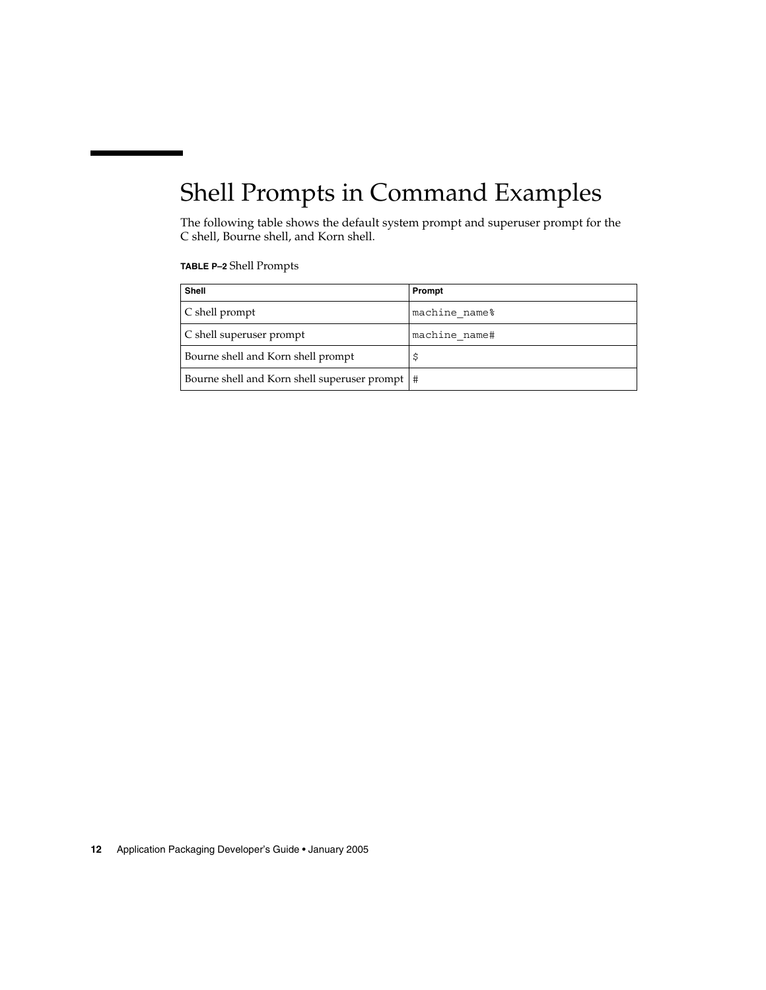# Shell Prompts in Command Examples

The following table shows the default system prompt and superuser prompt for the C shell, Bourne shell, and Korn shell.

#### **TABLE P–2** Shell Prompts

| <b>Shell</b>                                     | Prompt        |
|--------------------------------------------------|---------------|
| $\mathcal C$ shell prompt                        | machine name% |
| C shell superuser prompt                         | machine name# |
| Bourne shell and Korn shell prompt               |               |
| Bourne shell and Korn shell superuser prompt   # |               |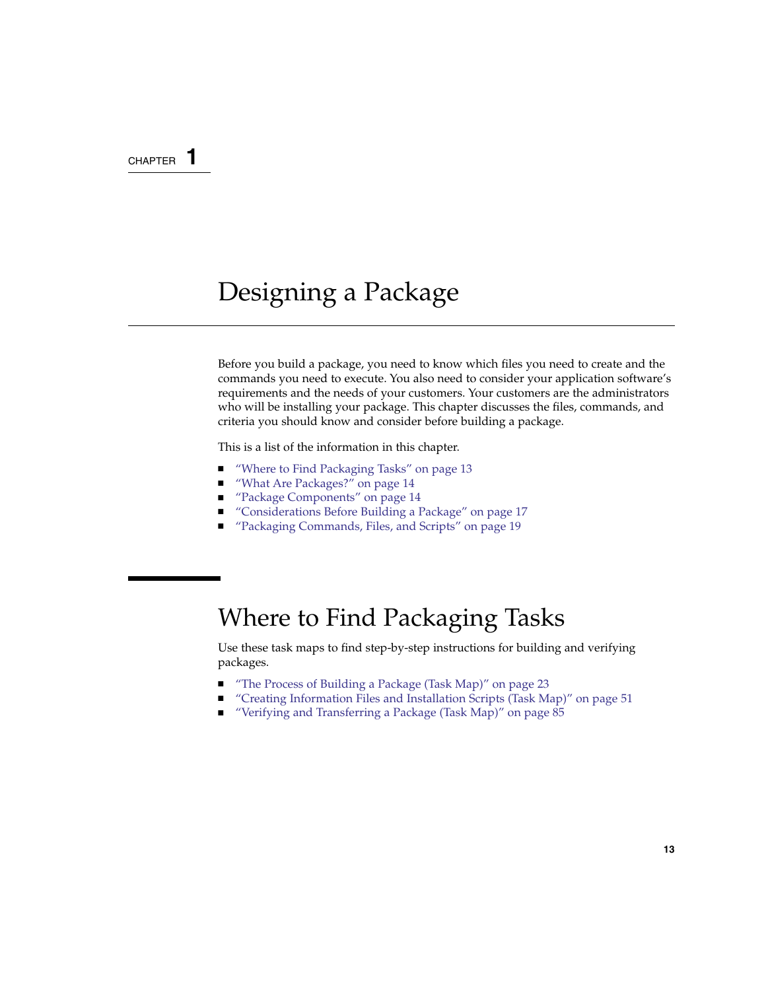#### <span id="page-12-0"></span>CHAPTER **1**

# Designing a Package

Before you build a package, you need to know which files you need to create and the commands you need to execute. You also need to consider your application software's requirements and the needs of your customers. Your customers are the administrators who will be installing your package. This chapter discusses the files, commands, and criteria you should know and consider before building a package.

This is a list of the information in this chapter.

- *"Where to Find Packaging Tasks"* on page 13
- *["What Are Packages?"](#page-13-0)* on page 14
- ["Package Components"](#page-13-0) on page 14
- ["Considerations Before Building a Package"](#page-16-0) on page 17
- *["Packaging Commands, Files, and Scripts"](#page-18-0)* on page 19

## Where to Find Packaging Tasks

Use these task maps to find step-by-step instructions for building and verifying packages.

- ["The Process of Building a Package \(Task Map\)"](#page-22-0) on page 23
- ["Creating Information Files and Installation Scripts \(Task Map\)"](#page-50-0) on page 51
- ["Verifying and Transferring a Package \(Task Map\)"](#page-84-0) on page 85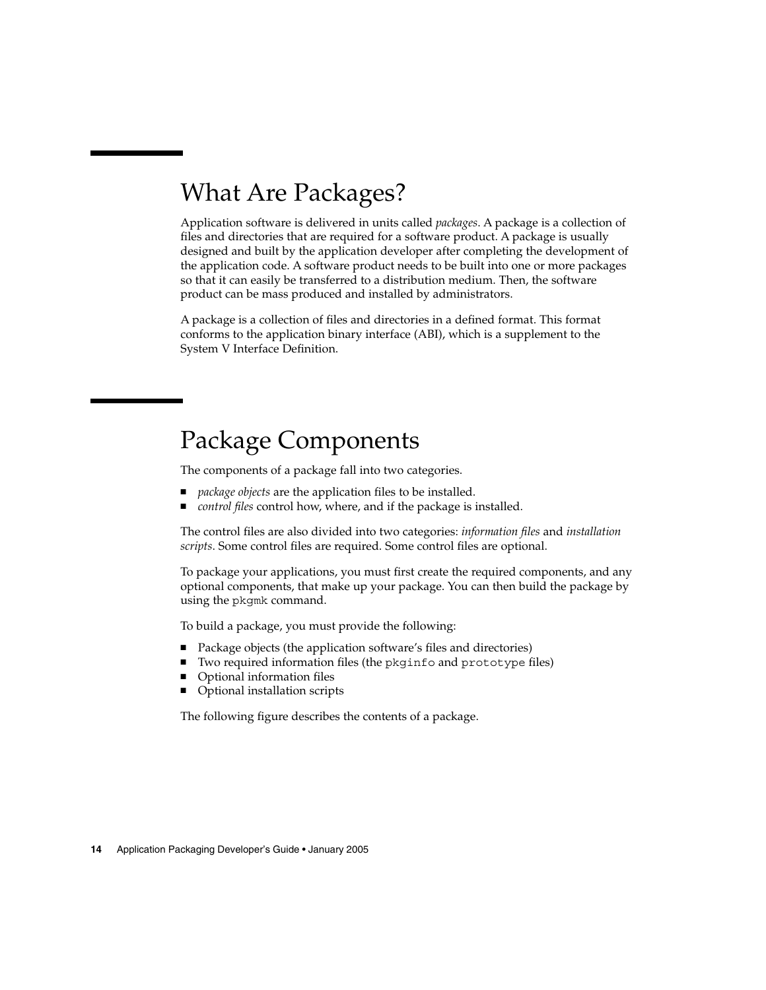# <span id="page-13-0"></span>What Are Packages?

Application software is delivered in units called *packages*. A package is a collection of files and directories that are required for a software product. A package is usually designed and built by the application developer after completing the development of the application code. A software product needs to be built into one or more packages so that it can easily be transferred to a distribution medium. Then, the software product can be mass produced and installed by administrators.

A package is a collection of files and directories in a defined format. This format conforms to the application binary interface (ABI), which is a supplement to the System V Interface Definition.

# Package Components

The components of a package fall into two categories.

- *package objects* are the application files to be installed.
- *control files* control how, where, and if the package is installed.

The control files are also divided into two categories: *information files* and *installation scripts*. Some control files are required. Some control files are optional.

To package your applications, you must first create the required components, and any optional components, that make up your package. You can then build the package by using the pkgmk command.

To build a package, you must provide the following:

- Package objects (the application software's files and directories)
- Two required information files (the pkginfo and prototype files)
- Optional information files
- Optional installation scripts

The following figure describes the contents of a package.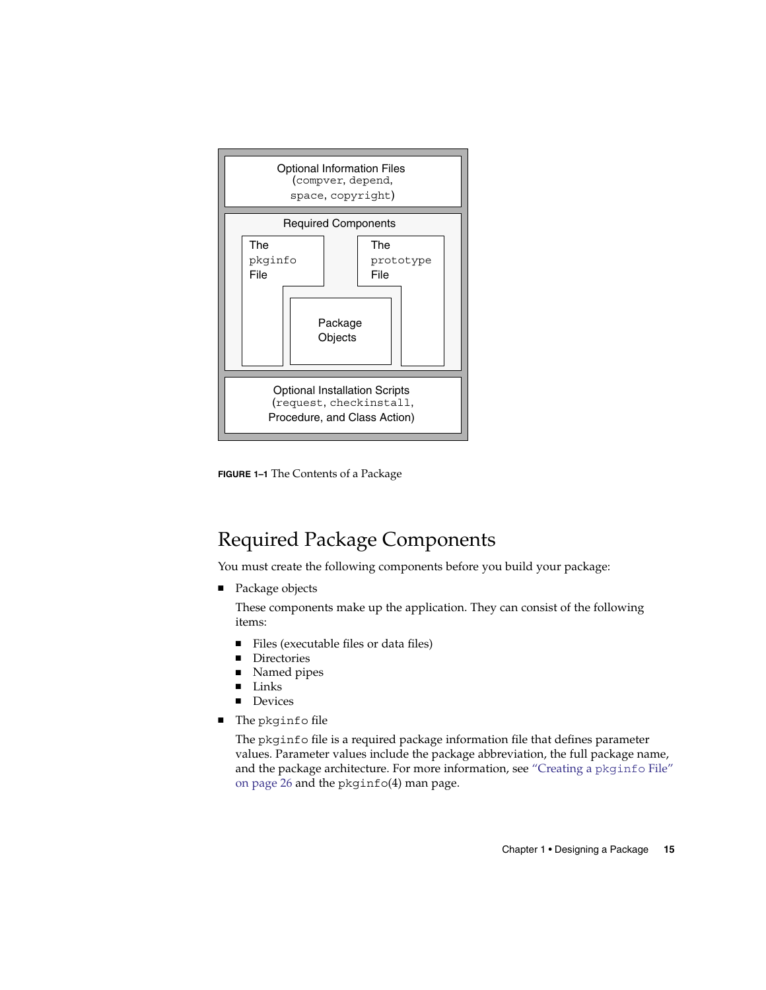<span id="page-14-0"></span>

**FIGURE 1–1** The Contents of a Package

## Required Package Components

You must create the following components before you build your package:

■ Package objects

These components make up the application. They can consist of the following items:

- Files (executable files or data files)
- Directories
- Named pipes
- Links
- Devices
- The pkginfo file

The pkginfo file is a required package information file that defines parameter values. Parameter values include the package abbreviation, the full package name, and the package architecture. For more information, see ["Creating a](#page-25-0) pkginfo File" [on page 26](#page-25-0) and the pkginfo(4) man page.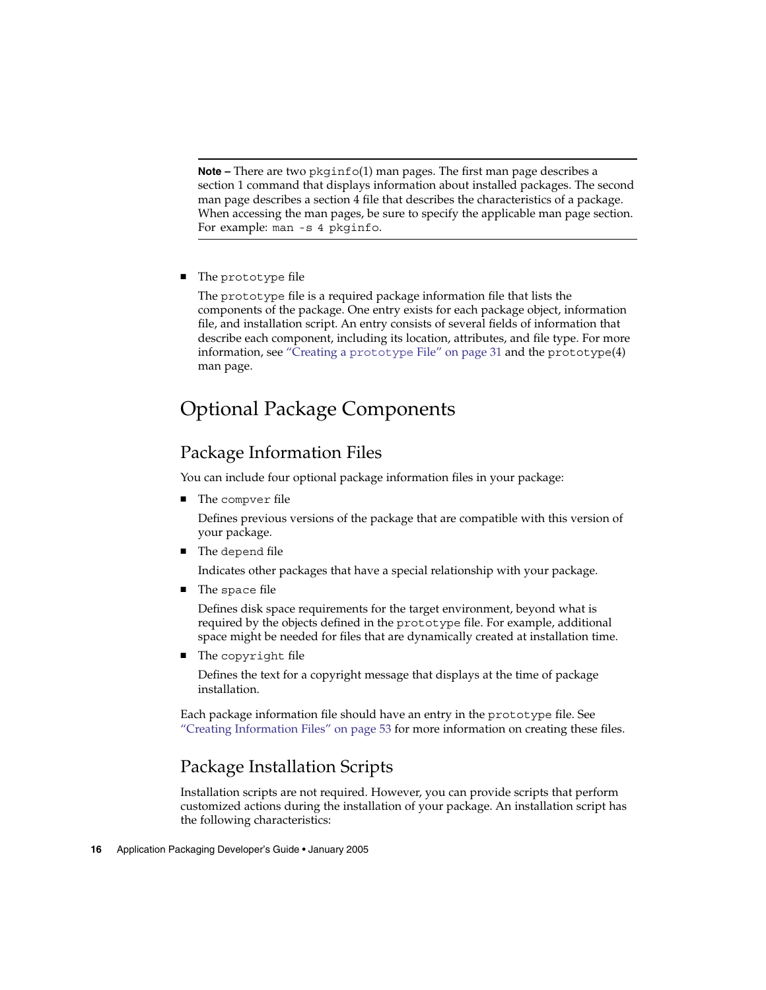<span id="page-15-0"></span>**Note –** There are two pkginfo(1) man pages. The first man page describes a section 1 command that displays information about installed packages. The second man page describes a section 4 file that describes the characteristics of a package. When accessing the man pages, be sure to specify the applicable man page section. For example: man -s 4 pkginfo.

The prototype file

The prototype file is a required package information file that lists the components of the package. One entry exists for each package object, information file, and installation script. An entry consists of several fields of information that describe each component, including its location, attributes, and file type. For more information, see "Creating a [prototype](#page-30-0) File" on page 31 and the prototype(4) man page.

## Optional Package Components

### Package Information Files

You can include four optional package information files in your package:

The compver file

Defines previous versions of the package that are compatible with this version of your package.

■ The depend file

Indicates other packages that have a special relationship with your package.

■ The space file

Defines disk space requirements for the target environment, beyond what is required by the objects defined in the prototype file. For example, additional space might be needed for files that are dynamically created at installation time.

The copyright file

Defines the text for a copyright message that displays at the time of package installation.

Each package information file should have an entry in the prototype file. See ["Creating Information Files"](#page-52-0) on page 53 for more information on creating these files.

### Package Installation Scripts

Installation scripts are not required. However, you can provide scripts that perform customized actions during the installation of your package. An installation script has the following characteristics: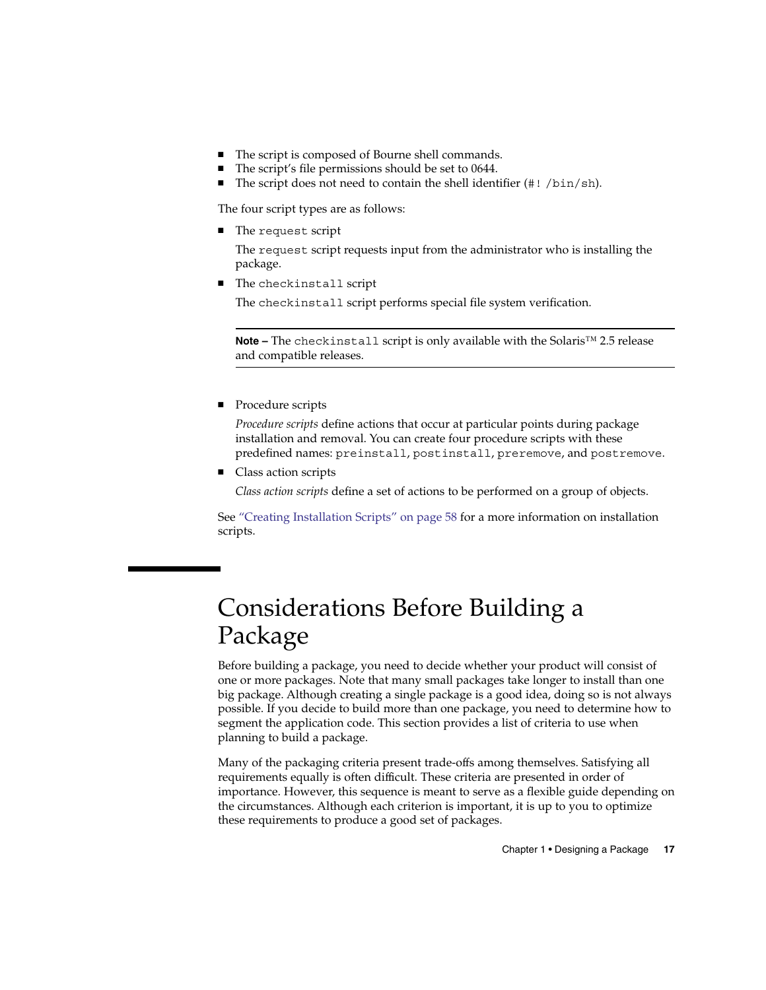- <span id="page-16-0"></span>■ The script is composed of Bourne shell commands.
- The script's file permissions should be set to 0644.
- The script does not need to contain the shell identifier (#!/bin/sh).

The four script types are as follows:

■ The request script

The request script requests input from the administrator who is installing the package.

■ The checkinstall script

The checkinstall script performs special file system verification.

**Note –** The checkinstall script is only available with the Solaris™ 2.5 release and compatible releases.

■ Procedure scripts

*Procedure scripts* define actions that occur at particular points during package installation and removal. You can create four procedure scripts with these predefined names: preinstall, postinstall, preremove, and postremove.

Class action scripts

*Class action scripts* define a set of actions to be performed on a group of objects.

See ["Creating Installation Scripts"](#page-57-0) on page 58 for a more information on installation scripts.

# Considerations Before Building a Package

Before building a package, you need to decide whether your product will consist of one or more packages. Note that many small packages take longer to install than one big package. Although creating a single package is a good idea, doing so is not always possible. If you decide to build more than one package, you need to determine how to segment the application code. This section provides a list of criteria to use when planning to build a package.

Many of the packaging criteria present trade-offs among themselves. Satisfying all requirements equally is often difficult. These criteria are presented in order of importance. However, this sequence is meant to serve as a flexible guide depending on the circumstances. Although each criterion is important, it is up to you to optimize these requirements to produce a good set of packages.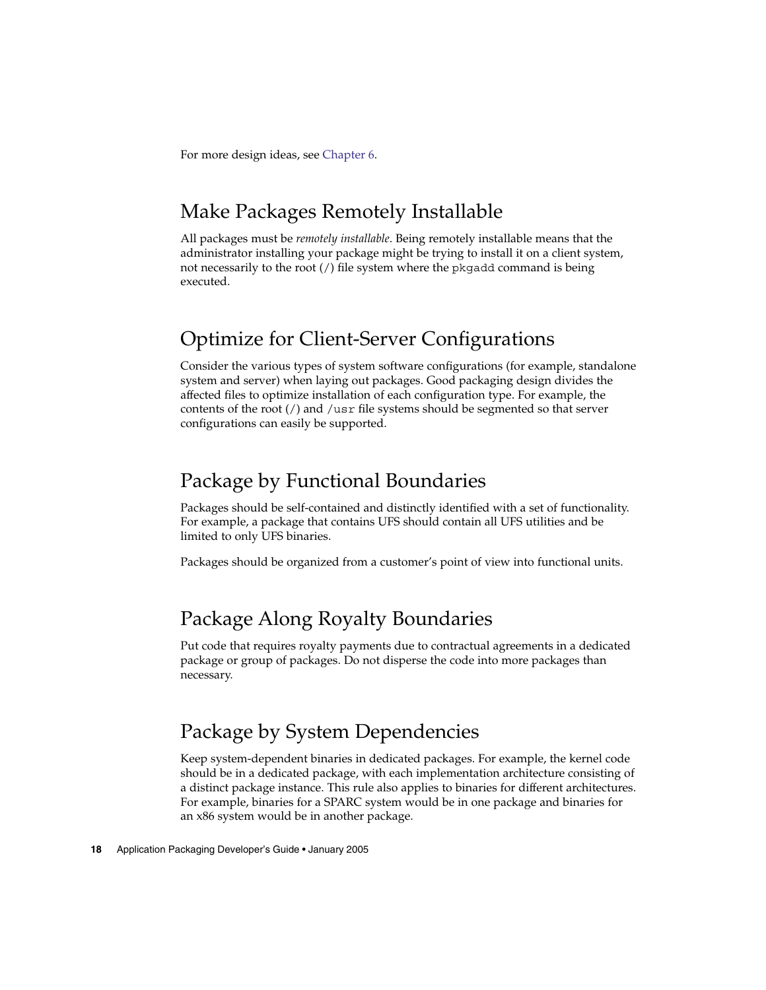<span id="page-17-0"></span>For more design ideas, see [Chapter 6.](#page-126-0)

## Make Packages Remotely Installable

All packages must be *remotely installable*. Being remotely installable means that the administrator installing your package might be trying to install it on a client system, not necessarily to the root (/) file system where the pkgadd command is being executed.

## Optimize for Client-Server Configurations

Consider the various types of system software configurations (for example, standalone system and server) when laying out packages. Good packaging design divides the affected files to optimize installation of each configuration type. For example, the contents of the root  $\binom{7}{1}$  and  $\binom{7}{1}$  and  $\binom{7}{1}$  systems should be segmented so that server configurations can easily be supported.

### Package by Functional Boundaries

Packages should be self-contained and distinctly identified with a set of functionality. For example, a package that contains UFS should contain all UFS utilities and be limited to only UFS binaries.

Packages should be organized from a customer's point of view into functional units.

### Package Along Royalty Boundaries

Put code that requires royalty payments due to contractual agreements in a dedicated package or group of packages. Do not disperse the code into more packages than necessary.

## Package by System Dependencies

Keep system-dependent binaries in dedicated packages. For example, the kernel code should be in a dedicated package, with each implementation architecture consisting of a distinct package instance. This rule also applies to binaries for different architectures. For example, binaries for a SPARC system would be in one package and binaries for an x86 system would be in another package.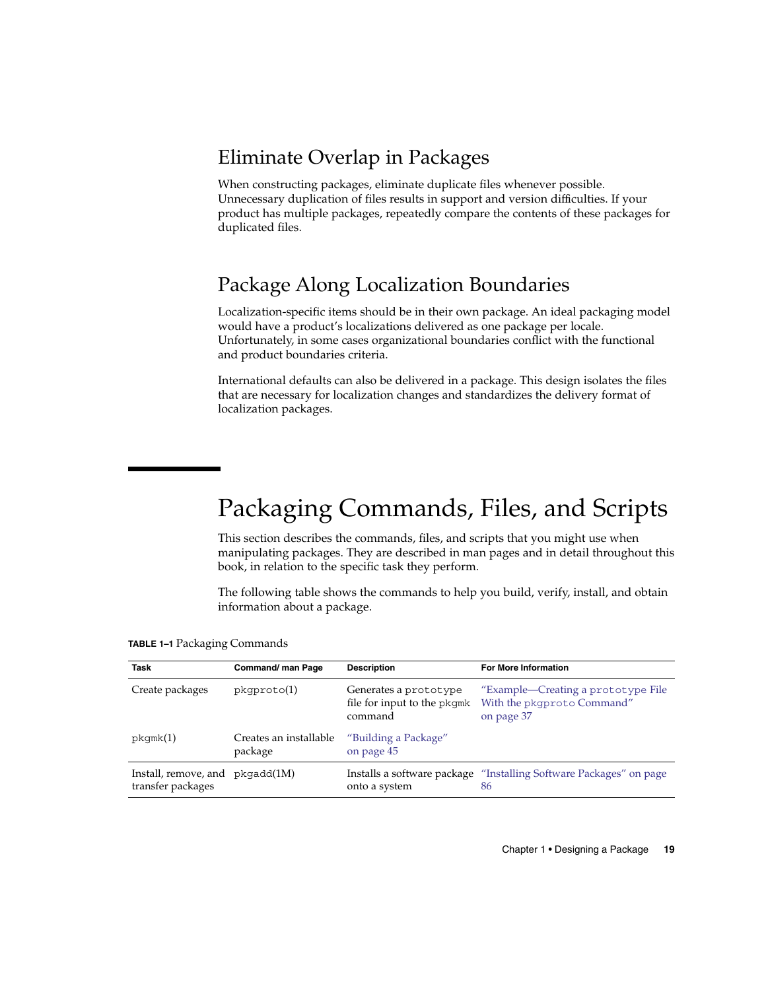## <span id="page-18-0"></span>Eliminate Overlap in Packages

When constructing packages, eliminate duplicate files whenever possible. Unnecessary duplication of files results in support and version difficulties. If your product has multiple packages, repeatedly compare the contents of these packages for duplicated files.

## Package Along Localization Boundaries

Localization-specific items should be in their own package. An ideal packaging model would have a product's localizations delivered as one package per locale. Unfortunately, in some cases organizational boundaries conflict with the functional and product boundaries criteria.

International defaults can also be delivered in a package. This design isolates the files that are necessary for localization changes and standardizes the delivery format of localization packages.

# Packaging Commands, Files, and Scripts

This section describes the commands, files, and scripts that you might use when manipulating packages. They are described in man pages and in detail throughout this book, in relation to the specific task they perform.

The following table shows the commands to help you build, verify, install, and obtain information about a package.

| Task                                                   | Command/ man Page                 | <b>Description</b>                                              | <b>For More Information</b>                                                    |
|--------------------------------------------------------|-----------------------------------|-----------------------------------------------------------------|--------------------------------------------------------------------------------|
| Create packages                                        | pkaprotol(1)                      | Generates a prototype<br>file for input to the pkqmk<br>command | "Example—Creating a prototype File<br>With the pkgproto Command"<br>on page 37 |
| pkqmk(1)                                               | Creates an installable<br>package | "Building a Package"<br>on page 45                              |                                                                                |
| Install, remove, and $pkqadd(1M)$<br>transfer packages |                                   | onto a system                                                   | Installs a software package "Installing Software Packages" on page<br>86       |

**TABLE 1–1** Packaging Commands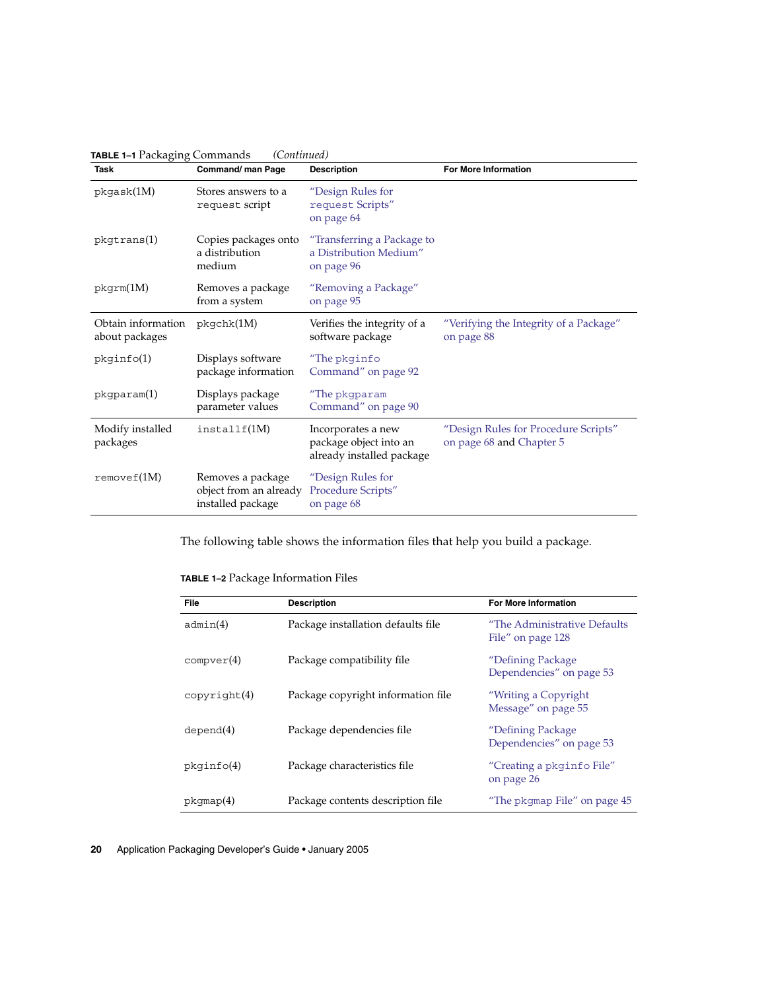| <b>TABLE 1–1</b> Packaging Commands | (Continued) |
|-------------------------------------|-------------|
|-------------------------------------|-------------|

| <b>Task</b>                          | Command/ man Page                                                | <b>Description</b>                                                        | <b>For More Information</b>                                      |
|--------------------------------------|------------------------------------------------------------------|---------------------------------------------------------------------------|------------------------------------------------------------------|
| pkgask(1M)                           | Stores answers to a<br>request script                            | "Design Rules for<br>request Scripts"<br>on page 64                       |                                                                  |
| pkgtrans(1)                          | Copies packages onto<br>a distribution<br>medium                 | "Transferring a Package to<br>a Distribution Medium"<br>on page 96        |                                                                  |
| pkgrm(1M)                            | Removes a package<br>from a system                               | "Removing a Package"<br>on page 95                                        |                                                                  |
| Obtain information<br>about packages | pkgchk(1M)                                                       | Verifies the integrity of a<br>software package                           | "Verifying the Integrity of a Package"<br>on page 88             |
| pkginfo(1)                           | Displays software<br>package information                         | "The pkginfo<br>Command" on page 92                                       |                                                                  |
| pkgparam(1)                          | Displays package<br>parameter values                             | "The pkgparam<br>Command" on page 90                                      |                                                                  |
| Modify installed<br>packages         | installf(1M)                                                     | Incorporates a new<br>package object into an<br>already installed package | "Design Rules for Procedure Scripts"<br>on page 68 and Chapter 5 |
| removef(1M)                          | Removes a package<br>object from an already<br>installed package | "Design Rules for<br>Procedure Scripts"<br>on page 68                     |                                                                  |

The following table shows the information files that help you build a package.

**TABLE 1–2** Package Information Files

| File              | <b>Description</b>                 | <b>For More Information</b>                        |
|-------------------|------------------------------------|----------------------------------------------------|
| $\text{admin}(4)$ | Package installation defaults file | "The Administrative Defaults"<br>File" on page 128 |
| compver(4)        | Package compatibility file         | "Defining Package<br>Dependencies" on page 53      |
| copyright(4)      | Package copyright information file | "Writing a Copyright<br>Message" on page 55        |
| depend(4)         | Package dependencies file          | "Defining Package<br>Dependencies" on page 53      |
| pkqinfo(4)        | Package characteristics file       | "Creating a pkqinfo File"<br>on page 26            |
| pkqmap(4)         | Package contents description file  | "The pkqmap File" on page 45                       |

**20** Application Packaging Developer's Guide • January 2005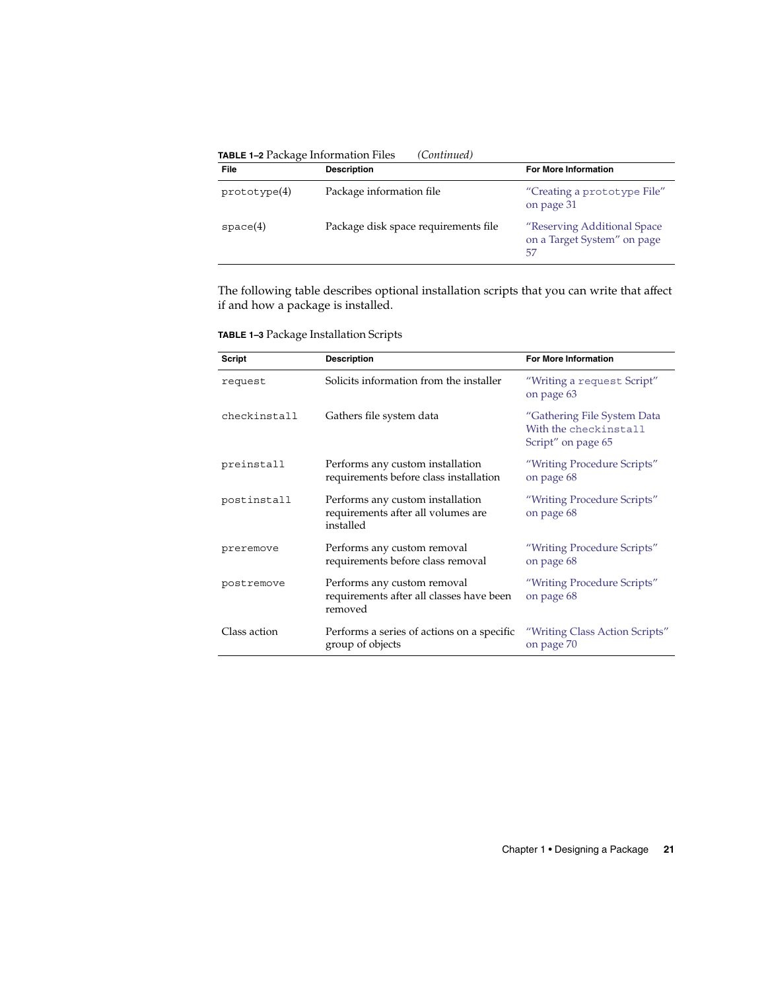| File         | <b>Description</b>                   | <b>For More Information</b>                                      |
|--------------|--------------------------------------|------------------------------------------------------------------|
| prototype(4) | Package information file             | "Creating a prototype File"<br>on page 31                        |
| space(4)     | Package disk space requirements file | "Reserving Additional Space<br>on a Target System" on page<br>57 |

The following table describes optional installation scripts that you can write that affect if and how a package is installed.

**TABLE 1–3** Package Installation Scripts

| <b>Script</b> | <b>Description</b>                                                                  | <b>For More Information</b>                                                |
|---------------|-------------------------------------------------------------------------------------|----------------------------------------------------------------------------|
| request       | Solicits information from the installer                                             | "Writing a request Script"<br>on page 63                                   |
| checkinstall  | Gathers file system data                                                            | "Gathering File System Data<br>With the checkinstall<br>Script" on page 65 |
| preinstall    | Performs any custom installation<br>requirements before class installation          | "Writing Procedure Scripts"<br>on page 68                                  |
| postinstall   | Performs any custom installation<br>requirements after all volumes are<br>installed | "Writing Procedure Scripts"<br>on page 68                                  |
| preremove     | Performs any custom removal<br>requirements before class removal                    | "Writing Procedure Scripts"<br>on page 68                                  |
| postremove    | Performs any custom removal<br>requirements after all classes have been<br>removed  | "Writing Procedure Scripts"<br>on page 68                                  |
| Class action  | Performs a series of actions on a specific<br>group of objects                      | "Writing Class Action Scripts"<br>on page 70                               |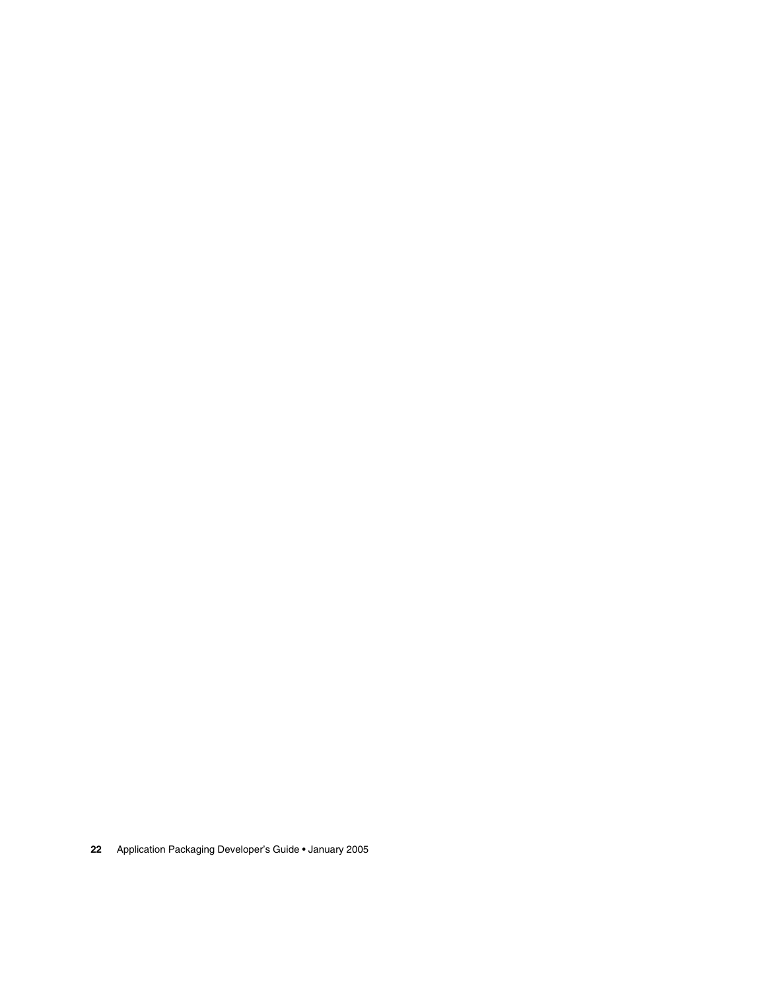Application Packaging Developer's Guide • January 2005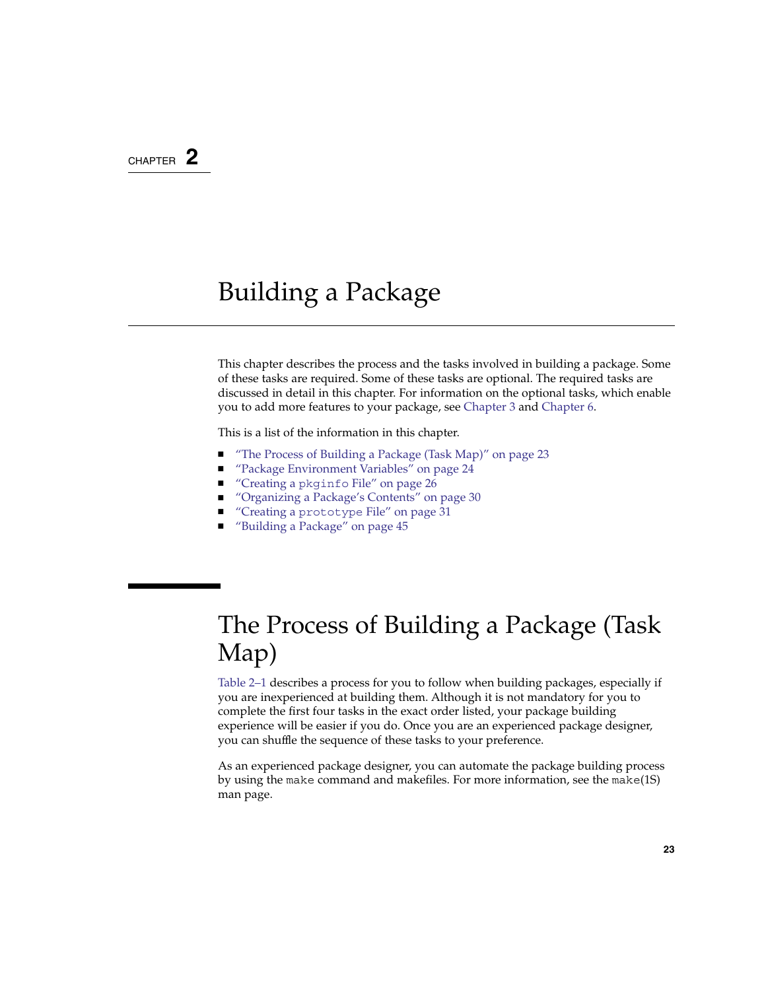#### <span id="page-22-0"></span>CHAPTER **2**

## Building a Package

This chapter describes the process and the tasks involved in building a package. Some of these tasks are required. Some of these tasks are optional. The required tasks are discussed in detail in this chapter. For information on the optional tasks, which enable you to add more features to your package, see [Chapter 3](#page-50-0) and [Chapter 6.](#page-126-0)

This is a list of the information in this chapter.

- "The Process of Building a Package (Task Map)" on page 23
- ["Package Environment Variables"](#page-23-0) on page 24
- *["Creating a](#page-25-0) pkginfo File"* on page 26
- *["Organizing a Package's Contents"](#page-29-0)* on page 30
- "Creating a [prototype](#page-30-0) File" on page 31
- ["Building a Package"](#page-44-0) on page 45

# The Process of Building a Package (Task Map)

[Table 2–1](#page-23-0) describes a process for you to follow when building packages, especially if you are inexperienced at building them. Although it is not mandatory for you to complete the first four tasks in the exact order listed, your package building experience will be easier if you do. Once you are an experienced package designer, you can shuffle the sequence of these tasks to your preference.

As an experienced package designer, you can automate the package building process by using the make command and makefiles. For more information, see the make(1S) man page.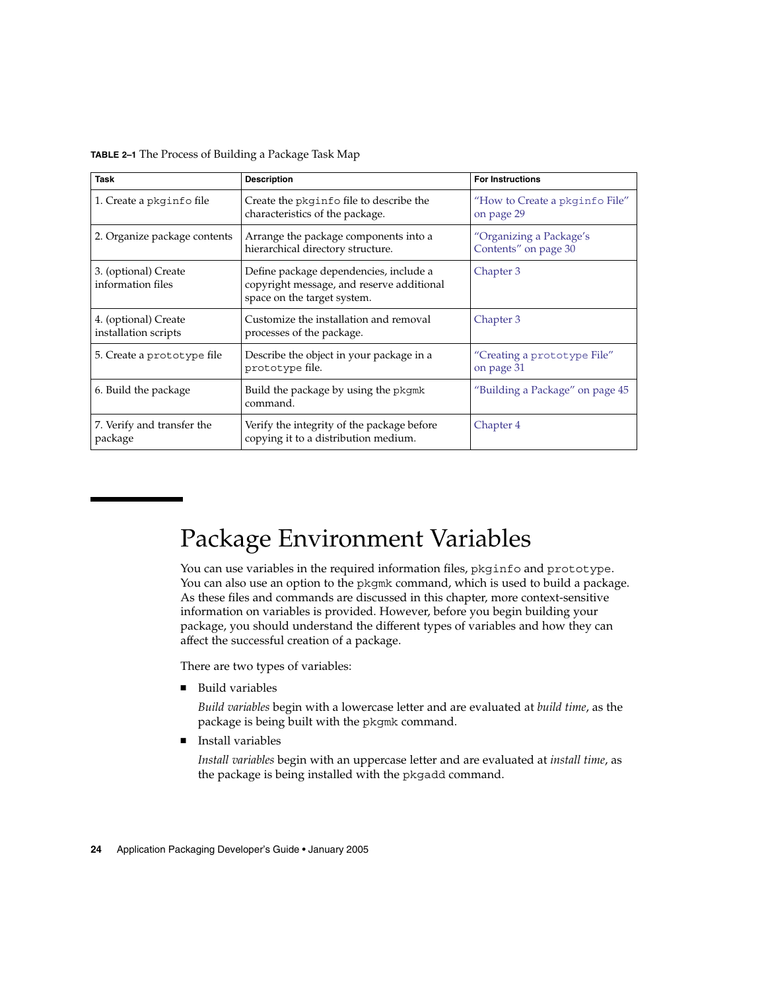| <b>Task</b>                                  | <b>Description</b>                                                                                                 | <b>For Instructions</b>                         |
|----------------------------------------------|--------------------------------------------------------------------------------------------------------------------|-------------------------------------------------|
| 1. Create a pkginfo file                     | Create the pkginfo file to describe the<br>characteristics of the package.                                         | "How to Create a pkginfo File"<br>on page 29    |
| 2. Organize package contents                 | Arrange the package components into a<br>hierarchical directory structure.                                         | "Organizing a Package's<br>Contents" on page 30 |
| 3. (optional) Create<br>information files    | Define package dependencies, include a<br>copyright message, and reserve additional<br>space on the target system. | Chapter 3                                       |
| 4. (optional) Create<br>installation scripts | Customize the installation and removal<br>processes of the package.                                                | Chapter 3                                       |
| 5. Create a prototype file                   | Describe the object in your package in a<br>prototype file.                                                        | "Creating a prototype File"<br>on page 31       |
| 6. Build the package                         | Build the package by using the pkqmk<br>command.                                                                   | "Building a Package" on page 45                 |
| 7. Verify and transfer the<br>package        | Verify the integrity of the package before<br>copying it to a distribution medium.                                 | Chapter 4                                       |

<span id="page-23-0"></span>**TABLE 2–1** The Process of Building a Package Task Map

## Package Environment Variables

You can use variables in the required information files, pkginfo and prototype. You can also use an option to the pkgmk command, which is used to build a package. As these files and commands are discussed in this chapter, more context-sensitive information on variables is provided. However, before you begin building your package, you should understand the different types of variables and how they can affect the successful creation of a package.

There are two types of variables:

■ Build variables

*Build variables* begin with a lowercase letter and are evaluated at *build time*, as the package is being built with the pkgmk command.

■ Install variables

*Install variables* begin with an uppercase letter and are evaluated at *install time*, as the package is being installed with the pkgadd command.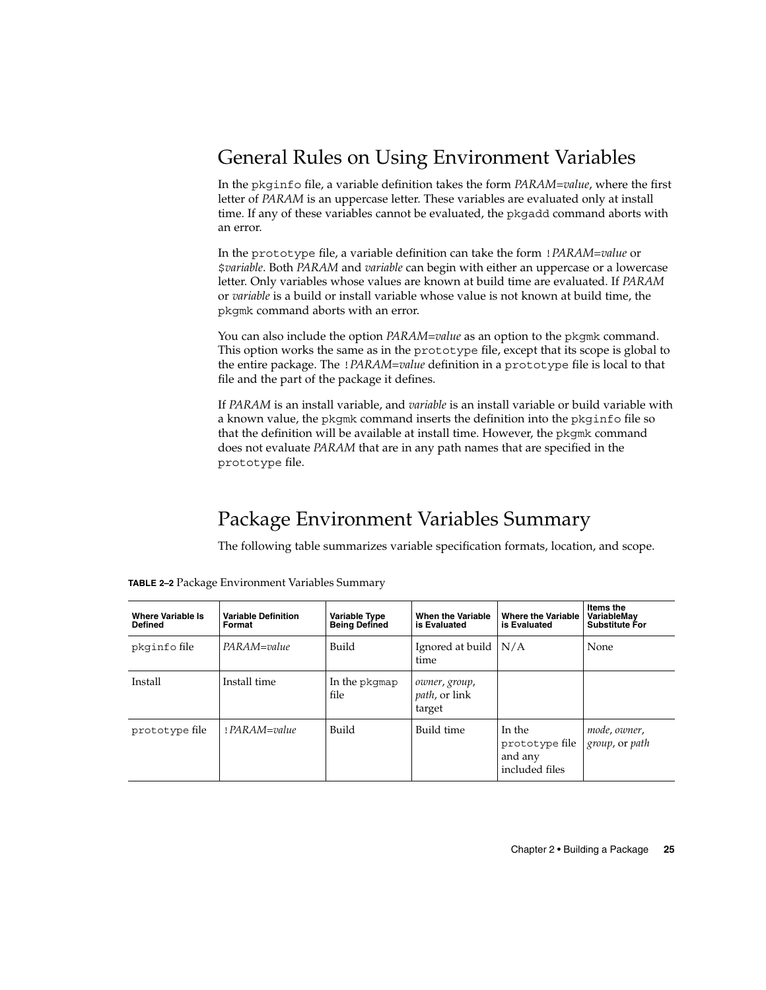## <span id="page-24-0"></span>General Rules on Using Environment Variables

In the pkginfo file, a variable definition takes the form *PARAM=value*, where the first letter of *PARAM* is an uppercase letter. These variables are evaluated only at install time. If any of these variables cannot be evaluated, the pkgadd command aborts with an error.

In the prototype file, a variable definition can take the form !*PARAM=value* or \$*variable*. Both *PARAM* and *variable* can begin with either an uppercase or a lowercase letter. Only variables whose values are known at build time are evaluated. If *PARAM* or *variable* is a build or install variable whose value is not known at build time, the pkgmk command aborts with an error.

You can also include the option *PARAM=value* as an option to the pkgmk command. This option works the same as in the prototype file, except that its scope is global to the entire package. The !*PARAM=value* definition in a prototype file is local to that file and the part of the package it defines.

If *PARAM* is an install variable, and *variable* is an install variable or build variable with a known value, the pkgmk command inserts the definition into the pkginfo file so that the definition will be available at install time. However, the pkgmk command does not evaluate *PARAM* that are in any path names that are specified in the prototype file.

## Package Environment Variables Summary

The following table summarizes variable specification formats, location, and scope.

| <b>Where Variable Is</b><br><b>Defined</b> | <b>Variable Definition</b><br>Format | <b>Variable Type</b><br><b>Being Defined</b> | When the Variable<br>is Evaluated                | <b>Where the Variable</b><br>is Evaluated             | Items the<br>VariableMay<br><b>Substitute For</b> |
|--------------------------------------------|--------------------------------------|----------------------------------------------|--------------------------------------------------|-------------------------------------------------------|---------------------------------------------------|
| pkginfo file                               | $PARAM = value$                      | Build                                        | Ignored at build<br>time                         | N/A                                                   | None                                              |
| Install                                    | Install time                         | In the pkgmap<br>file                        | owner, group,<br><i>path</i> , or link<br>target |                                                       |                                                   |
| prototype file                             | $PARAM = value$                      | Build                                        | Build time                                       | In the<br>prototype file<br>and any<br>included files | mode, owner,<br>group, or path                    |

**TABLE 2–2** Package Environment Variables Summary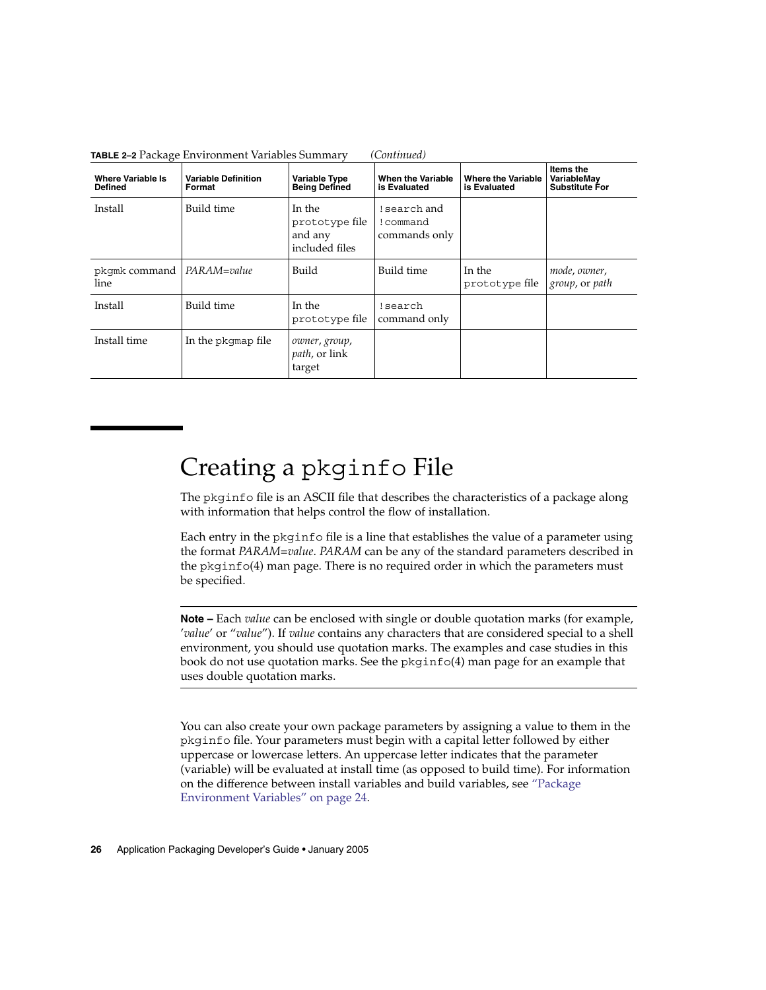| <b>Where Variable Is</b><br><b>Defined</b> | <b>Variable Definition</b><br>Format | <b>Variable Type</b><br><b>Being Defined</b>          | <b>When the Variable</b><br>is Evaluated | <b>Where the Variable</b><br>is Evaluated | Items the<br>VariableMay<br><b>Substitute For</b> |
|--------------------------------------------|--------------------------------------|-------------------------------------------------------|------------------------------------------|-------------------------------------------|---------------------------------------------------|
| Install                                    | Build time                           | In the<br>prototype file<br>and any<br>included files | !search and<br>!command<br>commands only |                                           |                                                   |
| pkgmk command<br>line                      | PARAM=value                          | Build                                                 | Build time                               | In the<br>prototype file                  | mode, owner,<br>group, or path                    |
| Install                                    | Build time                           | In the<br>prototype file                              | !search<br>command only                  |                                           |                                                   |
| Install time                               | In the pkqmap file                   | owner, group,<br><i>path</i> , or link<br>target      |                                          |                                           |                                                   |

<span id="page-25-0"></span>**TABLE 2–2** Package Environment Variables Summary *(Continued)*

# Creating a pkginfo File

The pkginfo file is an ASCII file that describes the characteristics of a package along with information that helps control the flow of installation.

Each entry in the pkginfo file is a line that establishes the value of a parameter using the format *PARAM=value*. *PARAM* can be any of the standard parameters described in the pkginfo(4) man page. There is no required order in which the parameters must be specified.

**Note –** Each *value* can be enclosed with single or double quotation marks (for example, '*value*' or "*value*"). If *value* contains any characters that are considered special to a shell environment, you should use quotation marks. The examples and case studies in this book do not use quotation marks. See the pkginfo(4) man page for an example that uses double quotation marks.

You can also create your own package parameters by assigning a value to them in the pkginfo file. Your parameters must begin with a capital letter followed by either uppercase or lowercase letters. An uppercase letter indicates that the parameter (variable) will be evaluated at install time (as opposed to build time). For information on the difference between install variables and build variables, see ["Package](#page-23-0) [Environment Variables"](#page-23-0) on page 24.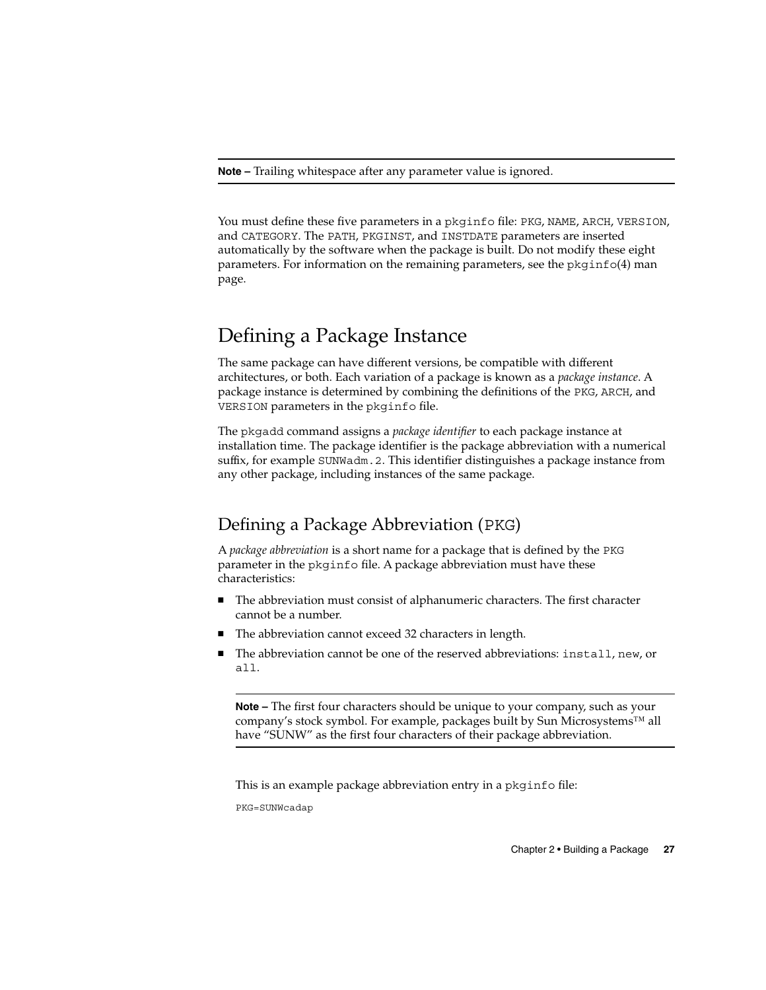<span id="page-26-0"></span>You must define these five parameters in a pkginfo file: PKG, NAME, ARCH, VERSION, and CATEGORY. The PATH, PKGINST, and INSTDATE parameters are inserted automatically by the software when the package is built. Do not modify these eight parameters. For information on the remaining parameters, see the pkginfo(4) man page.

## Defining a Package Instance

The same package can have different versions, be compatible with different architectures, or both. Each variation of a package is known as a *package instance*. A package instance is determined by combining the definitions of the PKG, ARCH, and VERSION parameters in the pkginfo file.

The pkgadd command assigns a *package identifier* to each package instance at installation time. The package identifier is the package abbreviation with a numerical suffix, for example SUNWadm.2. This identifier distinguishes a package instance from any other package, including instances of the same package.

#### Defining a Package Abbreviation (PKG)

A *package abbreviation* is a short name for a package that is defined by the PKG parameter in the pkginfo file. A package abbreviation must have these characteristics:

- The abbreviation must consist of alphanumeric characters. The first character cannot be a number.
- The abbreviation cannot exceed 32 characters in length.
- The abbreviation cannot be one of the reserved abbreviations: install, new, or all.

**Note –** The first four characters should be unique to your company, such as your company's stock symbol. For example, packages built by Sun Microsystems™ all have "SUNW" as the first four characters of their package abbreviation.

This is an example package abbreviation entry in a pkginfo file:

PKG=SUNWcadap

Chapter 2 • Building a Package **27**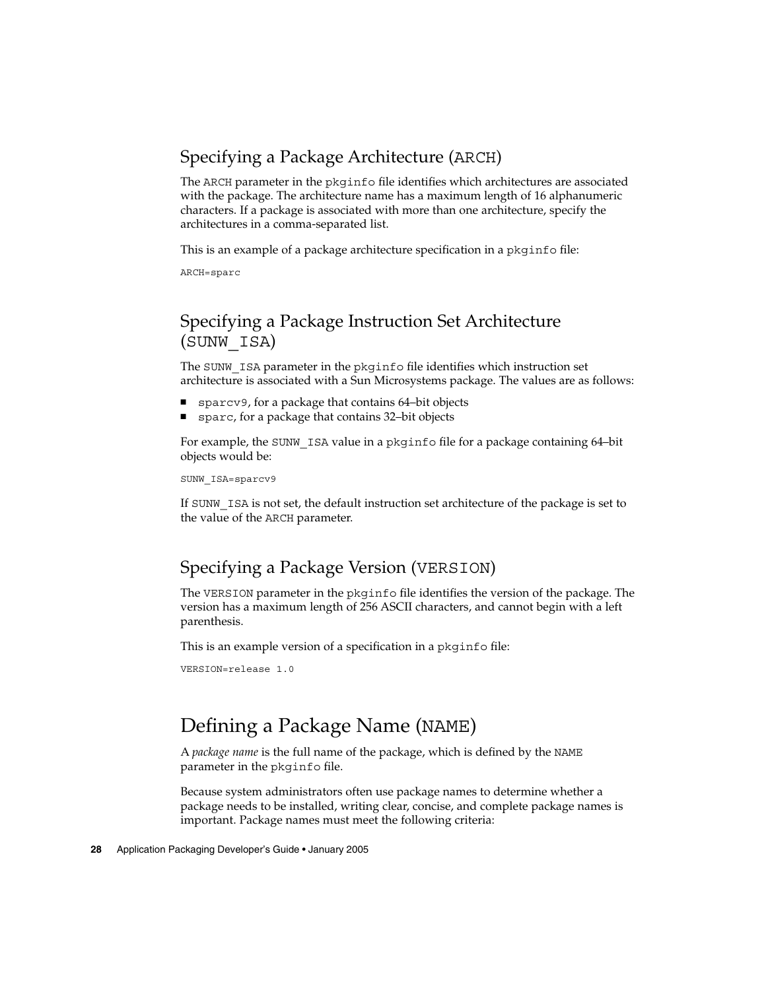#### <span id="page-27-0"></span>Specifying a Package Architecture (ARCH)

The ARCH parameter in the pkginfo file identifies which architectures are associated with the package. The architecture name has a maximum length of 16 alphanumeric characters. If a package is associated with more than one architecture, specify the architectures in a comma-separated list.

This is an example of a package architecture specification in a pkginfo file:

ARCH=sparc

### Specifying a Package Instruction Set Architecture (SUNW\_ISA)

The SUNW\_ISA parameter in the pkginfo file identifies which instruction set architecture is associated with a Sun Microsystems package. The values are as follows:

- sparcv9, for a package that contains 64–bit objects
- sparc, for a package that contains 32–bit objects

For example, the SUNW ISA value in a pkginfo file for a package containing 64–bit objects would be:

SUNW\_ISA=sparcv9

If SUNW\_ISA is not set, the default instruction set architecture of the package is set to the value of the ARCH parameter.

### Specifying a Package Version (VERSION)

The VERSION parameter in the pkginfo file identifies the version of the package. The version has a maximum length of 256 ASCII characters, and cannot begin with a left parenthesis.

This is an example version of a specification in a pkginfo file:

VERSION=release 1.0

## Defining a Package Name (NAME)

A *package name* is the full name of the package, which is defined by the NAME parameter in the pkginfo file.

Because system administrators often use package names to determine whether a package needs to be installed, writing clear, concise, and complete package names is important. Package names must meet the following criteria: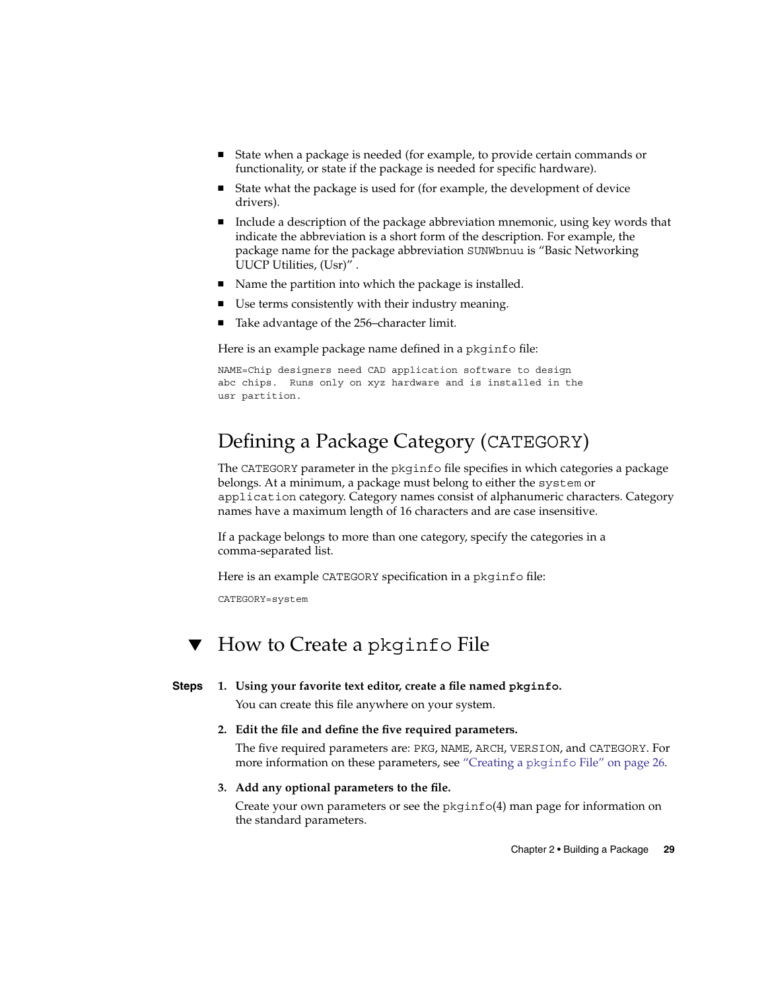- <span id="page-28-0"></span>■ State when a package is needed (for example, to provide certain commands or functionality, or state if the package is needed for specific hardware).
- State what the package is used for (for example, the development of device drivers).
- Include a description of the package abbreviation mnemonic, using key words that indicate the abbreviation is a short form of the description. For example, the package name for the package abbreviation SUNWbnuu is "Basic Networking UUCP Utilities, (Usr)" .
- Name the partition into which the package is installed.
- Use terms consistently with their industry meaning.
- Take advantage of the 256-character limit.

Here is an example package name defined in a pkginfo file:

```
NAME=Chip designers need CAD application software to design
abc chips. Runs only on xyz hardware and is installed in the
usr partition.
```
### Defining a Package Category (CATEGORY)

The CATEGORY parameter in the pkginfo file specifies in which categories a package belongs. At a minimum, a package must belong to either the system or application category. Category names consist of alphanumeric characters. Category names have a maximum length of 16 characters and are case insensitive.

If a package belongs to more than one category, specify the categories in a comma-separated list.

Here is an example CATEGORY specification in a pkginfo file:

CATEGORY=system

### How to Create a pkginfo File

#### **1. Using your favorite text editor, create a file named pkginfo. Steps**

You can create this file anywhere on your system.

#### **2. Edit the file and define the five required parameters.**

The five required parameters are: PKG, NAME, ARCH, VERSION, and CATEGORY. For more information on these parameters, see ["Creating a](#page-25-0) pkginfo File" on page 26.

#### **3. Add any optional parameters to the file.**

Create your own parameters or see the pkginfo(4) man page for information on the standard parameters.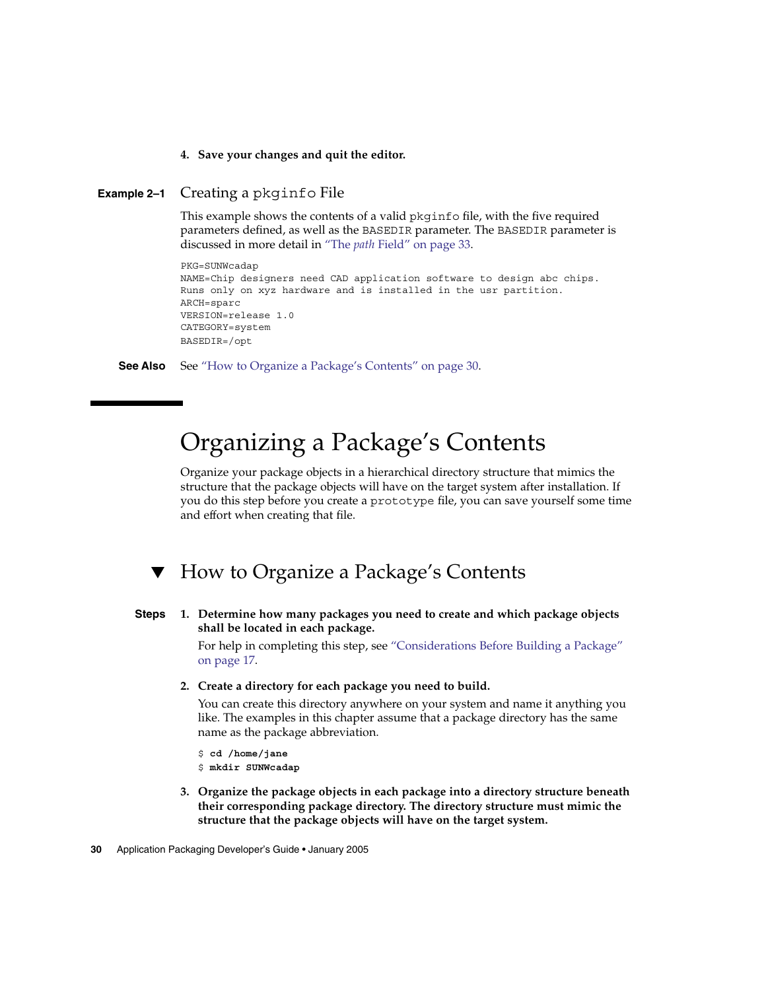#### **4. Save your changes and quit the editor.**

#### <span id="page-29-0"></span>Creating a pkginfo File **Example 2–1**

This example shows the contents of a valid pkginfo file, with the five required parameters defined, as well as the BASEDIR parameter. The BASEDIR parameter is discussed in more detail in "The *path* Field" [on page 33.](#page-32-0)

```
PKG=SUNWcadap
NAME=Chip designers need CAD application software to design abc chips.
Runs only on xyz hardware and is installed in the usr partition.
ARCH=sparc
VERSION=release 1.0
CATEGORY=system
BASEDIR=/opt
```
See "How to Organize a Package's Contents" on page 30. **See Also**

# Organizing a Package's Contents

Organize your package objects in a hierarchical directory structure that mimics the structure that the package objects will have on the target system after installation. If you do this step before you create a prototype file, you can save yourself some time and effort when creating that file.

### ▼ How to Organize a Package's Contents

#### **1. Determine how many packages you need to create and which package objects shall be located in each package. Steps**

For help in completing this step, see ["Considerations Before Building a Package"](#page-16-0) [on page 17.](#page-16-0)

#### **2. Create a directory for each package you need to build.**

You can create this directory anywhere on your system and name it anything you like. The examples in this chapter assume that a package directory has the same name as the package abbreviation.

- \$ **cd /home/jane**
- \$ **mkdir SUNWcadap**
- **3. Organize the package objects in each package into a directory structure beneath their corresponding package directory. The directory structure must mimic the structure that the package objects will have on the target system.**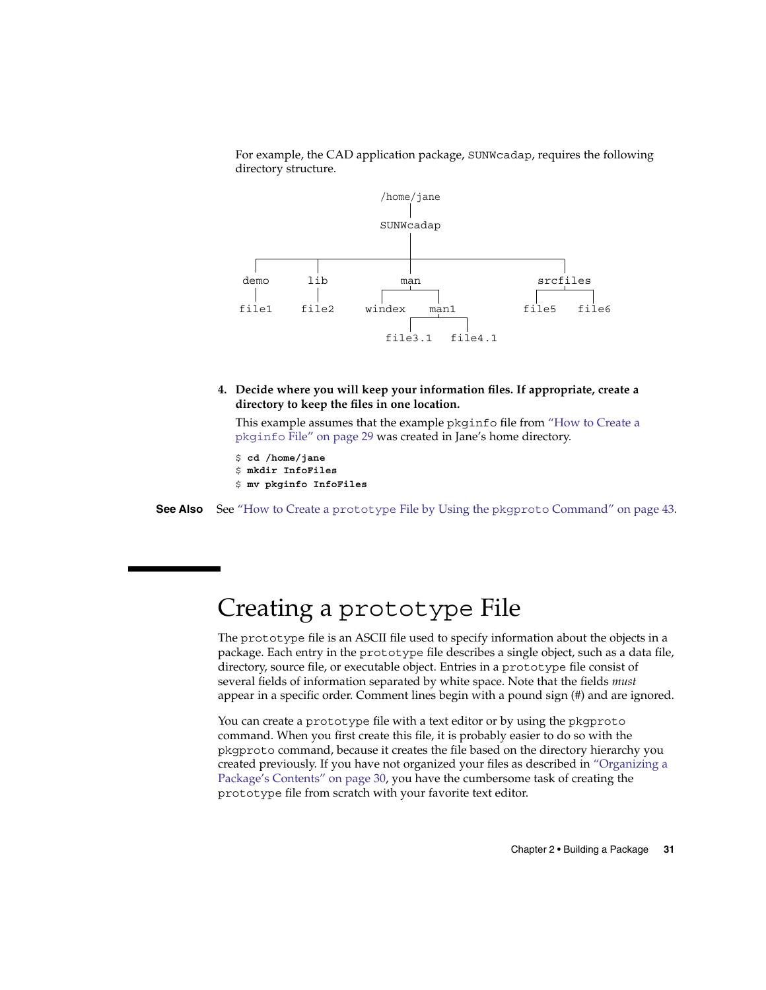<span id="page-30-0"></span>For example, the CAD application package, SUNWcadap, requires the following directory structure.



**4. Decide where you will keep your information files. If appropriate, create a directory to keep the files in one location.**

This example assumes that the example pkginfo file from ["How to Create a](#page-28-0) pkginfo File" [on page 29](#page-28-0) was created in Jane's home directory.

\$ **cd /home/jane** \$ **mkdir InfoFiles** \$ **mv pkginfo InfoFiles**

See ["How to Create a](#page-42-0) prototype File by Using the pkgproto Command" on page 43. **See Also**

# Creating a prototype File

The prototype file is an ASCII file used to specify information about the objects in a package. Each entry in the prototype file describes a single object, such as a data file, directory, source file, or executable object. Entries in a prototype file consist of several fields of information separated by white space. Note that the fields *must* appear in a specific order. Comment lines begin with a pound sign (#) and are ignored.

You can create a prototype file with a text editor or by using the pkgproto command. When you first create this file, it is probably easier to do so with the pkgproto command, because it creates the file based on the directory hierarchy you created previously. If you have not organized your files as described in ["Organizing a](#page-29-0) [Package's Contents"](#page-29-0) on page 30, you have the cumbersome task of creating the prototype file from scratch with your favorite text editor.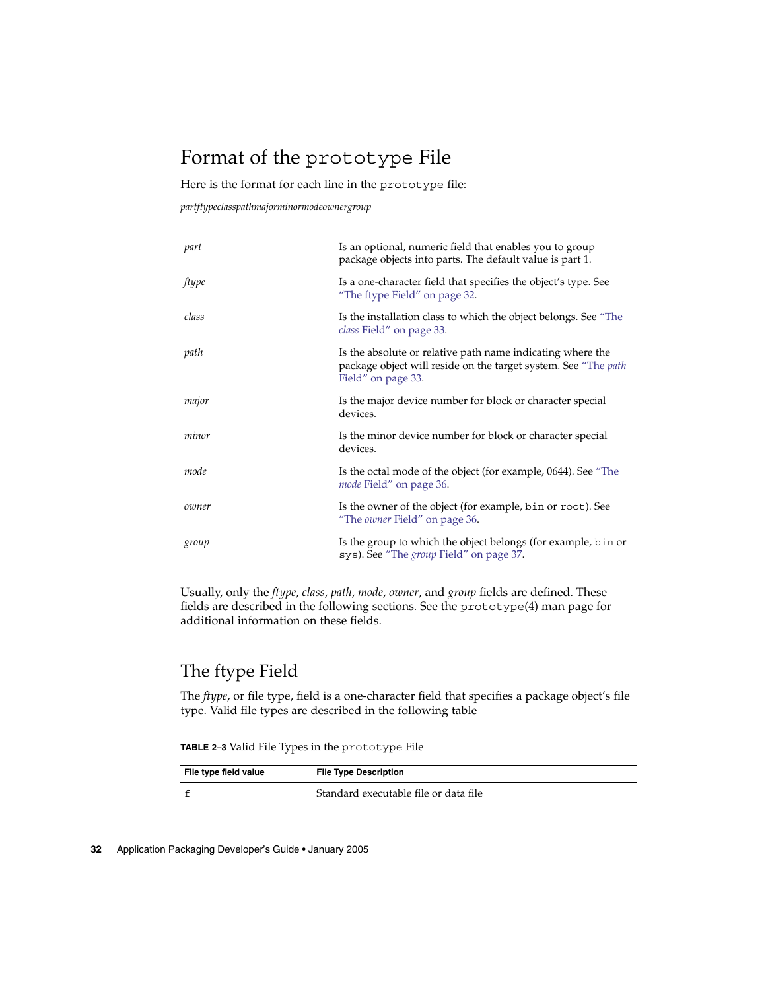## <span id="page-31-0"></span>Format of the prototype File

Here is the format for each line in the prototype file:

*partftypeclasspathmajorminormodeownergroup*

| part         | Is an optional, numeric field that enables you to group<br>package objects into parts. The default value is part 1.                                |
|--------------|----------------------------------------------------------------------------------------------------------------------------------------------------|
| <i>ftype</i> | Is a one-character field that specifies the object's type. See<br>"The ftype Field" on page 32.                                                    |
| class        | Is the installation class to which the object belongs. See "The<br><i>class Field"</i> on page 33.                                                 |
| path         | Is the absolute or relative path name indicating where the<br>package object will reside on the target system. See "The path<br>Field" on page 33. |
| major        | Is the major device number for block or character special<br>devices.                                                                              |
| minor        | Is the minor device number for block or character special<br>devices.                                                                              |
| mode         | Is the octal mode of the object (for example, 0644). See "The<br>mode Field" on page 36.                                                           |
| owner        | Is the owner of the object (for example, bin or root). See<br>"The <i>owner</i> Field" on page 36.                                                 |
| group        | Is the group to which the object belongs (for example, bin or<br>sys). See "The <i>group</i> Field" on page 37.                                    |

Usually, only the *ftype*, *class*, *path*, *mode*, *owner*, and *group* fields are defined. These fields are described in the following sections. See the prototype(4) man page for additional information on these fields.

### The ftype Field

The *ftype*, or file type, field is a one-character field that specifies a package object's file type. Valid file types are described in the following table

**TABLE 2–3** Valid File Types in the prototype File

| File type field value | <b>File Type Description</b>          |
|-----------------------|---------------------------------------|
|                       | Standard executable file or data file |

#### **32** Application Packaging Developer's Guide • January 2005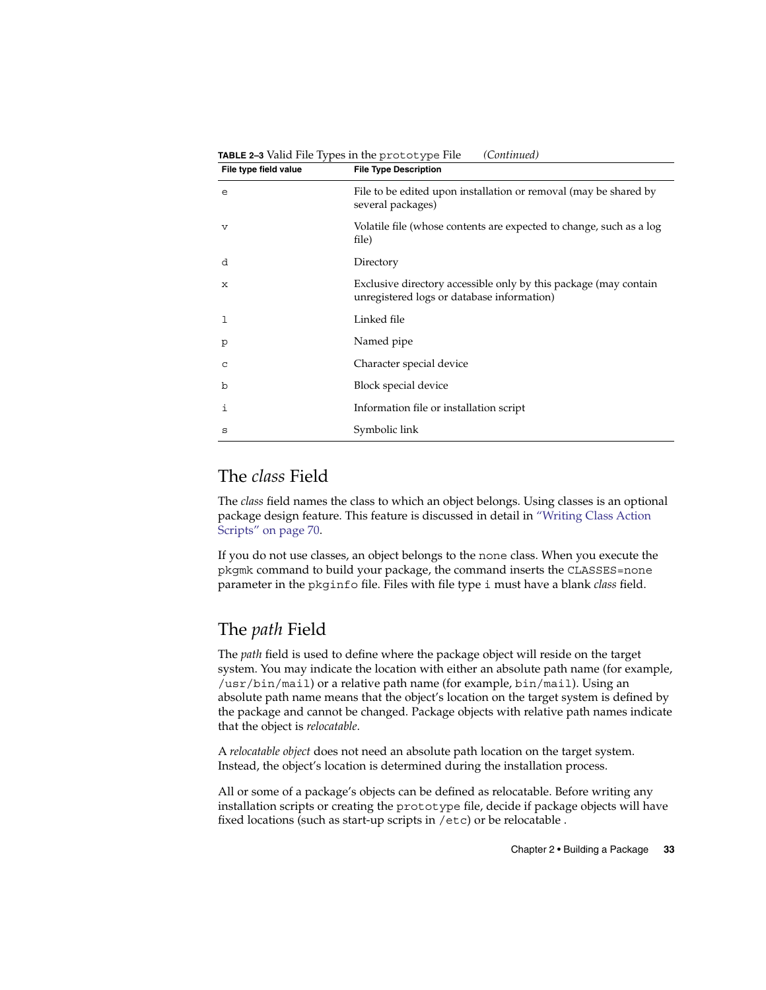| File type field value | <b>File Type Description</b>                                                                                   |
|-----------------------|----------------------------------------------------------------------------------------------------------------|
| e                     | File to be edited upon installation or removal (may be shared by<br>several packages)                          |
| $\mathbf{v}$          | Volatile file (whose contents are expected to change, such as a log<br>file)                                   |
| d                     | Directory                                                                                                      |
| х                     | Exclusive directory accessible only by this package (may contain<br>unregistered logs or database information) |
| 1                     | Linked file                                                                                                    |
| р                     | Named pipe                                                                                                     |
| C                     | Character special device                                                                                       |
| b                     | Block special device                                                                                           |
| i                     | Information file or installation script                                                                        |
| S                     | Symbolic link                                                                                                  |

<span id="page-32-0"></span>**TABLE 2–3** Valid File Types in the prototype File *(Continued)*

#### The *class* Field

The *class* field names the class to which an object belongs. Using classes is an optional package design feature. This feature is discussed in detail in ["Writing Class Action](#page-69-0) Scripts" [on page 70.](#page-69-0)

If you do not use classes, an object belongs to the none class. When you execute the pkgmk command to build your package, the command inserts the CLASSES=none parameter in the pkginfo file. Files with file type i must have a blank *class* field.

#### The *path* Field

The *path* field is used to define where the package object will reside on the target system. You may indicate the location with either an absolute path name (for example, /usr/bin/mail) or a relative path name (for example, bin/mail). Using an absolute path name means that the object's location on the target system is defined by the package and cannot be changed. Package objects with relative path names indicate that the object is *relocatable*.

A *relocatable object* does not need an absolute path location on the target system. Instead, the object's location is determined during the installation process.

All or some of a package's objects can be defined as relocatable. Before writing any installation scripts or creating the prototype file, decide if package objects will have fixed locations (such as start-up scripts in /etc) or be relocatable .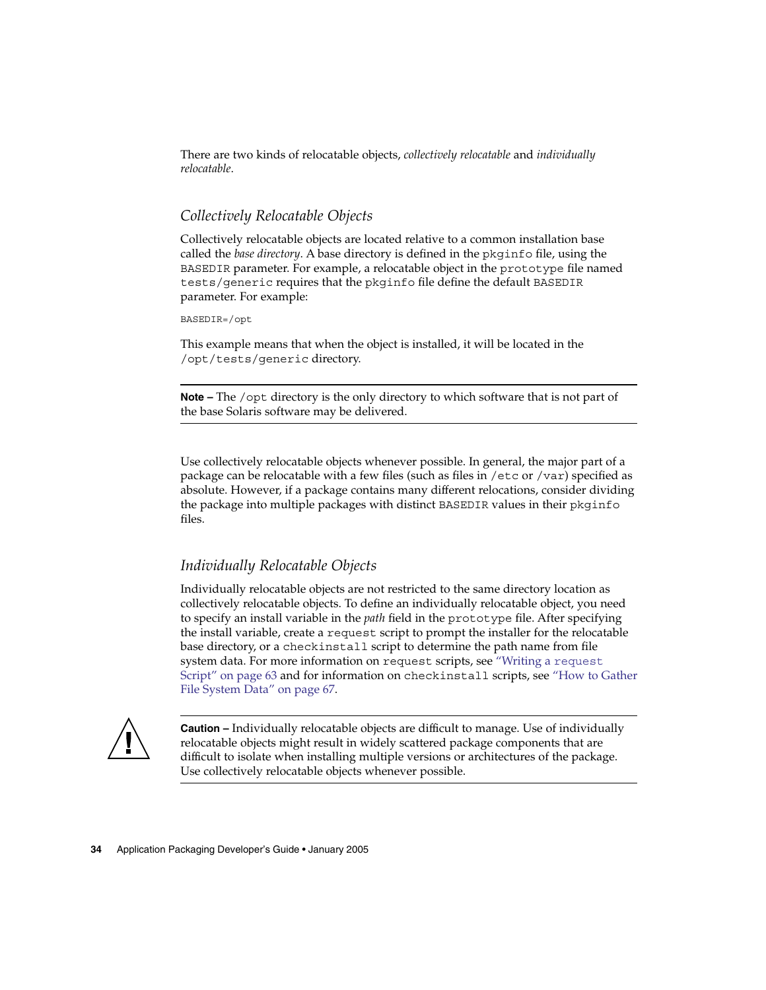There are two kinds of relocatable objects, *collectively relocatable* and *individually relocatable*.

#### *Collectively Relocatable Objects*

Collectively relocatable objects are located relative to a common installation base called the *base directory*. A base directory is defined in the pkginfo file, using the BASEDIR parameter. For example, a relocatable object in the prototype file named tests/generic requires that the pkginfo file define the default BASEDIR parameter. For example:

BASEDIR=/opt

This example means that when the object is installed, it will be located in the /opt/tests/generic directory.

**Note –** The /opt directory is the only directory to which software that is not part of the base Solaris software may be delivered.

Use collectively relocatable objects whenever possible. In general, the major part of a package can be relocatable with a few files (such as files in /etc or /var) specified as absolute. However, if a package contains many different relocations, consider dividing the package into multiple packages with distinct BASEDIR values in their pkginfo files.

#### *Individually Relocatable Objects*

Individually relocatable objects are not restricted to the same directory location as collectively relocatable objects. To define an individually relocatable object, you need to specify an install variable in the *path* field in the prototype file. After specifying the install variable, create a request script to prompt the installer for the relocatable base directory, or a checkinstall script to determine the path name from file system data. For more information on request scripts, see ["Writing a](#page-62-0) request Script" [on page 63](#page-62-0) and for information on checkinstall scripts, see ["How to Gather](#page-66-0) [File System Data"](#page-66-0) on page 67.



**Caution –** Individually relocatable objects are difficult to manage. Use of individually relocatable objects might result in widely scattered package components that are difficult to isolate when installing multiple versions or architectures of the package. Use collectively relocatable objects whenever possible.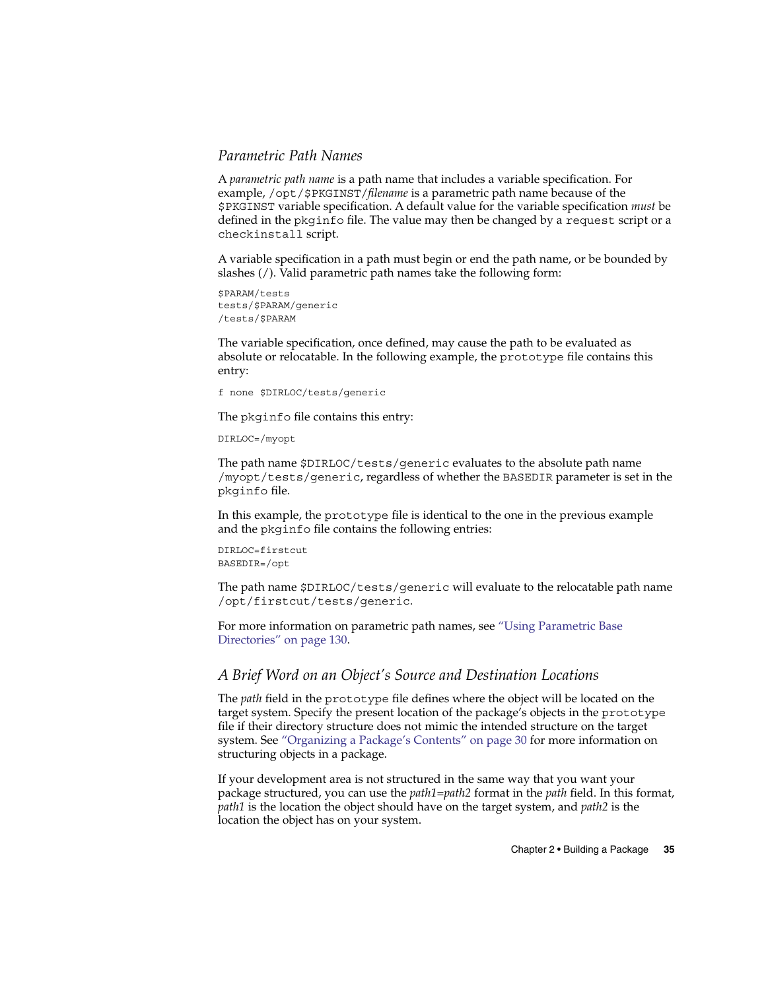#### *Parametric Path Names*

A *parametric path name* is a path name that includes a variable specification. For example, /opt/\$PKGINST/*filename* is a parametric path name because of the \$PKGINST variable specification. A default value for the variable specification *must* be defined in the pkginfo file. The value may then be changed by a request script or a checkinstall script.

A variable specification in a path must begin or end the path name, or be bounded by slashes (/). Valid parametric path names take the following form:

\$PARAM/tests tests/\$PARAM/generic /tests/\$PARAM

The variable specification, once defined, may cause the path to be evaluated as absolute or relocatable. In the following example, the prototype file contains this entry:

f none \$DIRLOC/tests/generic

The pkginfo file contains this entry:

DIRLOC=/myopt

The path name \$DIRLOC/tests/generic evaluates to the absolute path name /myopt/tests/generic, regardless of whether the BASEDIR parameter is set in the pkginfo file.

In this example, the prototype file is identical to the one in the previous example and the pkginfo file contains the following entries:

DIRLOC=firstcut BASEDIR=/opt

The path name \$DIRLOC/tests/generic will evaluate to the relocatable path name /opt/firstcut/tests/generic.

For more information on parametric path names, see ["Using Parametric Base](#page-129-0) Directories" [on page 130.](#page-129-0)

#### *A Brief Word on an Object's Source and Destination Locations*

The *path* field in the prototype file defines where the object will be located on the target system. Specify the present location of the package's objects in the prototype file if their directory structure does not mimic the intended structure on the target system. See ["Organizing a Package's Contents"](#page-29-0) on page 30 for more information on structuring objects in a package.

If your development area is not structured in the same way that you want your package structured, you can use the *path1=path2* format in the *path* field. In this format, *path1* is the location the object should have on the target system, and *path2* is the location the object has on your system.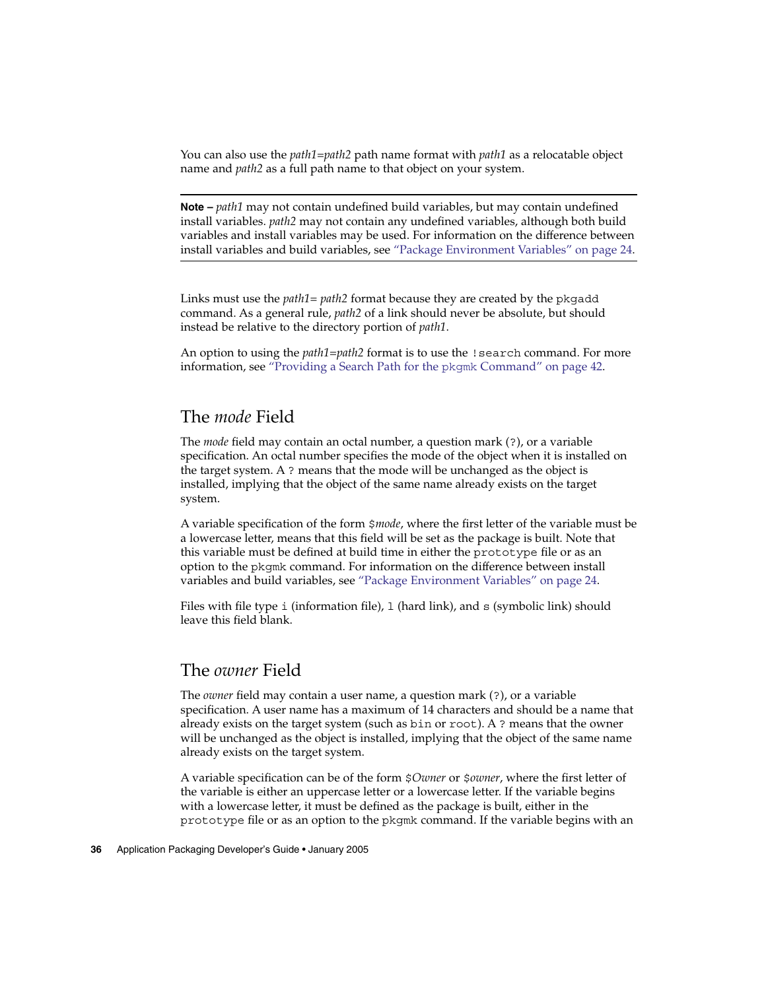<span id="page-35-0"></span>You can also use the *path1=path2* path name format with *path1* as a relocatable object name and *path2* as a full path name to that object on your system.

**Note –** *path1* may not contain undefined build variables, but may contain undefined install variables. *path2* may not contain any undefined variables, although both build variables and install variables may be used. For information on the difference between install variables and build variables, see ["Package Environment Variables"](#page-23-0) on page 24.

Links must use the *path1= path2* format because they are created by the pkgadd command. As a general rule, *path2* of a link should never be absolute, but should instead be relative to the directory portion of *path1*.

An option to using the *path1=path2* format is to use the !search command. For more information, see ["Providing a Search Path for the](#page-41-0) pkgmk Command" on page 42.

#### The *mode* Field

The *mode* field may contain an octal number, a question mark (?), or a variable specification. An octal number specifies the mode of the object when it is installed on the target system. A ? means that the mode will be unchanged as the object is installed, implying that the object of the same name already exists on the target system.

A variable specification of the form \$*mode*, where the first letter of the variable must be a lowercase letter, means that this field will be set as the package is built. Note that this variable must be defined at build time in either the prototype file or as an option to the pkgmk command. For information on the difference between install variables and build variables, see ["Package Environment Variables"](#page-23-0) on page 24.

Files with file type  $\pm$  (information file),  $\pm$  (hard link), and  $\pm$  (symbolic link) should leave this field blank.

#### The *owner* Field

The *owner* field may contain a user name, a question mark (?), or a variable specification. A user name has a maximum of 14 characters and should be a name that already exists on the target system (such as bin or root). A ? means that the owner will be unchanged as the object is installed, implying that the object of the same name already exists on the target system.

A variable specification can be of the form \$*Owner* or \$*owner*, where the first letter of the variable is either an uppercase letter or a lowercase letter. If the variable begins with a lowercase letter, it must be defined as the package is built, either in the prototype file or as an option to the pkgmk command. If the variable begins with an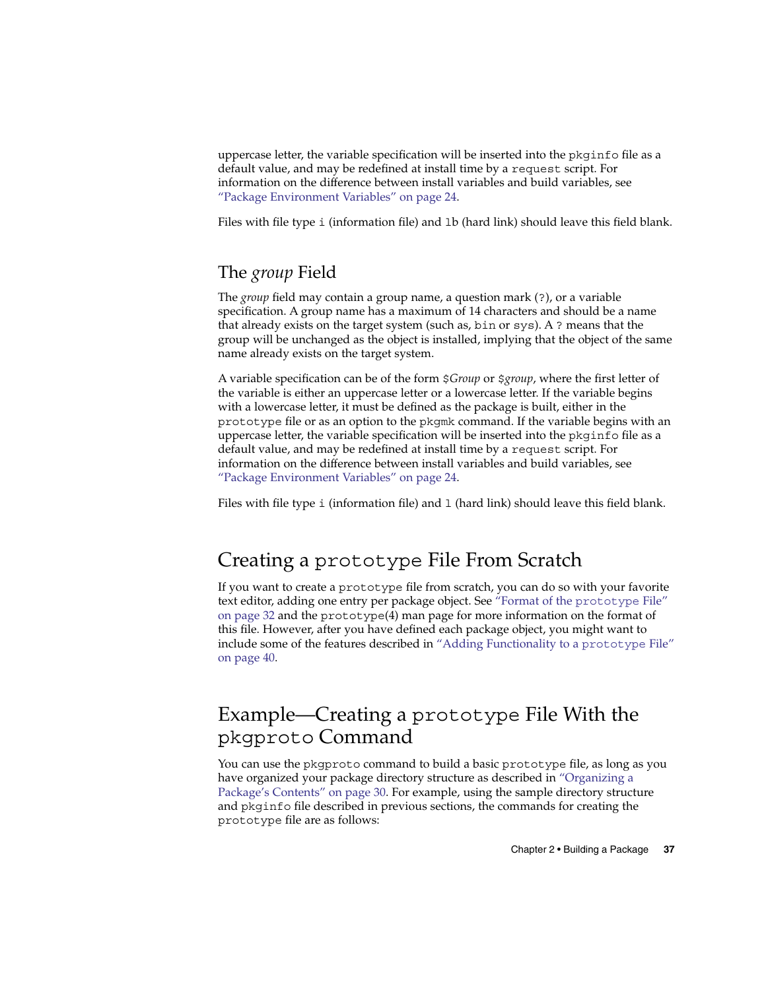<span id="page-36-0"></span>uppercase letter, the variable specification will be inserted into the pkginfo file as a default value, and may be redefined at install time by a request script. For information on the difference between install variables and build variables, see ["Package Environment Variables"](#page-23-0) on page 24.

Files with file type i (information file) and lb (hard link) should leave this field blank.

## The *group* Field

The *group* field may contain a group name, a question mark (?), or a variable specification. A group name has a maximum of 14 characters and should be a name that already exists on the target system (such as, bin or sys). A ? means that the group will be unchanged as the object is installed, implying that the object of the same name already exists on the target system.

A variable specification can be of the form \$*Group* or \$*group*, where the first letter of the variable is either an uppercase letter or a lowercase letter. If the variable begins with a lowercase letter, it must be defined as the package is built, either in the prototype file or as an option to the pkgmk command. If the variable begins with an uppercase letter, the variable specification will be inserted into the pkginfo file as a default value, and may be redefined at install time by a request script. For information on the difference between install variables and build variables, see ["Package Environment Variables"](#page-23-0) on page 24.

Files with file type i (information file) and 1 (hard link) should leave this field blank.

# Creating a prototype File From Scratch

If you want to create a prototype file from scratch, you can do so with your favorite text editor, adding one entry per package object. See ["Format of the](#page-31-0) prototype File" [on page 32](#page-31-0) and the prototype(4) man page for more information on the format of this file. However, after you have defined each package object, you might want to include some of the features described in ["Adding Functionality to a](#page-39-0) prototype File" [on page 40.](#page-39-0)

# Example—Creating a prototype File With the pkgproto Command

You can use the pkgproto command to build a basic prototype file, as long as you have organized your package directory structure as described in ["Organizing a](#page-29-0) [Package's Contents"](#page-29-0) on page 30. For example, using the sample directory structure and pkginfo file described in previous sections, the commands for creating the prototype file are as follows: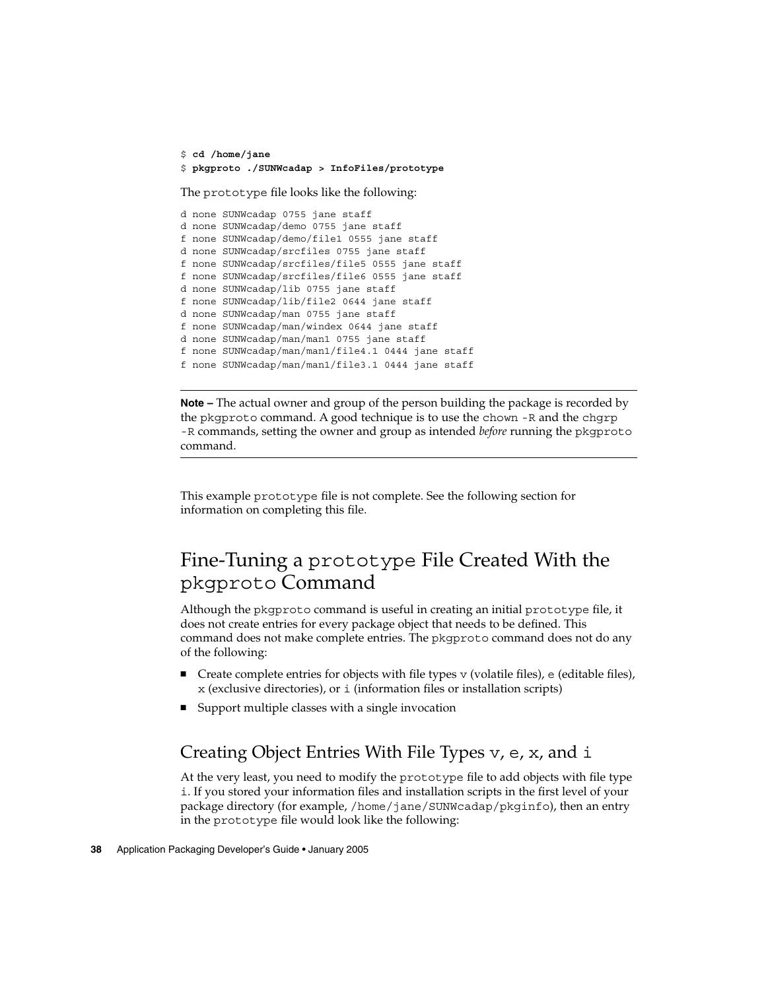<span id="page-37-0"></span>\$ **cd /home/jane** \$ **pkgproto ./SUNWcadap > InfoFiles/prototype** The prototype file looks like the following: d none SUNWcadap 0755 jane staff d none SUNWcadap/demo 0755 jane staff f none SUNWcadap/demo/file1 0555 jane staff d none SUNWcadap/srcfiles 0755 jane staff

f none SUNWcadap/srcfiles/file5 0555 jane staff f none SUNWcadap/srcfiles/file6 0555 jane staff d none SUNWcadap/lib 0755 jane staff f none SUNWcadap/lib/file2 0644 jane staff d none SUNWcadap/man 0755 jane staff f none SUNWcadap/man/windex 0644 jane staff d none SUNWcadap/man/man1 0755 jane staff f none SUNWcadap/man/man1/file4.1 0444 jane staff f none SUNWcadap/man/man1/file3.1 0444 jane staff

**Note –** The actual owner and group of the person building the package is recorded by the pkgproto command. A good technique is to use the chown -R and the chgrp -R commands, setting the owner and group as intended *before* running the pkgproto command.

This example prototype file is not complete. See the following section for information on completing this file.

# Fine-Tuning a prototype File Created With the pkgproto Command

Although the pkgproto command is useful in creating an initial prototype file, it does not create entries for every package object that needs to be defined. This command does not make complete entries. The pkgproto command does not do any of the following:

- Create complete entries for objects with file types  $\nu$  (volatile files), e (editable files), x (exclusive directories), or i (information files or installation scripts)
- Support multiple classes with a single invocation

## Creating Object Entries With File Types v, e, x, and i

At the very least, you need to modify the prototype file to add objects with file type i. If you stored your information files and installation scripts in the first level of your package directory (for example, /home/jane/SUNWcadap/pkginfo), then an entry in the prototype file would look like the following: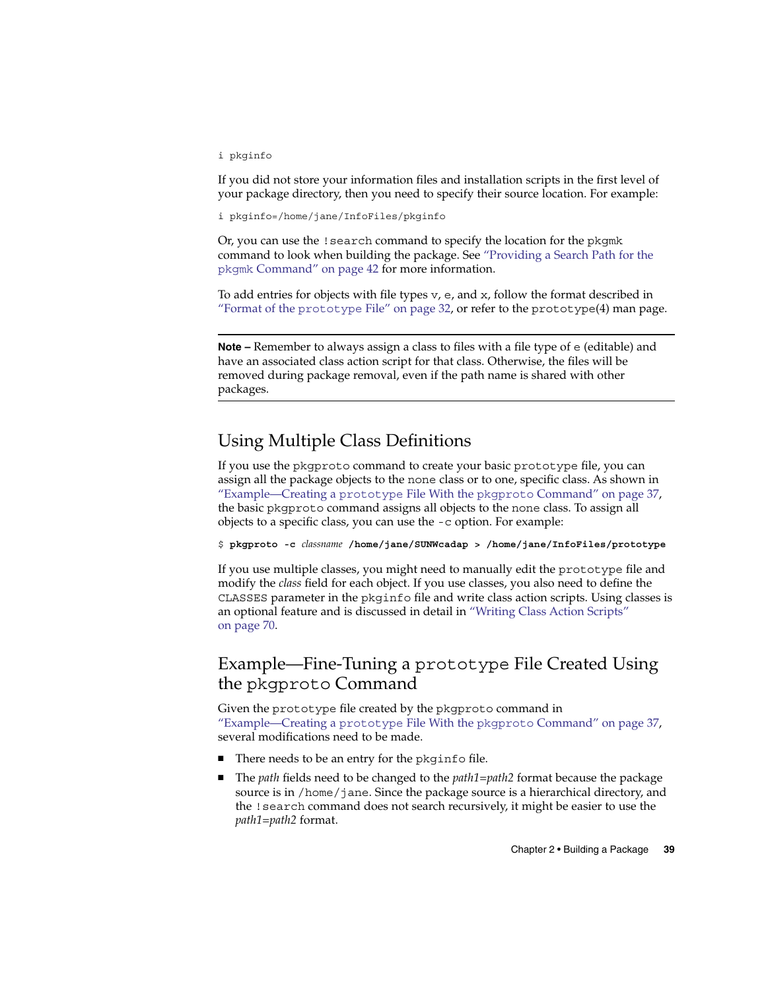### i pkginfo

If you did not store your information files and installation scripts in the first level of your package directory, then you need to specify their source location. For example:

i pkginfo=/home/jane/InfoFiles/pkginfo

Or, you can use the !search command to specify the location for the pkgmk command to look when building the package. See ["Providing a Search Path for the](#page-41-0) pkgmk [Command"](#page-41-0) on page 42 for more information.

To add entries for objects with file types  $v$ ,  $e$ , and  $x$ , follow the format described in ["Format of the](#page-31-0) prototype File" on page 32, or refer to the prototype(4) man page.

**Note –** Remember to always assign a class to files with a file type of e (editable) and have an associated class action script for that class. Otherwise, the files will be removed during package removal, even if the path name is shared with other packages.

### Using Multiple Class Definitions

If you use the pkgproto command to create your basic prototype file, you can assign all the package objects to the none class or to one, specific class. As shown in ["Example—Creating a](#page-36-0) prototype File With the pkgproto Command" on page 37, the basic pkgproto command assigns all objects to the none class. To assign all objects to a specific class, you can use the -c option. For example:

\$ **pkgproto -c** *classname* **/home/jane/SUNWcadap > /home/jane/InfoFiles/prototype**

If you use multiple classes, you might need to manually edit the prototype file and modify the *class* field for each object. If you use classes, you also need to define the CLASSES parameter in the pkginfo file and write class action scripts. Using classes is an optional feature and is discussed in detail in ["Writing Class Action Scripts"](#page-69-0) [on page 70.](#page-69-0)

## Example—Fine-Tuning a prototype File Created Using the pkgproto Command

Given the prototype file created by the pkgproto command in ["Example—Creating a](#page-36-0) prototype File With the pkgproto Command" on page 37, several modifications need to be made.

- There needs to be an entry for the pkginfo file.
- The *path* fields need to be changed to the *path1=path2* format because the package source is in /home/jane. Since the package source is a hierarchical directory, and the !search command does not search recursively, it might be easier to use the *path1=path2* format.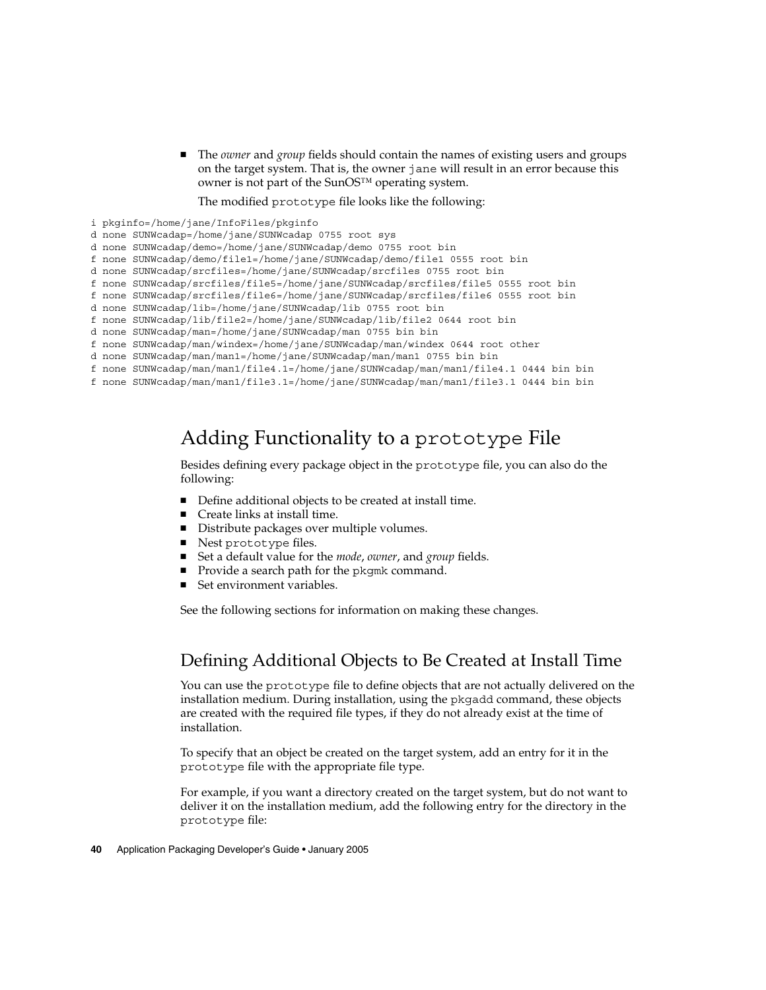<span id="page-39-0"></span>The *owner* and *group* fields should contain the names of existing users and groups on the target system. That is, the owner jane will result in an error because this owner is not part of the SunOS™ operating system.

The modified prototype file looks like the following:

```
i pkginfo=/home/jane/InfoFiles/pkginfo
```

```
d none SUNWcadap=/home/jane/SUNWcadap 0755 root sys
```
- d none SUNWcadap/demo=/home/jane/SUNWcadap/demo 0755 root bin
- f none SUNWcadap/demo/file1=/home/jane/SUNWcadap/demo/file1 0555 root bin
- d none SUNWcadap/srcfiles=/home/jane/SUNWcadap/srcfiles 0755 root bin

```
f none SUNWcadap/srcfiles/file5=/home/jane/SUNWcadap/srcfiles/file5 0555 root bin
```
- f none SUNWcadap/srcfiles/file6=/home/jane/SUNWcadap/srcfiles/file6 0555 root bin
- d none SUNWcadap/lib=/home/jane/SUNWcadap/lib 0755 root bin
- f none SUNWcadap/lib/file2=/home/jane/SUNWcadap/lib/file2 0644 root bin
- d none SUNWcadap/man=/home/jane/SUNWcadap/man 0755 bin bin
- f none SUNWcadap/man/windex=/home/jane/SUNWcadap/man/windex 0644 root other
- d none SUNWcadap/man/man1=/home/jane/SUNWcadap/man/man1 0755 bin bin
- f none SUNWcadap/man/man1/file4.1=/home/jane/SUNWcadap/man/man1/file4.1 0444 bin bin
- f none SUNWcadap/man/man1/file3.1=/home/jane/SUNWcadap/man/man1/file3.1 0444 bin bin

# Adding Functionality to a prototype File

Besides defining every package object in the prototype file, you can also do the following:

- Define additional objects to be created at install time.
- Create links at install time.
- Distribute packages over multiple volumes.
- Nest prototype files.
- Set a default value for the *mode*, *owner*, and *group* fields.
- Provide a search path for the pkgmk command.
- Set environment variables.

See the following sections for information on making these changes.

### Defining Additional Objects to Be Created at Install Time

You can use the prototype file to define objects that are not actually delivered on the installation medium. During installation, using the pkgadd command, these objects are created with the required file types, if they do not already exist at the time of installation.

To specify that an object be created on the target system, add an entry for it in the prototype file with the appropriate file type.

For example, if you want a directory created on the target system, but do not want to deliver it on the installation medium, add the following entry for the directory in the prototype file: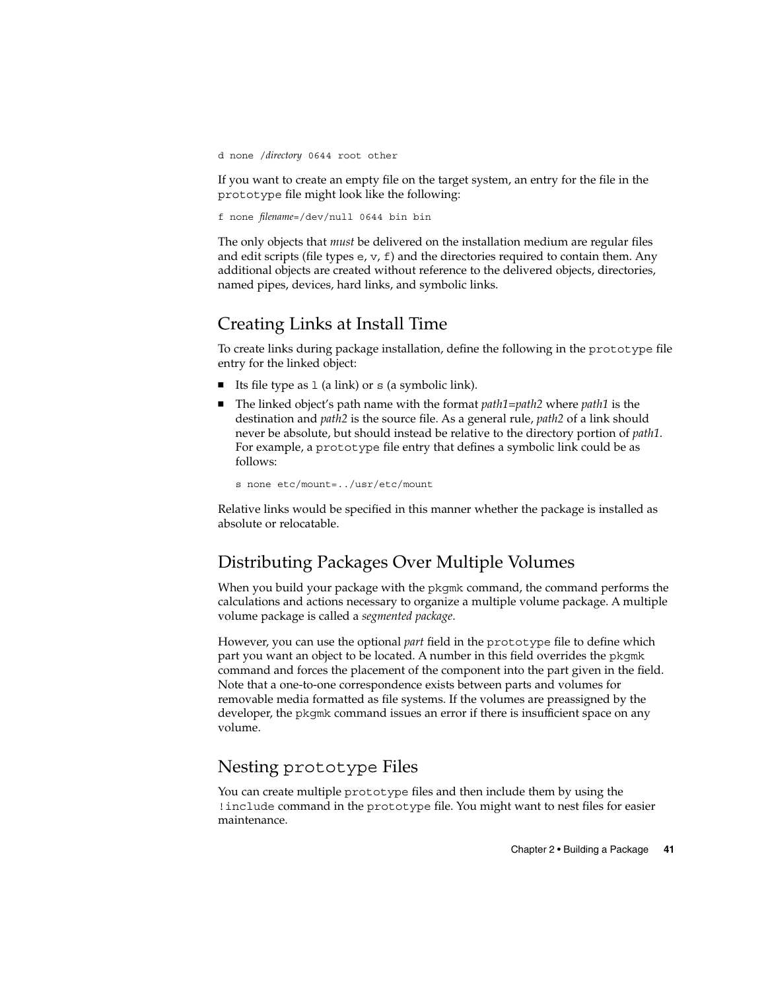d none /*directory* 0644 root other

If you want to create an empty file on the target system, an entry for the file in the prototype file might look like the following:

f none *filename*=/dev/null 0644 bin bin

The only objects that *must* be delivered on the installation medium are regular files and edit scripts (file types  $e, v, f$ ) and the directories required to contain them. Any additional objects are created without reference to the delivered objects, directories, named pipes, devices, hard links, and symbolic links.

### Creating Links at Install Time

To create links during package installation, define the following in the prototype file entry for the linked object:

- Its file type as 1 (a link) or s (a symbolic link).
- The linked object's path name with the format *path1=path2* where *path1* is the destination and *path2* is the source file. As a general rule, *path2* of a link should never be absolute, but should instead be relative to the directory portion of *path1*. For example, a prototype file entry that defines a symbolic link could be as follows:

s none etc/mount=../usr/etc/mount

Relative links would be specified in this manner whether the package is installed as absolute or relocatable.

## Distributing Packages Over Multiple Volumes

When you build your package with the pkgmk command, the command performs the calculations and actions necessary to organize a multiple volume package. A multiple volume package is called a *segmented package*.

However, you can use the optional *part* field in the prototype file to define which part you want an object to be located. A number in this field overrides the pkgmk command and forces the placement of the component into the part given in the field. Note that a one-to-one correspondence exists between parts and volumes for removable media formatted as file systems. If the volumes are preassigned by the developer, the pkgmk command issues an error if there is insufficient space on any volume.

## Nesting prototype Files

You can create multiple prototype files and then include them by using the !include command in the prototype file. You might want to nest files for easier maintenance.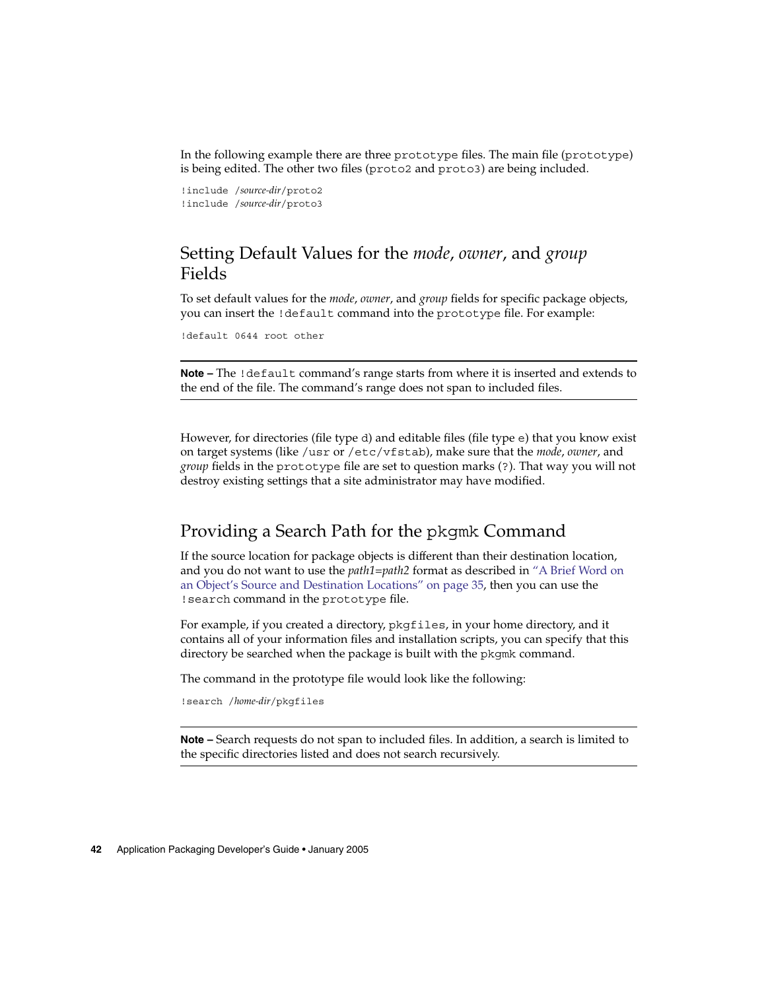<span id="page-41-0"></span>In the following example there are three prototype files. The main file (prototype) is being edited. The other two files (proto2 and proto3) are being included.

!include /*source-dir*/proto2 !include /*source-dir*/proto3

### Setting Default Values for the *mode*, *owner*, and *group* Fields

To set default values for the *mode*, *owner*, and *group* fields for specific package objects, you can insert the !default command into the prototype file. For example:

!default 0644 root other

**Note –** The !default command's range starts from where it is inserted and extends to the end of the file. The command's range does not span to included files.

However, for directories (file type d) and editable files (file type e) that you know exist on target systems (like /usr or /etc/vfstab), make sure that the *mode*, *owner*, and *group* fields in the prototype file are set to question marks (?). That way you will not destroy existing settings that a site administrator may have modified.

## Providing a Search Path for the pkgmk Command

If the source location for package objects is different than their destination location, and you do not want to use the *path1=path2* format as described in ["A Brief Word on](#page-34-0) [an Object's Source and Destination Locations"](#page-34-0) on page 35, then you can use the !search command in the prototype file.

For example, if you created a directory, pkgfiles, in your home directory, and it contains all of your information files and installation scripts, you can specify that this directory be searched when the package is built with the pkgmk command.

The command in the prototype file would look like the following:

!search /*home-dir*/pkgfiles

**Note –** Search requests do not span to included files. In addition, a search is limited to the specific directories listed and does not search recursively.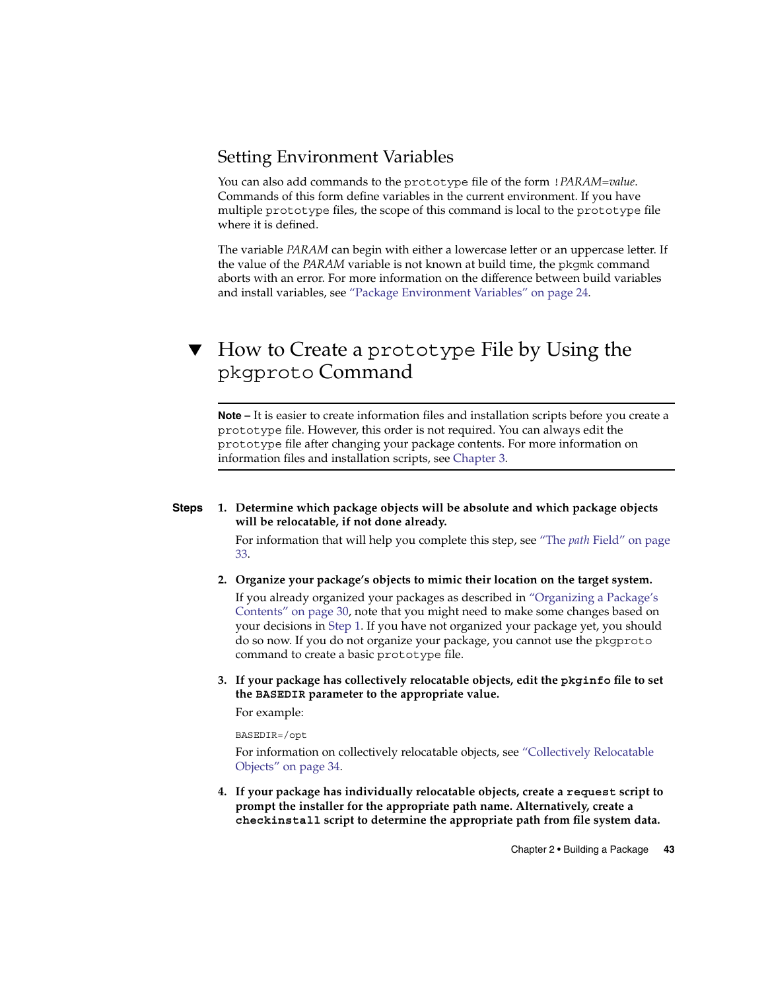### <span id="page-42-0"></span>Setting Environment Variables

You can also add commands to the prototype file of the form !*PARAM=value*. Commands of this form define variables in the current environment. If you have multiple prototype files, the scope of this command is local to the prototype file where it is defined.

The variable *PARAM* can begin with either a lowercase letter or an uppercase letter. If the value of the *PARAM* variable is not known at build time, the pkgmk command aborts with an error. For more information on the difference between build variables and install variables, see ["Package Environment Variables"](#page-23-0) on page 24.

# How to Create a prototype File by Using the pkgproto Command

**Note –** It is easier to create information files and installation scripts before you create a prototype file. However, this order is not required. You can always edit the prototype file after changing your package contents. For more information on information files and installation scripts, see [Chapter 3.](#page-50-0)

#### **1. Determine which package objects will be absolute and which package objects will be relocatable, if not done already. Steps**

For information that will help you complete this step, see "The *path* Field" [on page](#page-32-0) [33.](#page-32-0)

**2. Organize your package's objects to mimic their location on the target system.**

If you already organized your packages as described in ["Organizing a Package's](#page-29-0) Contents" [on page 30,](#page-29-0) note that you might need to make some changes based on your decisions in Step 1. If you have not organized your package yet, you should do so now. If you do not organize your package, you cannot use the pkgproto command to create a basic prototype file.

**3. If your package has collectively relocatable objects, edit the pkginfo file to set the BASEDIR parameter to the appropriate value.**

For example:

BASEDIR=/opt

For information on collectively relocatable objects, see ["Collectively Relocatable](#page-33-0) Objects" [on page 34.](#page-33-0)

**4. If your package has individually relocatable objects, create a request script to prompt the installer for the appropriate path name. Alternatively, create a checkinstall script to determine the appropriate path from file system data.**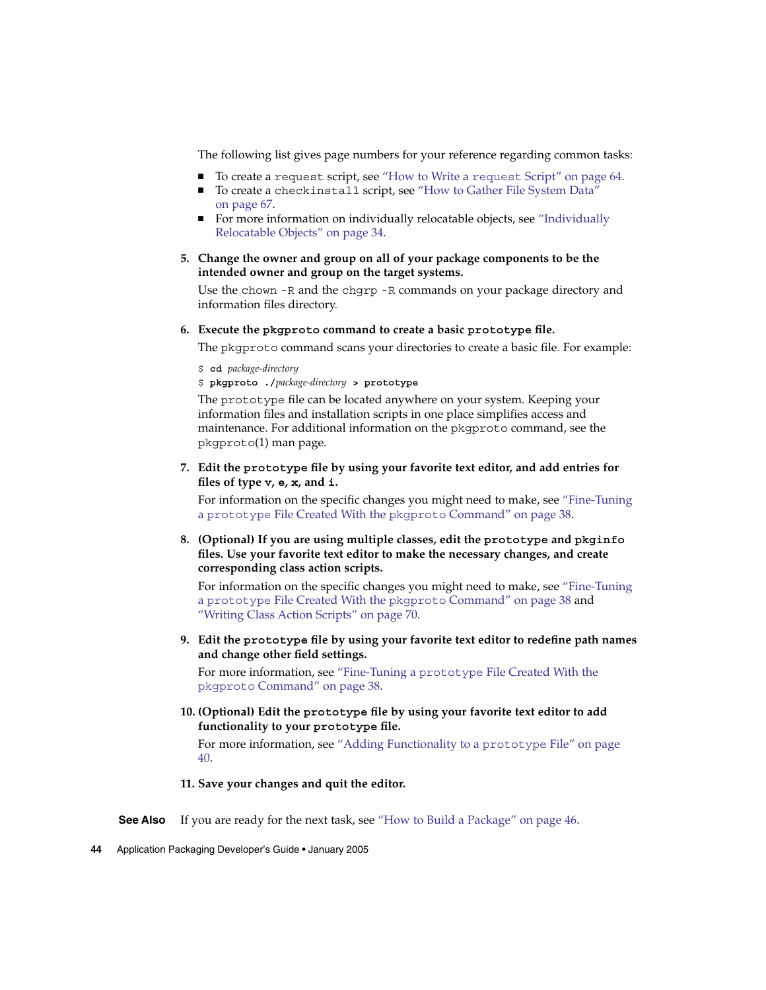The following list gives page numbers for your reference regarding common tasks:

- To create a request script, see ["How to Write a](#page-63-0) request Script" on page 64.
- To create a checkinstall script, see ["How to Gather File System Data"](#page-66-0) [on page 67.](#page-66-0)
- For more information on individually relocatable objects, see ["Individually](#page-33-0) [Relocatable Objects"](#page-33-0) on page 34.
- **5. Change the owner and group on all of your package components to be the intended owner and group on the target systems.**

Use the chown -R and the chgrp -R commands on your package directory and information files directory.

**6. Execute the pkgproto command to create a basic prototype file.**

The pkgproto command scans your directories to create a basic file. For example:

\$ **cd** *package-directory*

\$ **pkgproto ./***package-directory* **> prototype**

The prototype file can be located anywhere on your system. Keeping your information files and installation scripts in one place simplifies access and maintenance. For additional information on the pkgproto command, see the pkgproto(1) man page.

**7. Edit the prototype file by using your favorite text editor, and add entries for files of type v, e, x, and i.**

For information on the specific changes you might need to make, see ["Fine-Tuning](#page-37-0) a prototype [File Created With the](#page-37-0) pkgproto Command" on page 38.

**8. (Optional) If you are using multiple classes, edit the prototype and pkginfo files. Use your favorite text editor to make the necessary changes, and create corresponding class action scripts.**

For information on the specific changes you might need to make, see ["Fine-Tuning](#page-37-0) a prototype [File Created With the](#page-37-0) pkgproto Command" on page 38 and ["Writing Class Action Scripts"](#page-69-0) on page 70.

**9. Edit the prototype file by using your favorite text editor to redefine path names and change other field settings.**

For more information, see "Fine-Tuning a prototype [File Created With the](#page-37-0) pkgproto [Command"](#page-37-0) on page 38.

**10. (Optional) Edit the prototype file by using your favorite text editor to add functionality to your prototype file.**

For more information, see ["Adding Functionality to a](#page-39-0) prototype File" on page [40.](#page-39-0)

### **11. Save your changes and quit the editor.**

**See Also** If you are ready for the next task, see ["How to Build a Package"](#page-45-0) on page 46.

**44** Application Packaging Developer's Guide • January 2005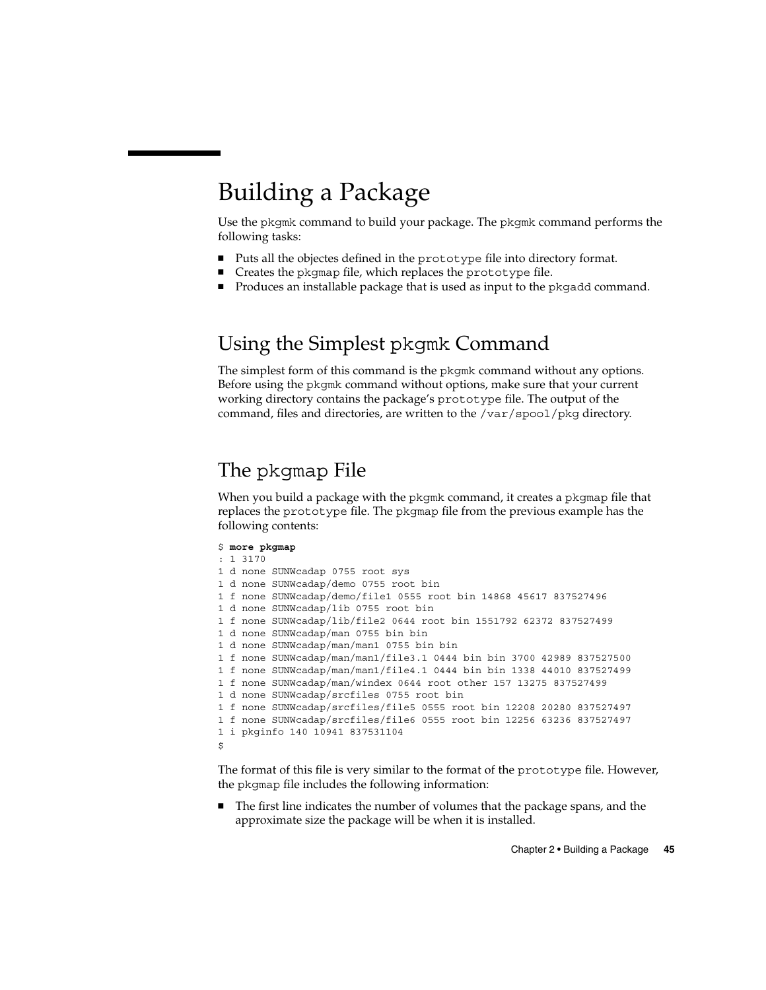# Building a Package

Use the pkgmk command to build your package. The pkgmk command performs the following tasks:

- Puts all the objectes defined in the prototype file into directory format.
- Creates the pkgmap file, which replaces the prototype file.
- Produces an installable package that is used as input to the pkgadd command.

# Using the Simplest pkgmk Command

The simplest form of this command is the pkgmk command without any options. Before using the pkgmk command without options, make sure that your current working directory contains the package's prototype file. The output of the command, files and directories, are written to the /var/spool/pkg directory.

# The pkgmap File

When you build a package with the pkgmk command, it creates a pkgmap file that replaces the prototype file. The pkgmap file from the previous example has the following contents:

```
$ more pkgmap
: 1 3170
1 d none SUNWcadap 0755 root sys
1 d none SUNWcadap/demo 0755 root bin
1 f none SUNWcadap/demo/file1 0555 root bin 14868 45617 837527496
1 d none SUNWcadap/lib 0755 root bin
1 f none SUNWcadap/lib/file2 0644 root bin 1551792 62372 837527499
1 d none SUNWcadap/man 0755 bin bin
1 d none SUNWcadap/man/man1 0755 bin bin
1 f none SUNWcadap/man/man1/file3.1 0444 bin bin 3700 42989 837527500
1 f none SUNWcadap/man/man1/file4.1 0444 bin bin 1338 44010 837527499
1 f none SUNWcadap/man/windex 0644 root other 157 13275 837527499
1 d none SUNWcadap/srcfiles 0755 root bin
1 f none SUNWcadap/srcfiles/file5 0555 root bin 12208 20280 837527497
1 f none SUNWcadap/srcfiles/file6 0555 root bin 12256 63236 837527497
1 i pkginfo 140 10941 837531104
$
```
The format of this file is very similar to the format of the prototype file. However, the pkgmap file includes the following information:

■ The first line indicates the number of volumes that the package spans, and the approximate size the package will be when it is installed.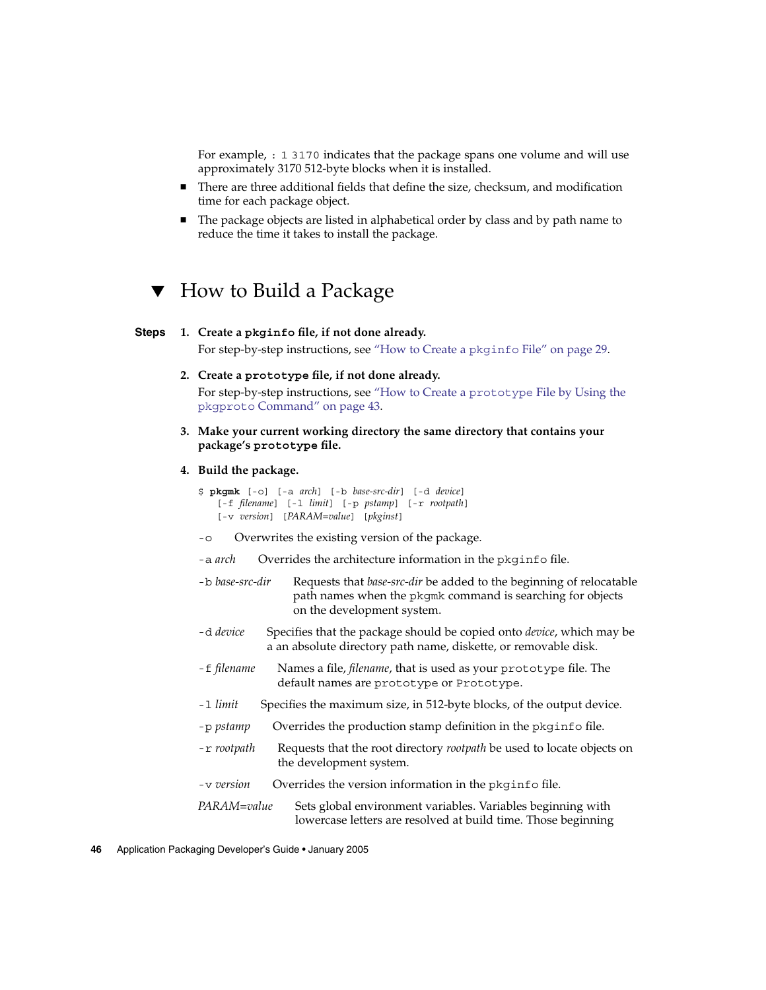<span id="page-45-0"></span>For example, : 1 3170 indicates that the package spans one volume and will use approximately 3170 512-byte blocks when it is installed.

- There are three additional fields that define the size, checksum, and modification time for each package object.
- The package objects are listed in alphabetical order by class and by path name to reduce the time it takes to install the package.

## ▼ How to Build a Package

#### **1. Create a pkginfo file, if not done already. Steps**

For step-by-step instructions, see ["How to Create a](#page-28-0) pkginfo File" on page 29.

**2. Create a prototype file, if not done already.**

For step-by-step instructions, see ["How to Create a](#page-42-0) prototype File by Using the pkgproto [Command"](#page-42-0) on page 43.

- **3. Make your current working directory the same directory that contains your package's prototype file.**
- **4. Build the package.**

\$ **pkgmk** [-o] [-a *arch*] [-b *base-src-dir*] [-d *device*] [-f *filename*] [-l *limit*] [-p *pstamp*] [-r *rootpath*] [-v *version*] [*PARAM=value*] [*pkginst*]

- -o Overwrites the existing version of the package.
- -a *arch* Overrides the architecture information in the pkginfo file.
- -b *base-src-dir* Requests that *base-src-dir* be added to the beginning of relocatable path names when the pkgmk command is searching for objects on the development system.
- -d *device* Specifies that the package should be copied onto *device*, which may be a an absolute directory path name, diskette, or removable disk.
- -f *filename* Names a file, *filename*, that is used as your prototype file. The default names are prototype or Prototype.
- -l *limit* Specifies the maximum size, in 512-byte blocks, of the output device.
- -p *pstamp* Overrides the production stamp definition in the pkginfo file.
- -r *rootpath* Requests that the root directory *rootpath* be used to locate objects on the development system.
- -v *version* Overrides the version information in the pkginfo file.

*PARAM=value* Sets global environment variables. Variables beginning with lowercase letters are resolved at build time. Those beginning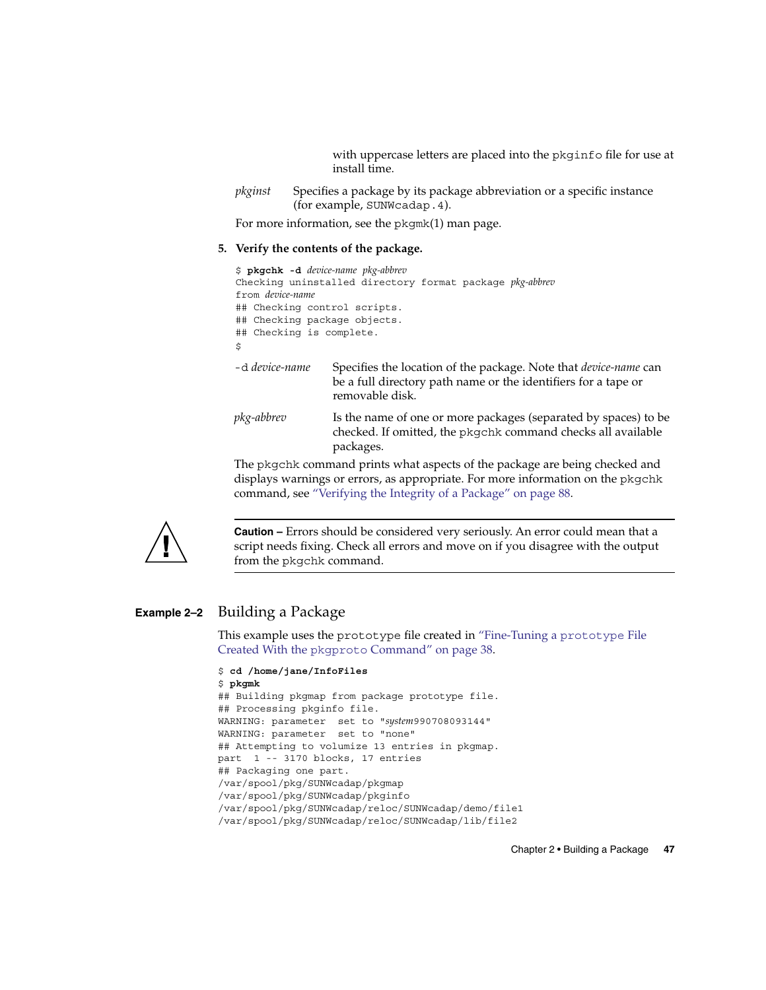with uppercase letters are placed into the pkginfo file for use at install time.

<span id="page-46-0"></span>*pkginst* Specifies a package by its package abbreviation or a specific instance (for example, SUNWcadap.4).

For more information, see the pkgmk(1) man page.

### **5. Verify the contents of the package.**

```
$ pkgchk -d device-name pkg-abbrev
Checking uninstalled directory format package pkg-abbrev
from device-name
## Checking control scripts.
## Checking package objects.
## Checking is complete.
$
-d device-name Specifies the location of the package. Note that device-name can
                 be a full directory path name or the identifiers for a tape or
                 removable disk.
pkg-abbrev Is the name of one or more packages (separated by spaces) to be
                 checked. If omitted, the pkgchk command checks all available
                 packages.
```
The pkgchk command prints what aspects of the package are being checked and displays warnings or errors, as appropriate. For more information on the pkgchk command, see ["Verifying the Integrity of a Package"](#page-87-0) on page 88.



**Caution –** Errors should be considered very seriously. An error could mean that a script needs fixing. Check all errors and move on if you disagree with the output from the pkgchk command.

### **Example 2–2** Building a Package

This example uses the prototype file created in ["Fine-Tuning a](#page-37-0) prototype File [Created With the](#page-37-0) pkgproto Command" on page 38.

```
$ cd /home/jane/InfoFiles
$ pkgmk
## Building pkgmap from package prototype file.
## Processing pkginfo file.
WARNING: parameter set to "system990708093144"
WARNING: parameter set to "none"
## Attempting to volumize 13 entries in pkgmap.
part 1 -- 3170 blocks, 17 entries
## Packaging one part.
/var/spool/pkg/SUNWcadap/pkgmap
/var/spool/pkg/SUNWcadap/pkginfo
/var/spool/pkg/SUNWcadap/reloc/SUNWcadap/demo/file1
/var/spool/pkg/SUNWcadap/reloc/SUNWcadap/lib/file2
```
Chapter 2 • Building a Package **47**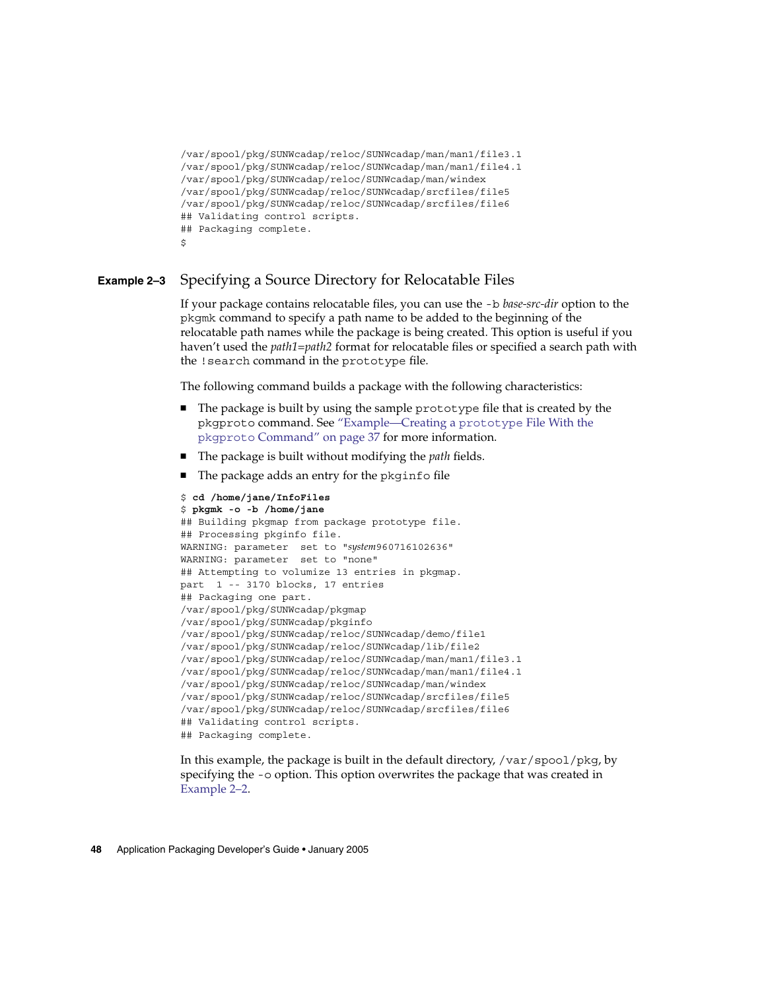```
/var/spool/pkg/SUNWcadap/reloc/SUNWcadap/man/man1/file3.1
/var/spool/pkg/SUNWcadap/reloc/SUNWcadap/man/man1/file4.1
/var/spool/pkg/SUNWcadap/reloc/SUNWcadap/man/windex
/var/spool/pkg/SUNWcadap/reloc/SUNWcadap/srcfiles/file5
/var/spool/pkg/SUNWcadap/reloc/SUNWcadap/srcfiles/file6
## Validating control scripts.
## Packaging complete.
\leq
```
#### Specifying a Source Directory for Relocatable Files **Example 2–3**

If your package contains relocatable files, you can use the -b *base-src-dir* option to the pkgmk command to specify a path name to be added to the beginning of the relocatable path names while the package is being created. This option is useful if you haven't used the *path1=path2* format for relocatable files or specified a search path with the !search command in the prototype file.

The following command builds a package with the following characteristics:

- The package is built by using the sample prototype file that is created by the pkgproto command. See ["Example—Creating a](#page-36-0) prototype File With the pkgproto [Command"](#page-36-0) on page 37 for more information.
- The package is built without modifying the *path* fields.
- The package adds an entry for the pkginfo file

```
$ cd /home/jane/InfoFiles
$ pkgmk -o -b /home/jane
## Building pkgmap from package prototype file.
## Processing pkginfo file.
WARNING: parameter set to "system960716102636"
WARNING: parameter set to "none"
## Attempting to volumize 13 entries in pkgmap.
part 1 -- 3170 blocks, 17 entries
## Packaging one part.
/var/spool/pkg/SUNWcadap/pkgmap
/var/spool/pkg/SUNWcadap/pkginfo
/var/spool/pkg/SUNWcadap/reloc/SUNWcadap/demo/file1
/var/spool/pkg/SUNWcadap/reloc/SUNWcadap/lib/file2
/var/spool/pkg/SUNWcadap/reloc/SUNWcadap/man/man1/file3.1
/var/spool/pkg/SUNWcadap/reloc/SUNWcadap/man/man1/file4.1
/var/spool/pkg/SUNWcadap/reloc/SUNWcadap/man/windex
/var/spool/pkg/SUNWcadap/reloc/SUNWcadap/srcfiles/file5
/var/spool/pkg/SUNWcadap/reloc/SUNWcadap/srcfiles/file6
## Validating control scripts.
## Packaging complete.
```
In this example, the package is built in the default directory,  $/\text{var}/\text{spool}/\text{pkg}$ , by specifying the -o option. This option overwrites the package that was created in [Example 2–2.](#page-46-0)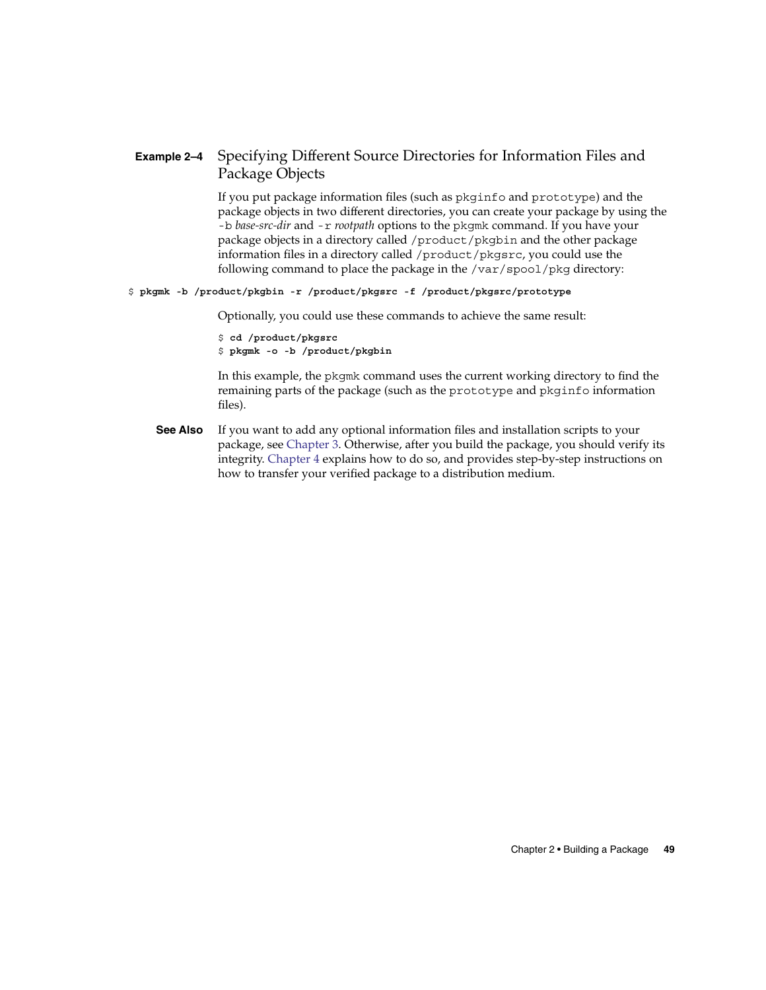### Specifying Different Source Directories for Information Files and Package Objects **Example 2–4**

If you put package information files (such as pkginfo and prototype) and the package objects in two different directories, you can create your package by using the -b *base-src-dir* and -r *rootpath* options to the pkgmk command. If you have your package objects in a directory called /product/pkgbin and the other package information files in a directory called /product/pkgsrc, you could use the following command to place the package in the /var/spool/pkg directory:

### \$ **pkgmk -b /product/pkgbin -r /product/pkgsrc -f /product/pkgsrc/prototype**

Optionally, you could use these commands to achieve the same result:

```
$ cd /product/pkgsrc
$ pkgmk -o -b /product/pkgbin
```
In this example, the pkgmk command uses the current working directory to find the remaining parts of the package (such as the prototype and pkginfo information files).

If you want to add any optional information files and installation scripts to your package, see [Chapter 3.](#page-50-0) Otherwise, after you build the package, you should verify its integrity. [Chapter 4](#page-84-0) explains how to do so, and provides step-by-step instructions on how to transfer your verified package to a distribution medium. **See Also**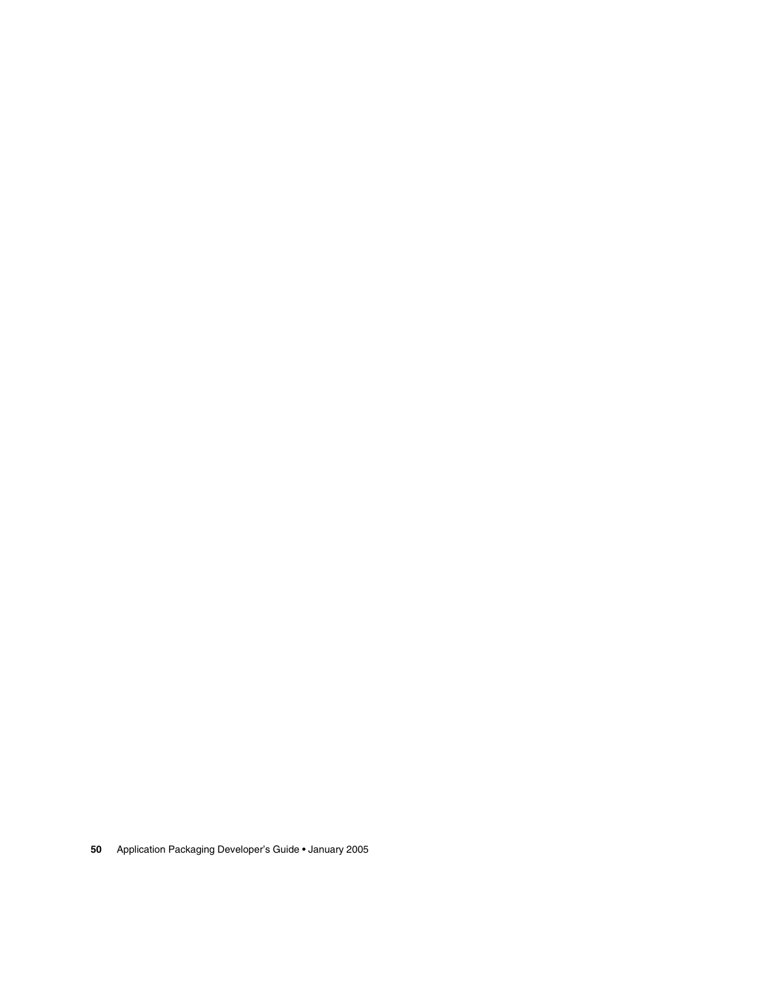Application Packaging Developer's Guide • January 2005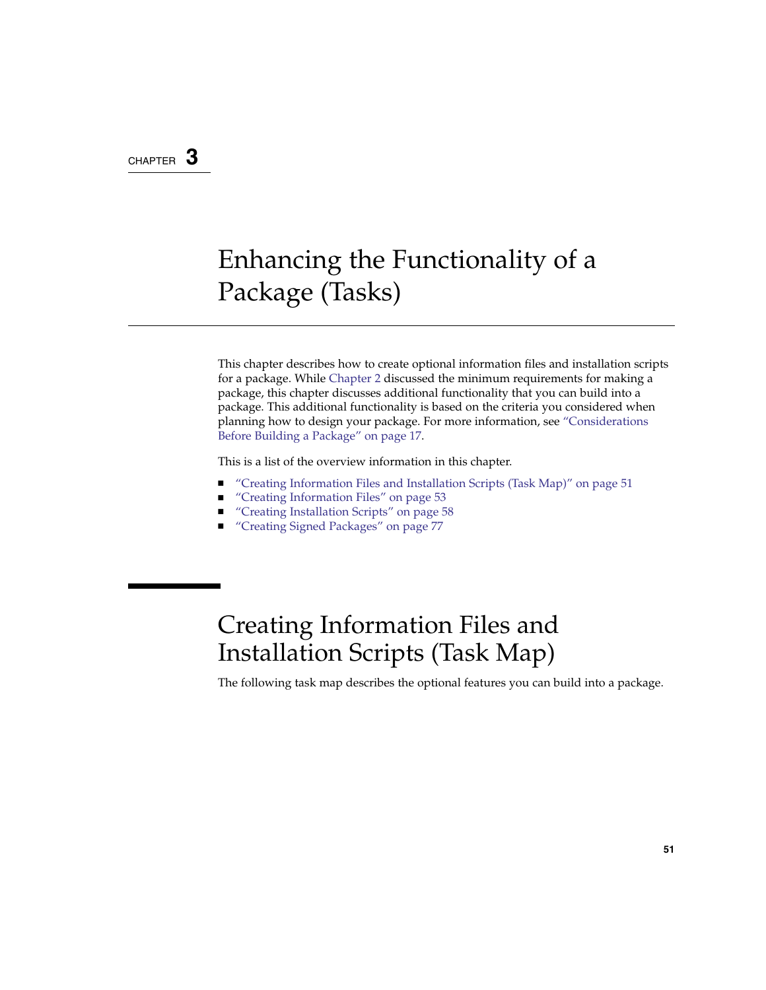## <span id="page-50-0"></span>CHAPTER **3**

# Enhancing the Functionality of a Package (Tasks)

This chapter describes how to create optional information files and installation scripts for a package. While [Chapter 2](#page-22-0) discussed the minimum requirements for making a package, this chapter discusses additional functionality that you can build into a package. This additional functionality is based on the criteria you considered when planning how to design your package. For more information, see ["Considerations](#page-16-0) [Before Building a Package"](#page-16-0) on page 17.

This is a list of the overview information in this chapter.

- "Creating Information Files and Installation Scripts (Task Map)" on page 51
- *["Creating Information Files"](#page-52-0)* on page 53
- ["Creating Installation Scripts"](#page-57-0) on page 58
- ["Creating Signed Packages"](#page-76-0) on page 77

# Creating Information Files and Installation Scripts (Task Map)

The following task map describes the optional features you can build into a package.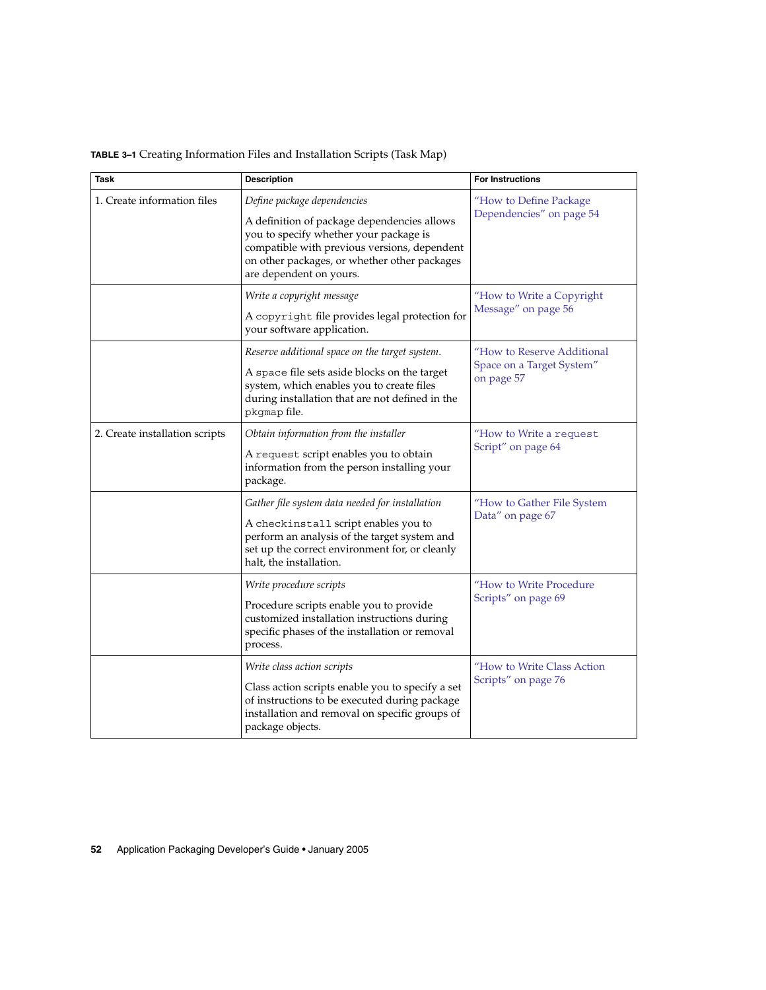| TABLE 3-1 Creating Information Files and Installation Scripts (Task Map) |  |  |  |
|--------------------------------------------------------------------------|--|--|--|
|                                                                          |  |  |  |

| Task                           | <b>Description</b>                                                                                                                                                                                                                              | <b>For Instructions</b>                                               |
|--------------------------------|-------------------------------------------------------------------------------------------------------------------------------------------------------------------------------------------------------------------------------------------------|-----------------------------------------------------------------------|
| 1. Create information files    | Define package dependencies<br>A definition of package dependencies allows<br>you to specify whether your package is<br>compatible with previous versions, dependent<br>on other packages, or whether other packages<br>are dependent on yours. | "How to Define Package<br>Dependencies" on page 54                    |
|                                | Write a copyright message<br>A copyright file provides legal protection for<br>your software application.                                                                                                                                       | "How to Write a Copyright<br>Message" on page 56                      |
|                                | Reserve additional space on the target system.<br>A space file sets aside blocks on the target<br>system, which enables you to create files<br>during installation that are not defined in the<br>pkgmap file.                                  | "How to Reserve Additional<br>Space on a Target System"<br>on page 57 |
| 2. Create installation scripts | Obtain information from the installer<br>A request script enables you to obtain<br>information from the person installing your<br>package.                                                                                                      | "How to Write a request<br>Script" on page 64                         |
|                                | Gather file system data needed for installation<br>A checkinstall script enables you to<br>perform an analysis of the target system and<br>set up the correct environment for, or cleanly<br>halt, the installation.                            | "How to Gather File System<br>Data" on page 67                        |
|                                | Write procedure scripts<br>Procedure scripts enable you to provide<br>customized installation instructions during<br>specific phases of the installation or removal<br>process.                                                                 | "How to Write Procedure<br>Scripts" on page 69                        |
|                                | Write class action scripts<br>Class action scripts enable you to specify a set<br>of instructions to be executed during package<br>installation and removal on specific groups of<br>package objects.                                           | "How to Write Class Action<br>Scripts" on page 76                     |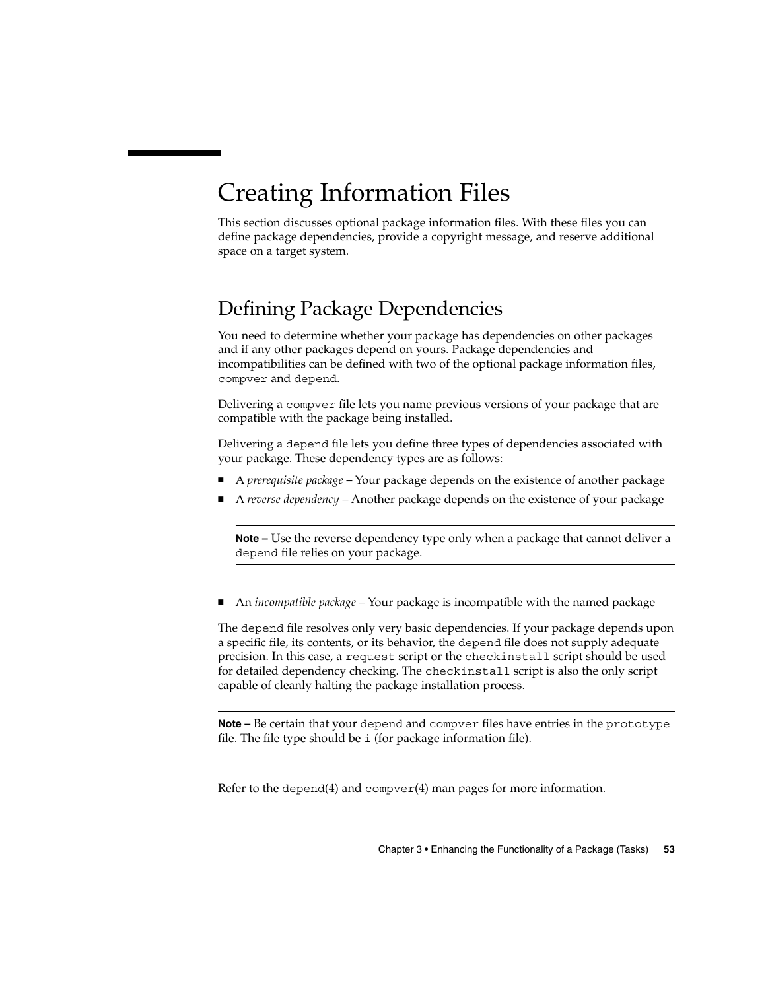# <span id="page-52-0"></span>Creating Information Files

This section discusses optional package information files. With these files you can define package dependencies, provide a copyright message, and reserve additional space on a target system.

# Defining Package Dependencies

You need to determine whether your package has dependencies on other packages and if any other packages depend on yours. Package dependencies and incompatibilities can be defined with two of the optional package information files, compver and depend.

Delivering a compver file lets you name previous versions of your package that are compatible with the package being installed.

Delivering a depend file lets you define three types of dependencies associated with your package. These dependency types are as follows:

- A *prerequisite package* Your package depends on the existence of another package
- A *reverse dependency* Another package depends on the existence of your package

**Note –** Use the reverse dependency type only when a package that cannot deliver a depend file relies on your package.

■ An *incompatible package* – Your package is incompatible with the named package

The depend file resolves only very basic dependencies. If your package depends upon a specific file, its contents, or its behavior, the depend file does not supply adequate precision. In this case, a request script or the checkinstall script should be used for detailed dependency checking. The checkinstall script is also the only script capable of cleanly halting the package installation process.

**Note –** Be certain that your depend and compver files have entries in the prototype file. The file type should be i (for package information file).

Refer to the depend(4) and  $comper(4)$  man pages for more information.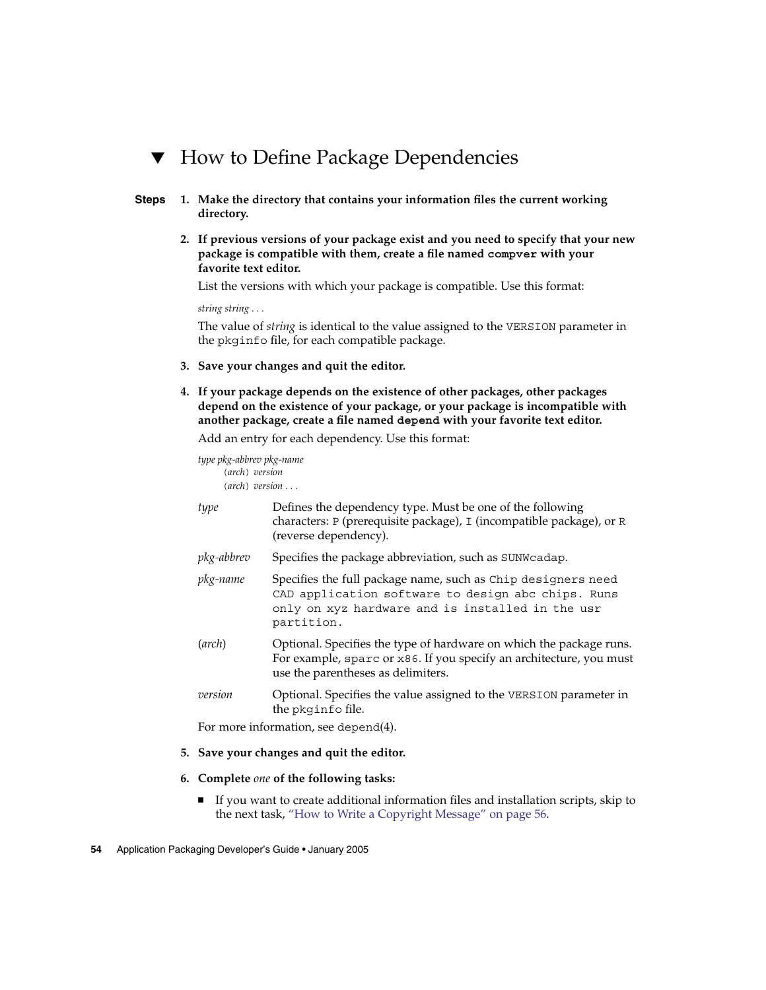# <span id="page-53-0"></span>▼ How to Define Package Dependencies

- **1. Make the directory that contains your information files the current working directory. Steps**
	- **2. If previous versions of your package exist and you need to specify that your new package is compatible with them, create a file named compver with your favorite text editor.**

List the versions with which your package is compatible. Use this format:

*string string...*

The value of *string* is identical to the value assigned to the VERSION parameter in the pkginfo file, for each compatible package.

- **3. Save your changes and quit the editor.**
- **4. If your package depends on the existence of other packages, other packages depend on the existence of your package, or your package is incompatible with another package, create a file named depend with your favorite text editor.**

Add an entry for each dependency. Use this format:

*type pkg-abbrev pkg-name* (*arch*) *version* (*arch*) *version...*

- *type* Defines the dependency type. Must be one of the following characters: P (prerequisite package), I (incompatible package), or R (reverse dependency). *pkg-abbrev* Specifies the package abbreviation, such as SUNWcadap. *pkg-name* Specifies the full package name, such as Chip designers need CAD application software to design abc chips. Runs only on xyz hardware and is installed in the usr partition. (*arch*) Optional. Specifies the type of hardware on which the package runs. For example, sparc or x86. If you specify an architecture, you must use the parentheses as delimiters.
- *version* Optional. Specifies the value assigned to the VERSION parameter in the pkginfo file.

For more information, see depend(4).

### **5. Save your changes and quit the editor.**

### **6. Complete** *one* **of the following tasks:**

■ If you want to create additional information files and installation scripts, skip to the next task, ["How to Write a Copyright Message"](#page-55-0) on page 56.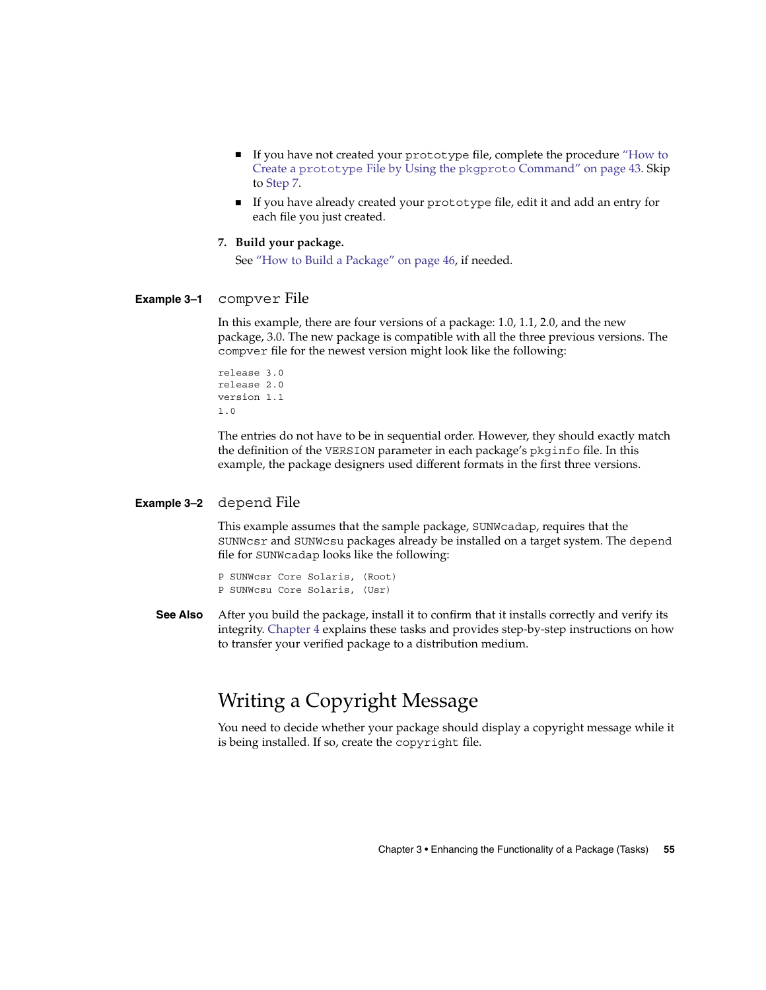- If you have not created your prototype file, complete the procedure ["How to](#page-42-0) Create a prototype [File by Using the](#page-42-0) pkgproto Command" on page 43. Skip to Step 7.
- If you have already created your prototype file, edit it and add an entry for each file you just created.

### **7. Build your package.**

See ["How to Build a Package"](#page-45-0) on page 46, if needed.

#### compver File **Example 3–1**

In this example, there are four versions of a package: 1.0, 1.1, 2.0, and the new package, 3.0. The new package is compatible with all the three previous versions. The compver file for the newest version might look like the following:

```
release 3.0
release 2.0
version 1.1
1.0
```
The entries do not have to be in sequential order. However, they should exactly match the definition of the VERSION parameter in each package's pkginfo file. In this example, the package designers used different formats in the first three versions.

#### depend File **Example 3–2**

This example assumes that the sample package, SUNWcadap, requires that the SUNWcsr and SUNWcsu packages already be installed on a target system. The depend file for SUNWcadap looks like the following:

P SUNWcsr Core Solaris, (Root) P SUNWcsu Core Solaris, (Usr)

After you build the package, install it to confirm that it installs correctly and verify its integrity. [Chapter 4](#page-84-0) explains these tasks and provides step-by-step instructions on how to transfer your verified package to a distribution medium. **See Also**

# Writing a Copyright Message

You need to decide whether your package should display a copyright message while it is being installed. If so, create the copyright file.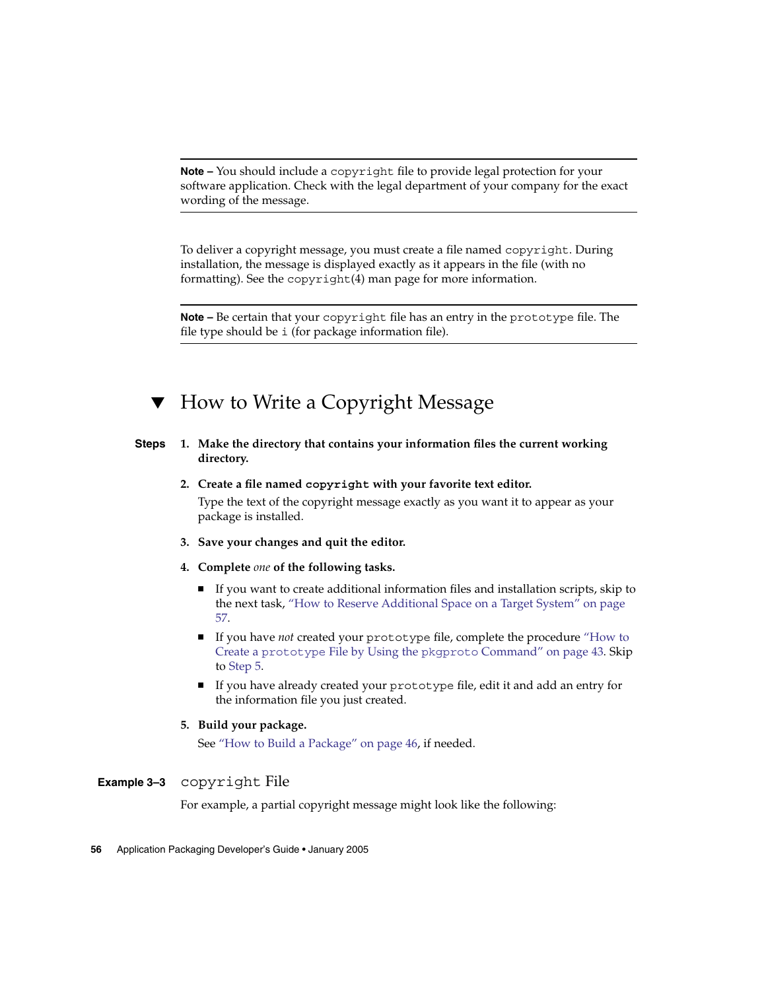<span id="page-55-0"></span>**Note –** You should include a copyright file to provide legal protection for your software application. Check with the legal department of your company for the exact wording of the message.

To deliver a copyright message, you must create a file named copyright. During installation, the message is displayed exactly as it appears in the file (with no formatting). See the copyright(4) man page for more information.

**Note –** Be certain that your copyright file has an entry in the prototype file. The file type should be i (for package information file).

# How to Write a Copyright Message

#### **1. Make the directory that contains your information files the current working directory. Steps**

**2. Create a file named copyright with your favorite text editor.**

Type the text of the copyright message exactly as you want it to appear as your package is installed.

- **3. Save your changes and quit the editor.**
- **4. Complete** *one* **of the following tasks.**
	- If you want to create additional information files and installation scripts, skip to the next task, ["How to Reserve Additional Space on a Target System"](#page-56-0) on page [57.](#page-56-0)
	- If you have *not* created your prototype file, complete the procedure ["How to](#page-42-0) Create a prototype [File by Using the](#page-42-0) pkgproto Command" on page 43. Skip to Step 5.
	- If you have already created your prototype file, edit it and add an entry for the information file you just created.
- **5. Build your package.**

See ["How to Build a Package"](#page-45-0) on page 46, if needed.

#### copyright File **Example 3–3**

For example, a partial copyright message might look like the following:

**56** Application Packaging Developer's Guide • January 2005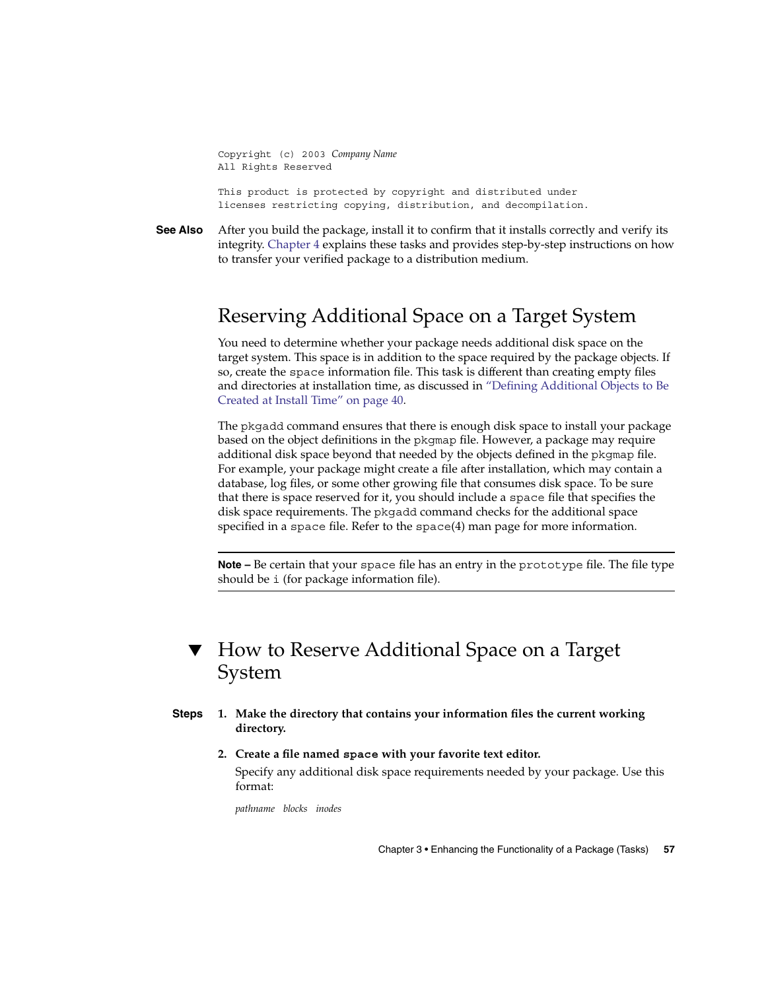<span id="page-56-0"></span>Copyright (c) 2003 *Company Name* All Rights Reserved

This product is protected by copyright and distributed under licenses restricting copying, distribution, and decompilation.

After you build the package, install it to confirm that it installs correctly and verify its integrity. [Chapter 4](#page-84-0) explains these tasks and provides step-by-step instructions on how to transfer your verified package to a distribution medium. **See Also**

# Reserving Additional Space on a Target System

You need to determine whether your package needs additional disk space on the target system. This space is in addition to the space required by the package objects. If so, create the space information file. This task is different than creating empty files and directories at installation time, as discussed in ["Defining Additional Objects to Be](#page-39-0) [Created at Install Time"](#page-39-0) on page 40.

The pkgadd command ensures that there is enough disk space to install your package based on the object definitions in the pkgmap file. However, a package may require additional disk space beyond that needed by the objects defined in the pkgmap file. For example, your package might create a file after installation, which may contain a database, log files, or some other growing file that consumes disk space. To be sure that there is space reserved for it, you should include a space file that specifies the disk space requirements. The pkgadd command checks for the additional space specified in a space file. Refer to the space(4) man page for more information.

**Note –** Be certain that your space file has an entry in the prototype file. The file type should be i (for package information file).

# How to Reserve Additional Space on a Target System

#### **1. Make the directory that contains your information files the current working directory. Steps**

**2. Create a file named space with your favorite text editor.**

Specify any additional disk space requirements needed by your package. Use this format:

*pathname blocks inodes*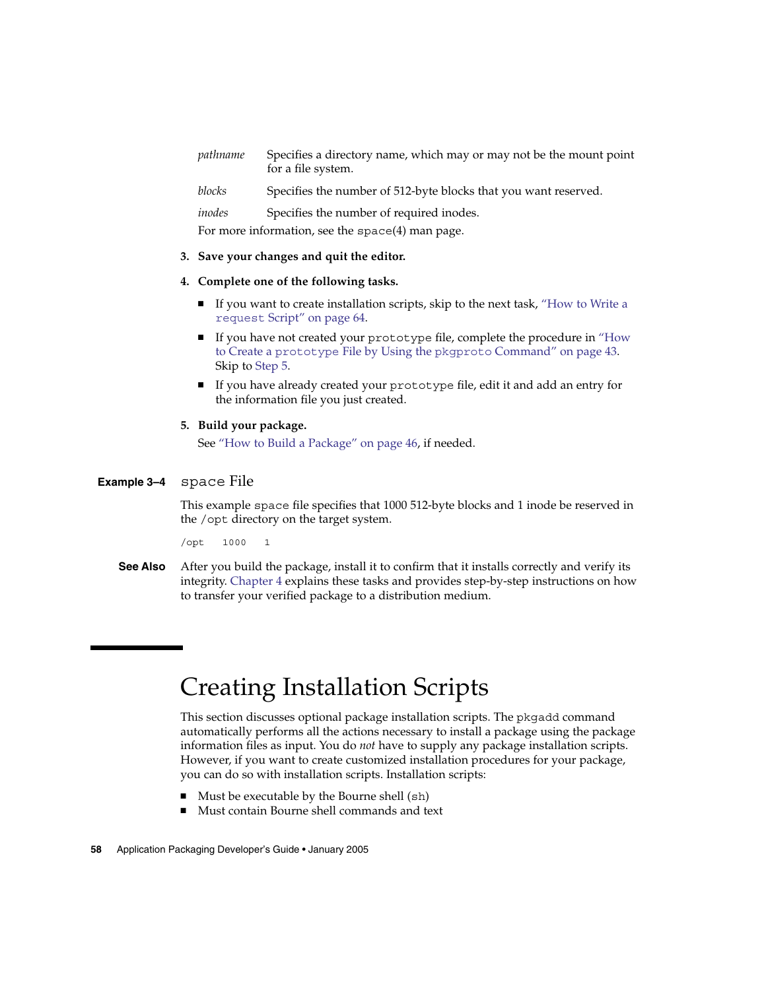<span id="page-57-0"></span>

| pathname Specifies a directory name, which may or may not be the mount point |
|------------------------------------------------------------------------------|
| for a file system.                                                           |

*blocks* Specifies the number of 512-byte blocks that you want reserved.

*inodes* Specifies the number of required inodes.

For more information, see the space(4) man page.

**3. Save your changes and quit the editor.**

### **4. Complete one of the following tasks.**

- If you want to create installation scripts, skip to the next task, ["How to Write a](#page-63-0) request Script" [on page 64.](#page-63-0)
- If you have not created your prototype file, complete the procedure in ["How](#page-42-0) to Create a prototype [File by Using the](#page-42-0) pkgproto Command" on page 43. Skip to Step 5.
- If you have already created your prototype file, edit it and add an entry for the information file you just created.

### **5. Build your package.**

See ["How to Build a Package"](#page-45-0) on page 46, if needed.

#### space File **Example 3–4**

This example space file specifies that 1000 512-byte blocks and 1 inode be reserved in the /opt directory on the target system.

/opt 1000 1

After you build the package, install it to confirm that it installs correctly and verify its integrity. [Chapter 4](#page-84-0) explains these tasks and provides step-by-step instructions on how to transfer your verified package to a distribution medium. **See Also**

# Creating Installation Scripts

This section discusses optional package installation scripts. The pkgadd command automatically performs all the actions necessary to install a package using the package information files as input. You do *not* have to supply any package installation scripts. However, if you want to create customized installation procedures for your package, you can do so with installation scripts. Installation scripts:

- Must be executable by the Bourne shell (sh)
- Must contain Bourne shell commands and text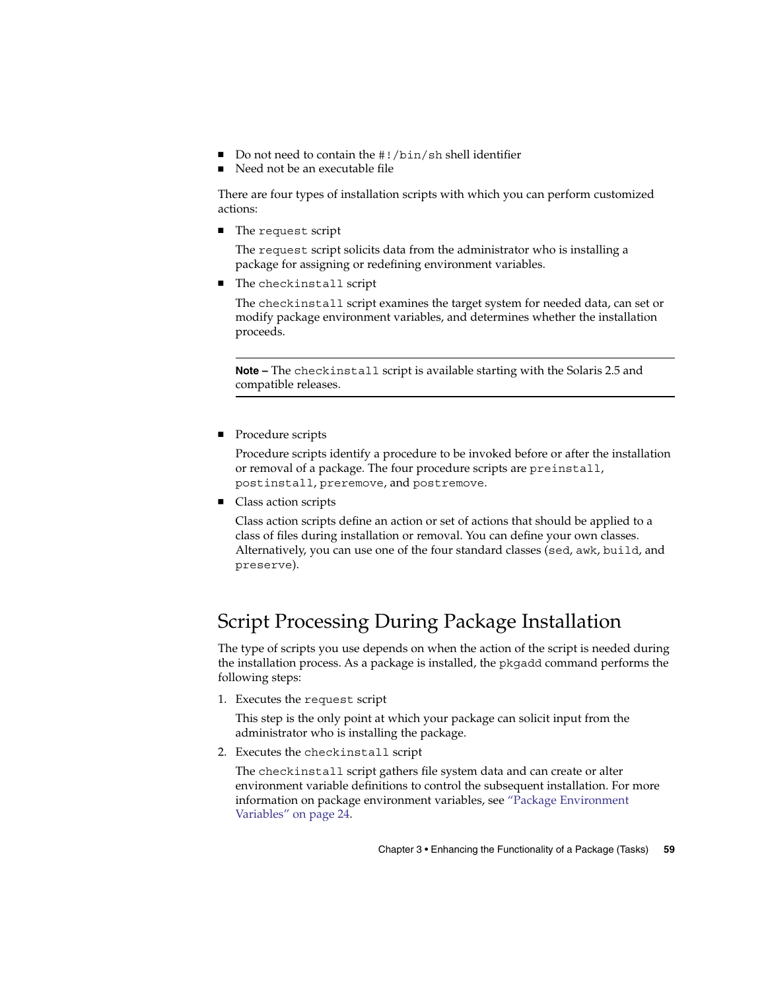- Do not need to contain the #!/bin/sh shell identifier
- Need not be an executable file

There are four types of installation scripts with which you can perform customized actions:

■ The request script

The request script solicits data from the administrator who is installing a package for assigning or redefining environment variables.

■ The checkinstall script

The checkinstall script examines the target system for needed data, can set or modify package environment variables, and determines whether the installation proceeds.

**Note –** The checkinstall script is available starting with the Solaris 2.5 and compatible releases.

■ Procedure scripts

Procedure scripts identify a procedure to be invoked before or after the installation or removal of a package. The four procedure scripts are preinstall, postinstall, preremove, and postremove.

■ Class action scripts

Class action scripts define an action or set of actions that should be applied to a class of files during installation or removal. You can define your own classes. Alternatively, you can use one of the four standard classes (sed, awk, build, and preserve).

# Script Processing During Package Installation

The type of scripts you use depends on when the action of the script is needed during the installation process. As a package is installed, the pkgadd command performs the following steps:

1. Executes the request script

This step is the only point at which your package can solicit input from the administrator who is installing the package.

2. Executes the checkinstall script

The checkinstall script gathers file system data and can create or alter environment variable definitions to control the subsequent installation. For more information on package environment variables, see ["Package Environment](#page-23-0) Variables" [on page 24.](#page-23-0)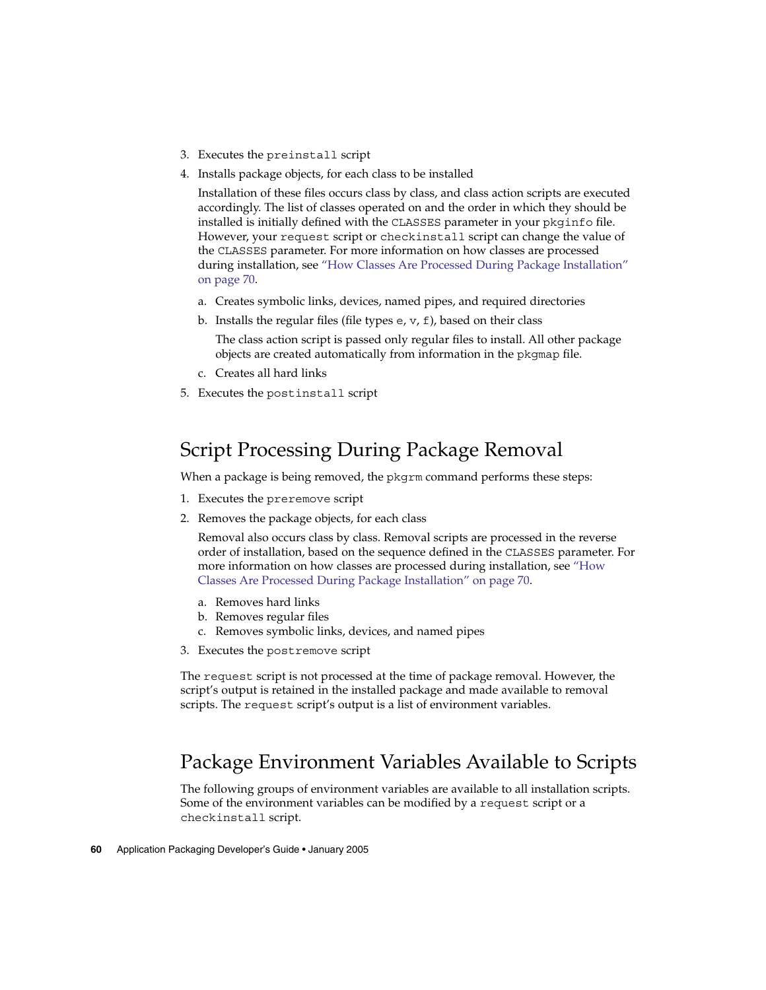- 3. Executes the preinstall script
- 4. Installs package objects, for each class to be installed

Installation of these files occurs class by class, and class action scripts are executed accordingly. The list of classes operated on and the order in which they should be installed is initially defined with the CLASSES parameter in your pkginfo file. However, your request script or checkinstall script can change the value of the CLASSES parameter. For more information on how classes are processed during installation, see ["How Classes Are Processed During Package Installation"](#page-69-0) [on page 70.](#page-69-0)

- a. Creates symbolic links, devices, named pipes, and required directories
- b. Installs the regular files (file types e, v, f), based on their class

The class action script is passed only regular files to install. All other package objects are created automatically from information in the pkgmap file.

- c. Creates all hard links
- 5. Executes the postinstall script

# Script Processing During Package Removal

When a package is being removed, the pkgrm command performs these steps:

- 1. Executes the preremove script
- 2. Removes the package objects, for each class

Removal also occurs class by class. Removal scripts are processed in the reverse order of installation, based on the sequence defined in the CLASSES parameter. For more information on how classes are processed during installation, see ["How](#page-69-0) [Classes Are Processed During Package Installation"](#page-69-0) on page 70.

- a. Removes hard links
- b. Removes regular files
- c. Removes symbolic links, devices, and named pipes
- 3. Executes the postremove script

The request script is not processed at the time of package removal. However, the script's output is retained in the installed package and made available to removal scripts. The request script's output is a list of environment variables.

## Package Environment Variables Available to Scripts

The following groups of environment variables are available to all installation scripts. Some of the environment variables can be modified by a request script or a checkinstall script.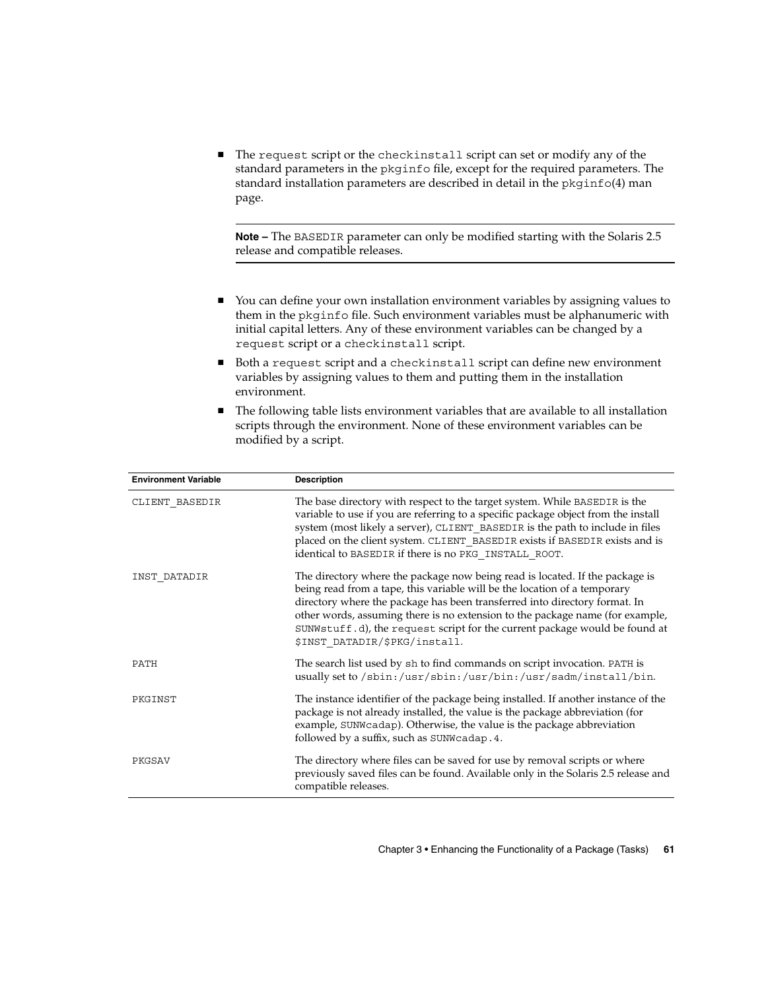■ The request script or the checkinstall script can set or modify any of the standard parameters in the pkginfo file, except for the required parameters. The standard installation parameters are described in detail in the pkginfo(4) man page.

**Note –** The BASEDIR parameter can only be modified starting with the Solaris 2.5 release and compatible releases.

- You can define your own installation environment variables by assigning values to them in the pkginfo file. Such environment variables must be alphanumeric with initial capital letters. Any of these environment variables can be changed by a request script or a checkinstall script.
- Both a request script and a checkinstall script can define new environment variables by assigning values to them and putting them in the installation environment.
- The following table lists environment variables that are available to all installation scripts through the environment. None of these environment variables can be modified by a script.

| <b>Environment Variable</b> | <b>Description</b>                                                                                                                                                                                                                                                                                                                                                                                                                      |
|-----------------------------|-----------------------------------------------------------------------------------------------------------------------------------------------------------------------------------------------------------------------------------------------------------------------------------------------------------------------------------------------------------------------------------------------------------------------------------------|
| CLIENT BASEDIR              | The base directory with respect to the target system. While BASEDIR is the<br>variable to use if you are referring to a specific package object from the install<br>system (most likely a server), CLIENT BASEDIR is the path to include in files<br>placed on the client system. CLIENT BASEDIR exists if BASEDIR exists and is<br>identical to BASEDIR if there is no PKG INSTALL ROOT.                                               |
| INST DATADIR                | The directory where the package now being read is located. If the package is<br>being read from a tape, this variable will be the location of a temporary<br>directory where the package has been transferred into directory format. In<br>other words, assuming there is no extension to the package name (for example,<br>SUNWstuff.d), the request script for the current package would be found at<br>\$INST DATADIR/\$PKG/install. |
| PATH                        | The search list used by sh to find commands on script invocation. PATH is<br>usually set to /sbin:/usr/sbin:/usr/bin:/usr/sadm/install/bin.                                                                                                                                                                                                                                                                                             |
| PKGINST                     | The instance identifier of the package being installed. If another instance of the<br>package is not already installed, the value is the package abbreviation (for<br>example, SUNWcadap). Otherwise, the value is the package abbreviation<br>followed by a suffix, such as SUNWcadap. 4.                                                                                                                                              |
| PKGSAV                      | The directory where files can be saved for use by removal scripts or where<br>previously saved files can be found. Available only in the Solaris 2.5 release and<br>compatible releases.                                                                                                                                                                                                                                                |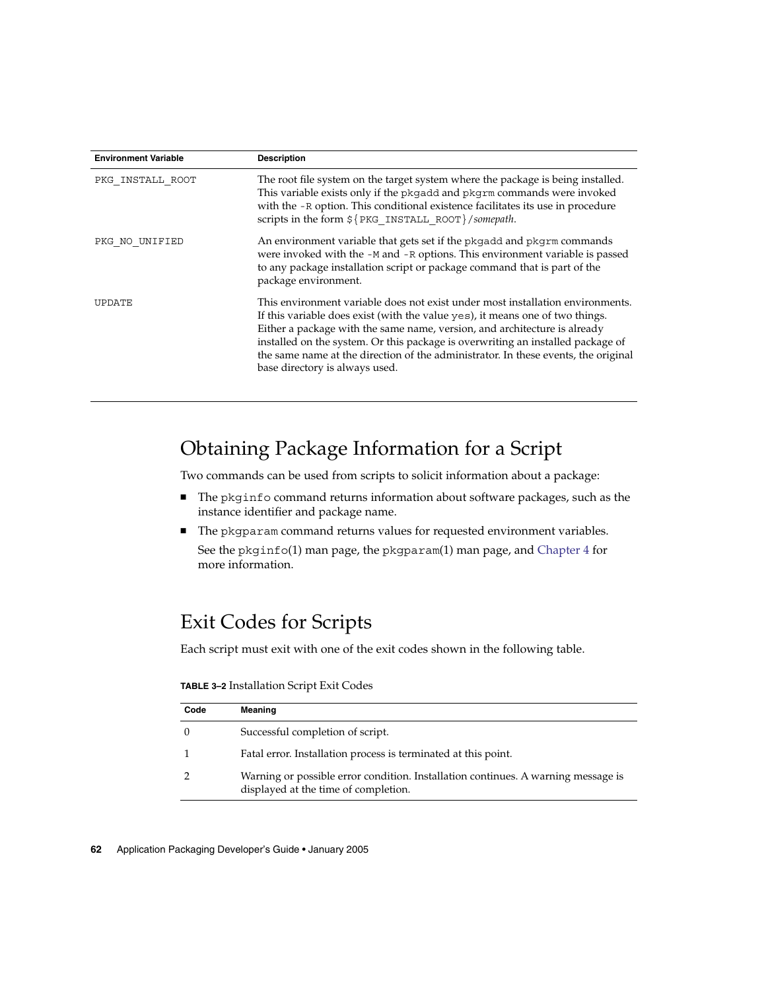| <b>Environment Variable</b> | <b>Description</b>                                                                                                                                                                                                                                                                                                                                                                                                                                      |
|-----------------------------|---------------------------------------------------------------------------------------------------------------------------------------------------------------------------------------------------------------------------------------------------------------------------------------------------------------------------------------------------------------------------------------------------------------------------------------------------------|
| PKG INSTALL ROOT            | The root file system on the target system where the package is being installed.<br>This variable exists only if the pkgadd and pkgrm commands were invoked<br>with the -R option. This conditional existence facilitates its use in procedure<br>scripts in the form $\S$ { PKG INSTALL ROOT } / somepath.                                                                                                                                              |
| PKG NO UNIFIED              | An environment variable that gets set if the pkgadd and pkgrm commands<br>were invoked with the -M and -R options. This environment variable is passed<br>to any package installation script or package command that is part of the<br>package environment.                                                                                                                                                                                             |
| <b>UPDATE</b>               | This environment variable does not exist under most installation environments.<br>If this variable does exist (with the value yes), it means one of two things.<br>Either a package with the same name, version, and architecture is already<br>installed on the system. Or this package is overwriting an installed package of<br>the same name at the direction of the administrator. In these events, the original<br>base directory is always used. |

# Obtaining Package Information for a Script

Two commands can be used from scripts to solicit information about a package:

- The pkginfo command returns information about software packages, such as the instance identifier and package name.
- The pkgparam command returns values for requested environment variables. See the pkginfo(1) man page, the pkgparam(1) man page, and [Chapter 4](#page-84-0) for more information.

# Exit Codes for Scripts

Each script must exit with one of the exit codes shown in the following table.

| TABLE 3-2 Installation Script Exit Codes |  |
|------------------------------------------|--|
|------------------------------------------|--|

| Code     | <b>Meaning</b>                                                                                                            |
|----------|---------------------------------------------------------------------------------------------------------------------------|
| $\theta$ | Successful completion of script.                                                                                          |
|          | Fatal error. Installation process is terminated at this point.                                                            |
|          | Warning or possible error condition. Installation continues. A warning message is<br>displayed at the time of completion. |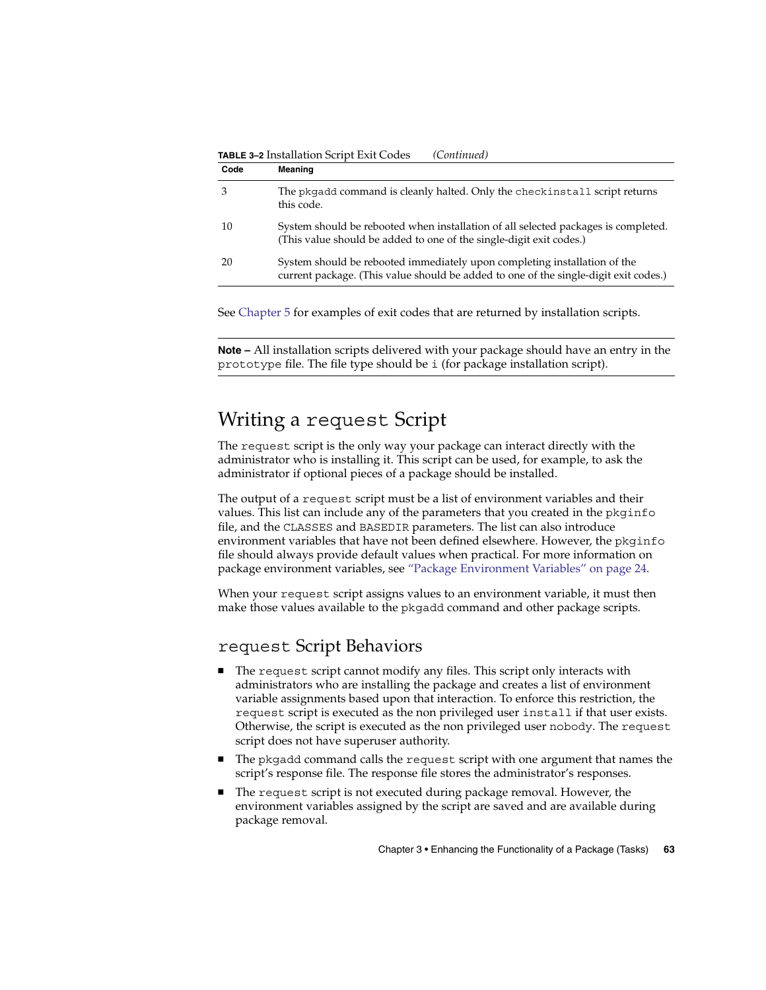**TABLE 3–2** Installation Script Exit Codes *(Continued)*

| Code | <b>Meaning</b>                                                                                                                                                    |
|------|-------------------------------------------------------------------------------------------------------------------------------------------------------------------|
|      | The pkgadd command is cleanly halted. Only the checkinstall script returns<br>this code.                                                                          |
| 10   | System should be rebooted when installation of all selected packages is completed.<br>(This value should be added to one of the single-digit exit codes.)         |
| 20   | System should be rebooted immediately upon completing installation of the<br>current package. (This value should be added to one of the single-digit exit codes.) |
|      |                                                                                                                                                                   |

See [Chapter 5](#page-98-0) for examples of exit codes that are returned by installation scripts.

**Note –** All installation scripts delivered with your package should have an entry in the prototype file. The file type should be i (for package installation script).

## Writing a request Script

The request script is the only way your package can interact directly with the administrator who is installing it. This script can be used, for example, to ask the administrator if optional pieces of a package should be installed.

The output of a request script must be a list of environment variables and their values. This list can include any of the parameters that you created in the pkginfo file, and the CLASSES and BASEDIR parameters. The list can also introduce environment variables that have not been defined elsewhere. However, the pkginfo file should always provide default values when practical. For more information on package environment variables, see ["Package Environment Variables"](#page-23-0) on page 24.

When your request script assigns values to an environment variable, it must then make those values available to the pkgadd command and other package scripts.

### request Script Behaviors

- The request script cannot modify any files. This script only interacts with administrators who are installing the package and creates a list of environment variable assignments based upon that interaction. To enforce this restriction, the request script is executed as the non privileged user install if that user exists. Otherwise, the script is executed as the non privileged user nobody. The request script does not have superuser authority.
- The pkgadd command calls the request script with one argument that names the script's response file. The response file stores the administrator's responses.
- The request script is not executed during package removal. However, the environment variables assigned by the script are saved and are available during package removal.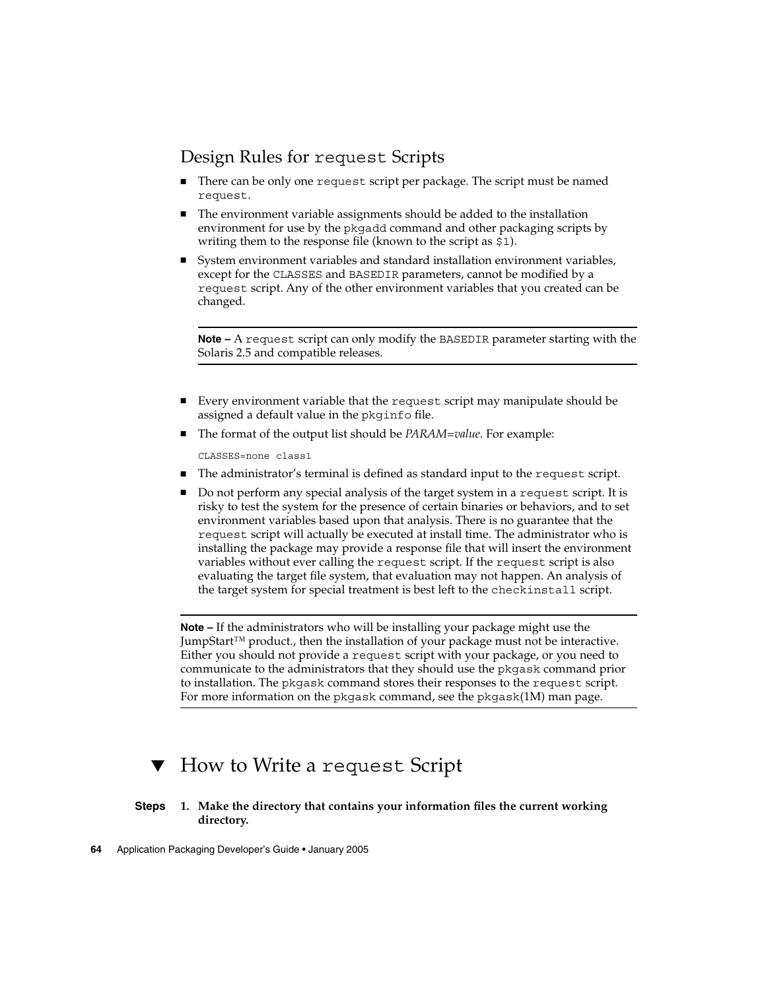## <span id="page-63-0"></span>Design Rules for request Scripts

- There can be only one request script per package. The script must be named request.
- The environment variable assignments should be added to the installation environment for use by the pkgadd command and other packaging scripts by writing them to the response file (known to the script as \$1).
- System environment variables and standard installation environment variables, except for the CLASSES and BASEDIR parameters, cannot be modified by a request script. Any of the other environment variables that you created can be changed.

**Note –** A request script can only modify the BASEDIR parameter starting with the Solaris 2.5 and compatible releases.

- Every environment variable that the request script may manipulate should be assigned a default value in the pkginfo file.
- The format of the output list should be *PARAM=value*. For example:

CLASSES=none class1

- The administrator's terminal is defined as standard input to the request script.
- Do not perform any special analysis of the target system in a request script. It is risky to test the system for the presence of certain binaries or behaviors, and to set environment variables based upon that analysis. There is no guarantee that the request script will actually be executed at install time. The administrator who is installing the package may provide a response file that will insert the environment variables without ever calling the request script. If the request script is also evaluating the target file system, that evaluation may not happen. An analysis of the target system for special treatment is best left to the checkinstall script.

**Note –** If the administrators who will be installing your package might use the JumpStart™ product., then the installation of your package must not be interactive. Either you should not provide a request script with your package, or you need to communicate to the administrators that they should use the pkgask command prior to installation. The pkgask command stores their responses to the request script. For more information on the pkgask command, see the pkgask(1M) man page.

# ▼ How to Write a request Script

**1. Make the directory that contains your information files the current working directory. Steps**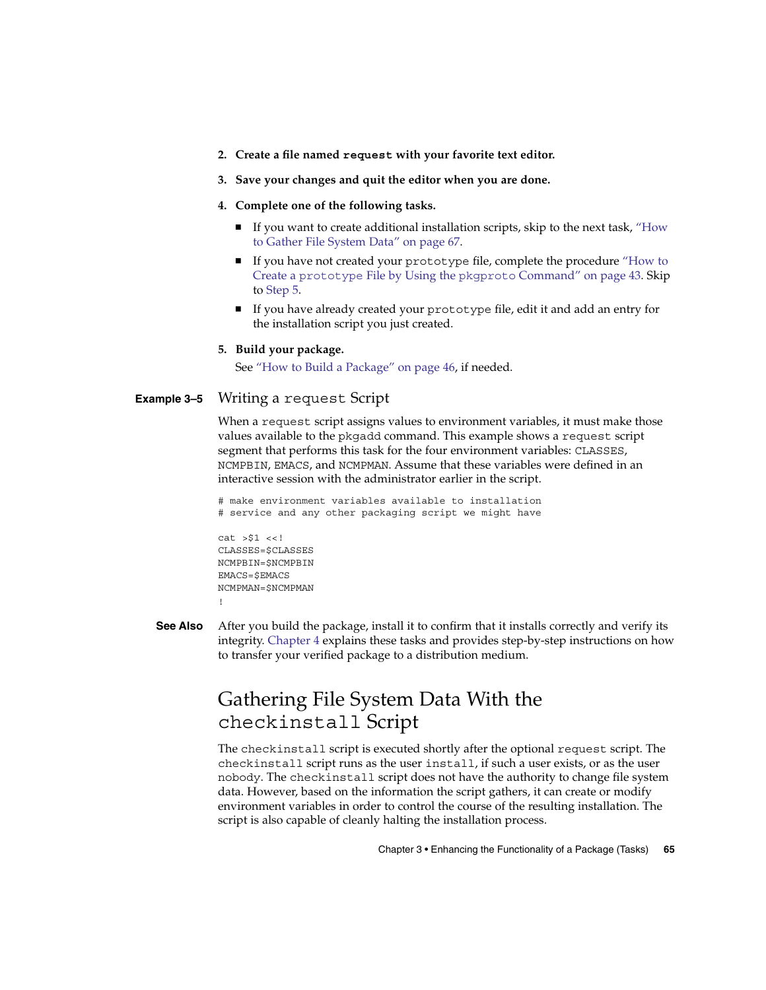- **2. Create a file named request with your favorite text editor.**
- **3. Save your changes and quit the editor when you are done.**
- **4. Complete one of the following tasks.**
	- If you want to create additional installation scripts, skip to the next task, ["How](#page-66-0) [to Gather File System Data"](#page-66-0) on page 67.
	- If you have not created your prototype file, complete the procedure ["How to](#page-42-0) Create a prototype [File by Using the](#page-42-0) pkgproto Command" on page 43. Skip to Step 5.
	- If you have already created your prototype file, edit it and add an entry for the installation script you just created.
- **5. Build your package.**

See ["How to Build a Package"](#page-45-0) on page 46, if needed.

#### Writing a request Script **Example 3–5**

When a request script assigns values to environment variables, it must make those values available to the pkgadd command. This example shows a request script segment that performs this task for the four environment variables: CLASSES, NCMPBIN, EMACS, and NCMPMAN. Assume that these variables were defined in an interactive session with the administrator earlier in the script.

# make environment variables available to installation # service and any other packaging script we might have

```
cat >$1 <<!
CLASSES=$CLASSES
NCMPBIN=$NCMPBIN
EMACS=$EMACS
NCMPMAN=$NCMPMAN
!
```
After you build the package, install it to confirm that it installs correctly and verify its integrity. [Chapter 4](#page-84-0) explains these tasks and provides step-by-step instructions on how to transfer your verified package to a distribution medium. **See Also**

# Gathering File System Data With the checkinstall Script

The checkinstall script is executed shortly after the optional request script. The checkinstall script runs as the user install, if such a user exists, or as the user nobody. The checkinstall script does not have the authority to change file system data. However, based on the information the script gathers, it can create or modify environment variables in order to control the course of the resulting installation. The script is also capable of cleanly halting the installation process.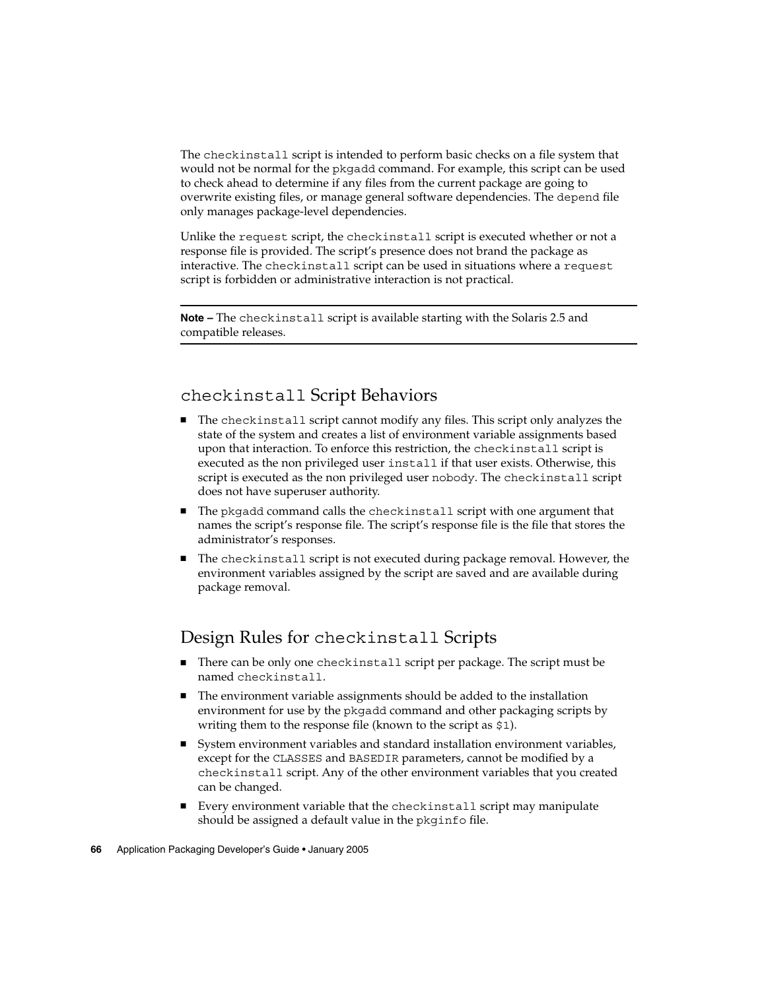The checkinstall script is intended to perform basic checks on a file system that would not be normal for the pkgadd command. For example, this script can be used to check ahead to determine if any files from the current package are going to overwrite existing files, or manage general software dependencies. The depend file only manages package-level dependencies.

Unlike the request script, the checkinstall script is executed whether or not a response file is provided. The script's presence does not brand the package as interactive. The checkinstall script can be used in situations where a request script is forbidden or administrative interaction is not practical.

**Note –** The checkinstall script is available starting with the Solaris 2.5 and compatible releases.

## checkinstall Script Behaviors

- The checkinstall script cannot modify any files. This script only analyzes the state of the system and creates a list of environment variable assignments based upon that interaction. To enforce this restriction, the checkinstall script is executed as the non privileged user install if that user exists. Otherwise, this script is executed as the non privileged user nobody. The checkinstall script does not have superuser authority.
- The pkgadd command calls the checkinstall script with one argument that names the script's response file. The script's response file is the file that stores the administrator's responses.
- The checkinstall script is not executed during package removal. However, the environment variables assigned by the script are saved and are available during package removal.

## Design Rules for checkinstall Scripts

- There can be only one checkinstall script per package. The script must be named checkinstall.
- The environment variable assignments should be added to the installation environment for use by the pkgadd command and other packaging scripts by writing them to the response file (known to the script as \$1).
- System environment variables and standard installation environment variables, except for the CLASSES and BASEDIR parameters, cannot be modified by a checkinstall script. Any of the other environment variables that you created can be changed.
- Every environment variable that the checkinstall script may manipulate should be assigned a default value in the pkginfo file.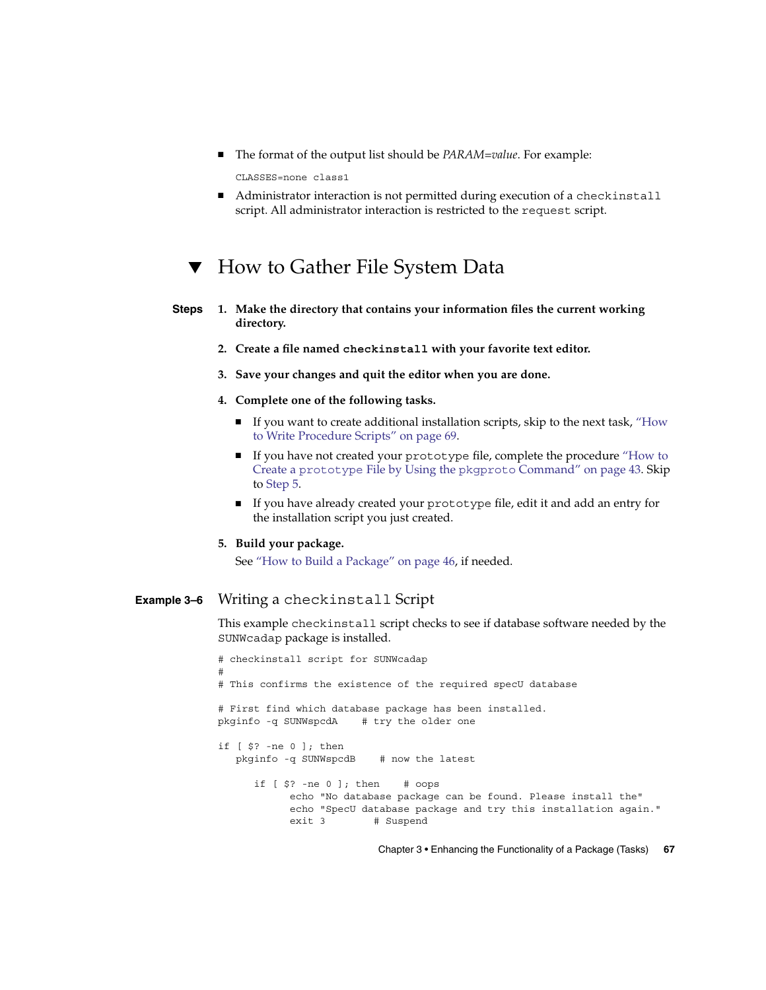<span id="page-66-0"></span>■ The format of the output list should be *PARAM=value*. For example:

CLASSES=none class1

■ Administrator interaction is not permitted during execution of a checkinstall script. All administrator interaction is restricted to the request script.

# How to Gather File System Data

- **1. Make the directory that contains your information files the current working directory. Steps**
	- **2. Create a file named checkinstall with your favorite text editor.**
	- **3. Save your changes and quit the editor when you are done.**
	- **4. Complete one of the following tasks.**
		- If you want to create additional installation scripts, skip to the next task, ["How](#page-68-0) [to Write Procedure Scripts"](#page-68-0) on page 69.
		- If you have not created your prototype file, complete the procedure ["How to](#page-42-0) Create a prototype [File by Using the](#page-42-0) pkgproto Command" on page 43. Skip to Step 5.
		- If you have already created your prototype file, edit it and add an entry for the installation script you just created.
	- **5. Build your package.**

See ["How to Build a Package"](#page-45-0) on page 46, if needed.

#### Writing a checkinstall Script **Example 3–6**

This example checkinstall script checks to see if database software needed by the SUNWcadap package is installed.

```
# checkinstall script for SUNWcadap
#
# This confirms the existence of the required specU database
# First find which database package has been installed.
pkginfo -q SUNWspcdA # try the older one
if [ $? -ne 0 ]; then
  pkginfo -q SUNWspcdB # now the latest
     if [ $? -ne 0 ]; then \# oops
           echo "No database package can be found. Please install the"
           echo "SpecU database package and try this installation again."
           exit 3 # Suspend
```
Chapter 3 • Enhancing the Functionality of a Package (Tasks) **67**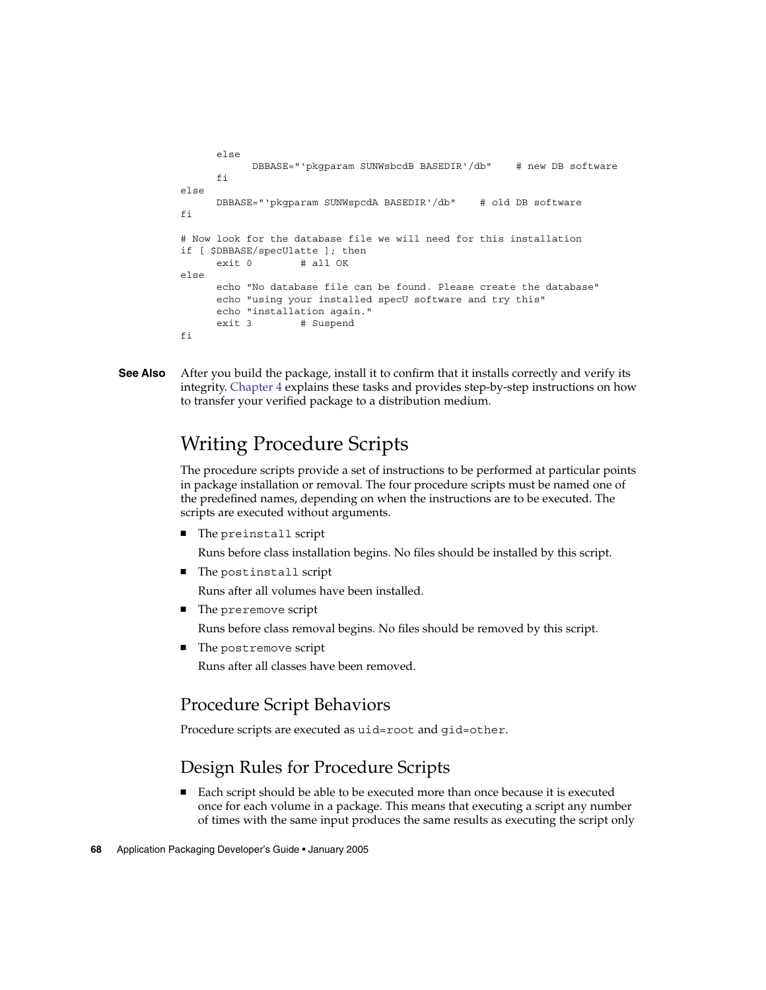```
else
           DBBASE="'pkgparam SUNWsbcdB BASEDIR'/db" # new DB software
     fi
else
     DBBASE="'pkgparam SUNWspcdA BASEDIR'/db" # old DB software
fi
# Now look for the database file we will need for this installation
if [ $DBBASE/specUlatte ]; then
     exit 0 # all OK
else
     echo "No database file can be found. Please create the database"
     echo "using your installed specU software and try this"
     echo "installation again."
     exit 3 # Suspend
fi
```
After you build the package, install it to confirm that it installs correctly and verify its integrity. [Chapter 4](#page-84-0) explains these tasks and provides step-by-step instructions on how to transfer your verified package to a distribution medium. **See Also**

# Writing Procedure Scripts

The procedure scripts provide a set of instructions to be performed at particular points in package installation or removal. The four procedure scripts must be named one of the predefined names, depending on when the instructions are to be executed. The scripts are executed without arguments.

■ The preinstall script

Runs before class installation begins. No files should be installed by this script.

■ The postinstall script

Runs after all volumes have been installed.

- The preremove script Runs before class removal begins. No files should be removed by this script.
- The postremove script

Runs after all classes have been removed.

### Procedure Script Behaviors

Procedure scripts are executed as uid=root and gid=other.

## Design Rules for Procedure Scripts

Each script should be able to be executed more than once because it is executed once for each volume in a package. This means that executing a script any number of times with the same input produces the same results as executing the script only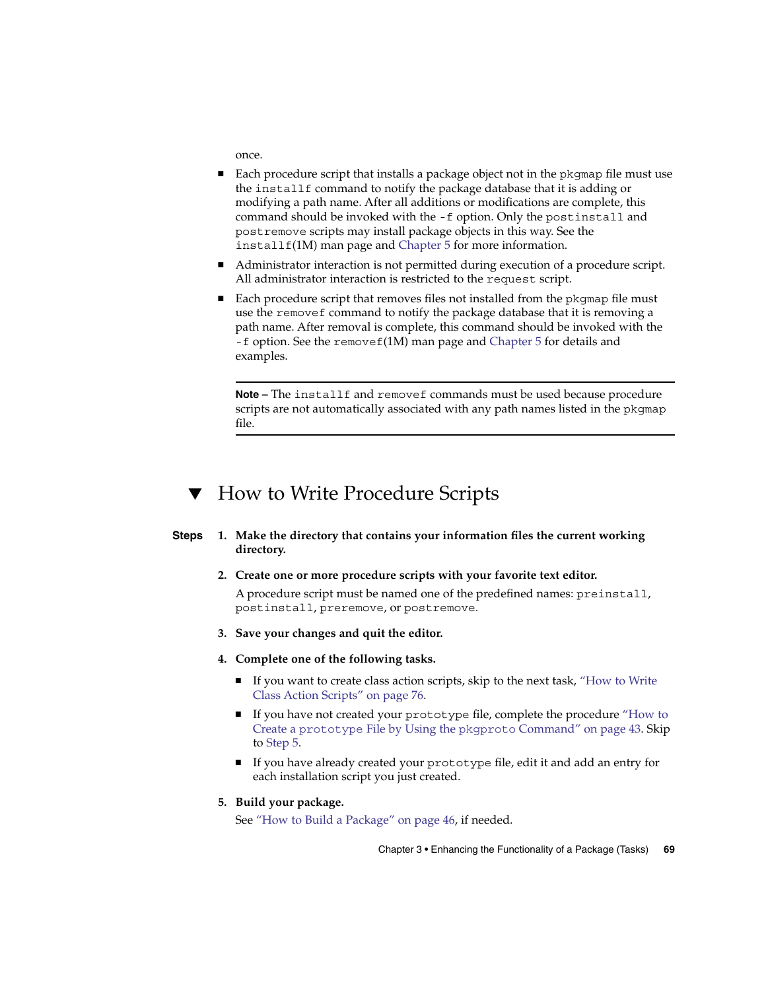once.

- <span id="page-68-0"></span>■ Each procedure script that installs a package object not in the pkgmap file must use the installf command to notify the package database that it is adding or modifying a path name. After all additions or modifications are complete, this command should be invoked with the -f option. Only the postinstall and postremove scripts may install package objects in this way. See the installf(1M) man page and [Chapter 5](#page-98-0) for more information.
- Administrator interaction is not permitted during execution of a procedure script. All administrator interaction is restricted to the request script.
- Each procedure script that removes files not installed from the pkgmap file must use the removef command to notify the package database that it is removing a path name. After removal is complete, this command should be invoked with the -f option. See the removef(1M) man page and [Chapter 5](#page-98-0) for details and examples.

**Note –** The installf and removef commands must be used because procedure scripts are not automatically associated with any path names listed in the pkgmap file.

## How to Write Procedure Scripts

#### **1. Make the directory that contains your information files the current working directory. Steps**

- **2. Create one or more procedure scripts with your favorite text editor.** A procedure script must be named one of the predefined names: preinstall, postinstall, preremove, or postremove.
- **3. Save your changes and quit the editor.**
- **4. Complete one of the following tasks.**
	- If you want to create class action scripts, skip to the next task, ["How to Write](#page-75-0) [Class Action Scripts"](#page-75-0) on page 76.
	- If you have not created your prototype file, complete the procedure ["How to](#page-42-0) Create a prototype [File by Using the](#page-42-0) pkgproto Command" on page 43. Skip to Step 5.
	- If you have already created your prototype file, edit it and add an entry for each installation script you just created.
- **5. Build your package.**

See ["How to Build a Package"](#page-45-0) on page 46, if needed.

Chapter 3 • Enhancing the Functionality of a Package (Tasks) **69**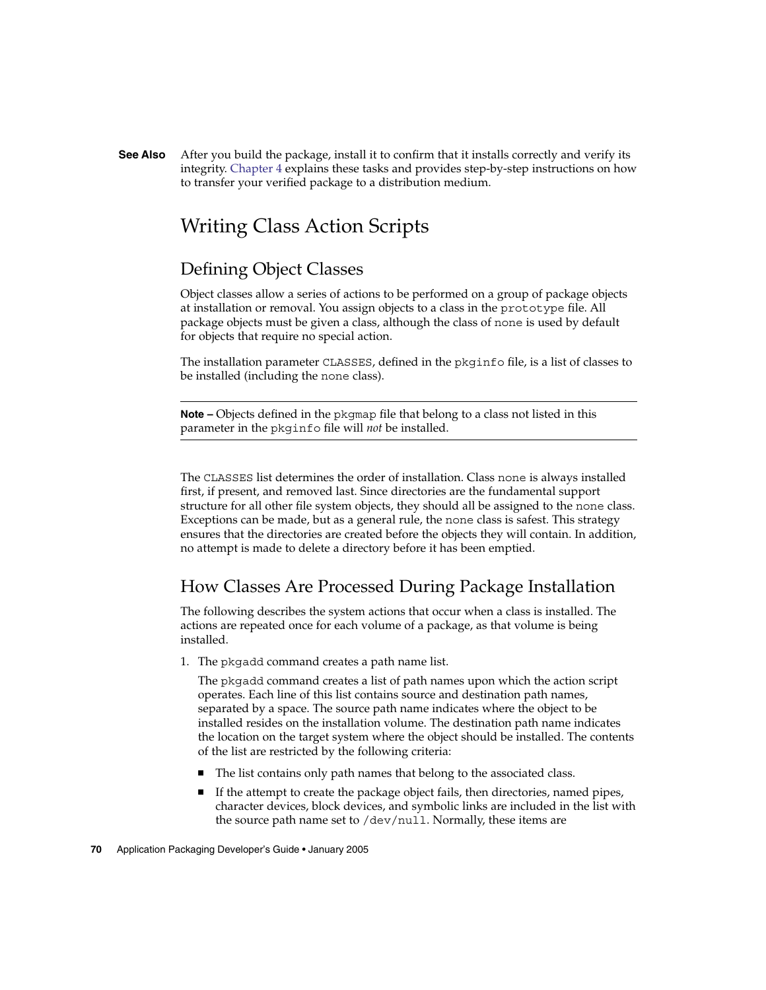<span id="page-69-0"></span>After you build the package, install it to confirm that it installs correctly and verify its integrity. [Chapter 4](#page-84-0) explains these tasks and provides step-by-step instructions on how to transfer your verified package to a distribution medium. **See Also**

# Writing Class Action Scripts

### Defining Object Classes

Object classes allow a series of actions to be performed on a group of package objects at installation or removal. You assign objects to a class in the prototype file. All package objects must be given a class, although the class of none is used by default for objects that require no special action.

The installation parameter CLASSES, defined in the pkginfo file, is a list of classes to be installed (including the none class).

**Note –** Objects defined in the pkgmap file that belong to a class not listed in this parameter in the pkginfo file will *not* be installed.

The CLASSES list determines the order of installation. Class none is always installed first, if present, and removed last. Since directories are the fundamental support structure for all other file system objects, they should all be assigned to the none class. Exceptions can be made, but as a general rule, the none class is safest. This strategy ensures that the directories are created before the objects they will contain. In addition, no attempt is made to delete a directory before it has been emptied.

## How Classes Are Processed During Package Installation

The following describes the system actions that occur when a class is installed. The actions are repeated once for each volume of a package, as that volume is being installed.

1. The pkgadd command creates a path name list.

The pkgadd command creates a list of path names upon which the action script operates. Each line of this list contains source and destination path names, separated by a space. The source path name indicates where the object to be installed resides on the installation volume. The destination path name indicates the location on the target system where the object should be installed. The contents of the list are restricted by the following criteria:

- The list contains only path names that belong to the associated class.
- If the attempt to create the package object fails, then directories, named pipes, character devices, block devices, and symbolic links are included in the list with the source path name set to /dev/null. Normally, these items are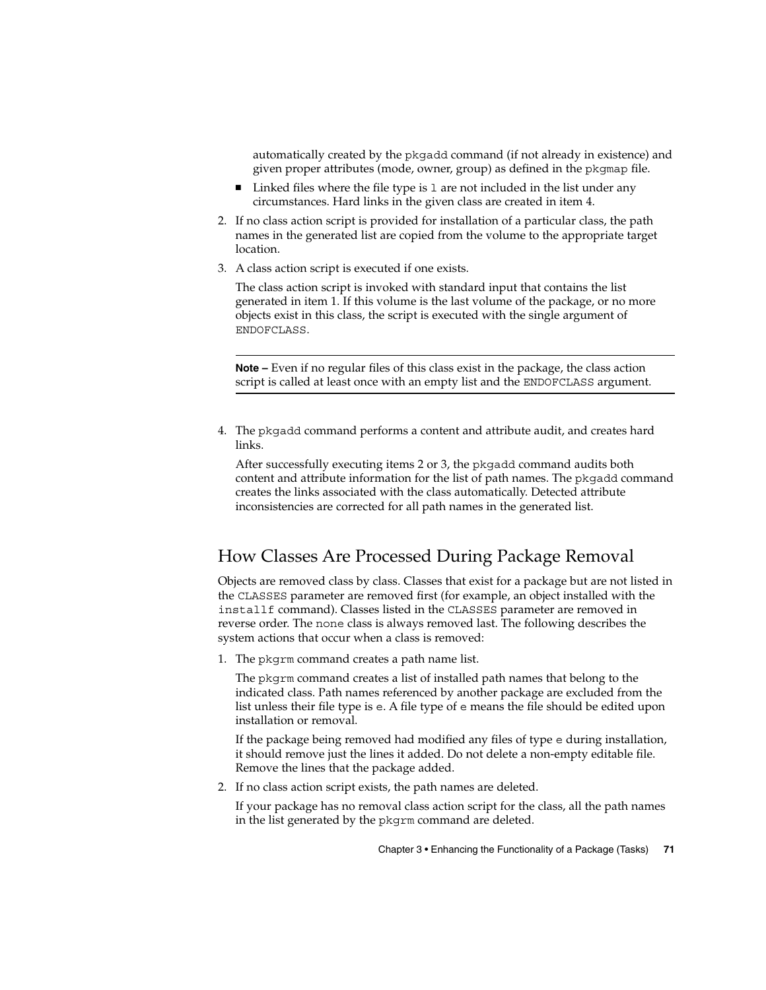automatically created by the pkgadd command (if not already in existence) and given proper attributes (mode, owner, group) as defined in the pkgmap file.

- Linked files where the file type is  $1$  are not included in the list under any circumstances. Hard links in the given class are created in item 4.
- 2. If no class action script is provided for installation of a particular class, the path names in the generated list are copied from the volume to the appropriate target location.
- 3. A class action script is executed if one exists.

The class action script is invoked with standard input that contains the list generated in item 1. If this volume is the last volume of the package, or no more objects exist in this class, the script is executed with the single argument of ENDOFCLASS.

**Note –** Even if no regular files of this class exist in the package, the class action script is called at least once with an empty list and the ENDOFCLASS argument.

4. The pkgadd command performs a content and attribute audit, and creates hard links.

After successfully executing items 2 or 3, the pkgadd command audits both content and attribute information for the list of path names. The pkgadd command creates the links associated with the class automatically. Detected attribute inconsistencies are corrected for all path names in the generated list.

### How Classes Are Processed During Package Removal

Objects are removed class by class. Classes that exist for a package but are not listed in the CLASSES parameter are removed first (for example, an object installed with the installf command). Classes listed in the CLASSES parameter are removed in reverse order. The none class is always removed last. The following describes the system actions that occur when a class is removed:

1. The pkgrm command creates a path name list.

The pkgrm command creates a list of installed path names that belong to the indicated class. Path names referenced by another package are excluded from the list unless their file type is e. A file type of e means the file should be edited upon installation or removal.

If the package being removed had modified any files of type e during installation, it should remove just the lines it added. Do not delete a non-empty editable file. Remove the lines that the package added.

2. If no class action script exists, the path names are deleted.

If your package has no removal class action script for the class, all the path names in the list generated by the pkgrm command are deleted.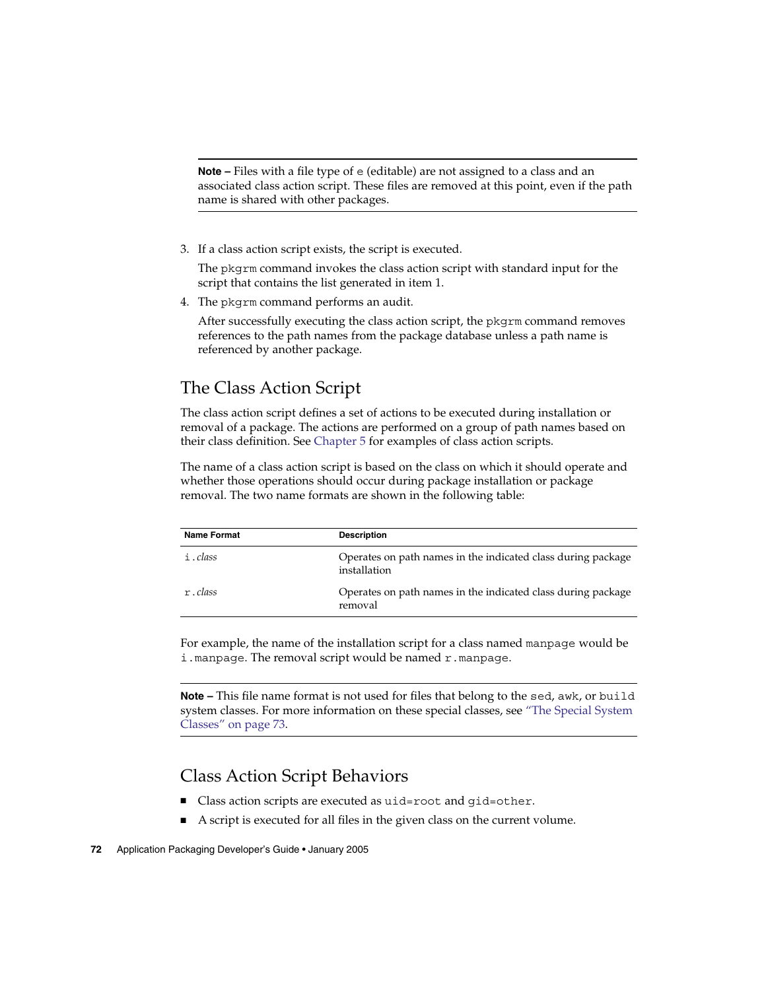**Note –** Files with a file type of e (editable) are not assigned to a class and an associated class action script. These files are removed at this point, even if the path name is shared with other packages.

3. If a class action script exists, the script is executed.

The pkgrm command invokes the class action script with standard input for the script that contains the list generated in item 1.

4. The pkgrm command performs an audit.

After successfully executing the class action script, the pkgrm command removes references to the path names from the package database unless a path name is referenced by another package.

## The Class Action Script

The class action script defines a set of actions to be executed during installation or removal of a package. The actions are performed on a group of path names based on their class definition. See [Chapter 5](#page-98-0) for examples of class action scripts.

The name of a class action script is based on the class on which it should operate and whether those operations should occur during package installation or package removal. The two name formats are shown in the following table:

| <b>Name Format</b> | <b>Description</b>                                                           |
|--------------------|------------------------------------------------------------------------------|
| i.class            | Operates on path names in the indicated class during package<br>installation |
| r.class            | Operates on path names in the indicated class during package<br>removal      |

For example, the name of the installation script for a class named manpage would be i. manpage. The removal script would be named r. manpage.

**Note –** This file name format is not used for files that belong to the sed, awk, or build system classes. For more information on these special classes, see ["The Special System](#page-72-0) Classes" [on page 73.](#page-72-0)

## Class Action Script Behaviors

- Class action scripts are executed as uid=root and gid=other.
- A script is executed for all files in the given class on the current volume.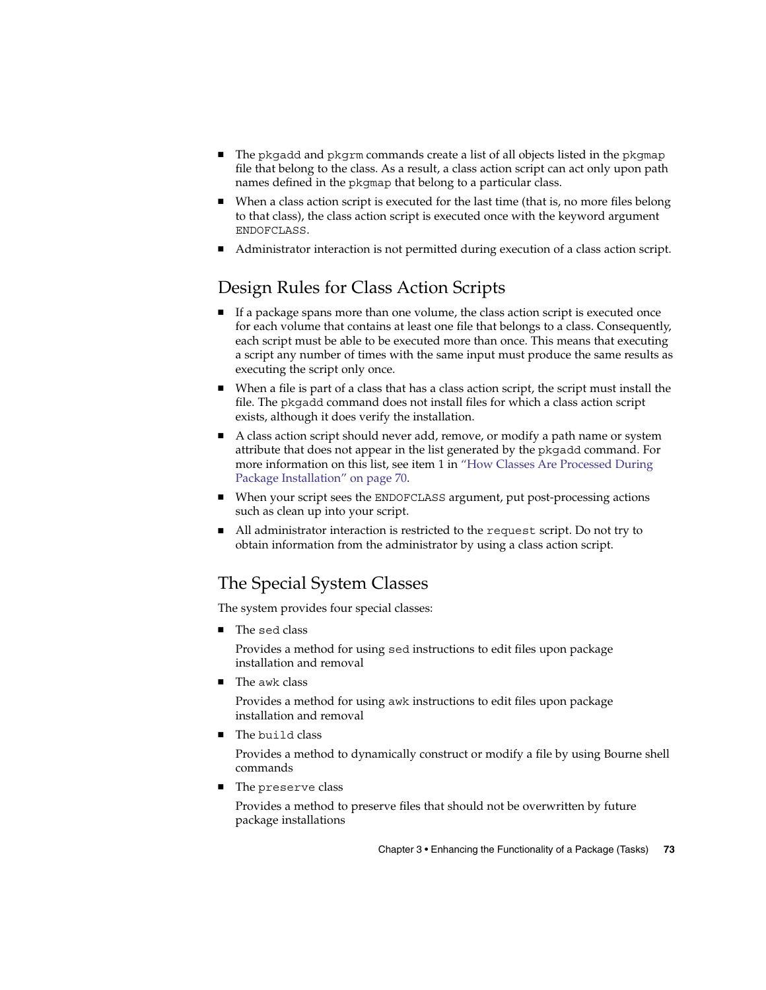- The pkgadd and pkgrm commands create a list of all objects listed in the pkgmap file that belong to the class. As a result, a class action script can act only upon path names defined in the pkgmap that belong to a particular class.
- When a class action script is executed for the last time (that is, no more files belong to that class), the class action script is executed once with the keyword argument ENDOFCLASS.
- Administrator interaction is not permitted during execution of a class action script.

## Design Rules for Class Action Scripts

- If a package spans more than one volume, the class action script is executed once for each volume that contains at least one file that belongs to a class. Consequently, each script must be able to be executed more than once. This means that executing a script any number of times with the same input must produce the same results as executing the script only once.
- When a file is part of a class that has a class action script, the script must install the file. The pkgadd command does not install files for which a class action script exists, although it does verify the installation.
- A class action script should never add, remove, or modify a path name or system attribute that does not appear in the list generated by the pkgadd command. For more information on this list, see item 1 in ["How Classes Are Processed During](#page-69-0) [Package Installation"](#page-69-0) on page 70.
- When your script sees the ENDOFCLASS argument, put post-processing actions such as clean up into your script.
- All administrator interaction is restricted to the request script. Do not try to obtain information from the administrator by using a class action script.

## The Special System Classes

The system provides four special classes:

■ The sed class

Provides a method for using sed instructions to edit files upon package installation and removal

■ The awk class

Provides a method for using awk instructions to edit files upon package installation and removal

■ The build class

Provides a method to dynamically construct or modify a file by using Bourne shell commands

■ The preserve class

Provides a method to preserve files that should not be overwritten by future package installations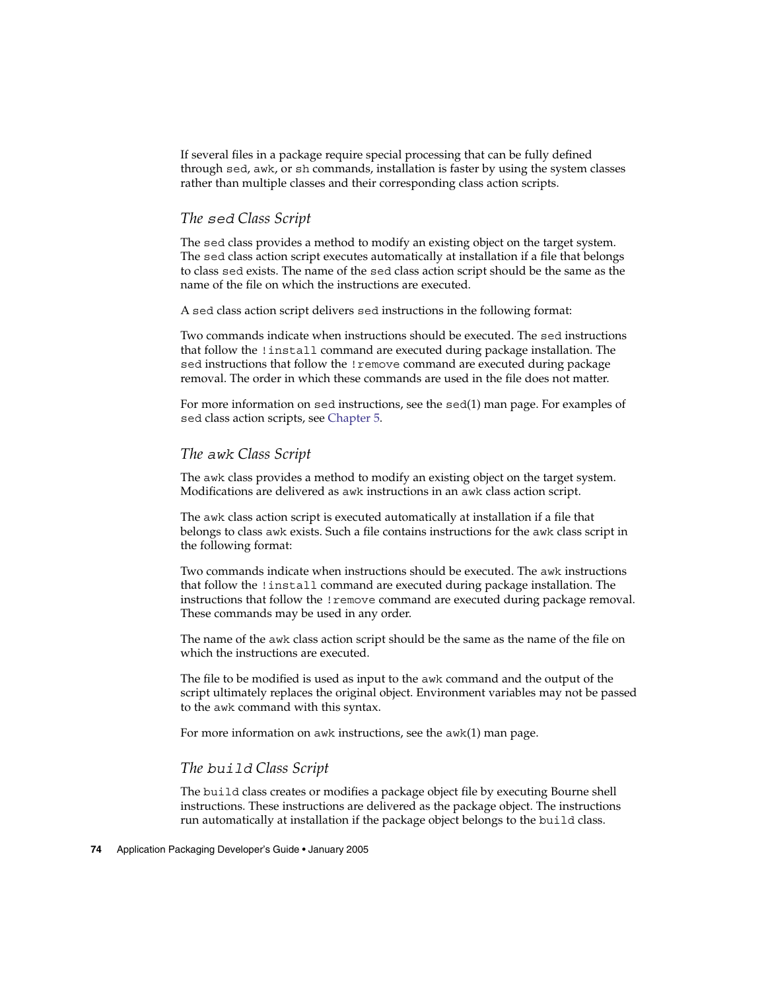If several files in a package require special processing that can be fully defined through sed, awk, or sh commands, installation is faster by using the system classes rather than multiple classes and their corresponding class action scripts.

#### *The sed Class Script*

The sed class provides a method to modify an existing object on the target system. The sed class action script executes automatically at installation if a file that belongs to class sed exists. The name of the sed class action script should be the same as the name of the file on which the instructions are executed.

A sed class action script delivers sed instructions in the following format:

Two commands indicate when instructions should be executed. The sed instructions that follow the !install command are executed during package installation. The sed instructions that follow the ! remove command are executed during package removal. The order in which these commands are used in the file does not matter.

For more information on sed instructions, see the sed(1) man page. For examples of sed class action scripts, see [Chapter 5.](#page-98-0)

#### *The awk Class Script*

The awk class provides a method to modify an existing object on the target system. Modifications are delivered as awk instructions in an awk class action script.

The awk class action script is executed automatically at installation if a file that belongs to class awk exists. Such a file contains instructions for the awk class script in the following format:

Two commands indicate when instructions should be executed. The awk instructions that follow the !install command are executed during package installation. The instructions that follow the !remove command are executed during package removal. These commands may be used in any order.

The name of the awk class action script should be the same as the name of the file on which the instructions are executed.

The file to be modified is used as input to the awk command and the output of the script ultimately replaces the original object. Environment variables may not be passed to the awk command with this syntax.

For more information on awk instructions, see the awk(1) man page.

#### *The build Class Script*

The build class creates or modifies a package object file by executing Bourne shell instructions. These instructions are delivered as the package object. The instructions run automatically at installation if the package object belongs to the build class.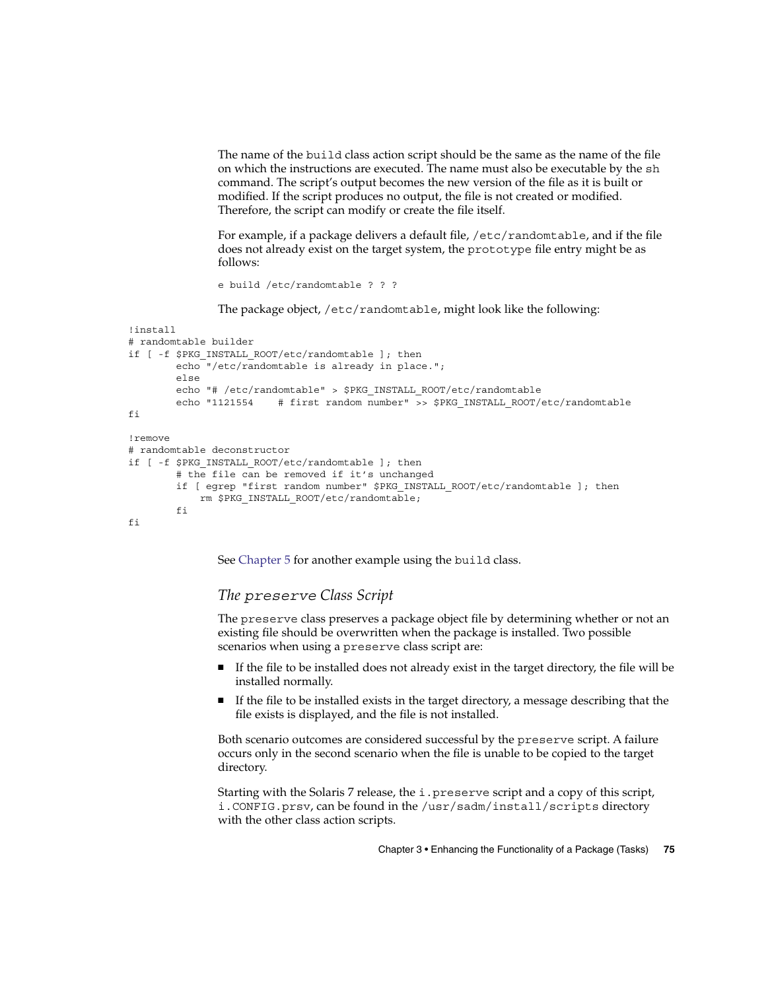The name of the build class action script should be the same as the name of the file on which the instructions are executed. The name must also be executable by the sh command. The script's output becomes the new version of the file as it is built or modified. If the script produces no output, the file is not created or modified. Therefore, the script can modify or create the file itself.

For example, if a package delivers a default file, /etc/randomtable, and if the file does not already exist on the target system, the prototype file entry might be as follows:

```
e build /etc/randomtable???
```
The package object, /etc/randomtable, might look like the following:

```
!install
# randomtable builder
if [ -f $PKG_INSTALL_ROOT/etc/randomtable ]; then
       echo "/etc/randomtable is already in place.";
        else
        echo "# /etc/randomtable" > $PKG INSTALL ROOT/etc/randomtable
        echo "1121554 # first random number" >> $PKG_INSTALL_ROOT/etc/randomtable
fi
!remove
# randomtable deconstructor
if [ -f $PKG INSTALL ROOT/etc/randomtable ]; then
        # the file can be removed if it's unchanged
        if [ egrep "first random number" $PKG_INSTALL_ROOT/etc/randomtable ]; then
           rm $PKG_INSTALL_ROOT/etc/randomtable;
        fi
fi
```
See [Chapter 5](#page-98-0) for another example using the build class.

*The preserve Class Script*

The preserve class preserves a package object file by determining whether or not an existing file should be overwritten when the package is installed. Two possible scenarios when using a preserve class script are:

- If the file to be installed does not already exist in the target directory, the file will be installed normally.
- If the file to be installed exists in the target directory, a message describing that the file exists is displayed, and the file is not installed.

Both scenario outcomes are considered successful by the preserve script. A failure occurs only in the second scenario when the file is unable to be copied to the target directory.

Starting with the Solaris 7 release, the i.preserve script and a copy of this script, i.CONFIG.prsv, can be found in the /usr/sadm/install/scripts directory with the other class action scripts.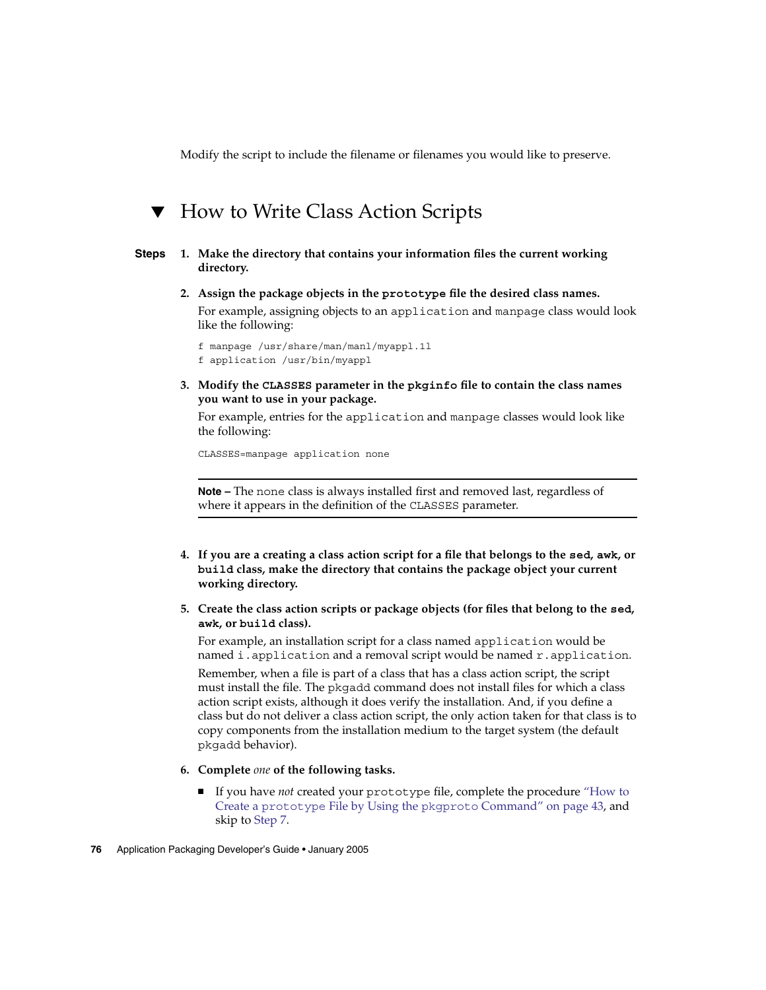Modify the script to include the filename or filenames you would like to preserve.

## ▼ How to Write Class Action Scripts

#### **1. Make the directory that contains your information files the current working directory. Steps**

**2. Assign the package objects in the prototype file the desired class names.** For example, assigning objects to an application and manpage class would look like the following:

f manpage /usr/share/man/manl/myappl.1l f application /usr/bin/myappl

**3. Modify the CLASSES parameter in the pkginfo file to contain the class names you want to use in your package.**

For example, entries for the application and manpage classes would look like the following:

CLASSES=manpage application none

**Note –** The none class is always installed first and removed last, regardless of where it appears in the definition of the CLASSES parameter.

- **4. If you are a creating a class action script for a file that belongs to the sed, awk, or build class, make the directory that contains the package object your current working directory.**
- **5. Create the class action scripts or package objects (for files that belong to the sed, awk, or build class).**

For example, an installation script for a class named application would be named i.application and a removal script would be named  $r$ .application.

Remember, when a file is part of a class that has a class action script, the script must install the file. The pkgadd command does not install files for which a class action script exists, although it does verify the installation. And, if you define a class but do not deliver a class action script, the only action taken for that class is to copy components from the installation medium to the target system (the default pkgadd behavior).

- **6. Complete** *one* **of the following tasks.**
	- If you have *not* created your prototype file, complete the procedure ["How to](#page-42-0) Create a prototype [File by Using the](#page-42-0) pkgproto Command" on page 43, and skip to [Step 7.](#page-76-0)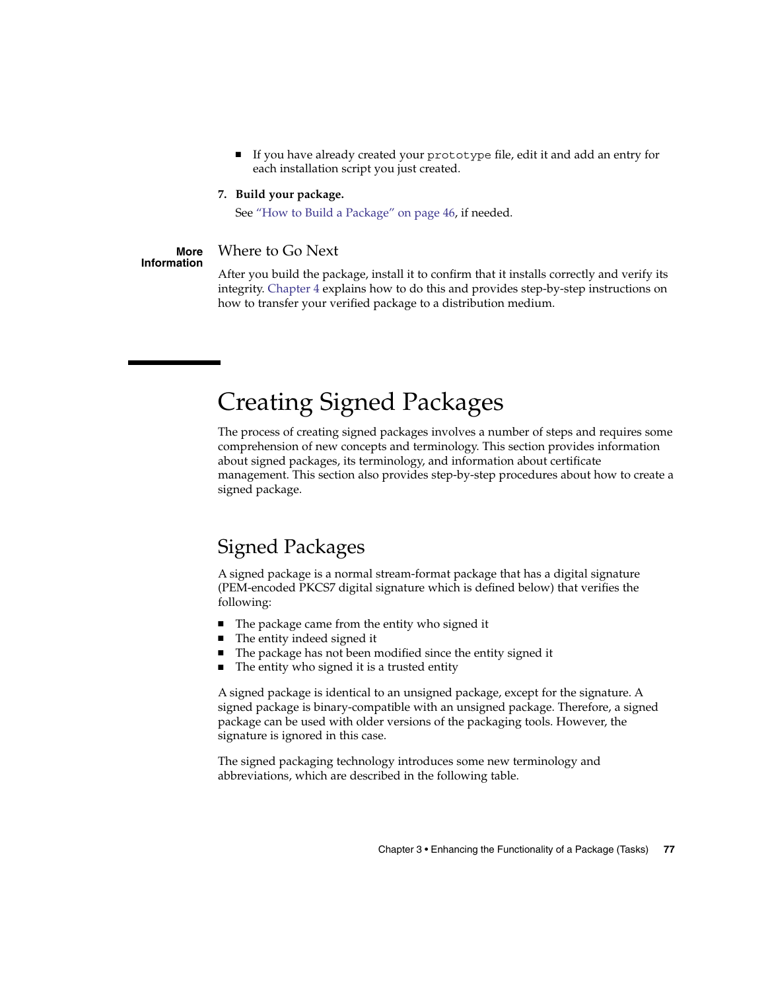<span id="page-76-0"></span>■ If you have already created your prototype file, edit it and add an entry for each installation script you just created.

#### **7. Build your package.**

See ["How to Build a Package"](#page-45-0) on page 46, if needed.

**More Information**

#### Where to Go Next

After you build the package, install it to confirm that it installs correctly and verify its integrity. [Chapter 4](#page-84-0) explains how to do this and provides step-by-step instructions on how to transfer your verified package to a distribution medium.

# Creating Signed Packages

The process of creating signed packages involves a number of steps and requires some comprehension of new concepts and terminology. This section provides information about signed packages, its terminology, and information about certificate management. This section also provides step-by-step procedures about how to create a signed package.

### Signed Packages

A signed package is a normal stream-format package that has a digital signature (PEM-encoded PKCS7 digital signature which is defined below) that verifies the following:

- The package came from the entity who signed it
- The entity indeed signed it
- The package has not been modified since the entity signed it
- The entity who signed it is a trusted entity

A signed package is identical to an unsigned package, except for the signature. A signed package is binary-compatible with an unsigned package. Therefore, a signed package can be used with older versions of the packaging tools. However, the signature is ignored in this case.

The signed packaging technology introduces some new terminology and abbreviations, which are described in the following table.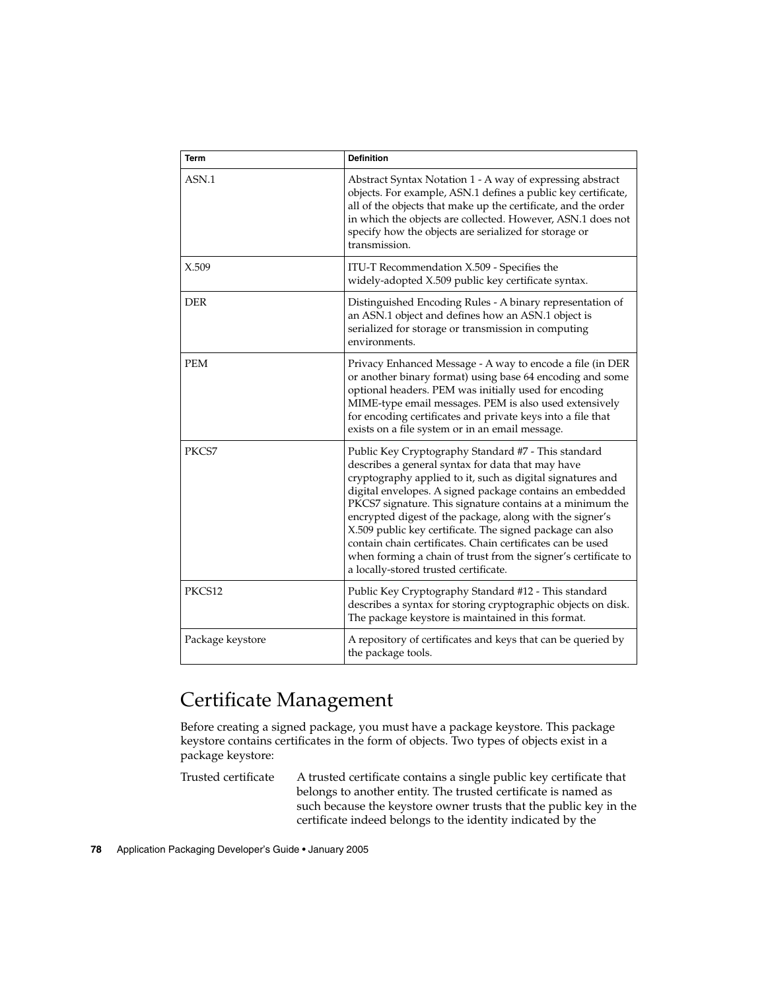| <b>Term</b>      | <b>Definition</b>                                                                                                                                                                                                                                                                                                                                                                                                                                                                                                                                                                                 |
|------------------|---------------------------------------------------------------------------------------------------------------------------------------------------------------------------------------------------------------------------------------------------------------------------------------------------------------------------------------------------------------------------------------------------------------------------------------------------------------------------------------------------------------------------------------------------------------------------------------------------|
| ASN.1            | Abstract Syntax Notation 1 - A way of expressing abstract<br>objects. For example, ASN.1 defines a public key certificate,<br>all of the objects that make up the certificate, and the order<br>in which the objects are collected. However, ASN.1 does not<br>specify how the objects are serialized for storage or<br>transmission.                                                                                                                                                                                                                                                             |
| X.509            | ITU-T Recommendation X.509 - Specifies the<br>widely-adopted X.509 public key certificate syntax.                                                                                                                                                                                                                                                                                                                                                                                                                                                                                                 |
| <b>DER</b>       | Distinguished Encoding Rules - A binary representation of<br>an ASN.1 object and defines how an ASN.1 object is<br>serialized for storage or transmission in computing<br>environments.                                                                                                                                                                                                                                                                                                                                                                                                           |
| <b>PEM</b>       | Privacy Enhanced Message - A way to encode a file (in DER<br>or another binary format) using base 64 encoding and some<br>optional headers. PEM was initially used for encoding<br>MIME-type email messages. PEM is also used extensively<br>for encoding certificates and private keys into a file that<br>exists on a file system or in an email message.                                                                                                                                                                                                                                       |
| PKCS7            | Public Key Cryptography Standard #7 - This standard<br>describes a general syntax for data that may have<br>cryptography applied to it, such as digital signatures and<br>digital envelopes. A signed package contains an embedded<br>PKCS7 signature. This signature contains at a minimum the<br>encrypted digest of the package, along with the signer's<br>X.509 public key certificate. The signed package can also<br>contain chain certificates. Chain certificates can be used<br>when forming a chain of trust from the signer's certificate to<br>a locally-stored trusted certificate. |
| PKCS12           | Public Key Cryptography Standard #12 - This standard<br>describes a syntax for storing cryptographic objects on disk.<br>The package keystore is maintained in this format.                                                                                                                                                                                                                                                                                                                                                                                                                       |
| Package keystore | A repository of certificates and keys that can be queried by<br>the package tools.                                                                                                                                                                                                                                                                                                                                                                                                                                                                                                                |

## Certificate Management

Before creating a signed package, you must have a package keystore. This package keystore contains certificates in the form of objects. Two types of objects exist in a package keystore:

Trusted certificate A trusted certificate contains a single public key certificate that belongs to another entity. The trusted certificate is named as such because the keystore owner trusts that the public key in the certificate indeed belongs to the identity indicated by the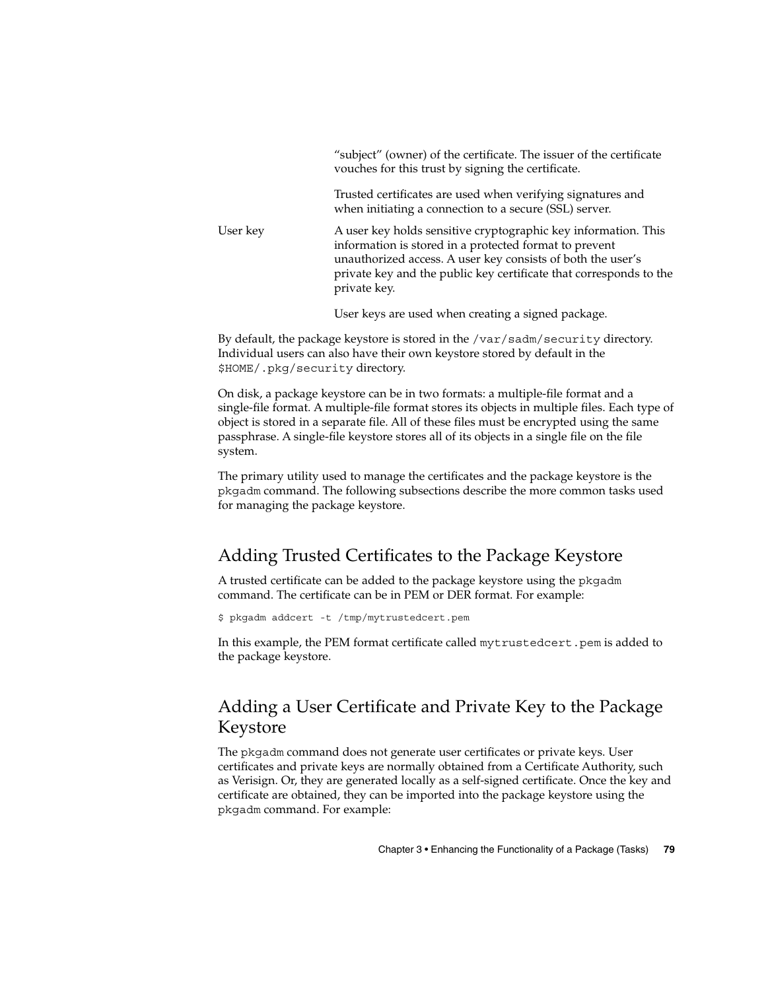"subject" (owner) of the certificate. The issuer of the certificate vouches for this trust by signing the certificate.

Trusted certificates are used when verifying signatures and when initiating a connection to a secure (SSL) server.

User key A user key holds sensitive cryptographic key information. This information is stored in a protected format to prevent unauthorized access. A user key consists of both the user's private key and the public key certificate that corresponds to the private key.

User keys are used when creating a signed package.

By default, the package keystore is stored in the /var/sadm/security directory. Individual users can also have their own keystore stored by default in the \$HOME/.pkg/security directory.

On disk, a package keystore can be in two formats: a multiple-file format and a single-file format. A multiple-file format stores its objects in multiple files. Each type of object is stored in a separate file. All of these files must be encrypted using the same passphrase. A single-file keystore stores all of its objects in a single file on the file system.

The primary utility used to manage the certificates and the package keystore is the pkgadm command. The following subsections describe the more common tasks used for managing the package keystore.

### Adding Trusted Certificates to the Package Keystore

A trusted certificate can be added to the package keystore using the pkgadm command. The certificate can be in PEM or DER format. For example:

\$ pkgadm addcert -t /tmp/mytrustedcert.pem

In this example, the PEM format certificate called mytrustedcert.pem is added to the package keystore.

### Adding a User Certificate and Private Key to the Package Keystore

The pkgadm command does not generate user certificates or private keys. User certificates and private keys are normally obtained from a Certificate Authority, such as Verisign. Or, they are generated locally as a self-signed certificate. Once the key and certificate are obtained, they can be imported into the package keystore using the pkgadm command. For example: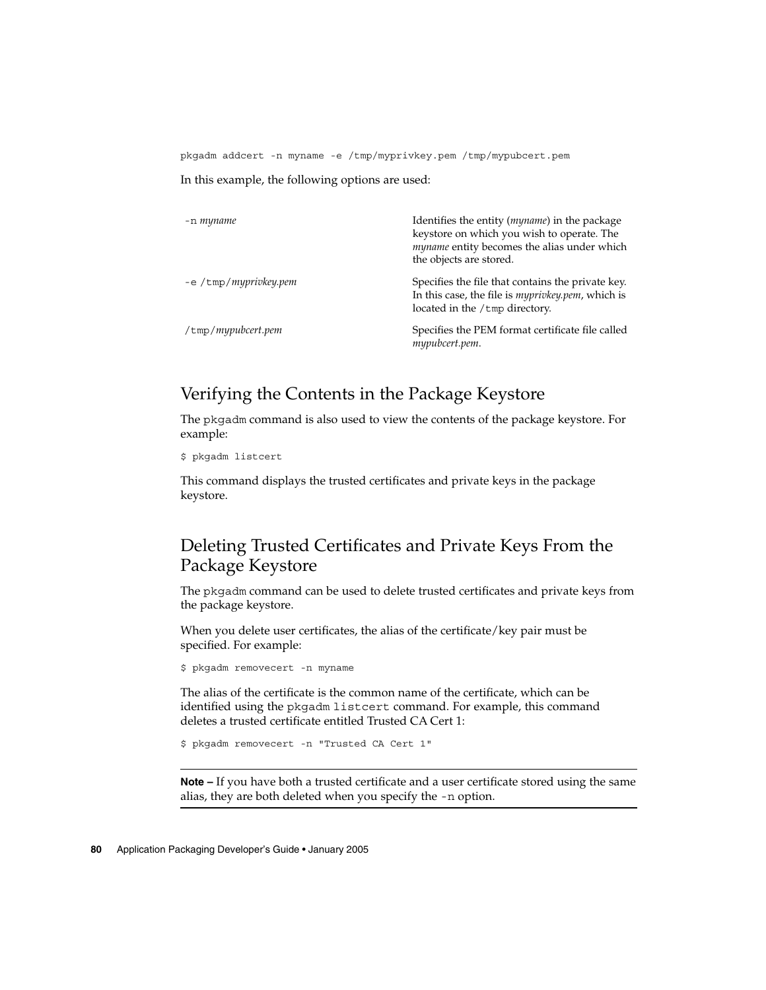pkgadm addcert -n myname -e /tmp/myprivkey.pem /tmp/mypubcert.pem

In this example, the following options are used:

| -n myname                    | Identifies the entity (myname) in the package<br>keystore on which you wish to operate. The<br><i>myname</i> entity becomes the alias under which<br>the objects are stored. |
|------------------------------|------------------------------------------------------------------------------------------------------------------------------------------------------------------------------|
| -e/tmp/ <i>myprivkey.pem</i> | Specifies the file that contains the private key.<br>In this case, the file is <i>myprivkey.pem</i> , which is<br>located in the /tmp directory.                             |
| /tmp/mypubcert.pem           | Specifies the PEM format certificate file called<br>mypubcert.pem.                                                                                                           |

### Verifying the Contents in the Package Keystore

The pkgadm command is also used to view the contents of the package keystore. For example:

\$ pkgadm listcert

This command displays the trusted certificates and private keys in the package keystore.

### Deleting Trusted Certificates and Private Keys From the Package Keystore

The pkgadm command can be used to delete trusted certificates and private keys from the package keystore.

When you delete user certificates, the alias of the certificate/key pair must be specified. For example:

\$ pkgadm removecert -n myname

The alias of the certificate is the common name of the certificate, which can be identified using the pkgadm listcert command. For example, this command deletes a trusted certificate entitled Trusted CA Cert 1:

\$ pkgadm removecert -n "Trusted CA Cert 1"

**Note –** If you have both a trusted certificate and a user certificate stored using the same alias, they are both deleted when you specify the -n option.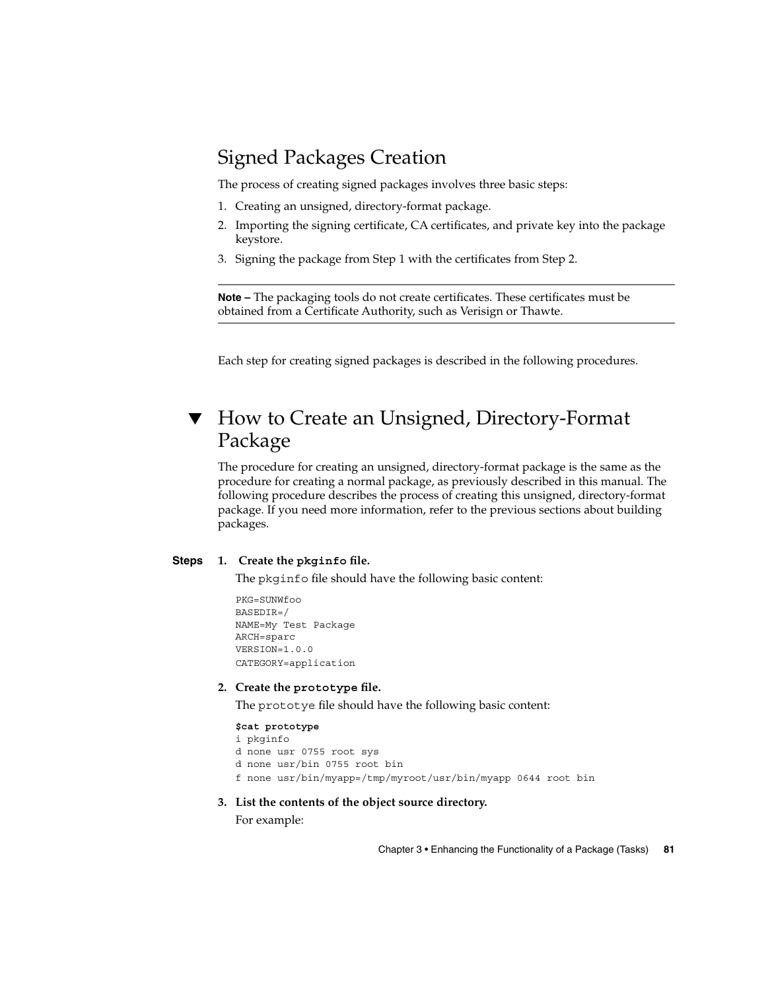## Signed Packages Creation

The process of creating signed packages involves three basic steps:

- 1. Creating an unsigned, directory-format package.
- 2. Importing the signing certificate, CA certificates, and private key into the package keystore.
- 3. Signing the package from Step 1 with the certificates from Step 2.

**Note –** The packaging tools do not create certificates. These certificates must be obtained from a Certificate Authority, such as Verisign or Thawte.

Each step for creating signed packages is described in the following procedures.

## How to Create an Unsigned, Directory-Format Package

The procedure for creating an unsigned, directory-format package is the same as the procedure for creating a normal package, as previously described in this manual. The following procedure describes the process of creating this unsigned, directory-format package. If you need more information, refer to the previous sections about building packages.

#### **1. Create the pkginfo file. Steps**

The pkginfo file should have the following basic content:

PKG=SUNWfoo BASEDIR=/ NAME=My Test Package ARCH=sparc VERSION=1.0.0 CATEGORY=application

#### **2. Create the prototype file.**

The prototye file should have the following basic content:

```
$cat prototype
i pkginfo
d none usr 0755 root sys
d none usr/bin 0755 root bin
f none usr/bin/myapp=/tmp/myroot/usr/bin/myapp 0644 root bin
```
#### **3. List the contents of the object source directory.**

For example:

Chapter 3 • Enhancing the Functionality of a Package (Tasks) **81**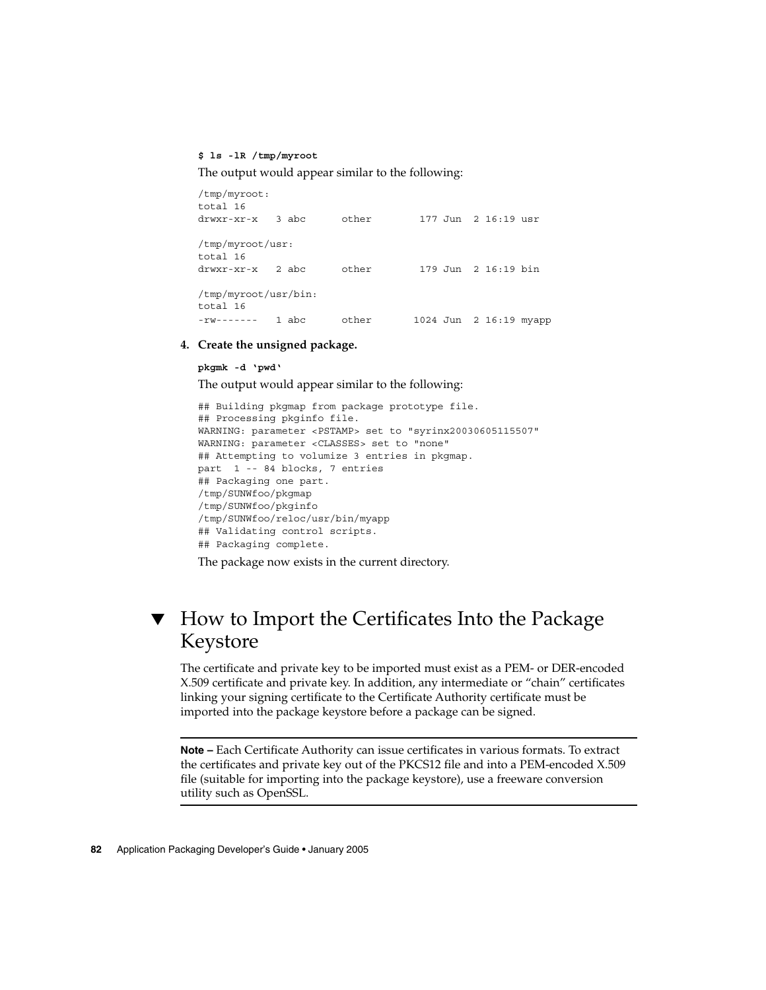#### **\$ ls -lR /tmp/myroot**

The output would appear similar to the following:

/tmp/myroot: total 16 drwxr-xr-x 3 abc other 177 Jun 2 16:19 usr /tmp/myroot/usr: total 16<br>drwxr-xr-x 2 abc other 179 Jun 2 16:19 bin /tmp/myroot/usr/bin: total 16 -rw------- 1 abc other 1024 Jun 2 16:19 myapp

#### **4. Create the unsigned package.**

**pkgmk -d 'pwd'**

The output would appear similar to the following:

```
## Building pkgmap from package prototype file.
## Processing pkginfo file.
WARNING: parameter <PSTAMP> set to "syrinx20030605115507"
WARNING: parameter <CLASSES> set to "none"
## Attempting to volumize 3 entries in pkgmap.
part 1 -- 84 blocks, 7 entries
## Packaging one part.
/tmp/SUNWfoo/pkgmap
/tmp/SUNWfoo/pkginfo
/tmp/SUNWfoo/reloc/usr/bin/myapp
## Validating control scripts.
## Packaging complete.
```
The package now exists in the current directory.

## ▼ How to Import the Certificates Into the Package Keystore

The certificate and private key to be imported must exist as a PEM- or DER-encoded X.509 certificate and private key. In addition, any intermediate or "chain" certificates linking your signing certificate to the Certificate Authority certificate must be imported into the package keystore before a package can be signed.

**Note –** Each Certificate Authority can issue certificates in various formats. To extract the certificates and private key out of the PKCS12 file and into a PEM-encoded X.509 file (suitable for importing into the package keystore), use a freeware conversion utility such as OpenSSL.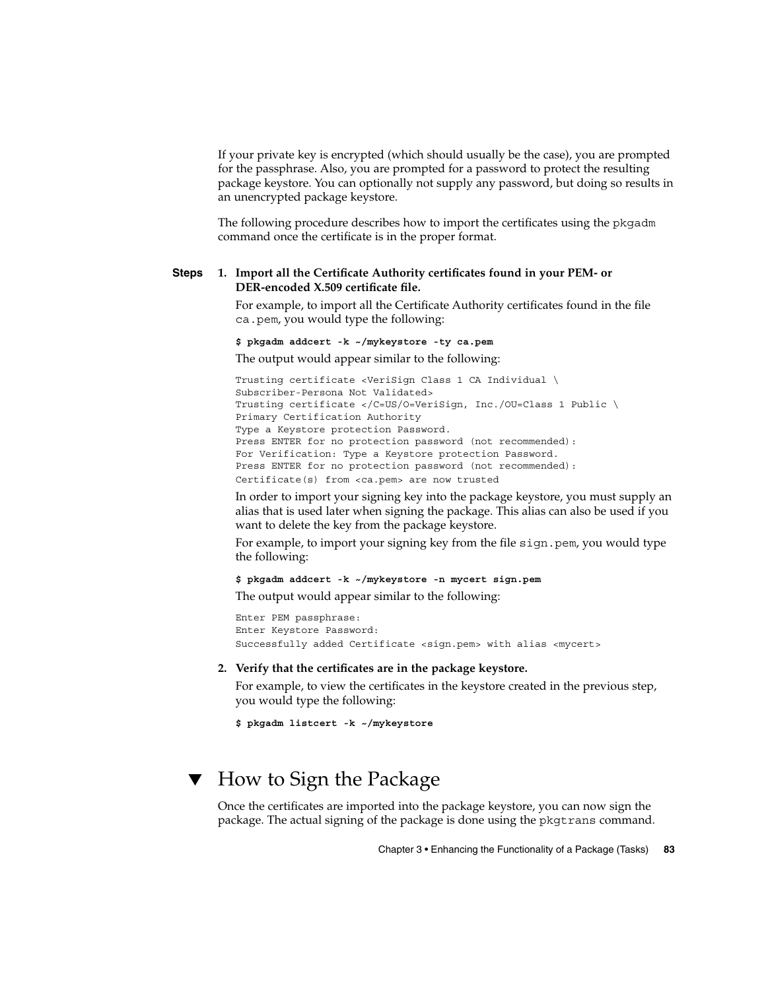If your private key is encrypted (which should usually be the case), you are prompted for the passphrase. Also, you are prompted for a password to protect the resulting package keystore. You can optionally not supply any password, but doing so results in an unencrypted package keystore.

The following procedure describes how to import the certificates using the pkgadm command once the certificate is in the proper format.

#### **1. Import all the Certificate Authority certificates found in your PEM- or DER-encoded X.509 certificate file. Steps**

For example, to import all the Certificate Authority certificates found in the file ca.pem, you would type the following:

#### **\$ pkgadm addcert -k ~/mykeystore -ty ca.pem**

The output would appear similar to the following:

Trusting certificate <VeriSign Class 1 CA Individual \ Subscriber-Persona Not Validated> Trusting certificate </C=US/O=VeriSign, Inc./OU=Class 1 Public \ Primary Certification Authority Type a Keystore protection Password. Press ENTER for no protection password (not recommended): For Verification: Type a Keystore protection Password. Press ENTER for no protection password (not recommended): Certificate(s) from <ca.pem> are now trusted

In order to import your signing key into the package keystore, you must supply an alias that is used later when signing the package. This alias can also be used if you want to delete the key from the package keystore.

For example, to import your signing key from the file sign.pem, you would type the following:

#### **\$ pkgadm addcert -k ~/mykeystore -n mycert sign.pem**

The output would appear similar to the following:

Enter PEM passphrase: Enter Keystore Password: Successfully added Certificate <sign.pem> with alias <mycert>

#### **2. Verify that the certificates are in the package keystore.**

For example, to view the certificates in the keystore created in the previous step, you would type the following:

**\$ pkgadm listcert -k ~/mykeystore**

## How to Sign the Package

Once the certificates are imported into the package keystore, you can now sign the package. The actual signing of the package is done using the pkgtrans command.

Chapter 3 • Enhancing the Functionality of a Package (Tasks) **83**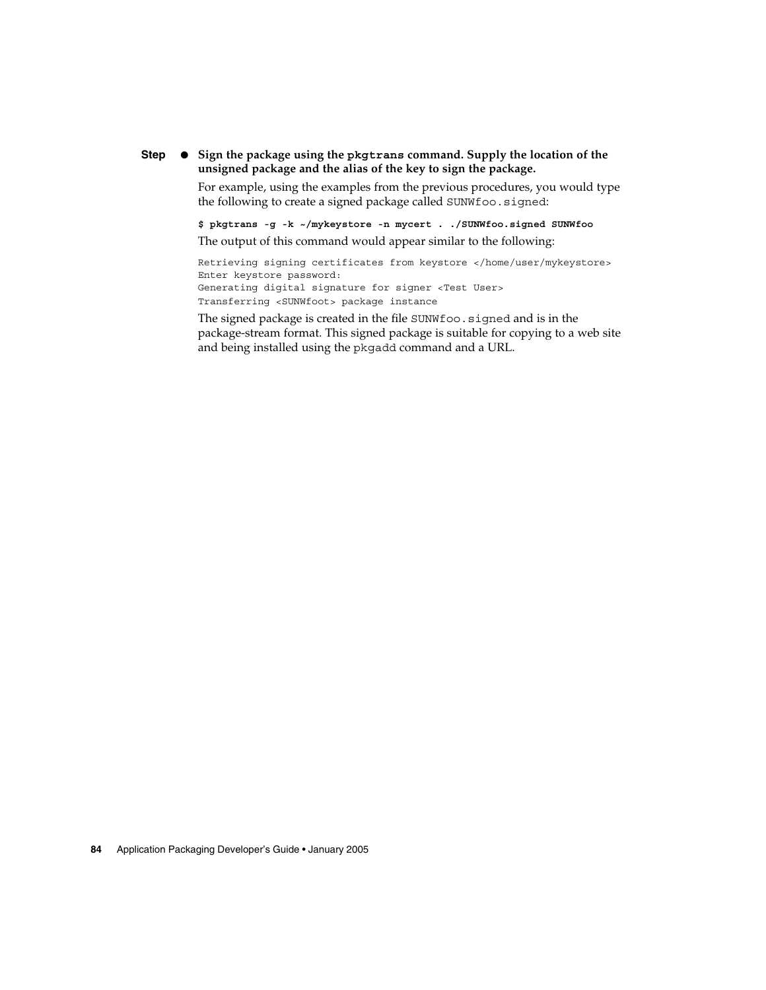#### ● **Sign the package using the pkgtrans command. Supply the location of the unsigned package and the alias of the key to sign the package. Step**

For example, using the examples from the previous procedures, you would type the following to create a signed package called SUNWfoo.signed:

**\$ pkgtrans -g -k ~/mykeystore -n mycert . ./SUNWfoo.signed SUNWfoo**

The output of this command would appear similar to the following:

Retrieving signing certificates from keystore </home/user/mykeystore> Enter keystore password: Generating digital signature for signer <Test User> Transferring <SUNWfoot> package instance

The signed package is created in the file SUNWfoo.signed and is in the package-stream format. This signed package is suitable for copying to a web site and being installed using the pkgadd command and a URL.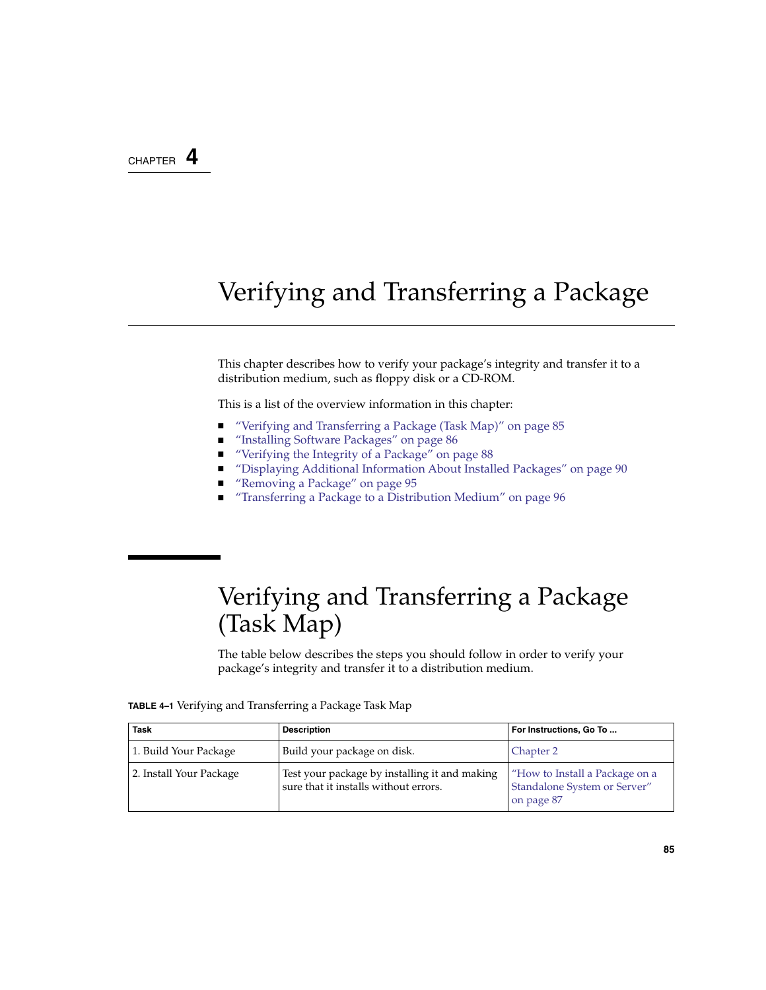### <span id="page-84-0"></span>CHAPTER **4**

# Verifying and Transferring a Package

This chapter describes how to verify your package's integrity and transfer it to a distribution medium, such as floppy disk or a CD-ROM.

This is a list of the overview information in this chapter:

- "Verifying and Transferring a Package (Task Map)" on page 85
- ["Installing Software Packages"](#page-85-0) on page 86
- ["Verifying the Integrity of a Package"](#page-87-0) on page 88
- ["Displaying Additional Information About Installed Packages"](#page-89-0) on page 90
- ["Removing a Package"](#page-94-0) on page 95
- ["Transferring a Package to a Distribution Medium"](#page-95-0) on page 96

# Verifying and Transferring a Package (Task Map)

The table below describes the steps you should follow in order to verify your package's integrity and transfer it to a distribution medium.

|  | TABLE 4-1 Verifying and Transferring a Package Task Map |  |  |  |  |  |
|--|---------------------------------------------------------|--|--|--|--|--|
|--|---------------------------------------------------------|--|--|--|--|--|

| Task                    | <b>Description</b>                                                                     | For Instructions, Go To                                                      |
|-------------------------|----------------------------------------------------------------------------------------|------------------------------------------------------------------------------|
| 1. Build Your Package   | Build your package on disk.                                                            | Chapter 2                                                                    |
| 2. Install Your Package | Test your package by installing it and making<br>sure that it installs without errors. | "How to Install a Package on a<br>Standalone System or Server"<br>on page 87 |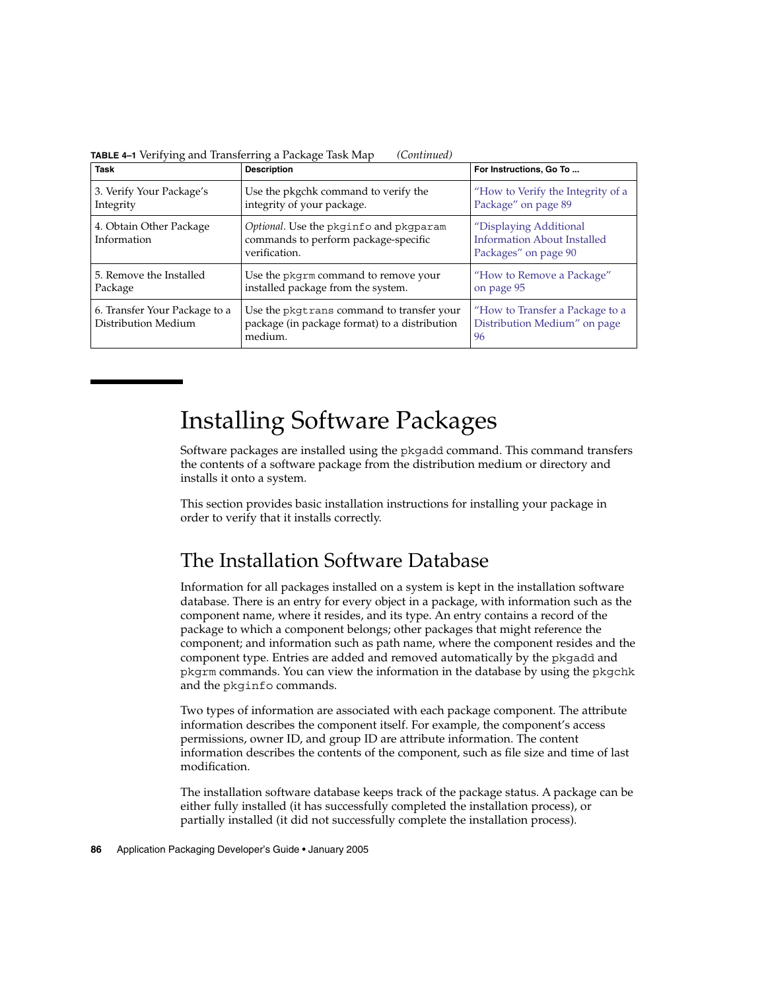<span id="page-85-0"></span>**TABLE 4–1** Verifying and Transferring a Package Task Map *(Continued)*

| Task                                                 | <b>Description</b>                                                                                    | For Instructions, Go To                                                              |
|------------------------------------------------------|-------------------------------------------------------------------------------------------------------|--------------------------------------------------------------------------------------|
| 3. Verify Your Package's<br>Integrity                | Use the pkgchk command to verify the<br>integrity of your package.                                    | "How to Verify the Integrity of a<br>Package" on page 89                             |
| 4. Obtain Other Package<br>Information               | Optional. Use the pkginfo and pkgparam<br>commands to perform package-specific<br>verification.       | "Displaying Additional<br><b>Information About Installed</b><br>Packages" on page 90 |
| 5. Remove the Installed<br>Package                   | Use the pkgrm command to remove your<br>installed package from the system.                            | "How to Remove a Package"<br>on page 95                                              |
| 6. Transfer Your Package to a<br>Distribution Medium | Use the pkgtrans command to transfer your<br>package (in package format) to a distribution<br>medium. | "How to Transfer a Package to a<br>Distribution Medium" on page<br>96                |

# Installing Software Packages

Software packages are installed using the pkgadd command. This command transfers the contents of a software package from the distribution medium or directory and installs it onto a system.

This section provides basic installation instructions for installing your package in order to verify that it installs correctly.

## The Installation Software Database

Information for all packages installed on a system is kept in the installation software database. There is an entry for every object in a package, with information such as the component name, where it resides, and its type. An entry contains a record of the package to which a component belongs; other packages that might reference the component; and information such as path name, where the component resides and the component type. Entries are added and removed automatically by the pkgadd and pkgrm commands. You can view the information in the database by using the pkgchk and the pkginfo commands.

Two types of information are associated with each package component. The attribute information describes the component itself. For example, the component's access permissions, owner ID, and group ID are attribute information. The content information describes the contents of the component, such as file size and time of last modification.

The installation software database keeps track of the package status. A package can be either fully installed (it has successfully completed the installation process), or partially installed (it did not successfully complete the installation process).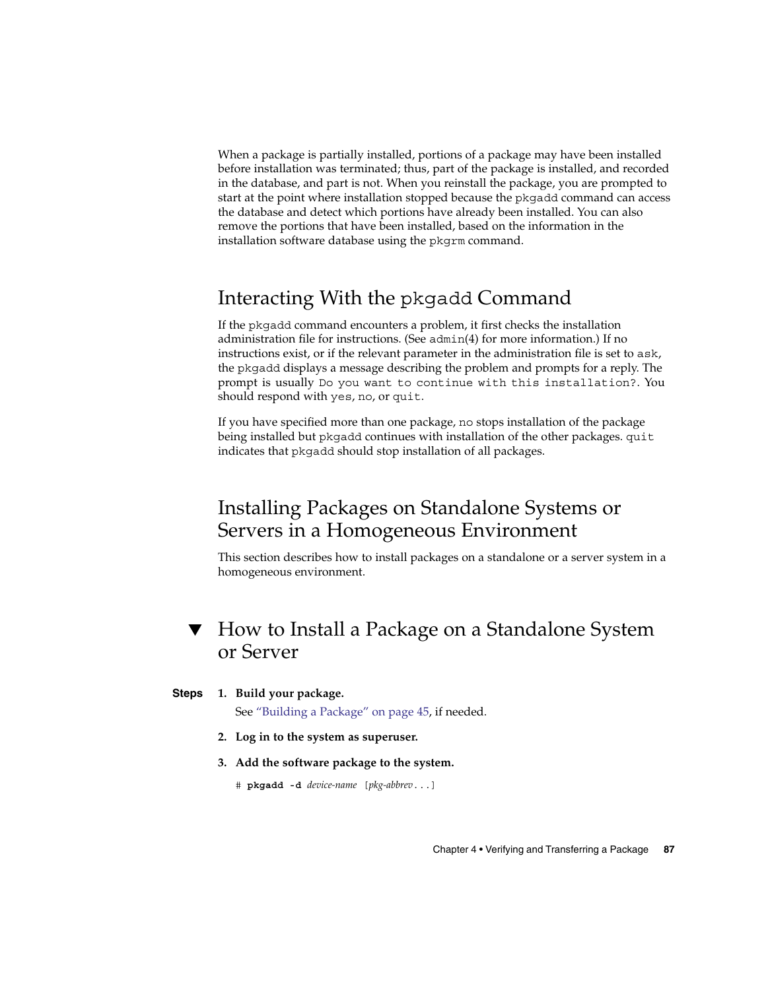<span id="page-86-0"></span>When a package is partially installed, portions of a package may have been installed before installation was terminated; thus, part of the package is installed, and recorded in the database, and part is not. When you reinstall the package, you are prompted to start at the point where installation stopped because the pkgadd command can access the database and detect which portions have already been installed. You can also remove the portions that have been installed, based on the information in the installation software database using the pkgrm command.

## Interacting With the pkgadd Command

If the pkgadd command encounters a problem, it first checks the installation administration file for instructions. (See admin(4) for more information.) If no instructions exist, or if the relevant parameter in the administration file is set to ask, the pkgadd displays a message describing the problem and prompts for a reply. The prompt is usually Do you want to continue with this installation?. You should respond with yes, no, or quit.

If you have specified more than one package, no stops installation of the package being installed but pkgadd continues with installation of the other packages. quit indicates that pkgadd should stop installation of all packages.

## Installing Packages on Standalone Systems or Servers in a Homogeneous Environment

This section describes how to install packages on a standalone or a server system in a homogeneous environment.

## ▼ How to Install a Package on a Standalone System or Server

#### **1. Build your package. Steps**

See ["Building a Package"](#page-44-0) on page 45, if needed.

- **2. Log in to the system as superuser.**
- **3. Add the software package to the system.**

```
# pkgadd -d device-name [pkg-abbrev...]
```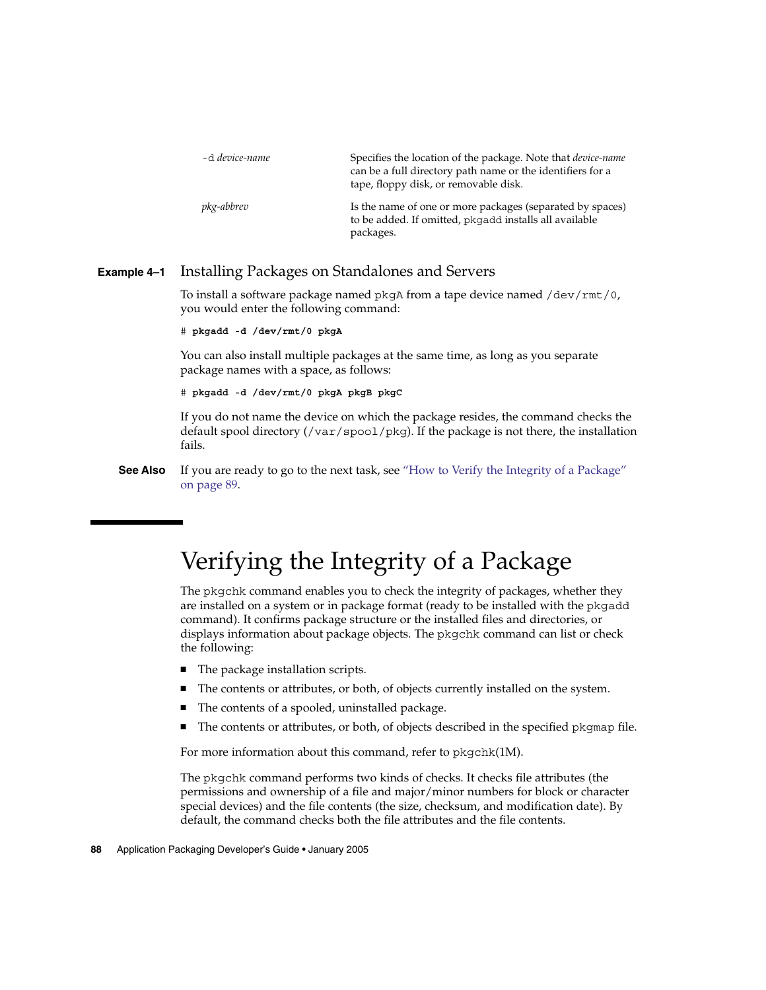<span id="page-87-0"></span>

| -d device-name | Specifies the location of the package. Note that <i>device-name</i><br>can be a full directory path name or the identifiers for a<br>tape, floppy disk, or removable disk. |
|----------------|----------------------------------------------------------------------------------------------------------------------------------------------------------------------------|
| pkg-abbrev     | Is the name of one or more packages (separated by spaces)<br>to be added. If omitted, pkgadd installs all available<br>packages.                                           |

#### Installing Packages on Standalones and Servers **Example 4–1**

To install a software package named pkgA from a tape device named /dev/rmt/0, you would enter the following command:

# **pkgadd -d /dev/rmt/0 pkgA**

You can also install multiple packages at the same time, as long as you separate package names with a space, as follows:

# **pkgadd -d /dev/rmt/0 pkgA pkgB pkgC**

If you do not name the device on which the package resides, the command checks the default spool directory (/var/spool/pkg). If the package is not there, the installation fails.

If you are ready to go to the next task, see ["How to Verify the Integrity of a Package"](#page-88-0) [on page 89.](#page-88-0) **See Also**

# Verifying the Integrity of a Package

The pkgchk command enables you to check the integrity of packages, whether they are installed on a system or in package format (ready to be installed with the pkgadd command). It confirms package structure or the installed files and directories, or displays information about package objects. The pkgchk command can list or check the following:

- The package installation scripts.
- The contents or attributes, or both, of objects currently installed on the system.
- The contents of a spooled, uninstalled package.
- The contents or attributes, or both, of objects described in the specified pkgmap file.

For more information about this command, refer to pkgchk(1M).

The pkgchk command performs two kinds of checks. It checks file attributes (the permissions and ownership of a file and major/minor numbers for block or character special devices) and the file contents (the size, checksum, and modification date). By default, the command checks both the file attributes and the file contents.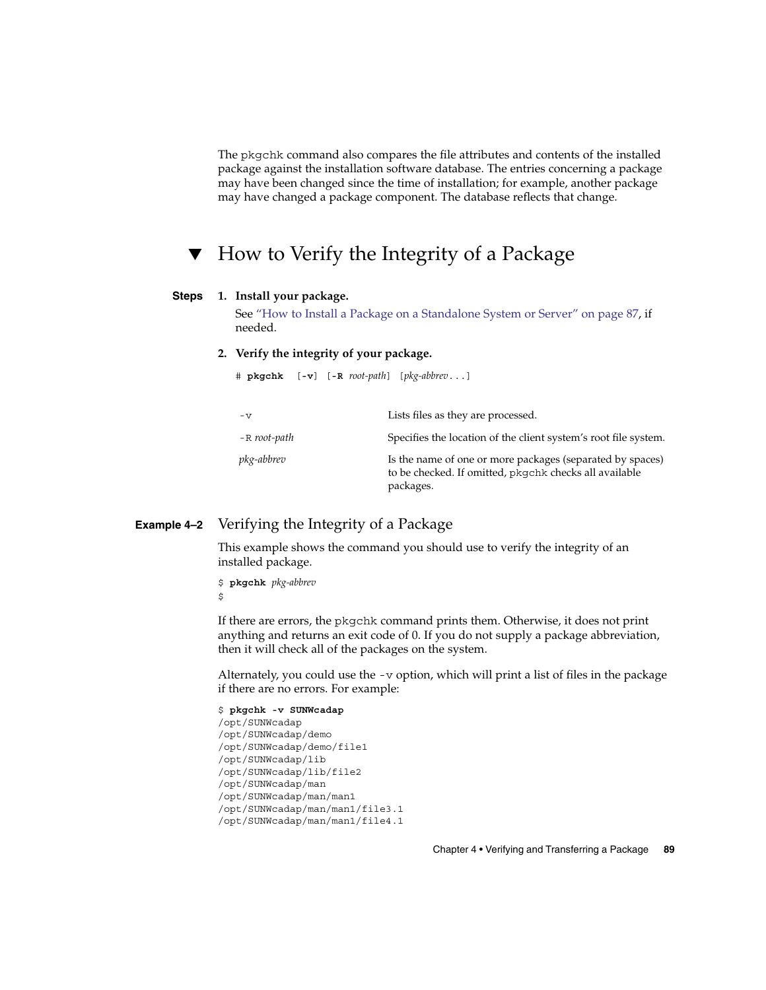<span id="page-88-0"></span>The pkgchk command also compares the file attributes and contents of the installed package against the installation software database. The entries concerning a package may have been changed since the time of installation; for example, another package may have changed a package component. The database reflects that change.

## ▼ How to Verify the Integrity of a Package

#### **1. Install your package. Steps**

See ["How to Install a Package on a Standalone System or Server"](#page-86-0) on page 87, if needed.

#### **2. Verify the integrity of your package.**

# **pkgchk** [**-v**] [**-R** *root-path*] [*pkg-abbrev*...]

| $-v$         | Lists files as they are processed.                                                                                               |
|--------------|----------------------------------------------------------------------------------------------------------------------------------|
| -R root-path | Specifies the location of the client system's root file system.                                                                  |
| pkg-abbrev   | Is the name of one or more packages (separated by spaces)<br>to be checked. If omitted, pkgchk checks all available<br>packages. |

#### Verifying the Integrity of a Package **Example 4–2**

This example shows the command you should use to verify the integrity of an installed package.

\$ **pkgchk** *pkg-abbrev*

\$

If there are errors, the pkgchk command prints them. Otherwise, it does not print anything and returns an exit code of 0. If you do not supply a package abbreviation, then it will check all of the packages on the system.

Alternately, you could use the -v option, which will print a list of files in the package if there are no errors. For example:

```
$ pkgchk -v SUNWcadap
/opt/SUNWcadap
/opt/SUNWcadap/demo
/opt/SUNWcadap/demo/file1
/opt/SUNWcadap/lib
/opt/SUNWcadap/lib/file2
/opt/SUNWcadap/man
/opt/SUNWcadap/man/man1
/opt/SUNWcadap/man/man1/file3.1
/opt/SUNWcadap/man/man1/file4.1
```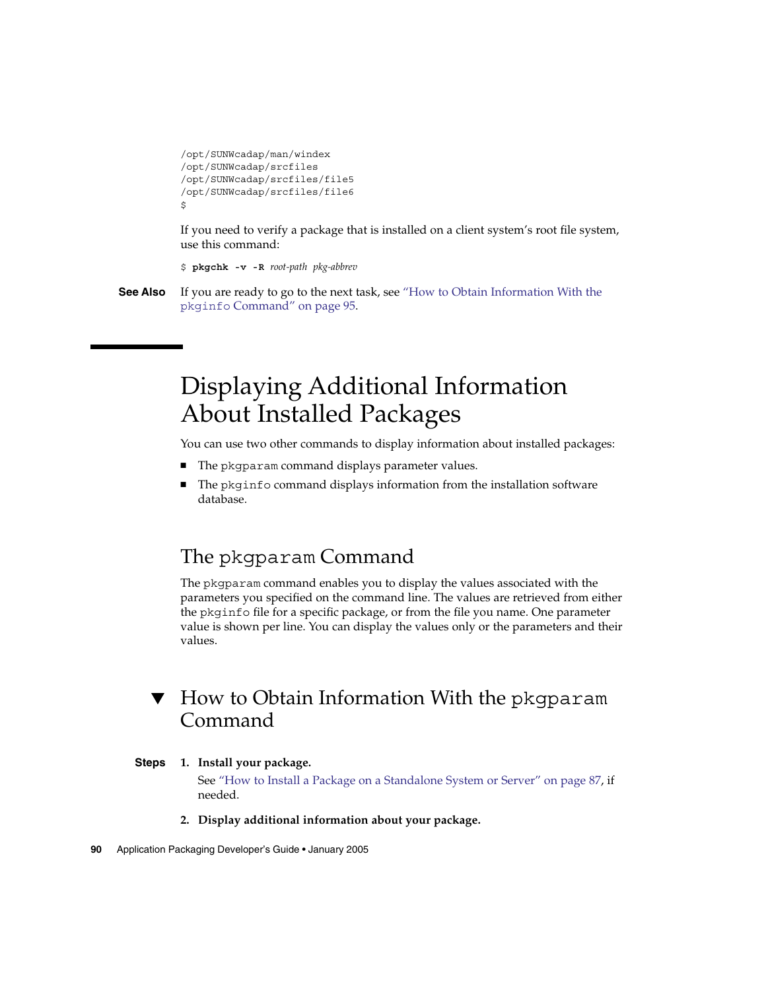```
/opt/SUNWcadap/man/windex
/opt/SUNWcadap/srcfiles
/opt/SUNWcadap/srcfiles/file5
/opt/SUNWcadap/srcfiles/file6
\ddot{\rm s}
```
If you need to verify a package that is installed on a client system's root file system, use this command:

\$ **pkgchk -v -R** *root-path pkg-abbrev*

If you are ready to go to the next task, see ["How to Obtain Information With the](#page-94-0) pkginfo [Command"](#page-94-0) on page 95. **See Also**

# Displaying Additional Information About Installed Packages

You can use two other commands to display information about installed packages:

- The pkgparam command displays parameter values.
- The pkginfo command displays information from the installation software database.

## The pkgparam Command

The pkgparam command enables you to display the values associated with the parameters you specified on the command line. The values are retrieved from either the pkginfo file for a specific package, or from the file you name. One parameter value is shown per line. You can display the values only or the parameters and their values.

## ▼ How to Obtain Information With the pkgparam Command

#### **1. Install your package. Steps**

See ["How to Install a Package on a Standalone System or Server"](#page-86-0) on page 87, if needed.

**2. Display additional information about your package.**

```
90 Application Packaging Developer's Guide • January 2005
```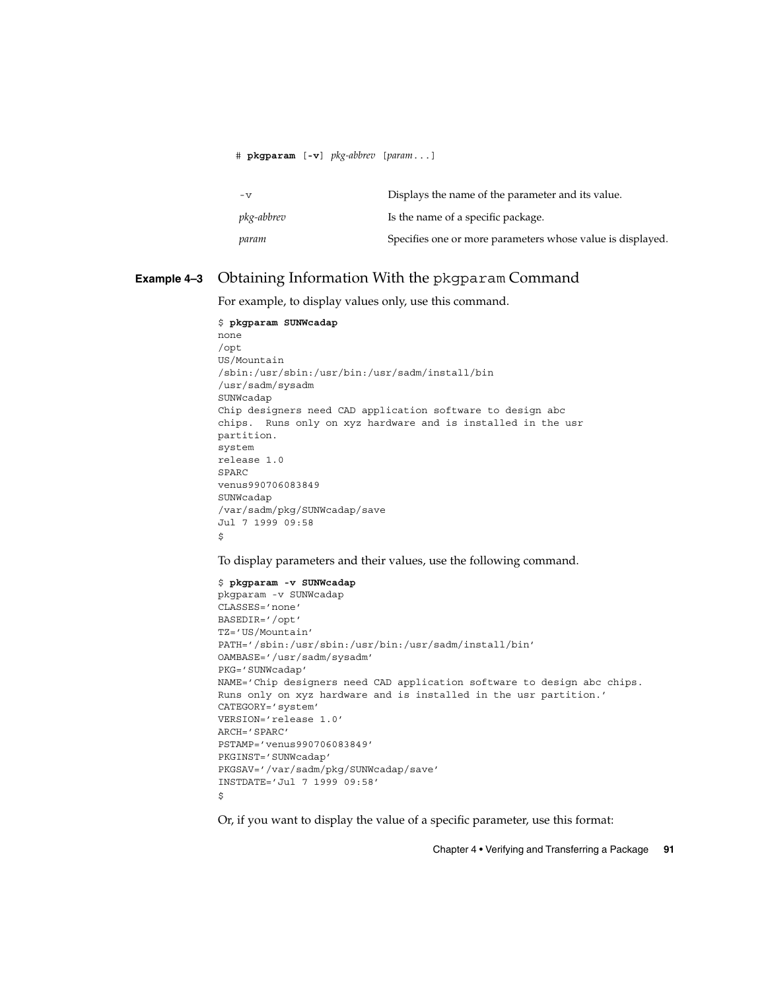# **pkgparam** [**-v**] *pkg-abbrev* [*param*...]

| $-\nabla$  | Displays the name of the parameter and its value.          |
|------------|------------------------------------------------------------|
| pkg-abbrev | Is the name of a specific package.                         |
| param      | Specifies one or more parameters whose value is displayed. |

#### Obtaining Information With the pkgparam Command **Example 4–3**

For example, to display values only, use this command.

```
$ pkgparam SUNWcadap
none
/opt
US/Mountain
/sbin:/usr/sbin:/usr/bin:/usr/sadm/install/bin
/usr/sadm/sysadm
SUNWcadap
Chip designers need CAD application software to design abc
chips. Runs only on xyz hardware and is installed in the usr
partition.
system
release 1.0
SPARC
venus990706083849
SUNWcadap
/var/sadm/pkg/SUNWcadap/save
Jul 7 1999 09:58
\mathsf{S}
```
To display parameters and their values, use the following command.

```
$ pkgparam -v SUNWcadap
pkgparam -v SUNWcadap
CLASSES='none'
BASEDIR='/opt'
TZ='US/Mountain'
PATH='/sbin:/usr/sbin:/usr/bin:/usr/sadm/install/bin'
OAMBASE='/usr/sadm/sysadm'
PKG='SUNWcadap'
NAME='Chip designers need CAD application software to design abc chips.
Runs only on xyz hardware and is installed in the usr partition.'
CATEGORY='system'
VERSION='release 1.0'
ARCH='SPARC'
PSTAMP='venus990706083849'
PKGINST='SUNWcadap'
PKGSAV='/var/sadm/pkg/SUNWcadap/save'
INSTDATE='Jul 7 1999 09:58'
$
```
Or, if you want to display the value of a specific parameter, use this format:

Chapter 4 • Verifying and Transferring a Package **91**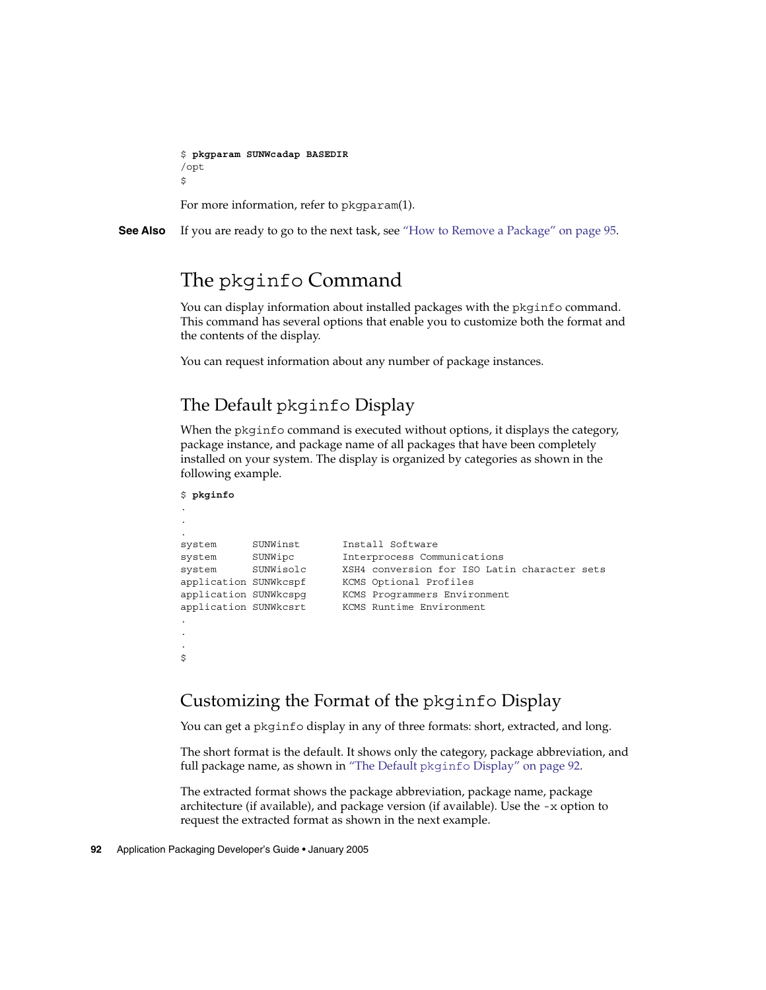```
$ pkgparam SUNWcadap BASEDIR
/opt
$
```
For more information, refer to pkgparam(1).

```
See Also
```
If you are ready to go to the next task, see ["How to Remove a Package"](#page-94-0) on page 95.

## The pkginfo Command

You can display information about installed packages with the pkginfo command. This command has several options that enable you to customize both the format and the contents of the display.

You can request information about any number of package instances.

### The Default pkginfo Display

When the pkginfo command is executed without options, it displays the category, package instance, and package name of all packages that have been completely installed on your system. The display is organized by categories as shown in the following example.

```
$ pkginfo
.
.
.
system SUNWinst Install Software
system SUNWipc Interprocess Communications
system SUNWisolc XSH4 conversion for ISO Latin character sets
application SUNWkcspf KCMS Optional Profiles
application SUNWkcspg KCMS Programmers Environment
application SUNWkcsrt KCMS Runtime Environment
.
.
.
\ddot{s}
```
### Customizing the Format of the pkginfo Display

You can get a pkginfo display in any of three formats: short, extracted, and long.

The short format is the default. It shows only the category, package abbreviation, and full package name, as shown in "The Default pkginfo Display" on page 92.

The extracted format shows the package abbreviation, package name, package architecture (if available), and package version (if available). Use the -x option to request the extracted format as shown in the next example.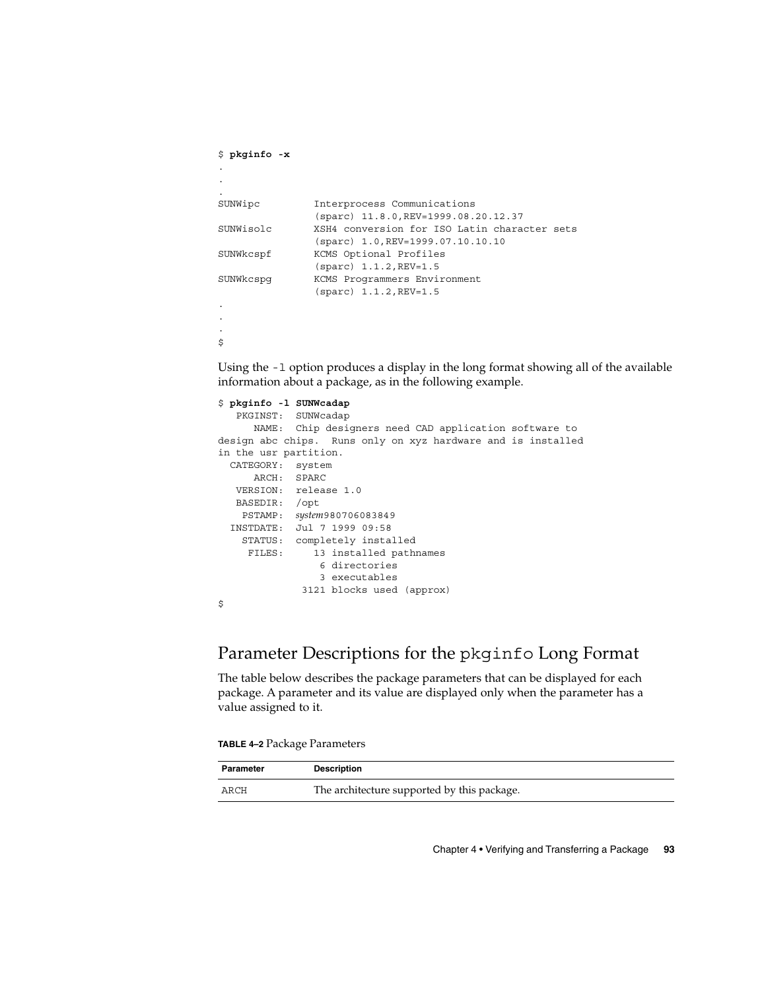```
$ pkginfo -x
.
.
.
SUNWipc Interprocess Communications
              (sparc) 11.8.0,REV=1999.08.20.12.37
SUNWisolc XSH4 conversion for ISO Latin character sets
              (sparc) 1.0,REV=1999.07.10.10.10
SUNWkcspf KCMS Optional Profiles
              (sparc) 1.1.2,REV=1.5
SUNWkcspg KCMS Programmers Environment
              (sparc) 1.1.2,REV=1.5
.
.
.
$
```
Using the -l option produces a display in the long format showing all of the available information about a package, as in the following example.

```
$ pkginfo -l SUNWcadap
   PKGINST: SUNWcadap
      NAME: Chip designers need CAD application software to
design abc chips. Runs only on xyz hardware and is installed
in the usr partition.
 CATEGORY: system
     ARCH: SPARC
  VERSION: release 1.0
  BASEDIR: /opt
    PSTAMP: system980706083849
  INSTDATE: Jul 7 1999 09:58
   STATUS: completely installed
    FILES: 13 installed pathnames
               6 directories
               3 executables
             3121 blocks used (approx)
$
```
#### Parameter Descriptions for the pkginfo Long Format

The table below describes the package parameters that can be displayed for each package. A parameter and its value are displayed only when the parameter has a value assigned to it.

**TABLE 4–2** Package Parameters

| <b>Parameter</b> | <b>Description</b>                          |
|------------------|---------------------------------------------|
| ARCH             | The architecture supported by this package. |

Chapter 4 • Verifying and Transferring a Package **93**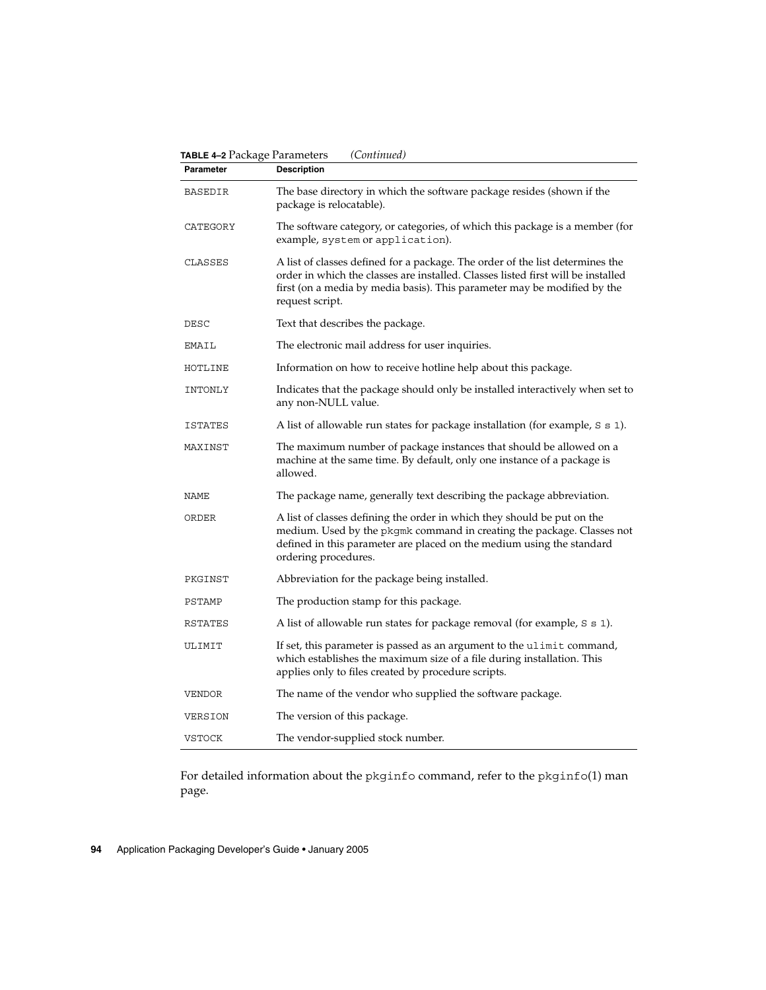| TABLE 4-2 Package Parameters | (Continued) |
|------------------------------|-------------|
|------------------------------|-------------|

| <b>Parameter</b> | <b>Description</b>                                                                                                                                                                                                                                               |
|------------------|------------------------------------------------------------------------------------------------------------------------------------------------------------------------------------------------------------------------------------------------------------------|
| BASEDIR          | The base directory in which the software package resides (shown if the<br>package is relocatable).                                                                                                                                                               |
| CATEGORY         | The software category, or categories, of which this package is a member (for<br>example, system or application).                                                                                                                                                 |
| CLASSES          | A list of classes defined for a package. The order of the list determines the<br>order in which the classes are installed. Classes listed first will be installed<br>first (on a media by media basis). This parameter may be modified by the<br>request script. |
| DESC             | Text that describes the package.                                                                                                                                                                                                                                 |
| EMAIL            | The electronic mail address for user inquiries.                                                                                                                                                                                                                  |
| HOTLINE          | Information on how to receive hotline help about this package.                                                                                                                                                                                                   |
| INTONLY          | Indicates that the package should only be installed interactively when set to<br>any non-NULL value.                                                                                                                                                             |
| <b>ISTATES</b>   | A list of allowable run states for package installation (for example, S s 1).                                                                                                                                                                                    |
| MAXINST          | The maximum number of package instances that should be allowed on a<br>machine at the same time. By default, only one instance of a package is<br>allowed.                                                                                                       |
| NAME             | The package name, generally text describing the package abbreviation.                                                                                                                                                                                            |
| ORDER            | A list of classes defining the order in which they should be put on the<br>medium. Used by the pkgmk command in creating the package. Classes not<br>defined in this parameter are placed on the medium using the standard<br>ordering procedures.               |
| PKGINST          | Abbreviation for the package being installed.                                                                                                                                                                                                                    |
| PSTAMP           | The production stamp for this package.                                                                                                                                                                                                                           |
| RSTATES          | A list of allowable run states for package removal (for example, S s 1).                                                                                                                                                                                         |
| ULIMIT           | If set, this parameter is passed as an argument to the ulimit command,<br>which establishes the maximum size of a file during installation. This<br>applies only to files created by procedure scripts.                                                          |
| VENDOR           | The name of the vendor who supplied the software package.                                                                                                                                                                                                        |
| VERSION          | The version of this package.                                                                                                                                                                                                                                     |
| VSTOCK           | The vendor-supplied stock number.                                                                                                                                                                                                                                |

For detailed information about the pkginfo command, refer to the pkginfo(1) man page.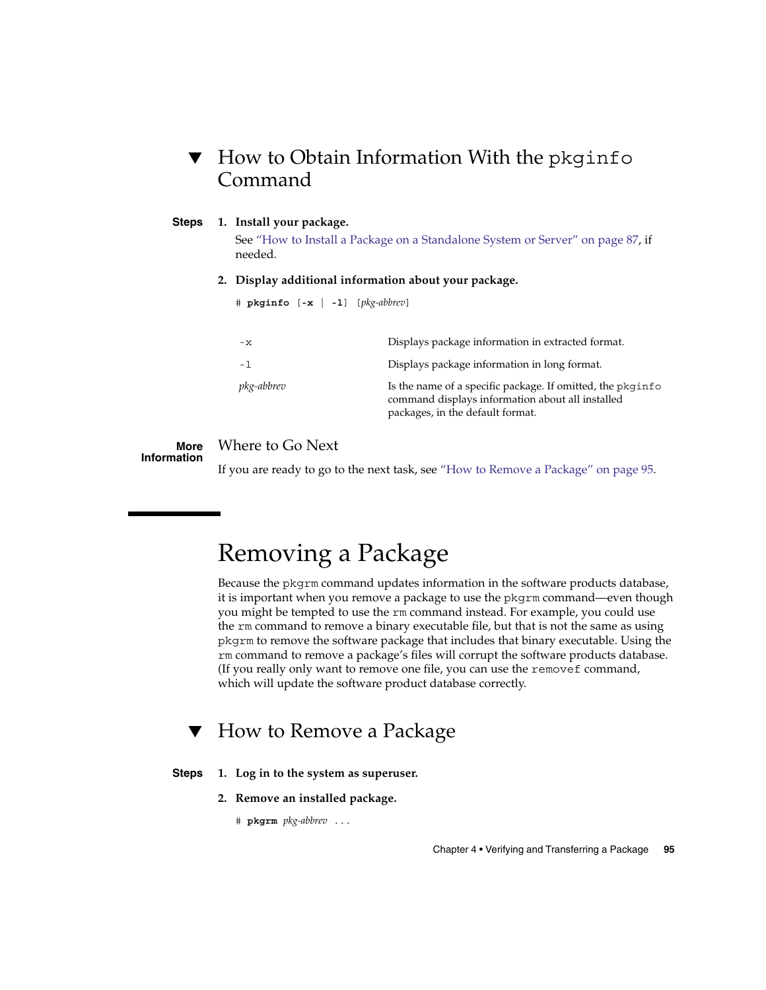## <span id="page-94-0"></span>▼ How to Obtain Information With the pkginfo Command

#### **1. Install your package. Steps**

See ["How to Install a Package on a Standalone System or Server"](#page-86-0) on page 87, if needed.

#### **2. Display additional information about your package.**

# **pkginfo** [**-x** | **-l**] [*pkg-abbrev*]

| $-x$       | Displays package information in extracted format.                                                                                                  |
|------------|----------------------------------------------------------------------------------------------------------------------------------------------------|
| $-1$       | Displays package information in long format.                                                                                                       |
| pkg-abbrev | Is the name of a specific package. If omitted, the pkginfo<br>command displays information about all installed<br>packages, in the default format. |

#### Where to Go Next **More Information**

If you are ready to go to the next task, see "How to Remove a Package" on page 95.

# Removing a Package

Because the pkgrm command updates information in the software products database, it is important when you remove a package to use the pkgrm command—even though you might be tempted to use the rm command instead. For example, you could use the rm command to remove a binary executable file, but that is not the same as using pkgrm to remove the software package that includes that binary executable. Using the rm command to remove a package's files will corrupt the software products database. (If you really only want to remove one file, you can use the removef command, which will update the software product database correctly.

## ▼ How to Remove a Package

- **1. Log in to the system as superuser. Steps**
	- **2. Remove an installed package.**
		- # **pkgrm** *pkg-abbrev* ...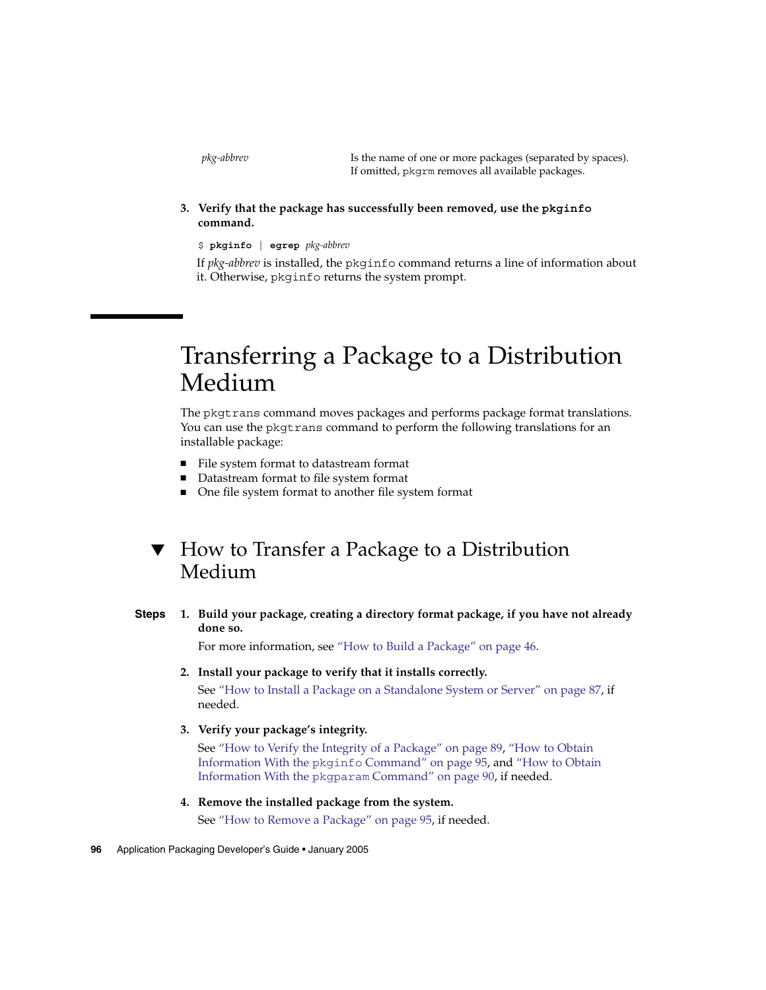<span id="page-95-0"></span>

*pkg-abbrev* Is the name of one or more packages (separated by spaces). If omitted, pkgrm removes all available packages.

#### **3. Verify that the package has successfully been removed, use the pkginfo command.**

\$ **pkginfo | egrep** *pkg-abbrev*

If *pkg-abbrev* is installed, the pkginfo command returns a line of information about it. Otherwise, pkginfo returns the system prompt.

# Transferring a Package to a Distribution Medium

The pkgtrans command moves packages and performs package format translations. You can use the pkgtrans command to perform the following translations for an installable package:

- File system format to datastream format
- Datastream format to file system format
- One file system format to another file system format

## ▼ How to Transfer a Package to a Distribution Medium

#### **1. Build your package, creating a directory format package, if you have not already done so. Steps**

For more information, see ["How to Build a Package"](#page-45-0) on page 46.

**2. Install your package to verify that it installs correctly.**

See ["How to Install a Package on a Standalone System or Server"](#page-86-0) on page 87, if needed.

#### **3. Verify your package's integrity.**

See ["How to Verify the Integrity of a Package"](#page-88-0) on page 89, ["How to Obtain](#page-94-0) [Information With the](#page-94-0) pkginfo Command" on page 95, and ["How to Obtain](#page-89-0) [Information With the](#page-89-0) pkgparam Command" on page 90, if needed.

#### **4. Remove the installed package from the system.**

See ["How to Remove a Package"](#page-94-0) on page 95, if needed.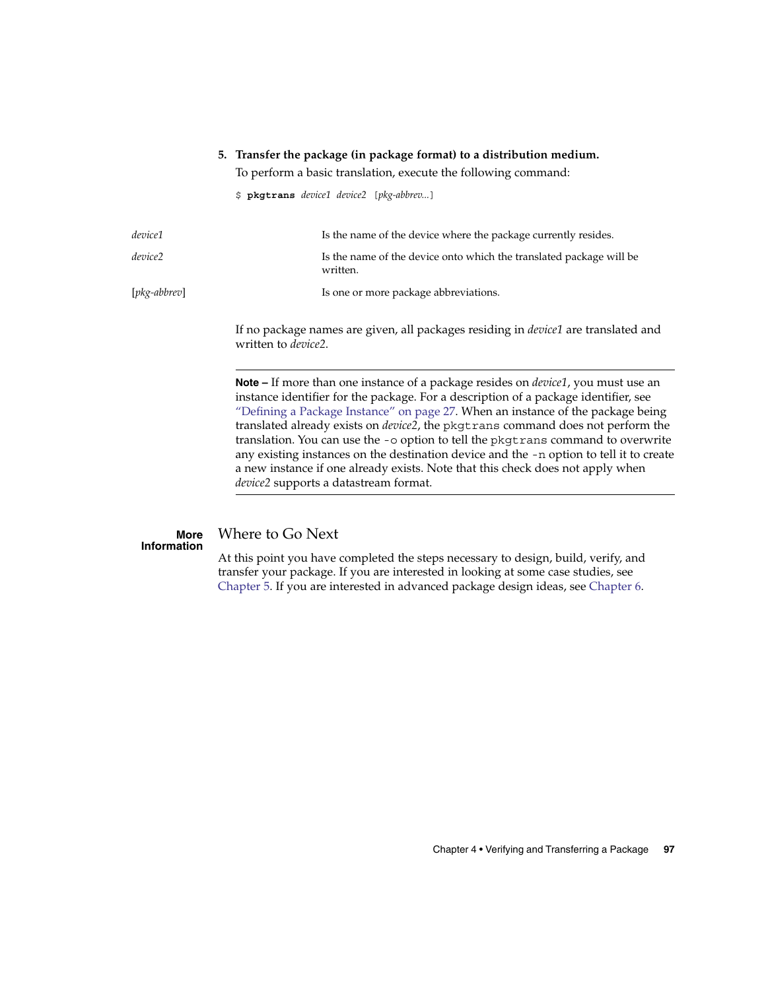#### **5. Transfer the package (in package format) to a distribution medium.**

To perform a basic translation, execute the following command:

\$ **pkgtrans** *device1 device2* [*pkg-abbrev...*]

| device1        | Is the name of the device where the package currently resides.                  |
|----------------|---------------------------------------------------------------------------------|
| device2        | Is the name of the device onto which the translated package will be<br>written. |
| $[pkg-abbrev]$ | Is one or more package abbreviations.                                           |

If no package names are given, all packages residing in *device1* are translated and written to *device2*.

**Note –** If more than one instance of a package resides on *device1*, you must use an instance identifier for the package. For a description of a package identifier, see ["Defining a Package Instance"](#page-26-0) on page 27. When an instance of the package being translated already exists on *device2*, the pkgtrans command does not perform the translation. You can use the -o option to tell the pkgtrans command to overwrite any existing instances on the destination device and the -n option to tell it to create a new instance if one already exists. Note that this check does not apply when *device2* supports a datastream format.

#### **More Information**

#### Where to Go Next

At this point you have completed the steps necessary to design, build, verify, and transfer your package. If you are interested in looking at some case studies, see [Chapter 5.](#page-98-0) If you are interested in advanced package design ideas, see [Chapter 6.](#page-126-0)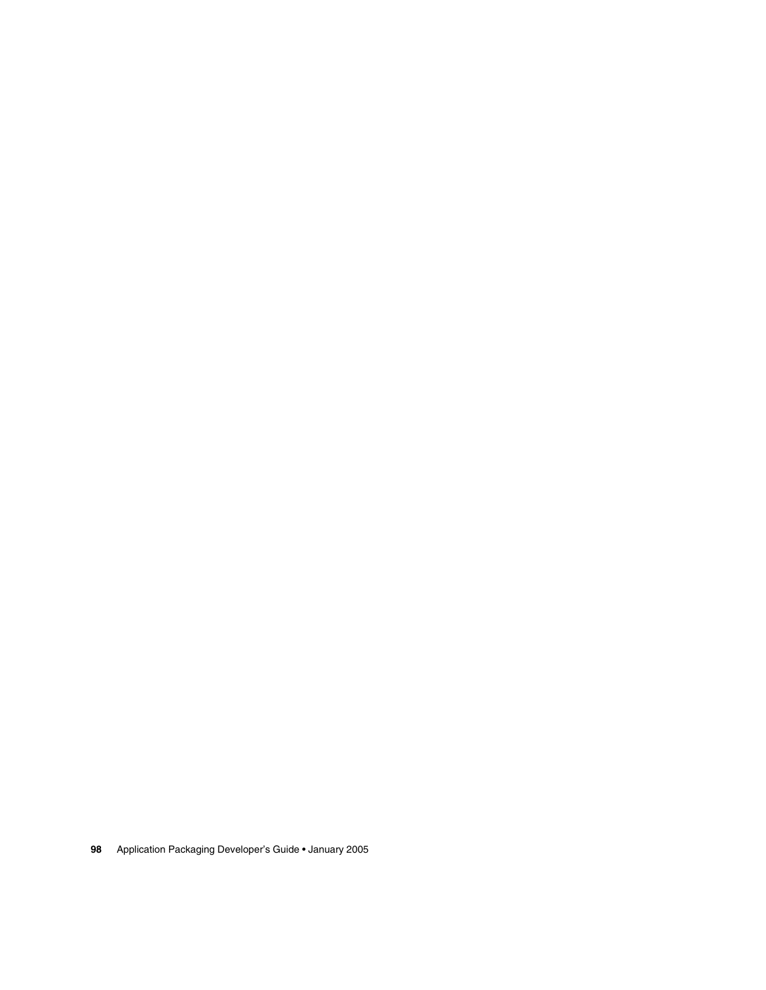Application Packaging Developer's Guide • January 2005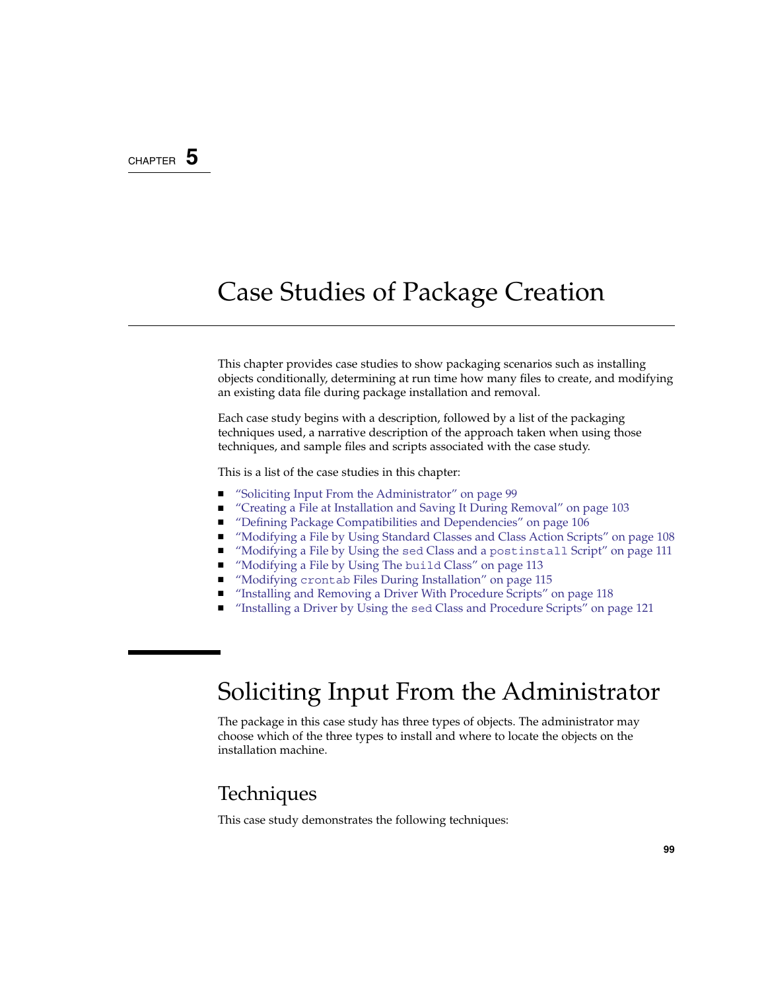#### <span id="page-98-0"></span>CHAPTER **5**

# Case Studies of Package Creation

This chapter provides case studies to show packaging scenarios such as installing objects conditionally, determining at run time how many files to create, and modifying an existing data file during package installation and removal.

Each case study begins with a description, followed by a list of the packaging techniques used, a narrative description of the approach taken when using those techniques, and sample files and scripts associated with the case study.

This is a list of the case studies in this chapter:

- "Soliciting Input From the Administrator" on page 99
- ["Creating a File at Installation and Saving It During Removal"](#page-102-0) on page 103
- ["Defining Package Compatibilities and Dependencies"](#page-105-0) on page 106
- ["Modifying a File by Using Standard Classes and Class Action Scripts"](#page-107-0) on page 108
- ["Modifying a File by Using the](#page-110-0) sed Class and a postinstall Script" on page 111
- *"*Modifying a File by Using The build Class" on page 113
- "Modifying crontab [Files During Installation"](#page-114-0) on page 115
- ["Installing and Removing a Driver With Procedure Scripts"](#page-117-0) on page 118
- ["Installing a Driver by Using the](#page-120-0) sed Class and Procedure Scripts" on page 121

# Soliciting Input From the Administrator

The package in this case study has three types of objects. The administrator may choose which of the three types to install and where to locate the objects on the installation machine.

### **Techniques**

This case study demonstrates the following techniques: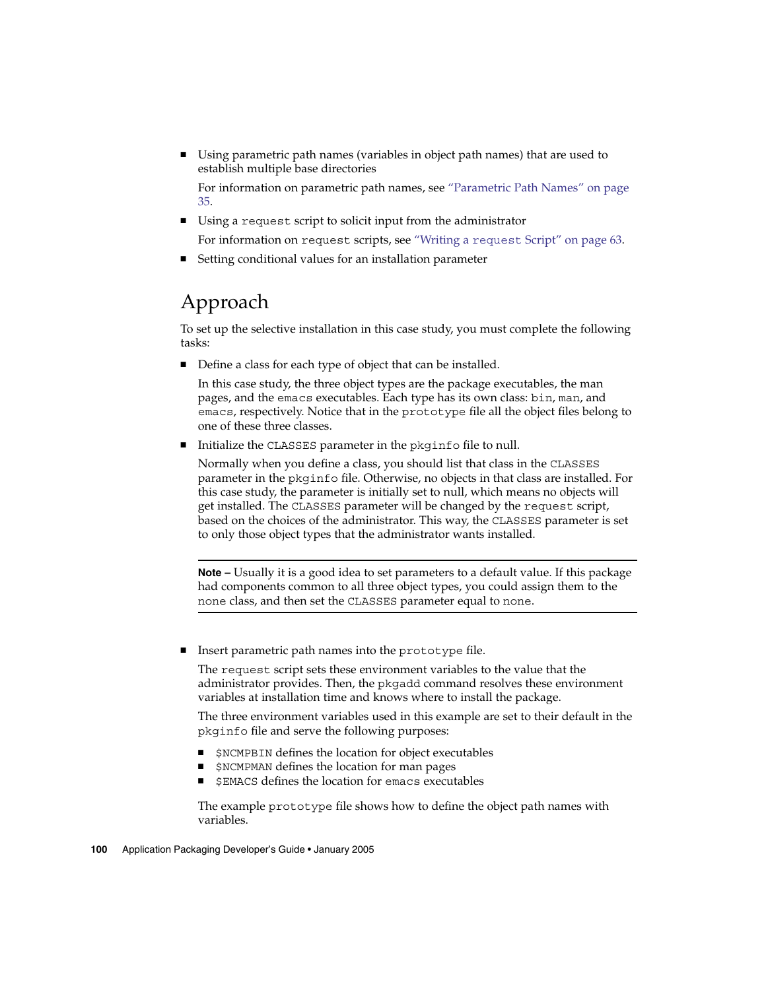■ Using parametric path names (variables in object path names) that are used to establish multiple base directories

For information on parametric path names, see ["Parametric Path Names"](#page-34-0) on page [35.](#page-34-0)

Using a request script to solicit input from the administrator

For information on request scripts, see "Writing a request Script" [on page 63.](#page-62-0)

Setting conditional values for an installation parameter

## Approach

To set up the selective installation in this case study, you must complete the following tasks:

■ Define a class for each type of object that can be installed.

In this case study, the three object types are the package executables, the man pages, and the emacs executables. Each type has its own class: bin, man, and emacs, respectively. Notice that in the prototype file all the object files belong to one of these three classes.

■ Initialize the CLASSES parameter in the pkginfo file to null.

Normally when you define a class, you should list that class in the CLASSES parameter in the pkginfo file. Otherwise, no objects in that class are installed. For this case study, the parameter is initially set to null, which means no objects will get installed. The CLASSES parameter will be changed by the request script, based on the choices of the administrator. This way, the CLASSES parameter is set to only those object types that the administrator wants installed.

**Note –** Usually it is a good idea to set parameters to a default value. If this package had components common to all three object types, you could assign them to the none class, and then set the CLASSES parameter equal to none.

Insert parametric path names into the prototype file.

The request script sets these environment variables to the value that the administrator provides. Then, the pkgadd command resolves these environment variables at installation time and knows where to install the package.

The three environment variables used in this example are set to their default in the pkginfo file and serve the following purposes:

- \$NCMPBIN defines the location for object executables
- \$NCMPMAN defines the location for man pages
- \$EMACS defines the location for emacs executables

The example prototype file shows how to define the object path names with variables.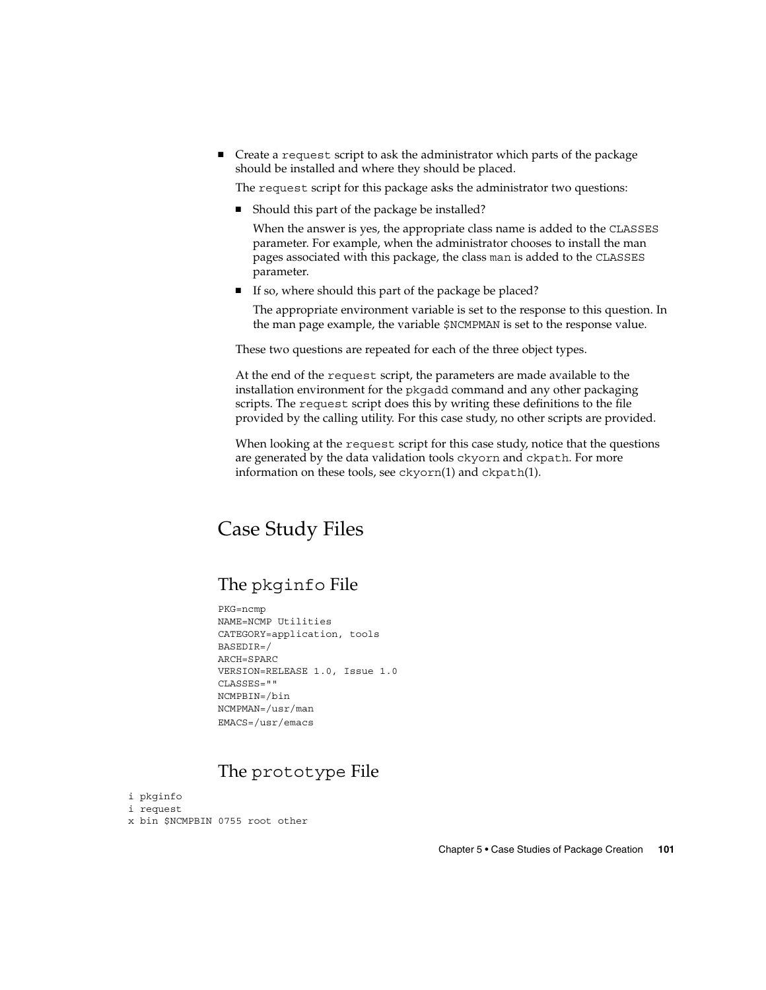■ Create a request script to ask the administrator which parts of the package should be installed and where they should be placed.

The request script for this package asks the administrator two questions:

■ Should this part of the package be installed?

When the answer is yes, the appropriate class name is added to the CLASSES parameter. For example, when the administrator chooses to install the man pages associated with this package, the class man is added to the CLASSES parameter.

■ If so, where should this part of the package be placed?

The appropriate environment variable is set to the response to this question. In the man page example, the variable \$NCMPMAN is set to the response value.

These two questions are repeated for each of the three object types.

At the end of the request script, the parameters are made available to the installation environment for the pkgadd command and any other packaging scripts. The request script does this by writing these definitions to the file provided by the calling utility. For this case study, no other scripts are provided.

When looking at the request script for this case study, notice that the questions are generated by the data validation tools ckyorn and ckpath. For more information on these tools, see ckyorn(1) and ckpath(1).

### Case Study Files

#### The pkginfo File

PKG=ncmp NAME=NCMP Utilities CATEGORY=application, tools BASEDIR=/ ARCH=SPARC VERSION=RELEASE 1.0, Issue 1.0 CLASSES="" NCMPBIN=/bin NCMPMAN=/usr/man EMACS=/usr/emacs

#### The prototype File

i pkginfo i request x bin \$NCMPBIN 0755 root other

Chapter 5 • Case Studies of Package Creation **101**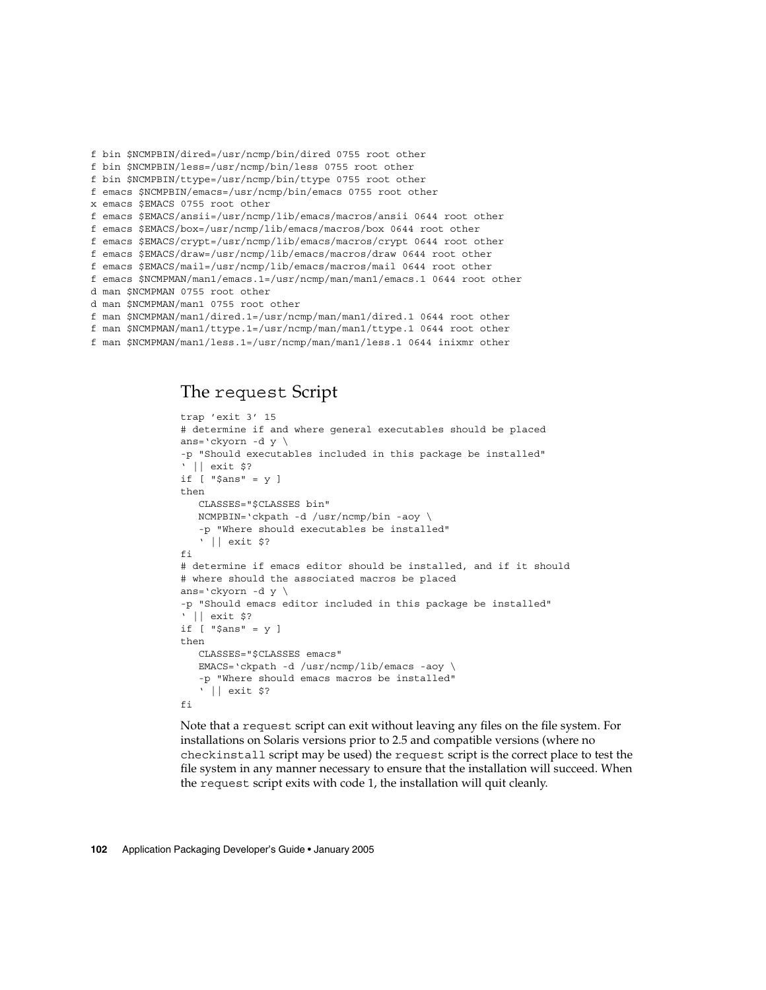```
f bin $NCMPBIN/dired=/usr/ncmp/bin/dired 0755 root other
f bin $NCMPBIN/less=/usr/ncmp/bin/less 0755 root other
f bin $NCMPBIN/ttype=/usr/ncmp/bin/ttype 0755 root other
f emacs $NCMPBIN/emacs=/usr/ncmp/bin/emacs 0755 root other
x emacs $EMACS 0755 root other
f emacs $EMACS/ansii=/usr/ncmp/lib/emacs/macros/ansii 0644 root other
f emacs $EMACS/box=/usr/ncmp/lib/emacs/macros/box 0644 root other
f emacs $EMACS/crypt=/usr/ncmp/lib/emacs/macros/crypt 0644 root other
f emacs $EMACS/draw=/usr/ncmp/lib/emacs/macros/draw 0644 root other
f emacs $EMACS/mail=/usr/ncmp/lib/emacs/macros/mail 0644 root other
f emacs $NCMPMAN/man1/emacs.1=/usr/ncmp/man/man1/emacs.1 0644 root other
d man $NCMPMAN 0755 root other
d man $NCMPMAN/man1 0755 root other
f man $NCMPMAN/man1/dired.1=/usr/ncmp/man/man1/dired.1 0644 root other
f man $NCMPMAN/man1/ttype.1=/usr/ncmp/man/man1/ttype.1 0644 root other
```
#### f man \$NCMPMAN/man1/less.1=/usr/ncmp/man/man1/less.1 0644 inixmr other

#### The request Script

```
trap 'exit 3' 15
# determine if and where general executables should be placed
ans='ckyorn -d y \
-p "Should executables included in this package be installed"
' || exit $?
if [ "\sin s" = y ]
then
  CLASSES="$CLASSES bin"
  NCMPBIN='ckpath -d /usr/ncmp/bin -aoy \
   -p "Where should executables be installed"
    || exit $?
fi
# determine if emacs editor should be installed, and if it should
# where should the associated macros be placed
ans='ckyorn -d y \
-p "Should emacs editor included in this package be installed"
' || exit $?
if [ "\frac{2}{3}ans" = \frac{1}{2} ]
then
   CLASSES="$CLASSES emacs"
   EMACS='ckpath -d /usr/ncmp/lib/emacs -aoy \
   -p "Where should emacs macros be installed"
   ' || exit $?
f_i
```
Note that a request script can exit without leaving any files on the file system. For installations on Solaris versions prior to 2.5 and compatible versions (where no checkinstall script may be used) the request script is the correct place to test the file system in any manner necessary to ensure that the installation will succeed. When the request script exits with code 1, the installation will quit cleanly.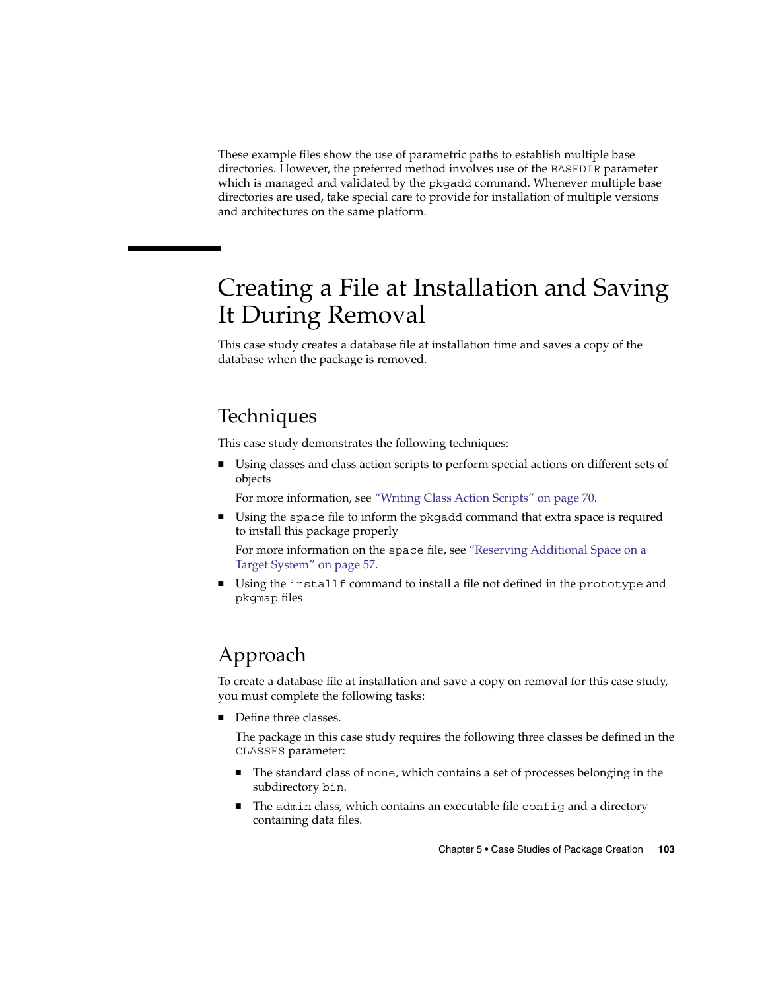<span id="page-102-0"></span>These example files show the use of parametric paths to establish multiple base directories. However, the preferred method involves use of the BASEDIR parameter which is managed and validated by the pkgadd command. Whenever multiple base directories are used, take special care to provide for installation of multiple versions and architectures on the same platform.

# Creating a File at Installation and Saving It During Removal

This case study creates a database file at installation time and saves a copy of the database when the package is removed.

## **Techniques**

This case study demonstrates the following techniques:

■ Using classes and class action scripts to perform special actions on different sets of objects

For more information, see ["Writing Class Action Scripts"](#page-69-0) on page 70.

■ Using the space file to inform the pkgadd command that extra space is required to install this package properly

For more information on the space file, see ["Reserving Additional Space on a](#page-56-0) [Target System"](#page-56-0) on page 57.

■ Using the installf command to install a file not defined in the prototype and pkgmap files

## Approach

To create a database file at installation and save a copy on removal for this case study, you must complete the following tasks:

Define three classes.

The package in this case study requires the following three classes be defined in the CLASSES parameter:

- The standard class of none, which contains a set of processes belonging in the subdirectory bin.
- The admin class, which contains an executable file config and a directory containing data files.

Chapter 5 • Case Studies of Package Creation **103**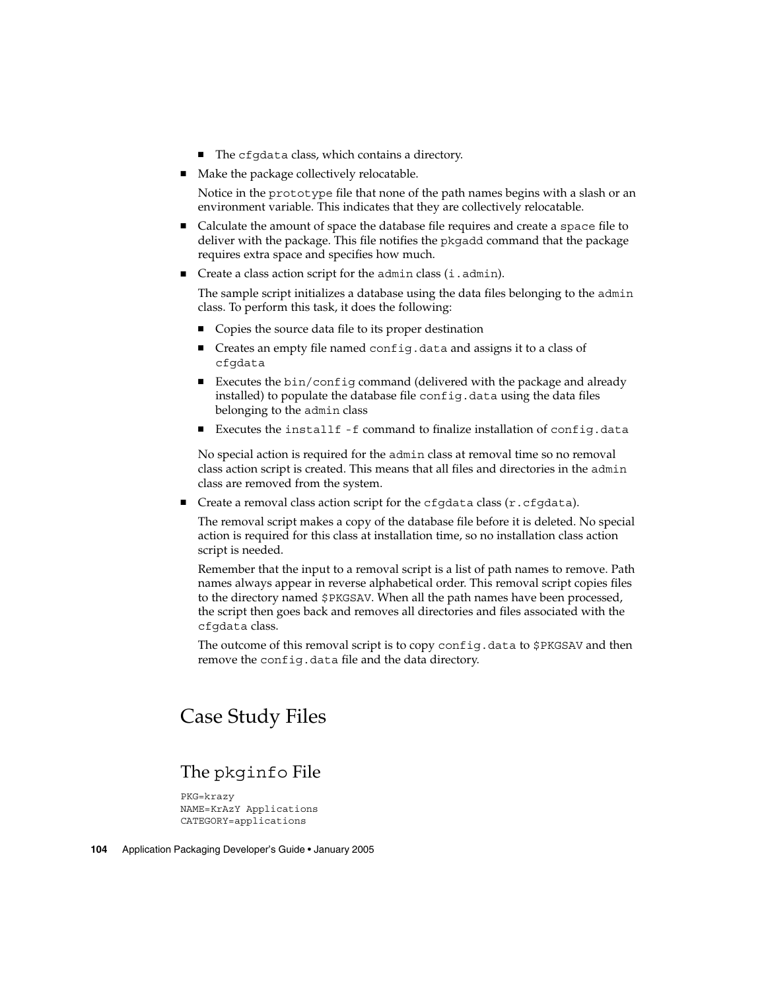- The cfgdata class, which contains a directory.
- Make the package collectively relocatable.

Notice in the prototype file that none of the path names begins with a slash or an environment variable. This indicates that they are collectively relocatable.

- Calculate the amount of space the database file requires and create a space file to deliver with the package. This file notifies the pkgadd command that the package requires extra space and specifies how much.
- Create a class action script for the admin class (i.admin).

The sample script initializes a database using the data files belonging to the admin class. To perform this task, it does the following:

- Copies the source data file to its proper destination
- Creates an empty file named config.data and assigns it to a class of cfgdata
- Executes the  $bin/conf$  iq command (delivered with the package and already installed) to populate the database file config.data using the data files belonging to the admin class
- Executes the installf -f command to finalize installation of config.data

No special action is required for the admin class at removal time so no removal class action script is created. This means that all files and directories in the admin class are removed from the system.

Create a removal class action script for the cfgdata class  $(r.cfgdata)$ .

The removal script makes a copy of the database file before it is deleted. No special action is required for this class at installation time, so no installation class action script is needed.

Remember that the input to a removal script is a list of path names to remove. Path names always appear in reverse alphabetical order. This removal script copies files to the directory named \$PKGSAV. When all the path names have been processed, the script then goes back and removes all directories and files associated with the cfgdata class.

The outcome of this removal script is to copy config.data to \$PKGSAV and then remove the config.data file and the data directory.

### Case Study Files

#### The pkginfo File

PKG=krazy NAME=KrAzY Applications CATEGORY=applications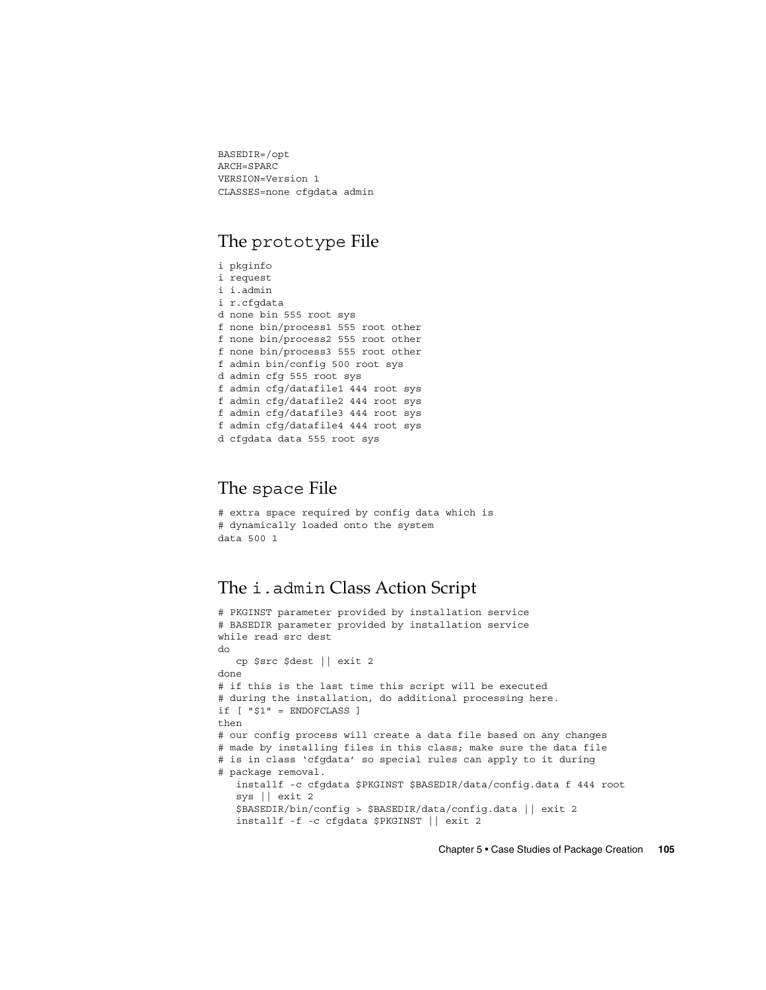BASEDIR=/opt ARCH=SPARC VERSION=Version 1 CLASSES=none cfgdata admin

#### The prototype File

```
i pkginfo
i request
i i.admin
i r.cfgdata
d none bin 555 root sys
f none bin/process1 555 root other
f none bin/process2 555 root other
f none bin/process3 555 root other
f admin bin/config 500 root sys
d admin cfg 555 root sys
f admin cfg/datafile1 444 root sys
f admin cfg/datafile2 444 root sys
f admin cfg/datafile3 444 root sys
f admin cfg/datafile4 444 root sys
d cfgdata data 555 root sys
```
#### The space File

```
# extra space required by config data which is
# dynamically loaded onto the system
data 500 1
```
#### The i.admin Class Action Script

```
# PKGINST parameter provided by installation service
# BASEDIR parameter provided by installation service
while read src dest
do
  cp $src $dest || exit 2
done
# if this is the last time this script will be executed
# during the installation, do additional processing here.
if [ "$1" = ENDOFCLASS ]
then
# our config process will create a data file based on any changes
# made by installing files in this class; make sure the data file
# is in class 'cfgdata' so special rules can apply to it during
# package removal.
   installf -c cfgdata $PKGINST $BASEDIR/data/config.data f 444 root
   sys || exit 2
   $BASEDIR/bin/config > $BASEDIR/data/config.data || exit 2
   installf -f -c cfgdata $PKGINST || exit 2
```
Chapter 5 • Case Studies of Package Creation **105**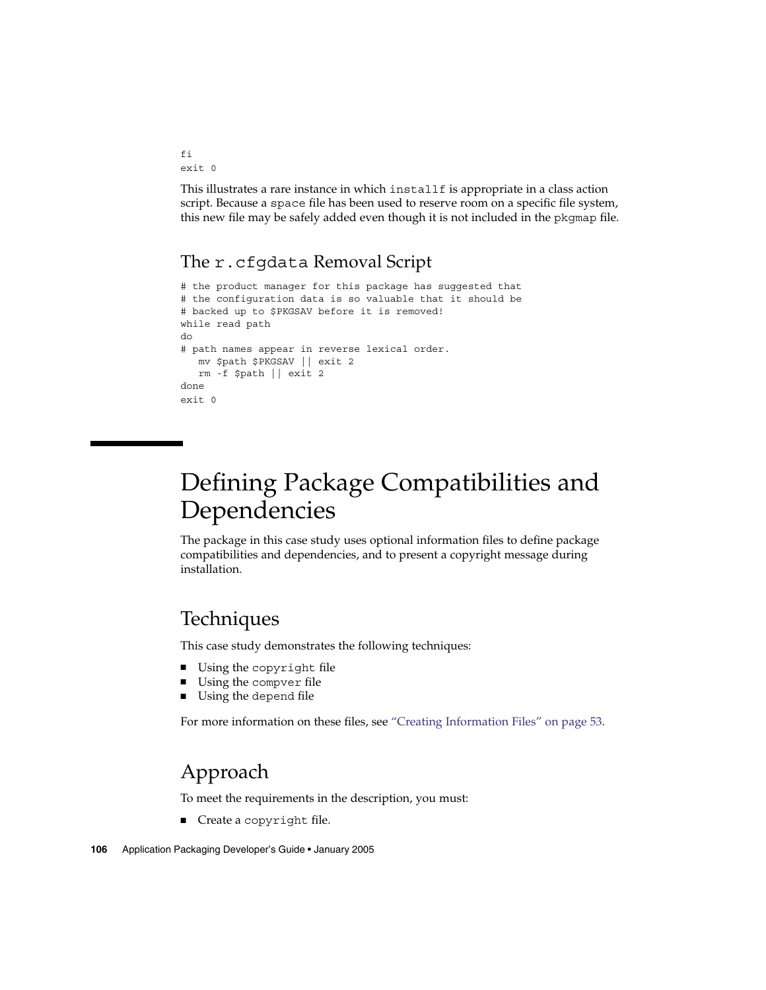<span id="page-105-0"></span>fi exit 0

This illustrates a rare instance in which installf is appropriate in a class action script. Because a space file has been used to reserve room on a specific file system, this new file may be safely added even though it is not included in the pkgmap file.

#### The r.cfgdata Removal Script

```
# the product manager for this package has suggested that
# the configuration data is so valuable that it should be
# backed up to $PKGSAV before it is removed!
while read path
do
# path names appear in reverse lexical order.
  mv $path $PKGSAV || exit 2
  rm -f $path || exit 2
done
exit 0
```
# Defining Package Compatibilities and Dependencies

The package in this case study uses optional information files to define package compatibilities and dependencies, and to present a copyright message during installation.

## **Techniques**

This case study demonstrates the following techniques:

- Using the copyright file
- Using the compver file.
- Using the depend file

For more information on these files, see ["Creating Information Files"](#page-52-0) on page 53.

## Approach

To meet the requirements in the description, you must:

■ Create a copyright file.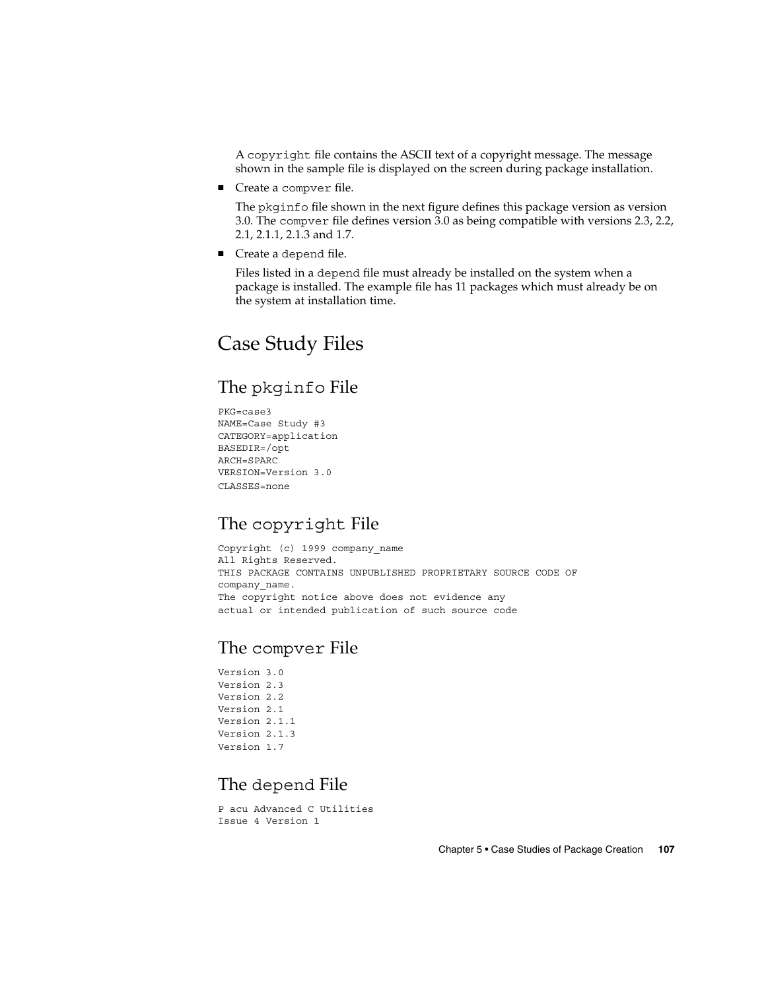A copyright file contains the ASCII text of a copyright message. The message shown in the sample file is displayed on the screen during package installation.

■ Create a compver file.

The pkginfo file shown in the next figure defines this package version as version 3.0. The compver file defines version 3.0 as being compatible with versions 2.3, 2.2, 2.1, 2.1.1, 2.1.3 and 1.7.

■ Create a depend file.

Files listed in a depend file must already be installed on the system when a package is installed. The example file has 11 packages which must already be on the system at installation time.

### Case Study Files

#### The pkginfo File

```
PKG=case3
NAME=Case Study #3
CATEGORY=application
BASEDIR=/opt
ARCH=SPARC
VERSION=Version 3.0
CLASSES=none
```
### The copyright File

Copyright (c) 1999 company\_name All Rights Reserved. THIS PACKAGE CONTAINS UNPUBLISHED PROPRIETARY SOURCE CODE OF company\_name. The copyright notice above does not evidence any actual or intended publication of such source code

#### The compver File

Version 3.0 Version 2.3 Version 2.2 Version 2.1 Version 2.1.1 Version 2.1.3 Version 1.7

#### The depend File

P acu Advanced C Utilities Issue 4 Version 1

Chapter 5 • Case Studies of Package Creation **107**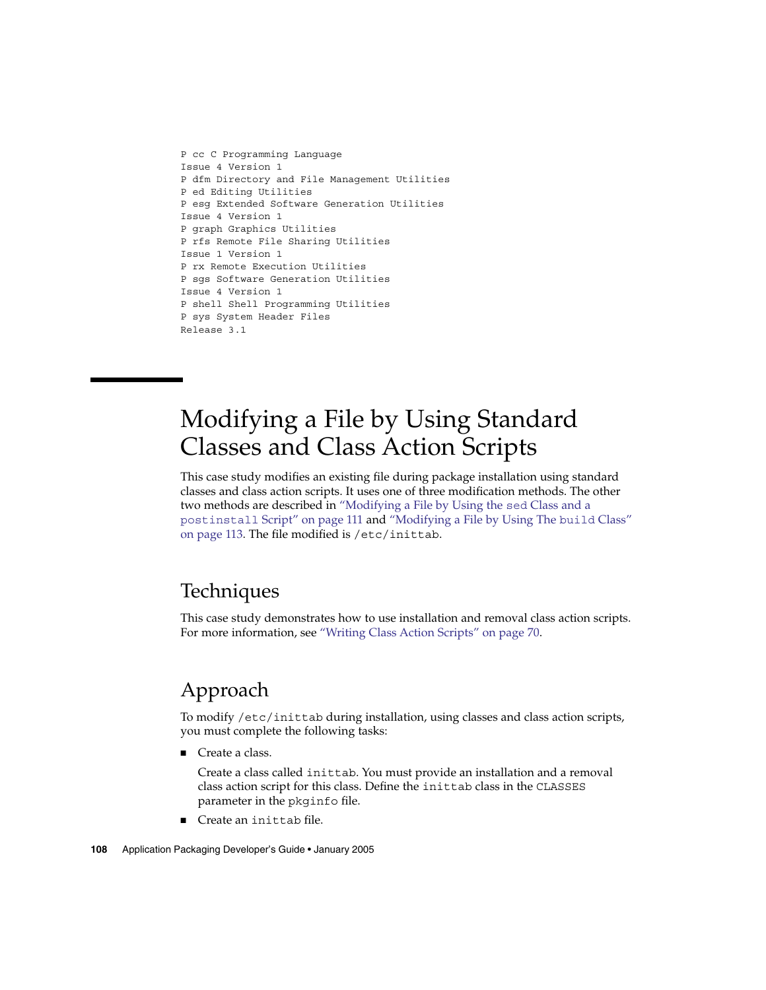```
P cc C Programming Language
Issue 4 Version 1
P dfm Directory and File Management Utilities
P ed Editing Utilities
P esg Extended Software Generation Utilities
Issue 4 Version 1
P graph Graphics Utilities
P rfs Remote File Sharing Utilities
Issue 1 Version 1
P rx Remote Execution Utilities
P sgs Software Generation Utilities
Issue 4 Version 1
P shell Shell Programming Utilities
P sys System Header Files
Release 3.1
```
# Modifying a File by Using Standard Classes and Class Action Scripts

This case study modifies an existing file during package installation using standard classes and class action scripts. It uses one of three modification methods. The other two methods are described in ["Modifying a File by Using the](#page-110-0) sed Class and a [postinstall](#page-110-0) Script" on page 111 and ["Modifying a File by Using The](#page-112-0) build Class" [on page 113.](#page-112-0) The file modified is /etc/inittab.

## **Techniques**

This case study demonstrates how to use installation and removal class action scripts. For more information, see ["Writing Class Action Scripts"](#page-69-0) on page 70.

## Approach

To modify /etc/inittab during installation, using classes and class action scripts, you must complete the following tasks:

■ Create a class.

Create a class called inittab. You must provide an installation and a removal class action script for this class. Define the inittab class in the CLASSES parameter in the pkginfo file.

■ Create an inittab file.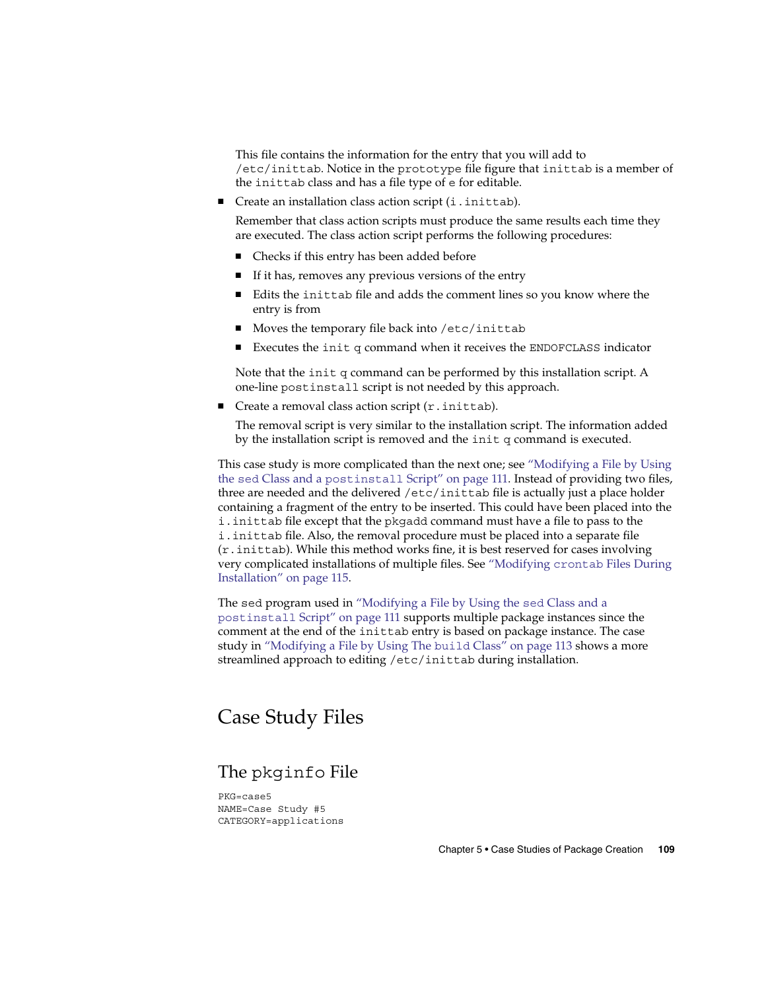This file contains the information for the entry that you will add to /etc/inittab. Notice in the prototype file figure that inittab is a member of the inittab class and has a file type of e for editable.

■ Create an installation class action script (i.inittab).

Remember that class action scripts must produce the same results each time they are executed. The class action script performs the following procedures:

- Checks if this entry has been added before
- If it has, removes any previous versions of the entry
- Edits the inittab file and adds the comment lines so you know where the entry is from
- Moves the temporary file back into /etc/inittab
- Executes the init q command when it receives the ENDOFCLASS indicator

Note that the init q command can be performed by this installation script. A one-line postinstall script is not needed by this approach.

Create a removal class action script  $(r \text{.inittab}).$ 

The removal script is very similar to the installation script. The information added by the installation script is removed and the init q command is executed.

This case study is more complicated than the next one; see ["Modifying a File by Using](#page-110-0) the sed Class and a [postinstall](#page-110-0) Script" on page 111. Instead of providing two files, three are needed and the delivered /etc/inittab file is actually just a place holder containing a fragment of the entry to be inserted. This could have been placed into the i.inittab file except that the pkgadd command must have a file to pass to the i.inittab file. Also, the removal procedure must be placed into a separate file (r.inittab). While this method works fine, it is best reserved for cases involving very complicated installations of multiple files. See "Modifying crontab [Files During](#page-114-0) [Installation"](#page-114-0) on page 115.

The sed program used in ["Modifying a File by Using the](#page-110-0) sed Class and a [postinstall](#page-110-0) Script" on page 111 supports multiple package instances since the comment at the end of the inittab entry is based on package instance. The case study in ["Modifying a File by Using The](#page-112-0) build Class" on page 113 shows a more streamlined approach to editing /etc/inittab during installation.

## Case Study Files

#### The pkginfo File

PKG=case5 NAME=Case Study #5 CATEGORY=applications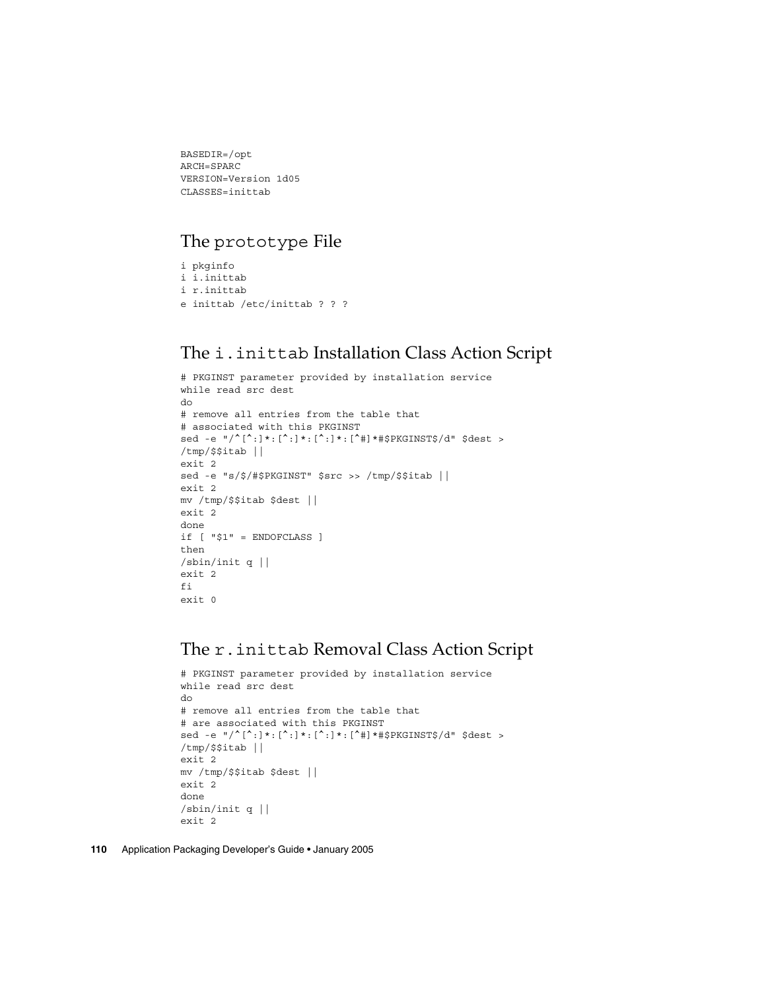BASEDIR=/opt ARCH=SPARC VERSION=Version 1d05 CLASSES=inittab

## The prototype File

```
i pkginfo
i i.inittab
i r.inittab
e inittab /etc/inittab ? ? ?
```
## The i.inittab Installation Class Action Script

```
# PKGINST parameter provided by installation service
while read src dest
do
# remove all entries from the table that
# associated with this PKGINST
sed -e "/^[^:]*:[^:]*:[^:]*:[^#]*#$PKGINST$/d" $dest >
/tmp/$$itab ||
exit 2
sed -e "s/$/#$PKGINST" $src >> /tmp/$$itab ||
exit 2
mv /tmp/$$itab $dest ||
exit 2
done
if [ "$1" = ENDOFCLASS ]
then
/sbin/init q ||
exit 2
fi
exit 0
```
## The r.inittab Removal Class Action Script

```
# PKGINST parameter provided by installation service
while read src dest
do
# remove all entries from the table that
# are associated with this PKGINST
sed -e "/^[^:]*:[^:]*:[^:]*:[^#]*#$PKGINST$/d" $dest >
/tmp/$$itab ||
exit 2
mv /tmp/$$itab $dest ||
exit 2
done
/sbin/init q ||
exit 2
```
**110** Application Packaging Developer's Guide • January 2005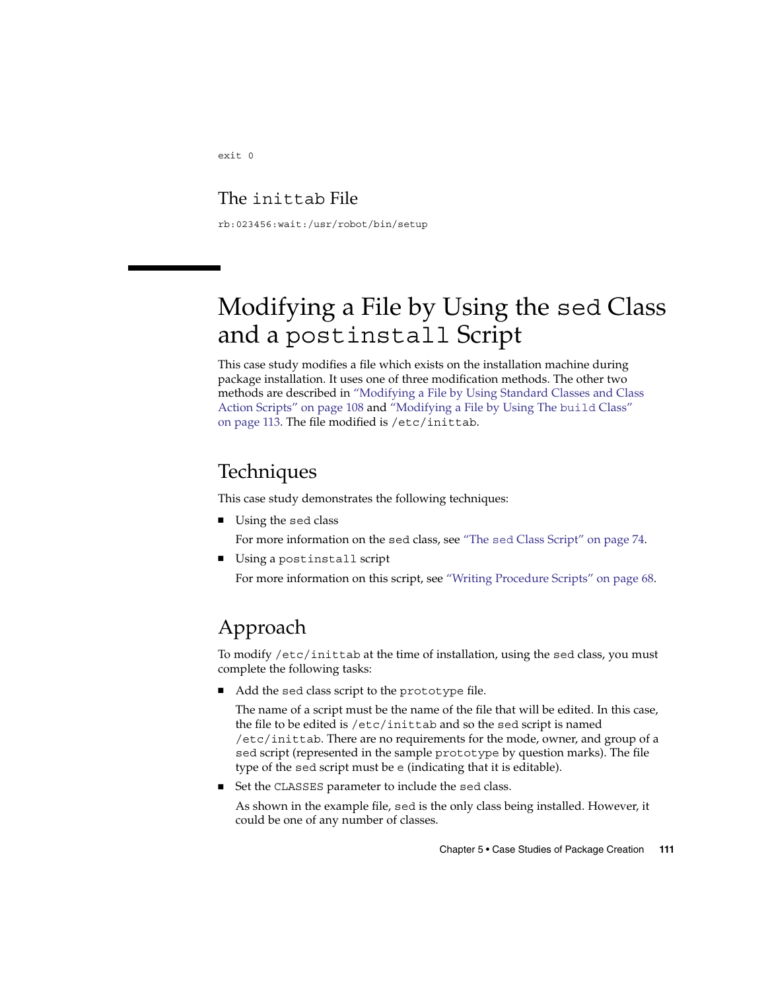<span id="page-110-0"></span>exit 0

#### The inittab File

rb:023456:wait:/usr/robot/bin/setup

# Modifying a File by Using the sed Class and a postinstall Script

This case study modifies a file which exists on the installation machine during package installation. It uses one of three modification methods. The other two methods are described in ["Modifying a File by Using Standard Classes and Class](#page-107-0) [Action Scripts"](#page-107-0) on page 108 and ["Modifying a File by Using The](#page-112-0) build Class" [on page 113.](#page-112-0) The file modified is /etc/inittab.

## **Techniques**

This case study demonstrates the following techniques:

■ Using the sed class

For more information on the sed class, see "The sed [Class Script"](#page-73-0) on page 74.

■ Using a postinstall script

For more information on this script, see ["Writing Procedure Scripts"](#page-67-0) on page 68.

## Approach

To modify /etc/inittab at the time of installation, using the sed class, you must complete the following tasks:

■ Add the sed class script to the prototype file.

The name of a script must be the name of the file that will be edited. In this case, the file to be edited is /etc/inittab and so the sed script is named /etc/inittab. There are no requirements for the mode, owner, and group of a sed script (represented in the sample prototype by question marks). The file type of the sed script must be e (indicating that it is editable).

■ Set the CLASSES parameter to include the sed class.

As shown in the example file, sed is the only class being installed. However, it could be one of any number of classes.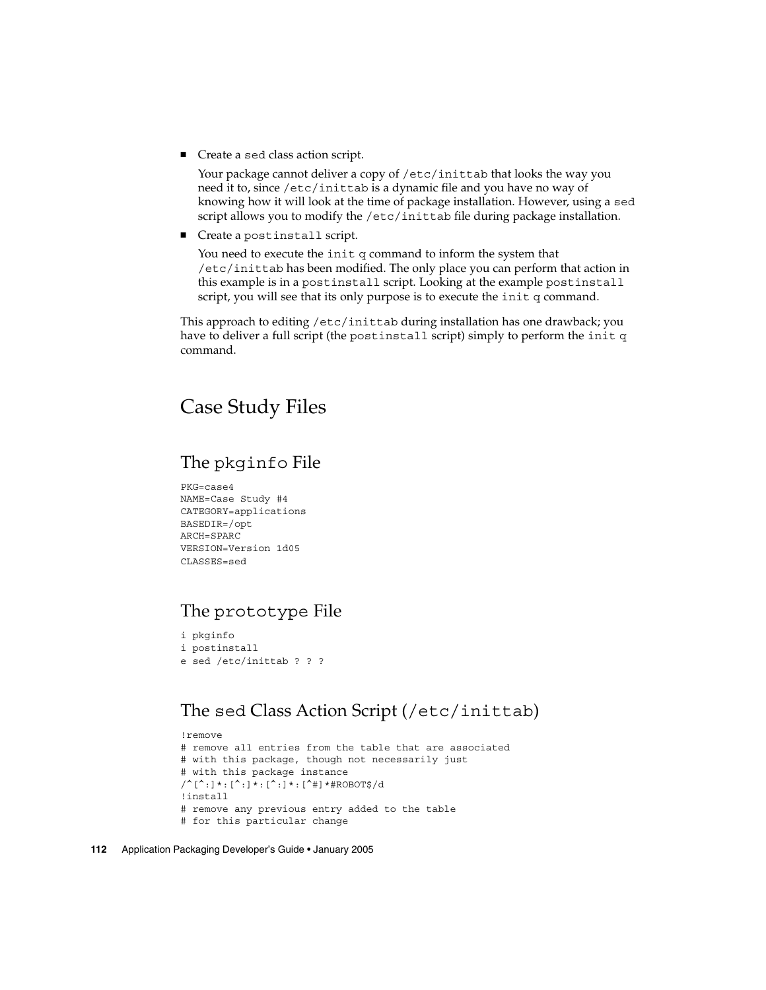■ Create a sed class action script.

Your package cannot deliver a copy of /etc/inittab that looks the way you need it to, since /etc/inittab is a dynamic file and you have no way of knowing how it will look at the time of package installation. However, using a sed script allows you to modify the /etc/inittab file during package installation.

■ Create a postinstall script.

You need to execute the init q command to inform the system that /etc/inittab has been modified. The only place you can perform that action in this example is in a postinstall script. Looking at the example postinstall script, you will see that its only purpose is to execute the init q command.

This approach to editing /etc/inittab during installation has one drawback; you have to deliver a full script (the postinstall script) simply to perform the init q command.

## Case Study Files

#### The pkginfo File

PKG=case4 NAME=Case Study #4 CATEGORY=applications BASEDIR=/opt ARCH=SPARC VERSION=Version 1d05 CLASSES=sed

### The prototype File

```
i pkginfo
i postinstall
e sed /etc/inittab ? ? ?
```
## The sed Class Action Script (/etc/inittab)

```
!remove
# remove all entries from the table that are associated
# with this package, though not necessarily just
# with this package instance
/^[^:]*:[^:]*:[^:]*:[^#]*#ROBOT$/d
!install
# remove any previous entry added to the table
# for this particular change
```
#### **112** Application Packaging Developer's Guide • January 2005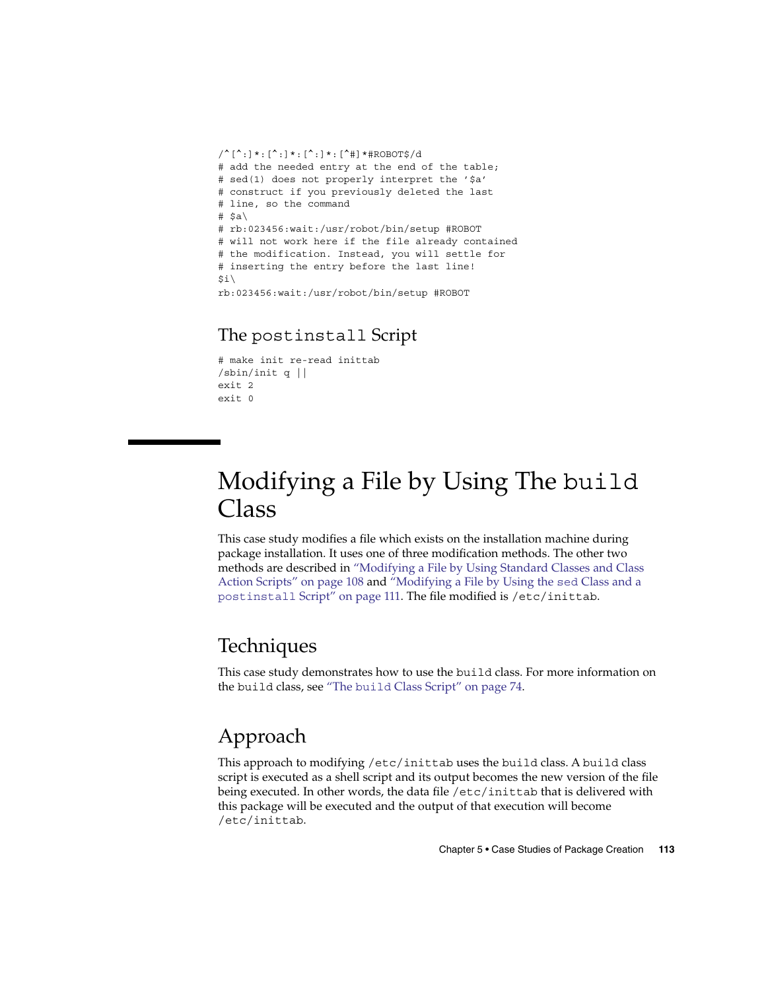```
/^[^:]*:[^:]*:[^:]*:[^#]*#ROBOT$/d
# add the needed entry at the end of the table;
# sed(1) does not properly interpret the '$a'
# construct if you previously deleted the last
# line, so the command
# $a\lambda# rb:023456:wait:/usr/robot/bin/setup #ROBOT
# will not work here if the file already contained
# the modification. Instead, you will settle for
# inserting the entry before the last line!
\sin \thetarb:023456:wait:/usr/robot/bin/setup #ROBOT
```
## The postinstall Script

```
# make init re-read inittab
/sbin/init q ||
exit 2
exit 0
```
# Modifying a File by Using The build Class

This case study modifies a file which exists on the installation machine during package installation. It uses one of three modification methods. The other two methods are described in ["Modifying a File by Using Standard Classes and Class](#page-107-0) [Action Scripts"](#page-107-0) on page 108 and ["Modifying a File by Using the](#page-110-0) sed Class and a [postinstall](#page-110-0) Script" on page 111. The file modified is /etc/inittab.

## **Techniques**

This case study demonstrates how to use the build class. For more information on the build class, see "The build [Class Script"](#page-73-0) on page 74.

# Approach

This approach to modifying /etc/inittab uses the build class. A build class script is executed as a shell script and its output becomes the new version of the file being executed. In other words, the data file /etc/inittab that is delivered with this package will be executed and the output of that execution will become /etc/inittab.

Chapter 5 • Case Studies of Package Creation **113**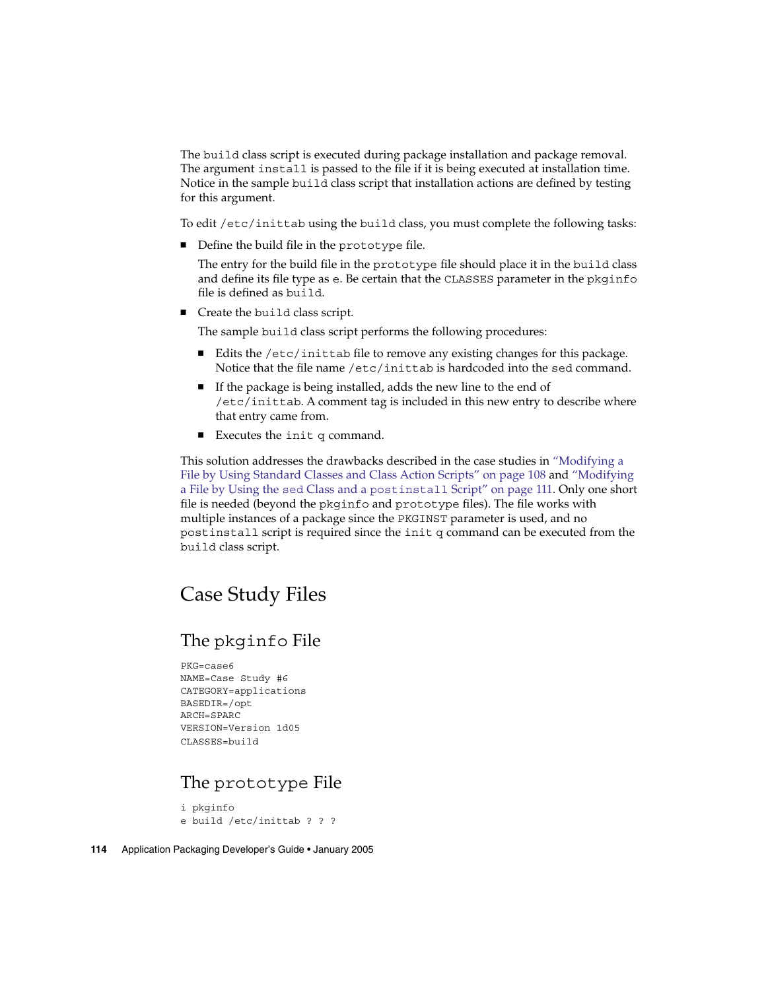The build class script is executed during package installation and package removal. The argument install is passed to the file if it is being executed at installation time. Notice in the sample build class script that installation actions are defined by testing for this argument.

To edit /etc/inittab using the build class, you must complete the following tasks:

■ Define the build file in the prototype file.

The entry for the build file in the prototype file should place it in the build class and define its file type as e. Be certain that the CLASSES parameter in the pkginfo file is defined as build.

■ Create the build class script.

The sample build class script performs the following procedures:

- Edits the  $/$ etc $/$ inittab file to remove any existing changes for this package. Notice that the file name /etc/inittab is hardcoded into the sed command.
- If the package is being installed, adds the new line to the end of /etc/inittab. A comment tag is included in this new entry to describe where that entry came from.
- Executes the init  $q$  command.

This solution addresses the drawbacks described in the case studies in ["Modifying a](#page-107-0) [File by Using Standard Classes and Class Action Scripts"](#page-107-0) on page 108 and ["Modifying](#page-110-0) [a File by Using the](#page-110-0) sed Class and a postinstall Script" on page 111. Only one short file is needed (beyond the pkginfo and prototype files). The file works with multiple instances of a package since the PKGINST parameter is used, and no postinstall script is required since the init q command can be executed from the build class script.

## Case Study Files

### The pkginfo File

PKG=case6 NAME=Case Study #6 CATEGORY=applications BASEDIR=/opt ARCH=SPARC VERSION=Version 1d05 CLASSES=build

## The prototype File

```
i pkginfo
e build /etc/inittab???
```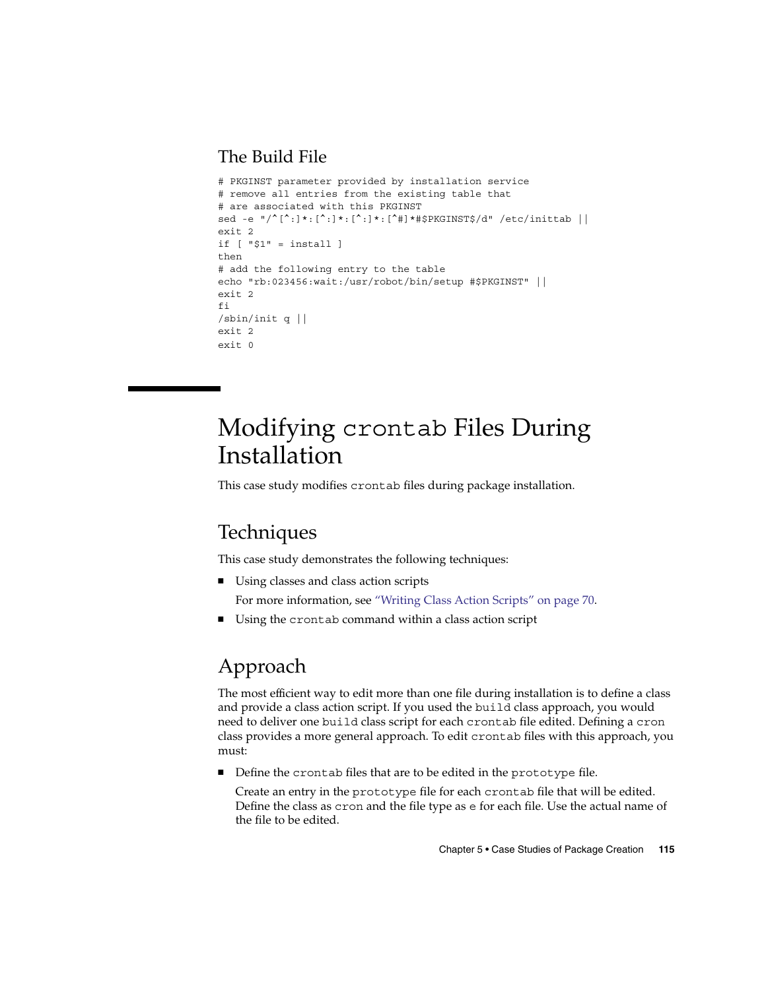### <span id="page-114-0"></span>The Build File

```
# PKGINST parameter provided by installation service
# remove all entries from the existing table that
# are associated with this PKGINST
sed -e "/^[^:]*:[^:]*:[^:]*:[^#]*#$PKGINST$/d" /etc/inittab ||
exit 2
if [ "$1" = install ]
then
# add the following entry to the table
echo "rb:023456:wait:/usr/robot/bin/setup #$PKGINST" ||
exit 2
fi
/sbin/init q ||
exit 2
exit 0
```
# Modifying crontab Files During Installation

This case study modifies crontab files during package installation.

# **Techniques**

This case study demonstrates the following techniques:

- Using classes and class action scripts For more information, see ["Writing Class Action Scripts"](#page-69-0) on page 70.
	-
- Using the crontab command within a class action script

# Approach

The most efficient way to edit more than one file during installation is to define a class and provide a class action script. If you used the build class approach, you would need to deliver one build class script for each crontab file edited. Defining a cron class provides a more general approach. To edit crontab files with this approach, you must:

■ Define the crontab files that are to be edited in the prototype file.

Create an entry in the prototype file for each crontab file that will be edited. Define the class as cron and the file type as e for each file. Use the actual name of the file to be edited.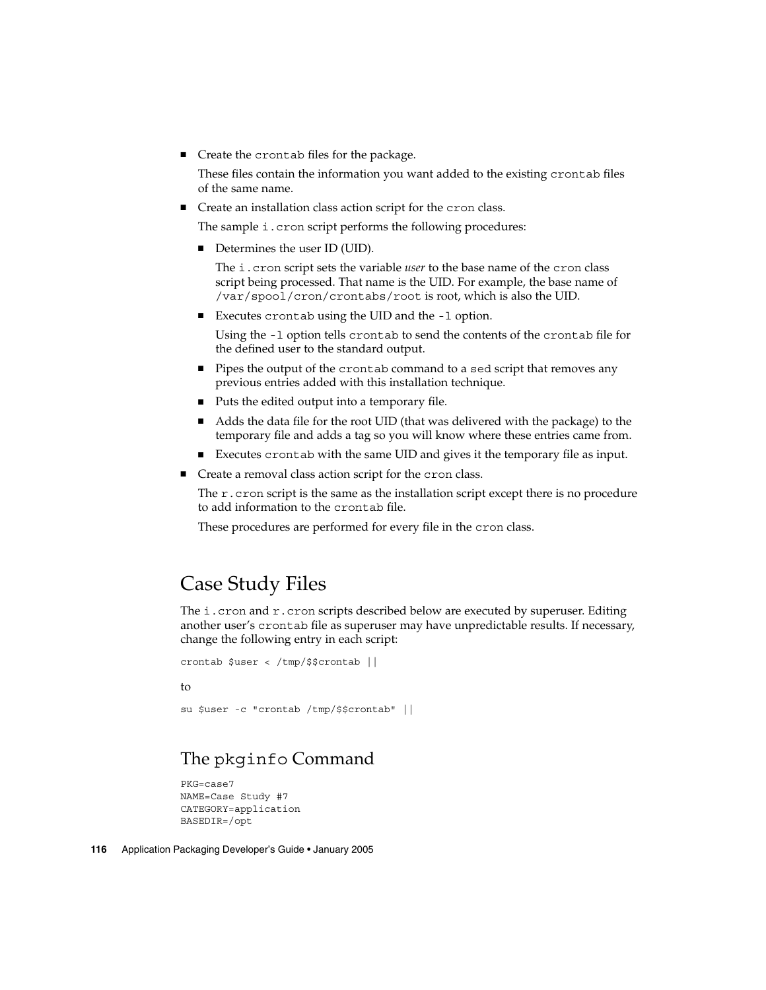■ Create the crontab files for the package.

These files contain the information you want added to the existing crontab files of the same name.

■ Create an installation class action script for the cron class.

The sample i.cron script performs the following procedures:

■ Determines the user ID (UID).

The i.cron script sets the variable *user* to the base name of the cron class script being processed. That name is the UID. For example, the base name of /var/spool/cron/crontabs/root is root, which is also the UID.

Executes crontab using the UID and the -1 option.

Using the -l option tells crontab to send the contents of the crontab file for the defined user to the standard output.

- Pipes the output of the crontab command to a sed script that removes any previous entries added with this installation technique.
- Puts the edited output into a temporary file.
- Adds the data file for the root UID (that was delivered with the package) to the temporary file and adds a tag so you will know where these entries came from.
- Executes crontab with the same UID and gives it the temporary file as input.
- Create a removal class action script for the cron class.

The  $r$ . cron script is the same as the installation script except there is no procedure to add information to the crontab file.

These procedures are performed for every file in the cron class.

## Case Study Files

The i.cron and r.cron scripts described below are executed by superuser. Editing another user's crontab file as superuser may have unpredictable results. If necessary, change the following entry in each script:

```
crontab $user < /tmp/$$crontab ||
to
```
#### su \$user -c "crontab /tmp/\$\$crontab" ||

## The pkginfo Command

```
PKG=case7
NAME=Case Study #7
CATEGORY=application
BASEDIR=/opt
```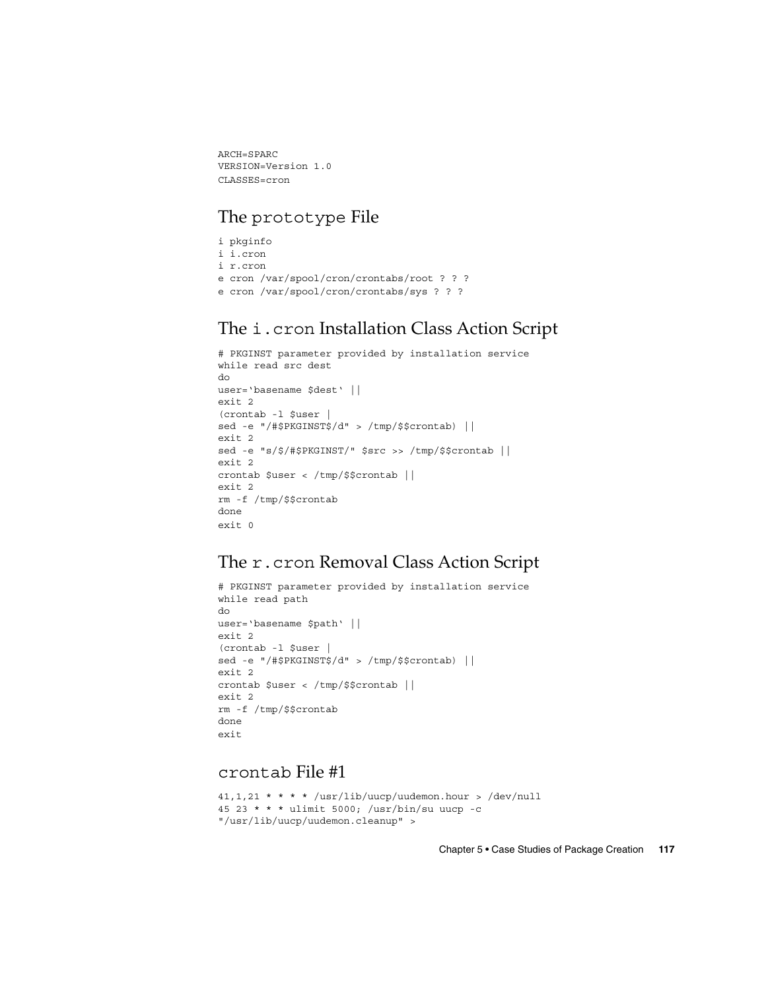```
ARCH=SPARC
VERSION=Version 1.0
CLASSES=cron
```
#### The prototype File

```
i pkginfo
i i.cron
i r.cron
e cron /var/spool/cron/crontabs/root ? ? ?
e cron /var/spool/cron/crontabs/sys???
```
### The i.cron Installation Class Action Script

```
# PKGINST parameter provided by installation service
while read src dest
do
user='basename $dest' ||
exit 2
(crontab -l $user |
sed -e "/#$PKGINST$/d" > /tmp/$$crontab) ||
exit 2
sed -e "s/$/#$PKGINST/" $src >> /tmp/$$crontab ||
exit 2
crontab $user < /tmp/$$crontab ||
exit 2
rm -f /tmp/$$crontab
done
exit 0
```
## The r.cron Removal Class Action Script

```
# PKGINST parameter provided by installation service
while read path
do
user='basename $path' ||
exit 2
(crontab -l $user |
sed -e "/#$PKGINST$/d" > /tmp/$$crontab) ||
exit 2
crontab $user < /tmp/$$crontab ||
exit 2
rm -f /tmp/$$crontab
done
exit
```
### crontab File #1

```
41, 1, 21 * * * /usr/lib/uucp/uudemon.hour > /dev/null
45 23 * * * ulimit 5000; /usr/bin/su uucp -c
"/usr/lib/uucp/uudemon.cleanup" >
```
Chapter 5 • Case Studies of Package Creation **117**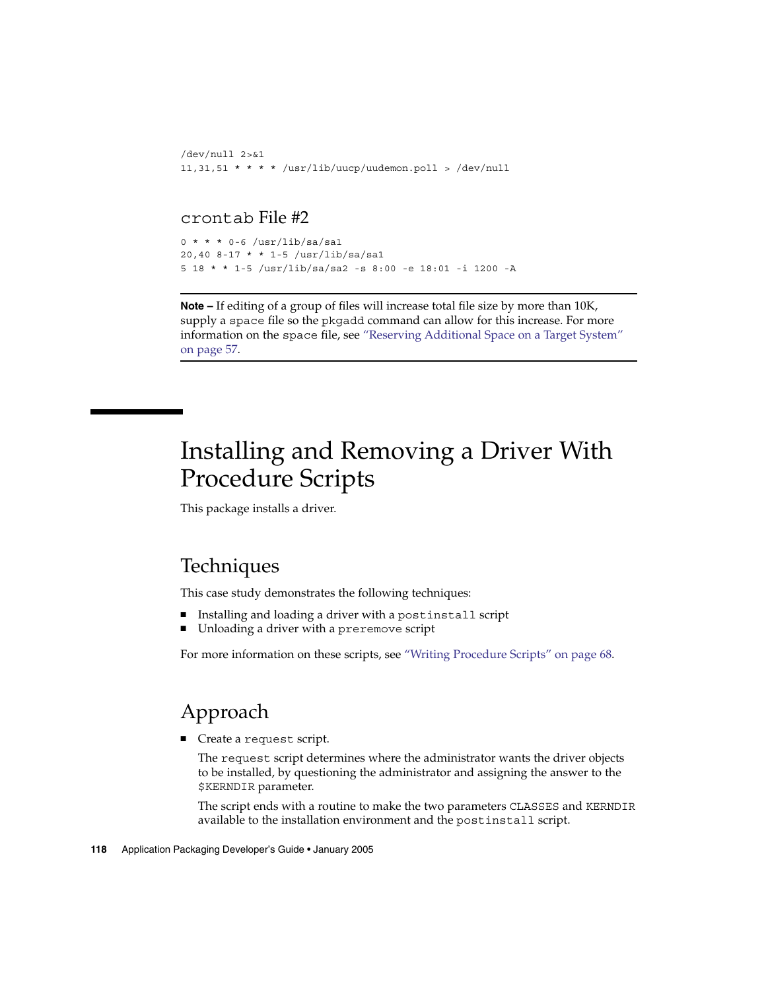```
/dev/null 2>&1
11,31,51 * * * * /usr/lib/uucp/uudemon.poll > /dev/null
```
#### crontab File #2

```
0 * * * 0-6 /usr/lib/sa/sa1
20,40 8-17 * * 1-5 /usr/lib/sa/sa1
5 18 * * 1-5 /usr/lib/sa/sa2 -s 8:00 -e 18:01 -i 1200 -A
```
**Note –** If editing of a group of files will increase total file size by more than 10K, supply a space file so the pkgadd command can allow for this increase. For more information on the space file, see ["Reserving Additional Space on a Target System"](#page-56-0) [on page 57.](#page-56-0)

# Installing and Removing a Driver With Procedure Scripts

This package installs a driver.

## **Techniques**

This case study demonstrates the following techniques:

- Installing and loading a driver with a postinstall script
- Unloading a driver with a preremove script

For more information on these scripts, see ["Writing Procedure Scripts"](#page-67-0) on page 68.

## Approach

■ Create a request script.

The request script determines where the administrator wants the driver objects to be installed, by questioning the administrator and assigning the answer to the \$KERNDIR parameter.

The script ends with a routine to make the two parameters CLASSES and KERNDIR available to the installation environment and the postinstall script.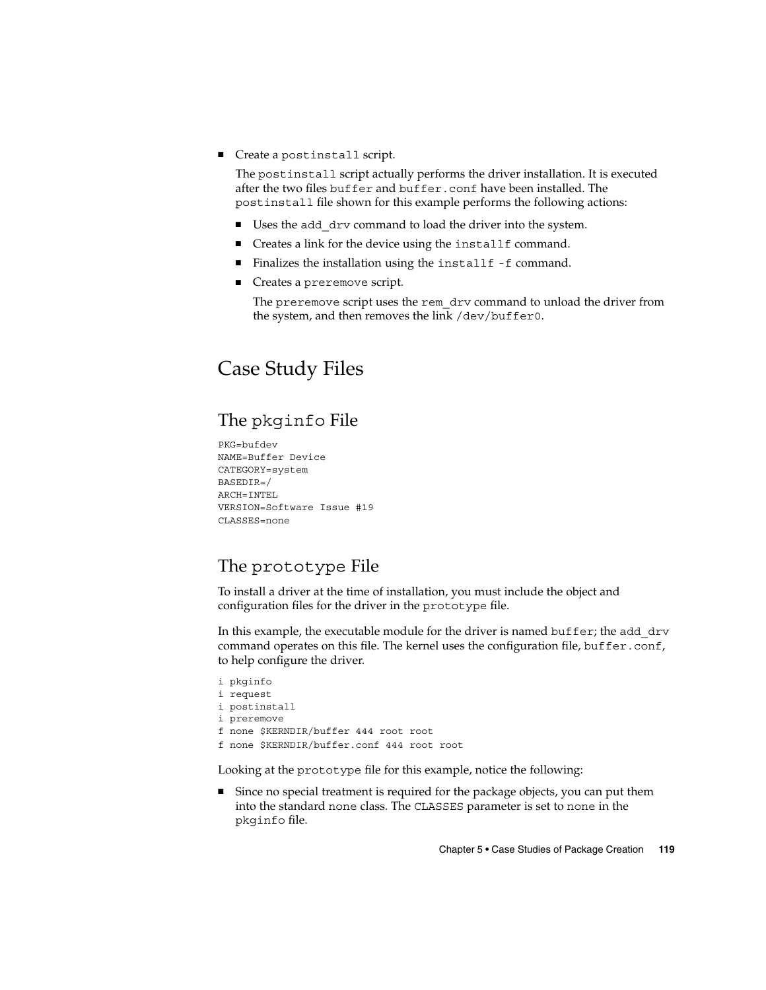■ Create a postinstall script.

The postinstall script actually performs the driver installation. It is executed after the two files buffer and buffer.conf have been installed. The postinstall file shown for this example performs the following actions:

- Uses the add\_drv command to load the driver into the system.
- Creates a link for the device using the installf command.
- Finalizes the installation using the installf -f command.
- Creates a preremove script.

The preremove script uses the rem\_drv command to unload the driver from the system, and then removes the link /dev/buffer0.

## Case Study Files

## The pkginfo File

PKG=bufdev NAME=Buffer Device CATEGORY=system BASEDIR=/ ARCH=INTEL VERSION=Software Issue #19 CLASSES=none

## The prototype File

To install a driver at the time of installation, you must include the object and configuration files for the driver in the prototype file.

In this example, the executable module for the driver is named buffer; the add\_drv command operates on this file. The kernel uses the configuration file, buffer.conf, to help configure the driver.

```
i pkginfo
i request
i postinstall
i preremove
f none $KERNDIR/buffer 444 root root
f none $KERNDIR/buffer.conf 444 root root
```
Looking at the prototype file for this example, notice the following:

■ Since no special treatment is required for the package objects, you can put them into the standard none class. The CLASSES parameter is set to none in the pkginfo file.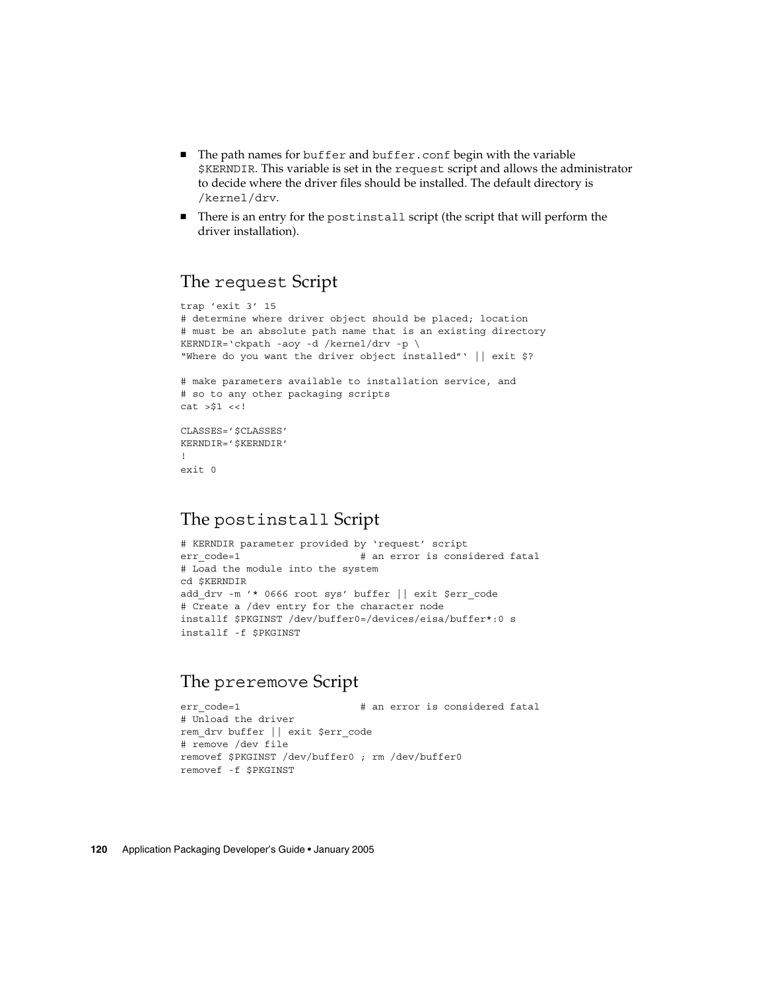- The path names for buffer and buffer.conf begin with the variable \$KERNDIR. This variable is set in the request script and allows the administrator to decide where the driver files should be installed. The default directory is /kernel/drv.
- There is an entry for the postinstall script (the script that will perform the driver installation).

## The request Script

```
trap 'exit 3' 15
# determine where driver object should be placed; location
# must be an absolute path name that is an existing directory
KERNDIR='ckpath -aoy -d /kernel/drv -p \
"Where do you want the driver object installed"' || exit $?
# make parameters available to installation service, and
# so to any other packaging scripts
cat >>1 <<!
CLASSES='$CLASSES'
KERNDIR='$KERNDIR'
!
exit 0
```
### The postinstall Script

```
# KERNDIR parameter provided by 'request' script
err code=1 \qquad # an error is considered fatal
# Load the module into the system
cd $KERNDIR
add drv -m '* 0666 root sys' buffer || exit $err code
# Create a /dev entry for the character node
installf $PKGINST /dev/buffer0=/devices/eisa/buffer*:0 s
installf -f $PKGINST
```
### The preremove Script

```
err code=1 # an error is considered fatal
# Unload the driver
rem drv buffer || exit $err code
# remove /dev file
removef $PKGINST /dev/buffer0 ; rm /dev/buffer0
removef -f $PKGINST
```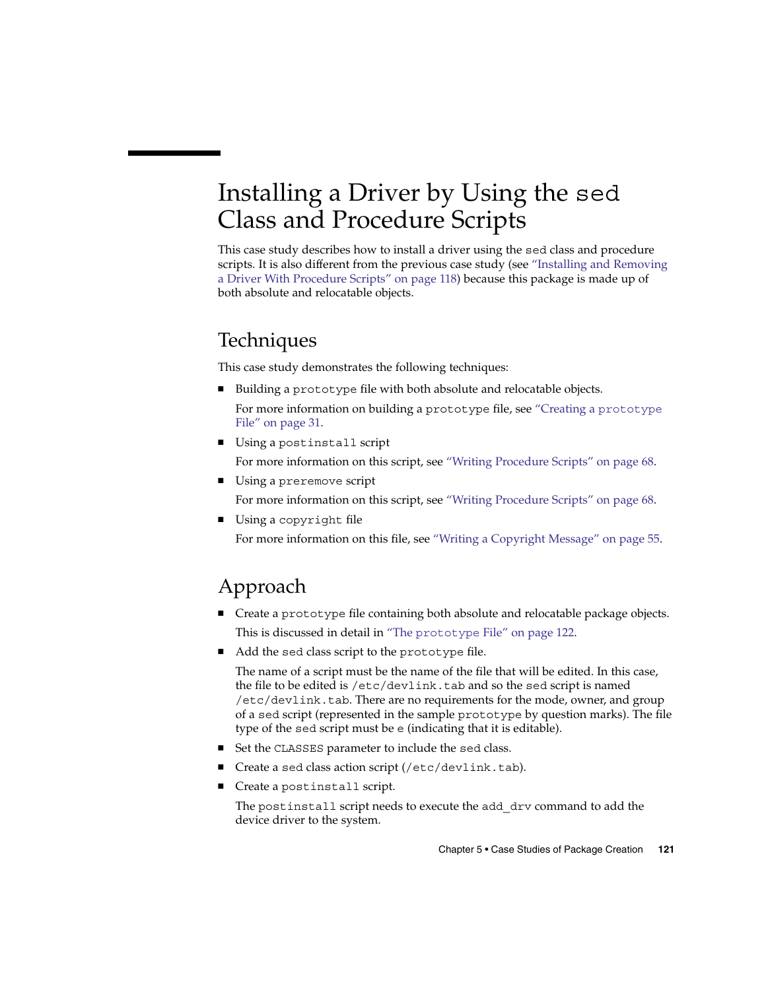# Installing a Driver by Using the sed Class and Procedure Scripts

This case study describes how to install a driver using the sed class and procedure scripts. It is also different from the previous case study (see ["Installing and Removing](#page-117-0) [a Driver With Procedure Scripts"](#page-117-0) on page 118) because this package is made up of both absolute and relocatable objects.

# **Techniques**

This case study demonstrates the following techniques:

- Building a prototype file with both absolute and relocatable objects. For more information on building a prototype file, see "Creating a [prototype](#page-30-0) File" [on page 31.](#page-30-0)
- Using a postinstall script

For more information on this script, see ["Writing Procedure Scripts"](#page-67-0) on page 68.

■ Using a preremove script

For more information on this script, see ["Writing Procedure Scripts"](#page-67-0) on page 68.

■ Using a copyright file For more information on this file, see ["Writing a Copyright Message"](#page-54-0) on page 55.

# Approach

- Create a prototype file containing both absolute and relocatable package objects. This is discussed in detail in "The prototype File" [on page 122.](#page-121-0)
- Add the sed class script to the prototype file.

The name of a script must be the name of the file that will be edited. In this case, the file to be edited is /etc/devlink.tab and so the sed script is named /etc/devlink.tab. There are no requirements for the mode, owner, and group of a sed script (represented in the sample prototype by question marks). The file type of the sed script must be e (indicating that it is editable).

- Set the CLASSES parameter to include the sed class.
- Create a sed class action script (/etc/devlink.tab).
- Create a postinstall script.

The postinstall script needs to execute the add\_drv command to add the device driver to the system.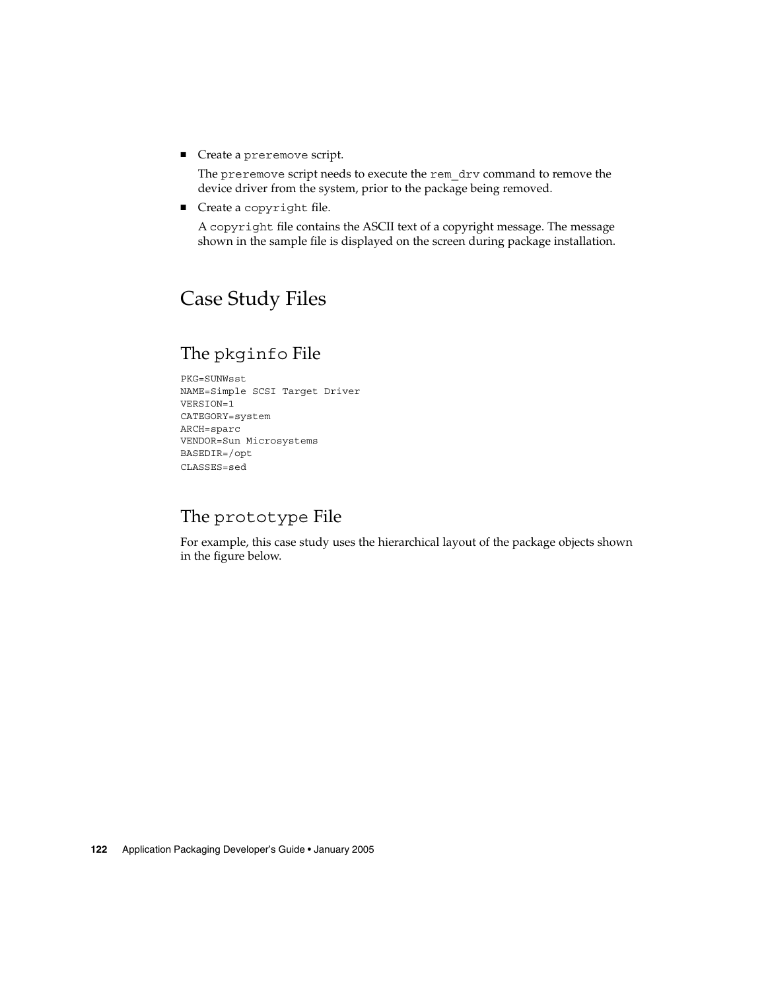<span id="page-121-0"></span>■ Create a preremove script.

The preremove script needs to execute the rem\_drv command to remove the device driver from the system, prior to the package being removed.

■ Create a copyright file.

A copyright file contains the ASCII text of a copyright message. The message shown in the sample file is displayed on the screen during package installation.

# Case Study Files

### The pkginfo File

PKG=SUNWsst NAME=Simple SCSI Target Driver VERSION=1 CATEGORY=system ARCH=sparc VENDOR=Sun Microsystems BASEDIR=/opt CLASSES=sed

## The prototype File

For example, this case study uses the hierarchical layout of the package objects shown in the figure below.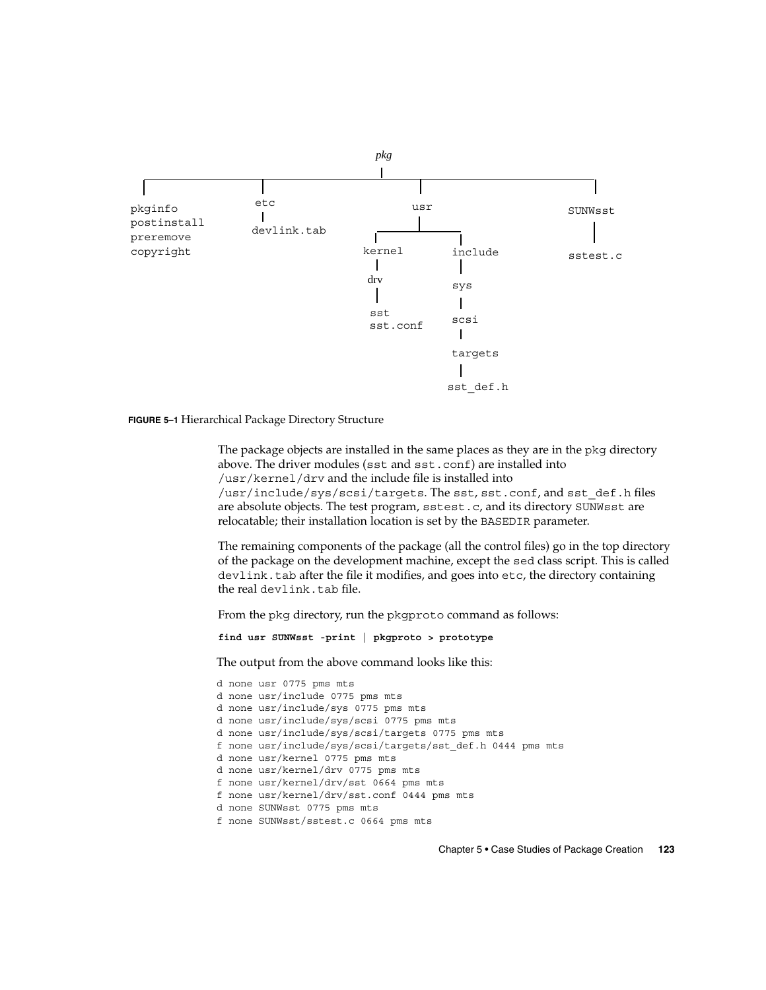



The package objects are installed in the same places as they are in the pkg directory above. The driver modules (sst and sst.conf) are installed into /usr/kernel/drv and the include file is installed into /usr/include/sys/scsi/targets. The sst, sst.conf, and sst\_def.h files are absolute objects. The test program, sstest.c, and its directory SUNWsst are relocatable; their installation location is set by the BASEDIR parameter.

The remaining components of the package (all the control files) go in the top directory of the package on the development machine, except the sed class script. This is called devlink.tab after the file it modifies, and goes into etc, the directory containing the real devlink.tab file.

From the pkg directory, run the pkgproto command as follows:

**find usr SUNWsst -print | pkgproto > prototype**

The output from the above command looks like this:

```
d none usr 0775 pms mts
d none usr/include 0775 pms mts
d none usr/include/sys 0775 pms mts
d none usr/include/sys/scsi 0775 pms mts
d none usr/include/sys/scsi/targets 0775 pms mts
f none usr/include/sys/scsi/targets/sst_def.h 0444 pms mts
d none usr/kernel 0775 pms mts
d none usr/kernel/drv 0775 pms mts
f none usr/kernel/drv/sst 0664 pms mts
f none usr/kernel/drv/sst.conf 0444 pms mts
d none SUNWsst 0775 pms mts
f none SUNWsst/sstest.c 0664 pms mts
```
Chapter 5 • Case Studies of Package Creation **123**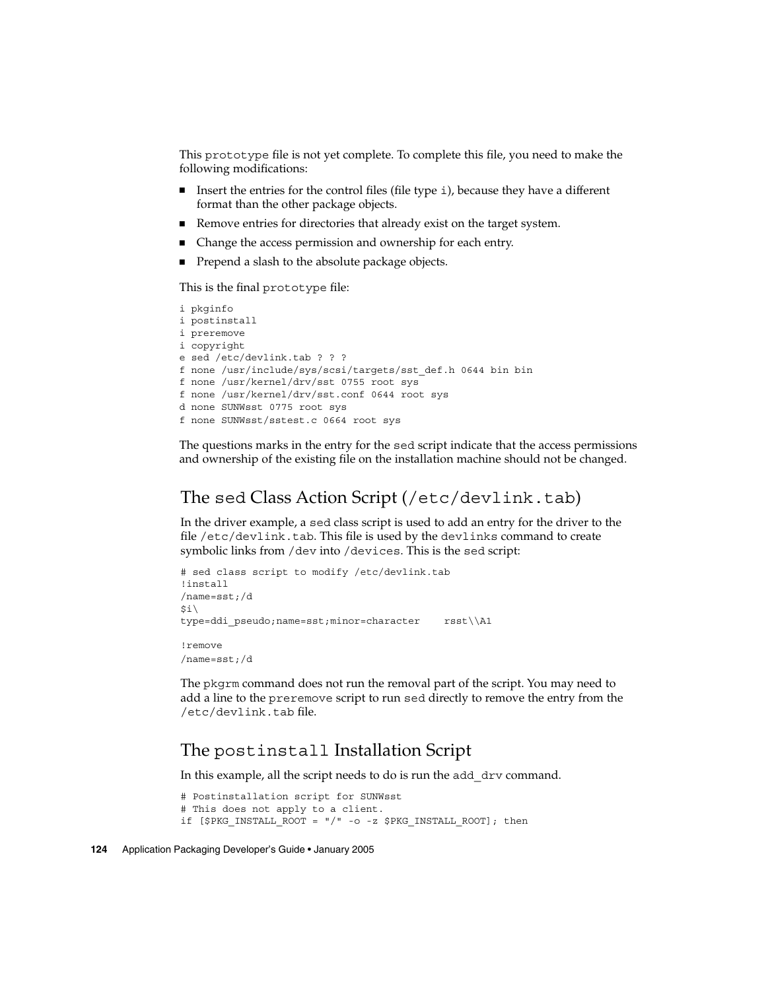This prototype file is not yet complete. To complete this file, you need to make the following modifications:

- Insert the entries for the control files (file type i), because they have a different format than the other package objects.
- Remove entries for directories that already exist on the target system.
- Change the access permission and ownership for each entry.
- Prepend a slash to the absolute package objects.

This is the final prototype file:

```
i pkginfo
i postinstall
i preremove
i copyright
e sed /etc/devlink.tab ? ? ?
f none /usr/include/sys/scsi/targets/sst_def.h 0644 bin bin
f none /usr/kernel/drv/sst 0755 root sys
f none /usr/kernel/drv/sst.conf 0644 root sys
d none SUNWsst 0775 root sys
f none SUNWsst/sstest.c 0664 root sys
```
The questions marks in the entry for the sed script indicate that the access permissions and ownership of the existing file on the installation machine should not be changed.

#### The sed Class Action Script (/etc/devlink.tab)

In the driver example, a sed class script is used to add an entry for the driver to the file /etc/devlink.tab. This file is used by the devlinks command to create symbolic links from /dev into /devices. This is the sed script:

```
# sed class script to modify /etc/devlink.tab
!install
/name=sst;/d
\sintype=ddi pseudo;name=sst;minor=character rsst\\A1
!remove
/name=sst;/d
```
The pkgrm command does not run the removal part of the script. You may need to add a line to the preremove script to run sed directly to remove the entry from the /etc/devlink.tab file.

#### The postinstall Installation Script

In this example, all the script needs to do is run the add\_drv command.

```
# Postinstallation script for SUNWsst
# This does not apply to a client.
if [$PKG INSTALL ROOT = */" -o -z $PKG INSTALL ROOT]; then
```
**124** Application Packaging Developer's Guide • January 2005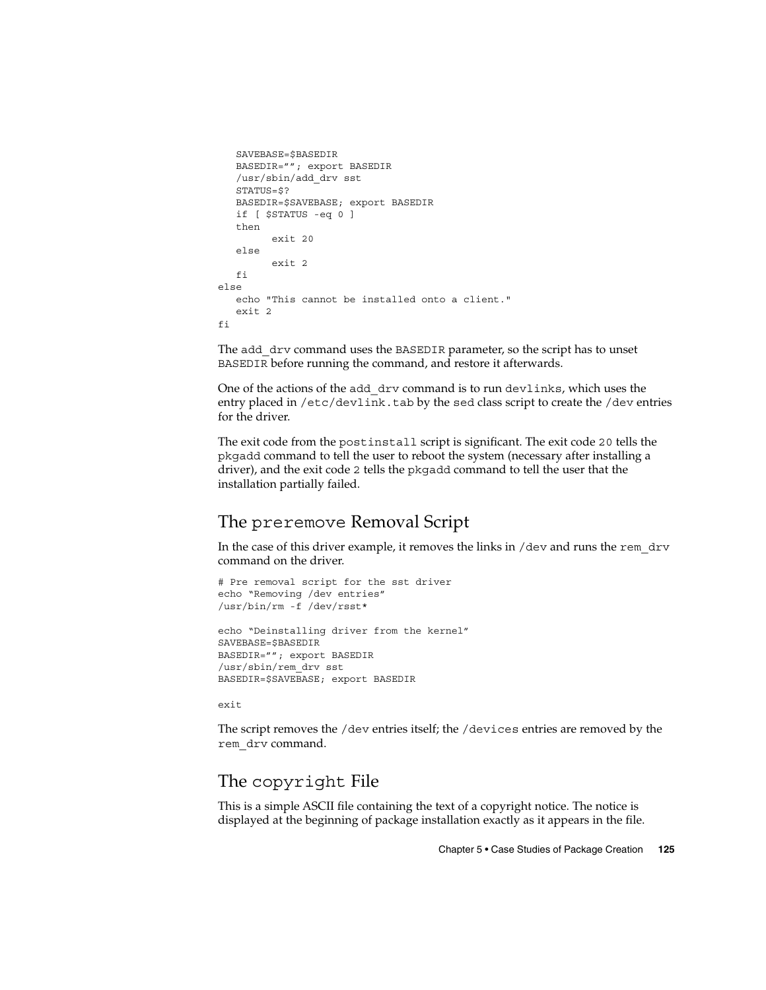```
SAVEBASE=$BASEDIR
  BASEDIR=""; export BASEDIR
   /usr/sbin/add_drv sst
  STATIIS = $2BASEDIR=$SAVEBASE; export BASEDIR
  if [ $STATUS -eq 0 ]
   then
         exit 20
   else
         exit 2
  fi
else
   echo "This cannot be installed onto a client."
   exit 2
fi
```
The add drv command uses the BASEDIR parameter, so the script has to unset BASEDIR before running the command, and restore it afterwards.

One of the actions of the add drv command is to run devlinks, which uses the entry placed in /etc/devlink.tab by the sed class script to create the /dev entries for the driver.

The exit code from the postinstall script is significant. The exit code 20 tells the pkgadd command to tell the user to reboot the system (necessary after installing a driver), and the exit code 2 tells the pkgadd command to tell the user that the installation partially failed.

#### The preremove Removal Script

In the case of this driver example, it removes the links in /dev and runs the rem\_drv command on the driver.

```
# Pre removal script for the sst driver
echo "Removing /dev entries"
/usr/bin/rm -f /dev/rsst*
echo "Deinstalling driver from the kernel"
SAVEBASE=$BASEDIR
BASEDIR=""; export BASEDIR
/usr/sbin/rem_drv sst
BASEDIR=$SAVEBASE; export BASEDIR
```
exit

The script removes the /dev entries itself; the /devices entries are removed by the rem\_drv command.

## The copyright File

This is a simple ASCII file containing the text of a copyright notice. The notice is displayed at the beginning of package installation exactly as it appears in the file.

Chapter 5 • Case Studies of Package Creation **125**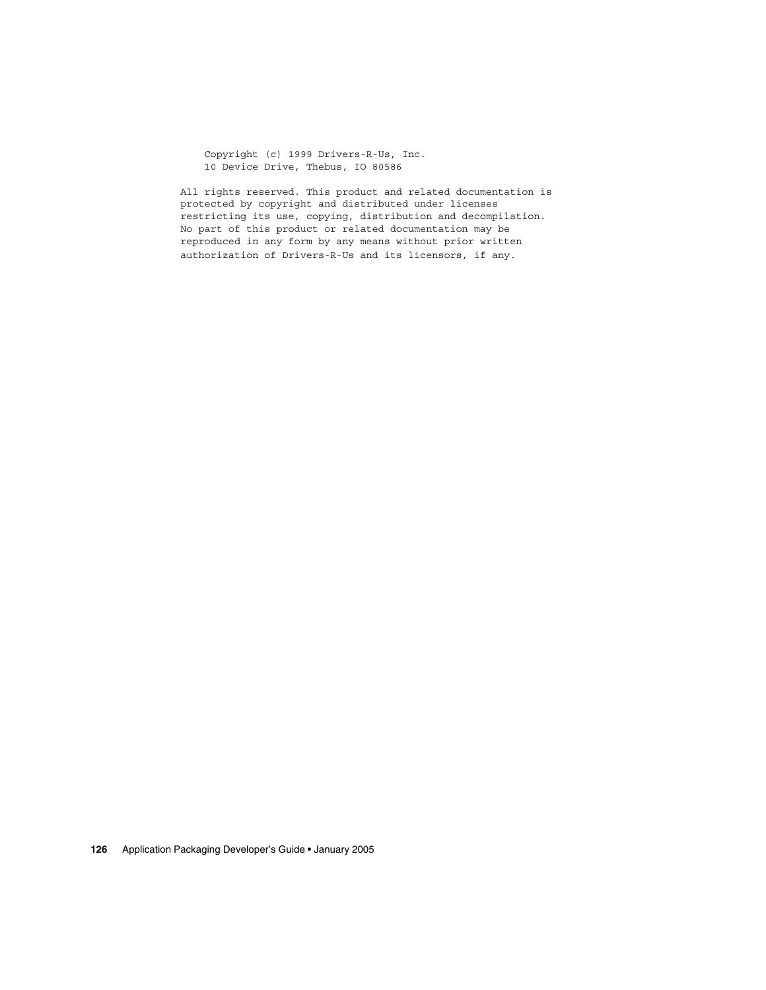Copyright (c) 1999 Drivers-R-Us, Inc. 10 Device Drive, Thebus, IO 80586

All rights reserved. This product and related documentation is protected by copyright and distributed under licenses restricting its use, copying, distribution and decompilation. No part of this product or related documentation may be reproduced in any form by any means without prior written authorization of Drivers-R-Us and its licensors, if any.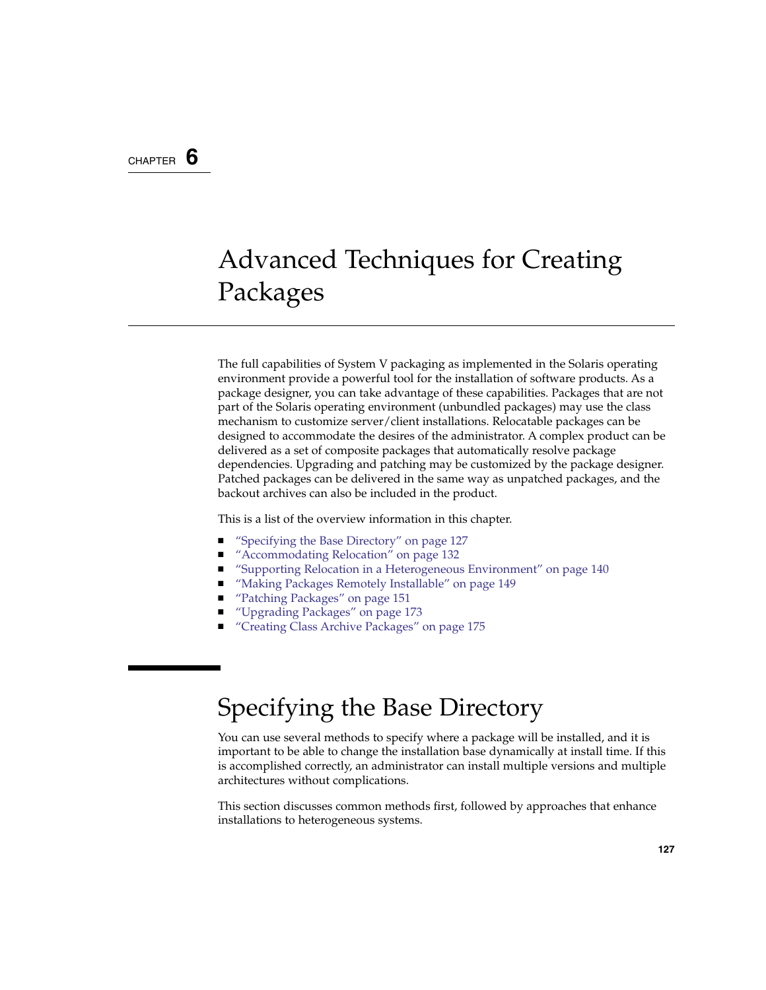#### CHAPTER **6**

# Advanced Techniques for Creating Packages

The full capabilities of System V packaging as implemented in the Solaris operating environment provide a powerful tool for the installation of software products. As a package designer, you can take advantage of these capabilities. Packages that are not part of the Solaris operating environment (unbundled packages) may use the class mechanism to customize server/client installations. Relocatable packages can be designed to accommodate the desires of the administrator. A complex product can be delivered as a set of composite packages that automatically resolve package dependencies. Upgrading and patching may be customized by the package designer. Patched packages can be delivered in the same way as unpatched packages, and the backout archives can also be included in the product.

This is a list of the overview information in this chapter.

- "Specifying the Base Directory" on page 127
- ["Accommodating Relocation"](#page-131-0) on page 132
- ["Supporting Relocation in a Heterogeneous Environment"](#page-139-0) on page 140
- ["Making Packages Remotely Installable"](#page-148-0) on page 149
- ["Patching Packages"](#page-150-0) on page 151
- ["Upgrading Packages"](#page-172-0) on page 173
- ["Creating Class Archive Packages"](#page-174-0) on page 175

# Specifying the Base Directory

You can use several methods to specify where a package will be installed, and it is important to be able to change the installation base dynamically at install time. If this is accomplished correctly, an administrator can install multiple versions and multiple architectures without complications.

This section discusses common methods first, followed by approaches that enhance installations to heterogeneous systems.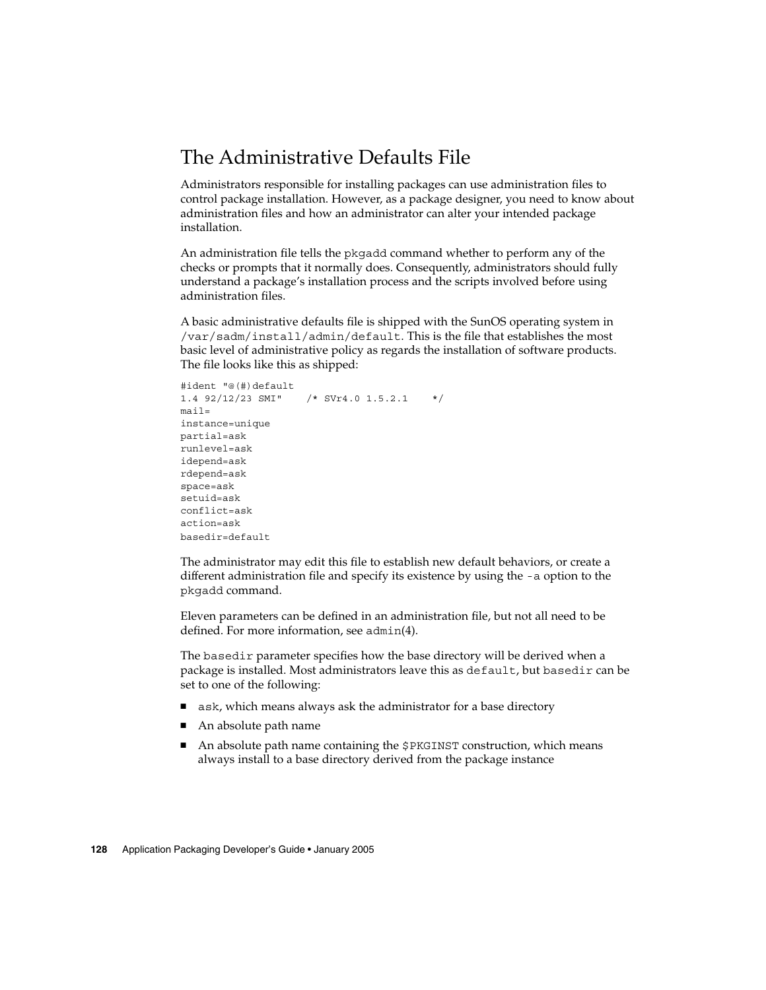## The Administrative Defaults File

Administrators responsible for installing packages can use administration files to control package installation. However, as a package designer, you need to know about administration files and how an administrator can alter your intended package installation.

An administration file tells the pkgadd command whether to perform any of the checks or prompts that it normally does. Consequently, administrators should fully understand a package's installation process and the scripts involved before using administration files.

A basic administrative defaults file is shipped with the SunOS operating system in /var/sadm/install/admin/default. This is the file that establishes the most basic level of administrative policy as regards the installation of software products. The file looks like this as shipped:

```
#ident "@(#)default
1.4 92/12/23 SMI" /* SVr4.0 1.5.2.1 */
ma11 =instance=unique
partial=ask
runlevel=ask
idepend=ask
rdepend=ask
space=ask
setuid=ask
conflict=ask
action=ask
basedir=default
```
The administrator may edit this file to establish new default behaviors, or create a different administration file and specify its existence by using the -a option to the pkgadd command.

Eleven parameters can be defined in an administration file, but not all need to be defined. For more information, see admin(4).

The basedir parameter specifies how the base directory will be derived when a package is installed. Most administrators leave this as default, but basedir can be set to one of the following:

- ask, which means always ask the administrator for a base directory
- An absolute path name
- An absolute path name containing the \$PKGINST construction, which means always install to a base directory derived from the package instance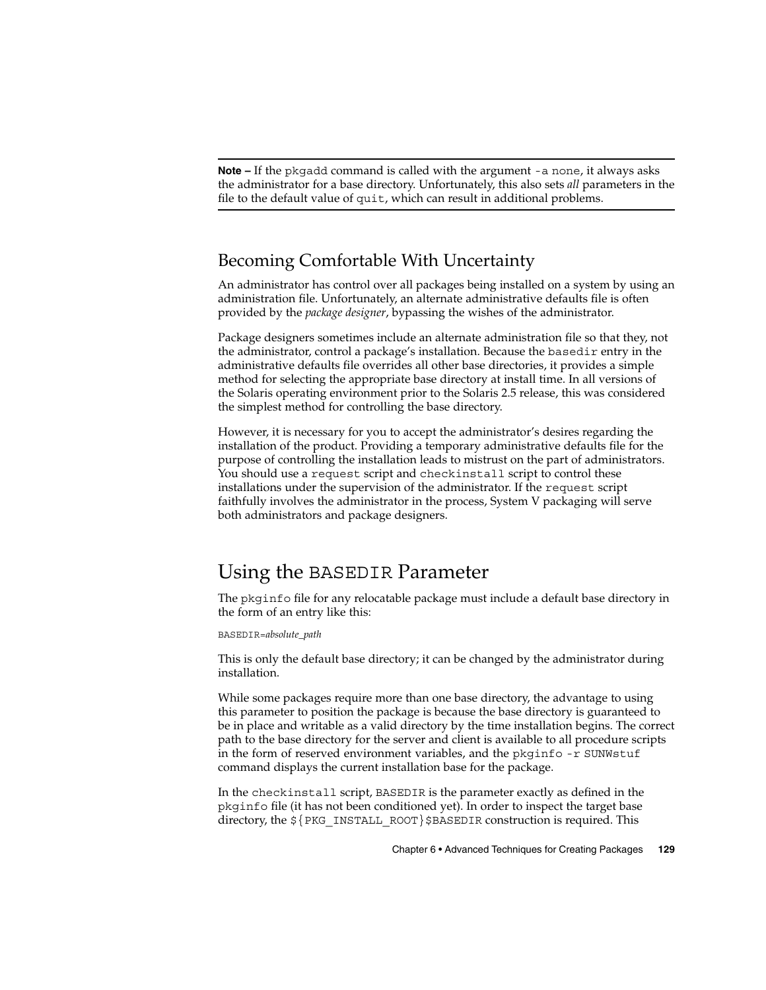**Note –** If the pkgadd command is called with the argument -a none, it always asks the administrator for a base directory. Unfortunately, this also sets *all* parameters in the file to the default value of quit, which can result in additional problems.

### Becoming Comfortable With Uncertainty

An administrator has control over all packages being installed on a system by using an administration file. Unfortunately, an alternate administrative defaults file is often provided by the *package designer*, bypassing the wishes of the administrator.

Package designers sometimes include an alternate administration file so that they, not the administrator, control a package's installation. Because the basedir entry in the administrative defaults file overrides all other base directories, it provides a simple method for selecting the appropriate base directory at install time. In all versions of the Solaris operating environment prior to the Solaris 2.5 release, this was considered the simplest method for controlling the base directory.

However, it is necessary for you to accept the administrator's desires regarding the installation of the product. Providing a temporary administrative defaults file for the purpose of controlling the installation leads to mistrust on the part of administrators. You should use a request script and checkinstall script to control these installations under the supervision of the administrator. If the request script faithfully involves the administrator in the process, System V packaging will serve both administrators and package designers.

## Using the BASEDIR Parameter

The pkginfo file for any relocatable package must include a default base directory in the form of an entry like this:

BASEDIR=*absolute\_path*

This is only the default base directory; it can be changed by the administrator during installation.

While some packages require more than one base directory, the advantage to using this parameter to position the package is because the base directory is guaranteed to be in place and writable as a valid directory by the time installation begins. The correct path to the base directory for the server and client is available to all procedure scripts in the form of reserved environment variables, and the pkginfo -r SUNWstuf command displays the current installation base for the package.

In the checkinstall script, BASEDIR is the parameter exactly as defined in the pkginfo file (it has not been conditioned yet). In order to inspect the target base directory, the  $\S$  [PKG\_INSTALL\_ROOT]  $\S$ BASEDIR construction is required. This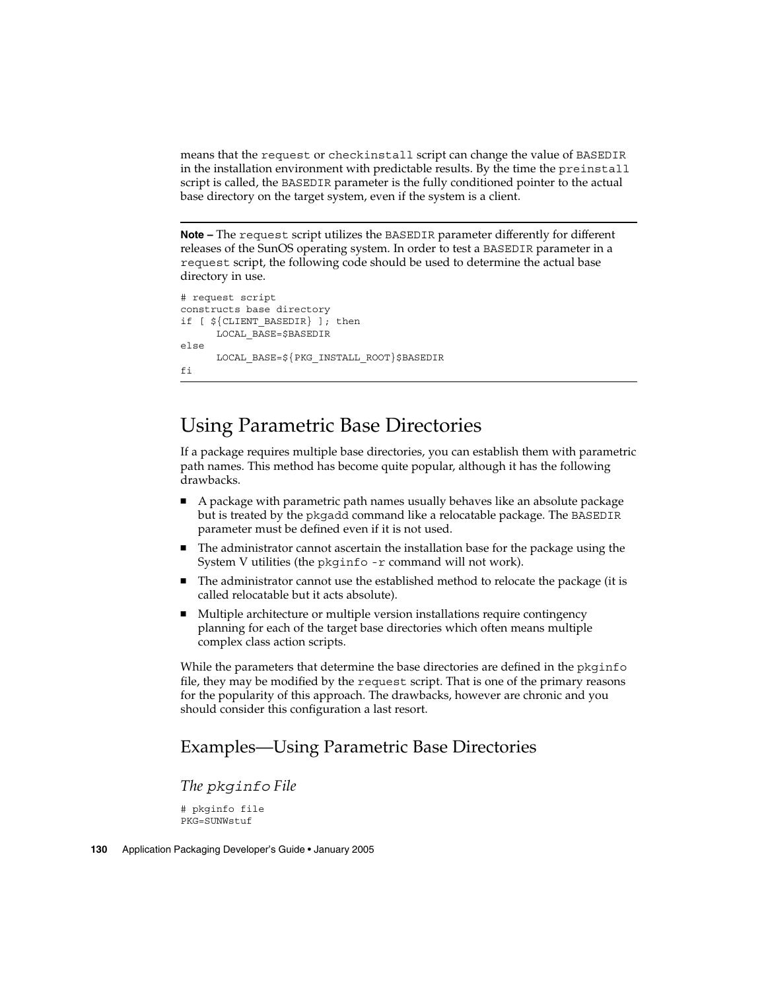means that the request or checkinstall script can change the value of BASEDIR in the installation environment with predictable results. By the time the preinstall script is called, the BASEDIR parameter is the fully conditioned pointer to the actual base directory on the target system, even if the system is a client.

**Note –** The request script utilizes the BASEDIR parameter differently for different releases of the SunOS operating system. In order to test a BASEDIR parameter in a request script, the following code should be used to determine the actual base directory in use.

```
# request script
constructs base directory
if [ ${CLIENT_BASEDIR} ]; then
     LOCAL_BASE=$BASEDIR
else
      LOCAL_BASE=${PKG_INSTALL_ROOT}$BASEDIR
f_i
```
## Using Parametric Base Directories

If a package requires multiple base directories, you can establish them with parametric path names. This method has become quite popular, although it has the following drawbacks.

- A package with parametric path names usually behaves like an absolute package but is treated by the pkgadd command like a relocatable package. The BASEDIR parameter must be defined even if it is not used.
- The administrator cannot ascertain the installation base for the package using the System V utilities (the pkginfo -r command will not work).
- The administrator cannot use the established method to relocate the package (it is called relocatable but it acts absolute).
- Multiple architecture or multiple version installations require contingency planning for each of the target base directories which often means multiple complex class action scripts.

While the parameters that determine the base directories are defined in the pkginfo file, they may be modified by the request script. That is one of the primary reasons for the popularity of this approach. The drawbacks, however are chronic and you should consider this configuration a last resort.

## Examples—Using Parametric Base Directories

*The pkginfo File*

# pkginfo file PKG=SUNWstuf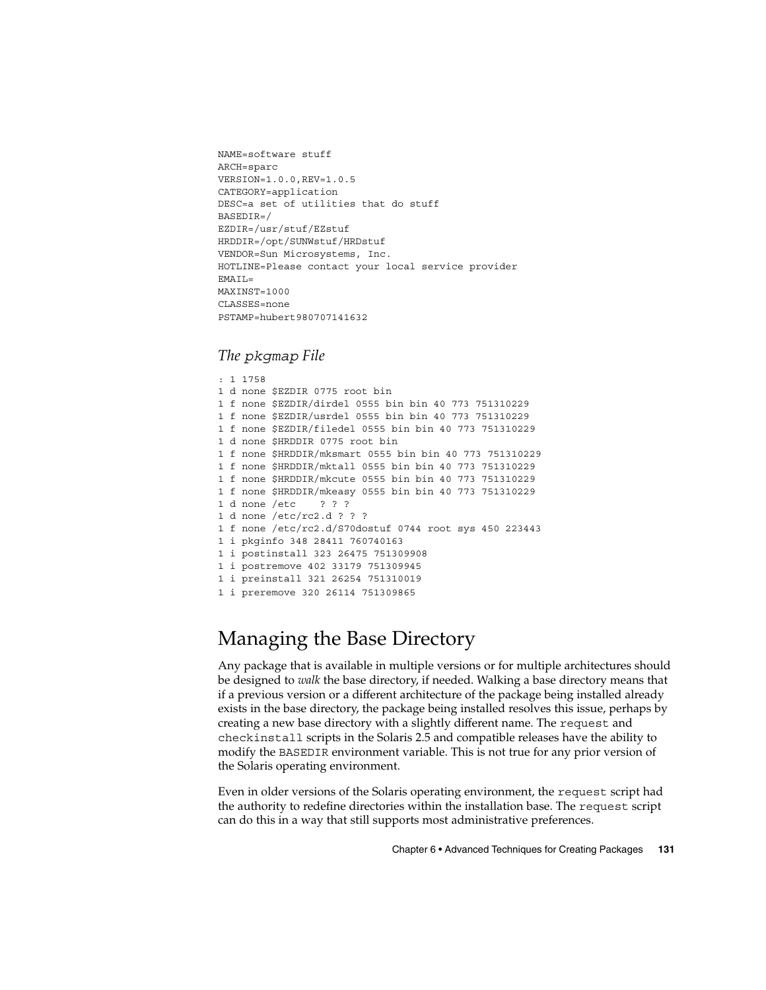```
NAME=software stuff
ARCH=sparc
VERSION=1.0.0,REV=1.0.5
CATEGORY=application
DESC=a set of utilities that do stuff
RASENITR=EZDIR=/usr/stuf/EZstuf
HRDDIR=/opt/SUNWstuf/HRDstuf
VENDOR=Sun Microsystems, Inc.
HOTLINE=Please contact your local service provider
EMATL =MAXINST=1000
CLASSES=none
PSTAMP=hubert980707141632
```
#### *The pkgmap File*

```
: 1 1758
1 d none $EZDIR 0775 root bin
1 f none $EZDIR/dirdel 0555 bin bin 40 773 751310229
1 f none $EZDIR/usrdel 0555 bin bin 40 773 751310229
1 f none $EZDIR/filedel 0555 bin bin 40 773 751310229
1 d none $HRDDIR 0775 root bin
1 f none $HRDDIR/mksmart 0555 bin bin 40 773 751310229
1 f none $HRDDIR/mktall 0555 bin bin 40 773 751310229
1 f none $HRDDIR/mkcute 0555 bin bin 40 773 751310229
1 f none $HRDDIR/mkeasy 0555 bin bin 40 773 751310229
1 d none /etc ? ? ?
1 d none /etc/rc2.d ? ? ?
1 f none /etc/rc2.d/S70dostuf 0744 root sys 450 223443
1 i pkginfo 348 28411 760740163
1 i postinstall 323 26475 751309908
1 i postremove 402 33179 751309945
1 i preinstall 321 26254 751310019
1 i preremove 320 26114 751309865
```
## Managing the Base Directory

Any package that is available in multiple versions or for multiple architectures should be designed to *walk* the base directory, if needed. Walking a base directory means that if a previous version or a different architecture of the package being installed already exists in the base directory, the package being installed resolves this issue, perhaps by creating a new base directory with a slightly different name. The request and checkinstall scripts in the Solaris 2.5 and compatible releases have the ability to modify the BASEDIR environment variable. This is not true for any prior version of the Solaris operating environment.

Even in older versions of the Solaris operating environment, the request script had the authority to redefine directories within the installation base. The request script can do this in a way that still supports most administrative preferences.

Chapter 6 • Advanced Techniques for Creating Packages **131**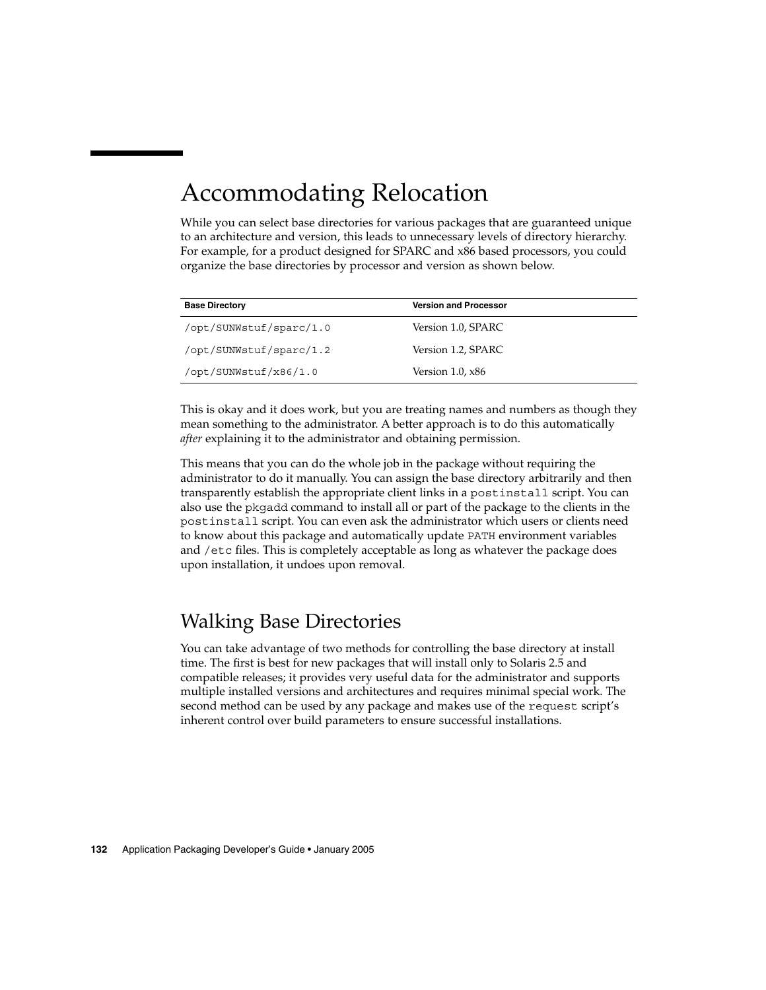# <span id="page-131-0"></span>Accommodating Relocation

While you can select base directories for various packages that are guaranteed unique to an architecture and version, this leads to unnecessary levels of directory hierarchy. For example, for a product designed for SPARC and x86 based processors, you could organize the base directories by processor and version as shown below.

| <b>Base Directory</b>   | <b>Version and Processor</b> |
|-------------------------|------------------------------|
| /opt/SUNWstuf/sparc/1.0 | Version 1.0, SPARC           |
| /opt/SUNWstuf/sparc/1.2 | Version 1.2, SPARC           |
| /opt/SUNWstuf/x86/1.0   | Version 1.0, x86             |

This is okay and it does work, but you are treating names and numbers as though they mean something to the administrator. A better approach is to do this automatically *after* explaining it to the administrator and obtaining permission.

This means that you can do the whole job in the package without requiring the administrator to do it manually. You can assign the base directory arbitrarily and then transparently establish the appropriate client links in a postinstall script. You can also use the pkgadd command to install all or part of the package to the clients in the postinstall script. You can even ask the administrator which users or clients need to know about this package and automatically update PATH environment variables and /etc files. This is completely acceptable as long as whatever the package does upon installation, it undoes upon removal.

## Walking Base Directories

You can take advantage of two methods for controlling the base directory at install time. The first is best for new packages that will install only to Solaris 2.5 and compatible releases; it provides very useful data for the administrator and supports multiple installed versions and architectures and requires minimal special work. The second method can be used by any package and makes use of the request script's inherent control over build parameters to ensure successful installations.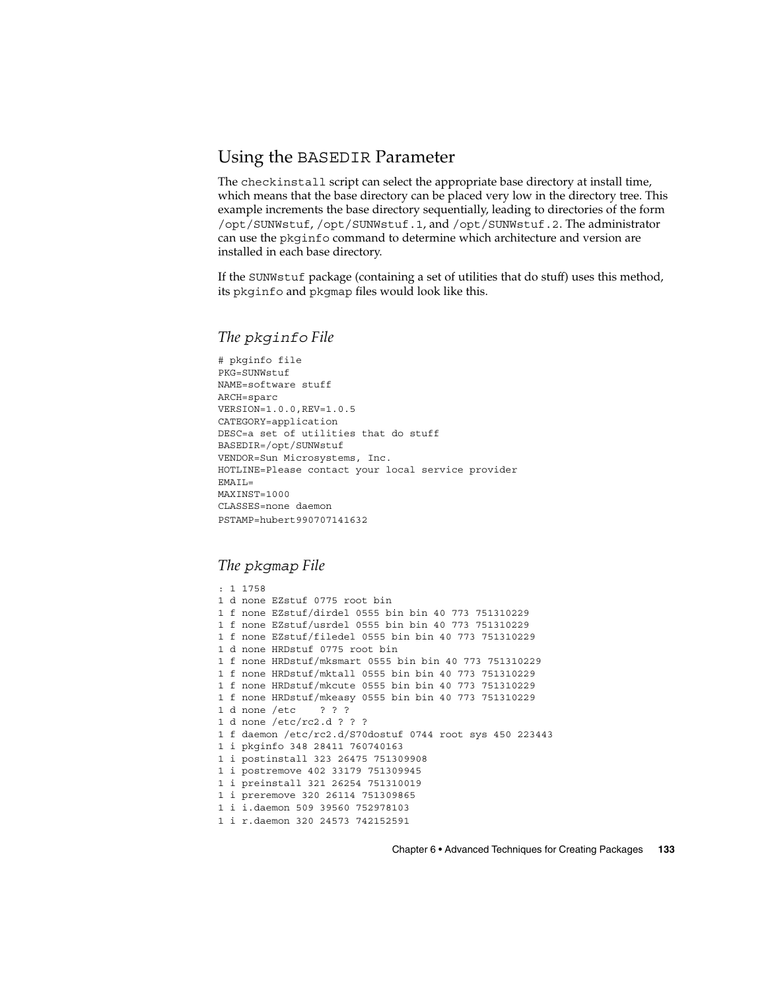#### Using the BASEDIR Parameter

The checkinstall script can select the appropriate base directory at install time, which means that the base directory can be placed very low in the directory tree. This example increments the base directory sequentially, leading to directories of the form /opt/SUNWstuf, /opt/SUNWstuf.1, and /opt/SUNWstuf.2. The administrator can use the pkginfo command to determine which architecture and version are installed in each base directory.

If the SUNWstuf package (containing a set of utilities that do stuff) uses this method, its pkginfo and pkgmap files would look like this.

#### *The pkginfo File*

# pkginfo file PKG=SUNWstuf NAME=software stuff ARCH=sparc VERSION=1.0.0,REV=1.0.5 CATEGORY=application DESC=a set of utilities that do stuff BASEDIR=/opt/SUNWstuf VENDOR=Sun Microsystems, Inc. HOTLINE=Please contact your local service provider EMAIL= MAXINST=1000 CLASSES=none daemon PSTAMP=hubert990707141632

#### *The pkgmap File*

```
: 1 1758
1 d none EZstuf 0775 root bin
1 f none EZstuf/dirdel 0555 bin bin 40 773 751310229
1 f none EZstuf/usrdel 0555 bin bin 40 773 751310229
1 f none EZstuf/filedel 0555 bin bin 40 773 751310229
1 d none HRDstuf 0775 root bin
1 f none HRDstuf/mksmart 0555 bin bin 40 773 751310229
1 f none HRDstuf/mktall 0555 bin bin 40 773 751310229
1 f none HRDstuf/mkcute 0555 bin bin 40 773 751310229
1 f none HRDstuf/mkeasy 0555 bin bin 40 773 751310229
1 d none /etc ? ? ?
1 d none /etc/rc2.d ? ? ?
1 f daemon /etc/rc2.d/S70dostuf 0744 root sys 450 223443
1 i pkginfo 348 28411 760740163
1 i postinstall 323 26475 751309908
1 i postremove 402 33179 751309945
1 i preinstall 321 26254 751310019
1 i preremove 320 26114 751309865
1 i i.daemon 509 39560 752978103
1 i r.daemon 320 24573 742152591
```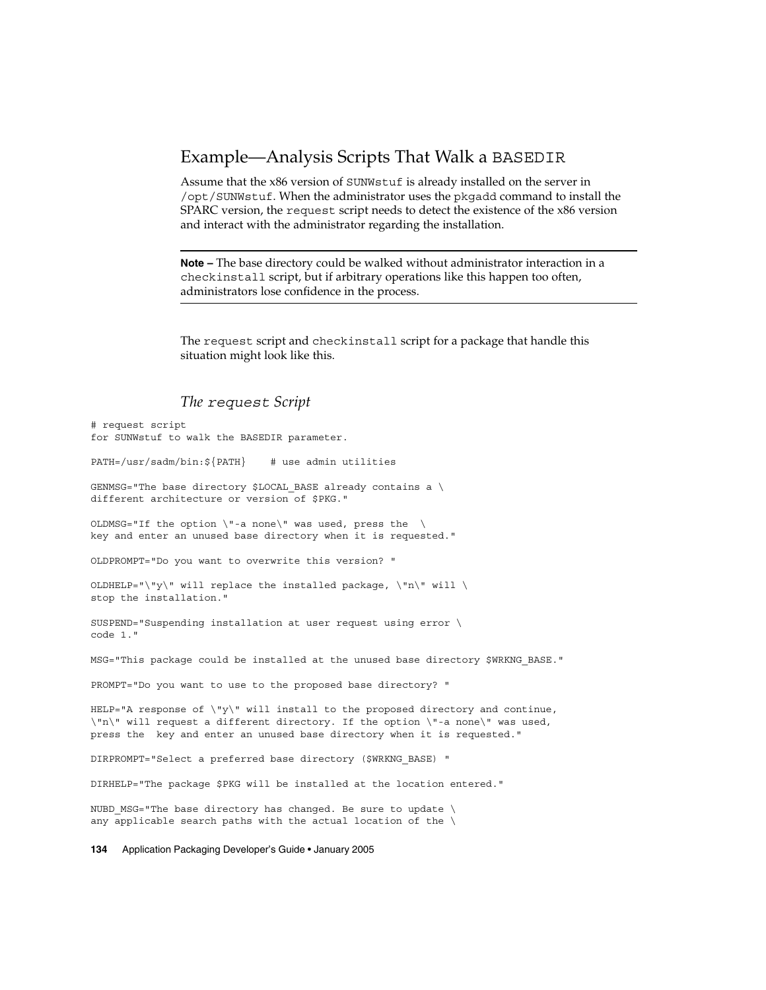#### Example—Analysis Scripts That Walk a BASEDIR

Assume that the x86 version of SUNWstuf is already installed on the server in /opt/SUNWstuf. When the administrator uses the pkgadd command to install the SPARC version, the request script needs to detect the existence of the x86 version and interact with the administrator regarding the installation.

**Note –** The base directory could be walked without administrator interaction in a checkinstall script, but if arbitrary operations like this happen too often, administrators lose confidence in the process.

The request script and checkinstall script for a package that handle this situation might look like this.

#### *The request Script*

# request script for SUNWstuf to walk the BASEDIR parameter. PATH=/usr/sadm/bin:\${PATH} # use admin utilities GENMSG="The base directory \$LOCAL\_BASE already contains a \ different architecture or version of \$PKG." OLDMSG="If the option \"-a none\" was used, press the \ key and enter an unused base directory when it is requested." OLDPROMPT="Do you want to overwrite this version? " OLDHELP="\"y\" will replace the installed package, \"n\" will \ stop the installation." SUSPEND="Suspending installation at user request using error \ code 1." MSG="This package could be installed at the unused base directory \$WRKNG BASE." PROMPT="Do you want to use to the proposed base directory? " HELP="A response of \"y\" will install to the proposed directory and continue, \"n\" will request a different directory. If the option \"-a none\" was used, press the key and enter an unused base directory when it is requested." DIRPROMPT="Select a preferred base directory (\$WRKNG\_BASE) " DIRHELP="The package \$PKG will be installed at the location entered." NUBD MSG="The base directory has changed. Be sure to update  $\setminus$ any applicable search paths with the actual location of the \

**134** Application Packaging Developer's Guide • January 2005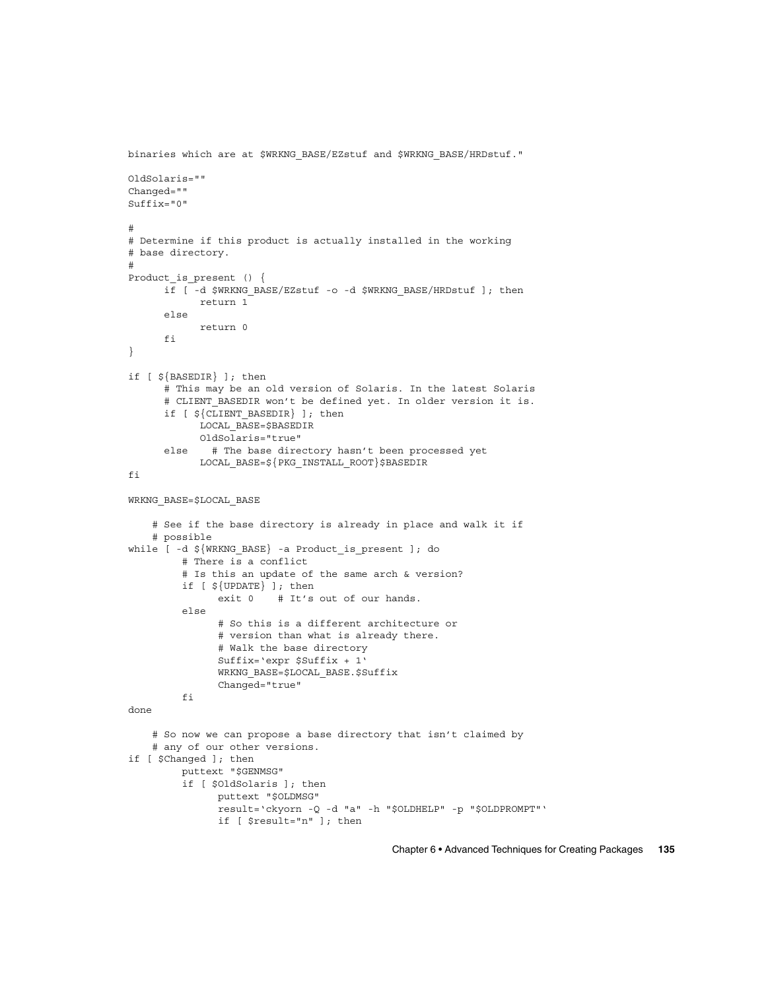```
binaries which are at $WRKNG_BASE/EZstuf and $WRKNG_BASE/HRDstuf."
OldSolaris=""
Changed=""
Sufffix="0"#
# Determine if this product is actually installed in the working
# base directory.
#
Product is present () {
      if [ -d $WRKNG_BASE/EZstuf -o -d $WRKNG_BASE/HRDstuf ]; then
            return 1
      else
            return 0
      f_i}
if [ ${BASEDIR} ]; then
      # This may be an old version of Solaris. In the latest Solaris
      # CLIENT_BASEDIR won't be defined yet. In older version it is.
      if [ ${CLIENT BASEDIR} ]; then
            LOCAL_BASE=$BASEDIR
            OldSolaris="true"
      else # The base directory hasn't been processed yet
            LOCAL_BASE=${PKG_INSTALL_ROOT}$BASEDIR
fi
WRKNG_BASE=$LOCAL_BASE
    # See if the base directory is already in place and walk it if
    # possible
while [ -d ${WRKNG_BASE} -a Product_is_present ]; do
         # There is a conflict
         # Is this an update of the same arch & version?
         if [ ${UPDATE} ]; then
               exit 0 # It's out of our hands.
         else
               # So this is a different architecture or
               # version than what is already there.
               # Walk the base directory
               Suffix='expr $Suffix + 1'
               WRKNG_BASE=$LOCAL_BASE.$Suffix
               Changed="true"
         fi
done
    # So now we can propose a base directory that isn't claimed by
    # any of our other versions.
if [ $Changed ]; then
         puttext "$GENMSG"
         if [ $OldSolaris ]; then
               puttext "$OLDMSG"
               result='ckyorn -Q -d "a" -h "$OLDHELP" -p "$OLDPROMPT"'
               if [ $result="n" ]; then
```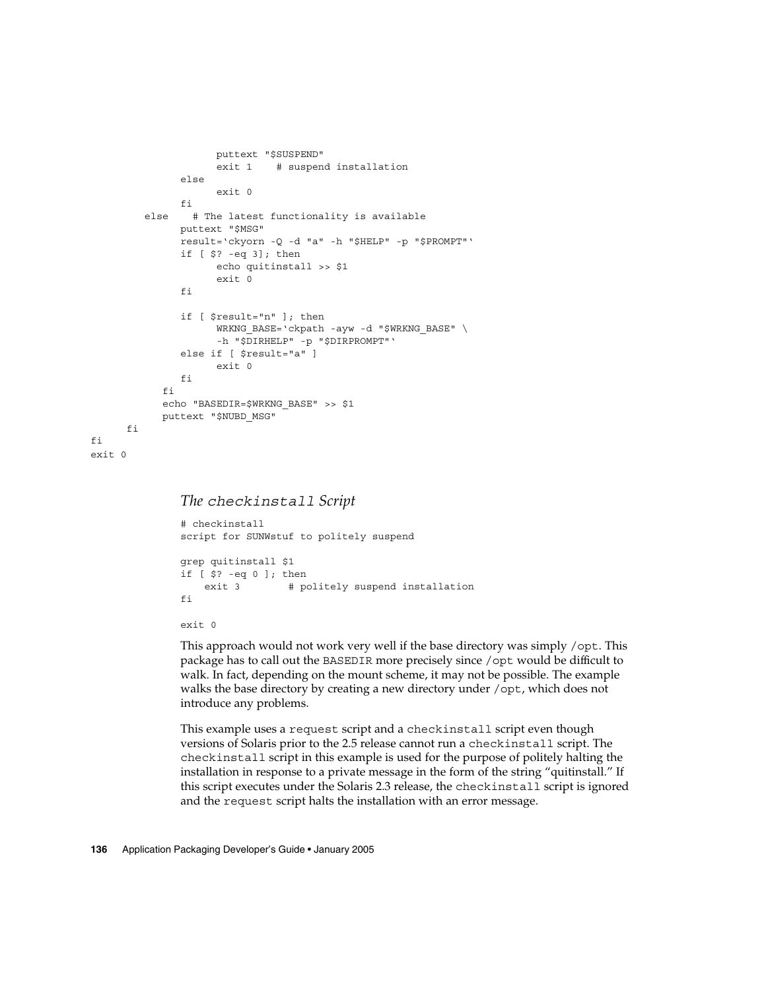```
puttext "$SUSPEND"
                    exit 1 # suspend installation
               else
                    exit 0
               fi
        else # The latest functionality is available
              puttext "$MSG"
              result='ckyorn -Q -d "a" -h "$HELP" -p "$PROMPT"'
               if [ $? -eq 3]; then
                    echo quitinstall >> $1
                    exit 0
               fi
               if [ $result="n" ]; then
                    WRKNG_BASE='ckpath -ayw -d "$WRKNG_BASE" \
                    -h "$DIRHELP" -p "$DIRPROMPT"'
               else if [ $result="a" ]
                    exit 0
               fi
            fi
           echo "BASEDIR=$WRKNG_BASE" >> $1
           puttext "$NUBD_MSG"
     f_iexit 0
```
#### *The checkinstall Script*

```
# checkinstall
script for SUNWstuf to politely suspend
grep quitinstall $1
if [ $? -eq 0 ]; then
   exit 3 # politely suspend installation
fi
```
#### exit 0

fi

This approach would not work very well if the base directory was simply /opt. This package has to call out the BASEDIR more precisely since /opt would be difficult to walk. In fact, depending on the mount scheme, it may not be possible. The example walks the base directory by creating a new directory under /opt, which does not introduce any problems.

This example uses a request script and a checkinstall script even though versions of Solaris prior to the 2.5 release cannot run a checkinstall script. The checkinstall script in this example is used for the purpose of politely halting the installation in response to a private message in the form of the string "quitinstall." If this script executes under the Solaris 2.3 release, the checkinstall script is ignored and the request script halts the installation with an error message.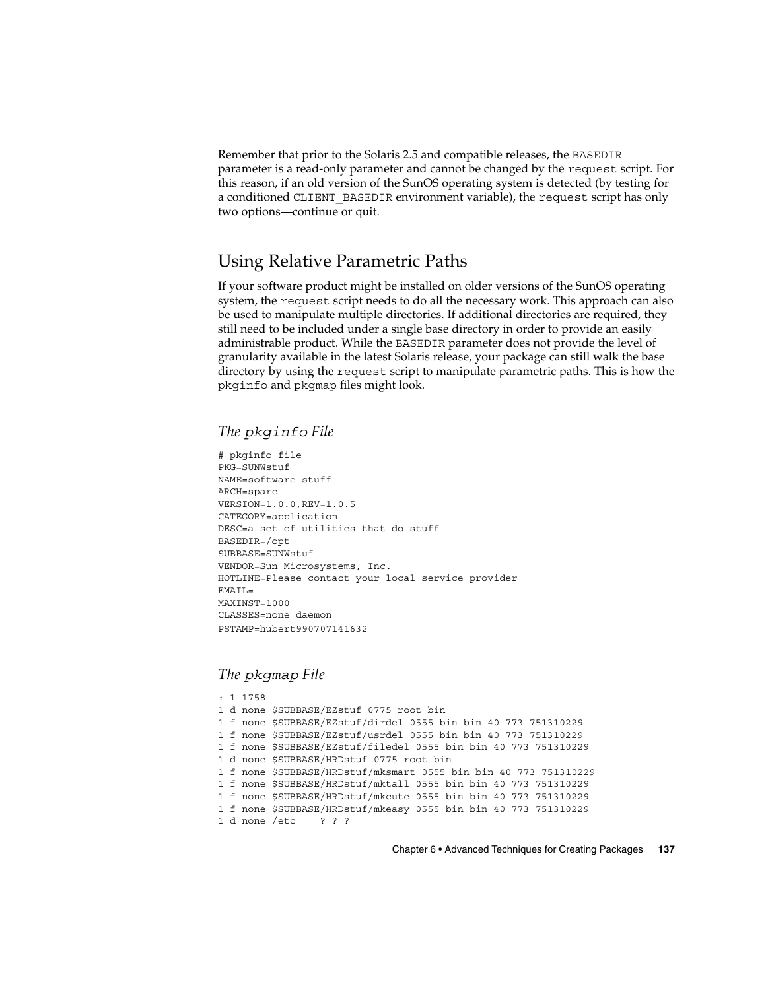Remember that prior to the Solaris 2.5 and compatible releases, the BASEDIR parameter is a read-only parameter and cannot be changed by the request script. For this reason, if an old version of the SunOS operating system is detected (by testing for a conditioned CLIENT\_BASEDIR environment variable), the request script has only two options—continue or quit.

#### Using Relative Parametric Paths

If your software product might be installed on older versions of the SunOS operating system, the request script needs to do all the necessary work. This approach can also be used to manipulate multiple directories. If additional directories are required, they still need to be included under a single base directory in order to provide an easily administrable product. While the BASEDIR parameter does not provide the level of granularity available in the latest Solaris release, your package can still walk the base directory by using the request script to manipulate parametric paths. This is how the pkginfo and pkgmap files might look.

#### *The pkginfo File*

# pkginfo file PKG=SUNWstuf NAME=software stuff ARCH=sparc VERSION=1.0.0,REV=1.0.5 CATEGORY=application DESC=a set of utilities that do stuff BASEDIR=/opt SUBBASE=SUNWstuf VENDOR=Sun Microsystems, Inc. HOTLINE=Please contact your local service provider EMAIL= MAXINST=1000 CLASSES=none daemon PSTAMP=hubert990707141632

#### *The pkgmap File*

```
: 1 1758
1 d none $SUBBASE/EZstuf 0775 root bin
1 f none $SUBBASE/EZstuf/dirdel 0555 bin bin 40 773 751310229
1 f none $SUBBASE/EZstuf/usrdel 0555 bin bin 40 773 751310229
1 f none $SUBBASE/EZstuf/filedel 0555 bin bin 40 773 751310229
1 d none $SUBBASE/HRDstuf 0775 root bin
1 f none $SUBBASE/HRDstuf/mksmart 0555 bin bin 40 773 751310229
1 f none $SUBBASE/HRDstuf/mktall 0555 bin bin 40 773 751310229
1 f none $SUBBASE/HRDstuf/mkcute 0555 bin bin 40 773 751310229
1 f none $SUBBASE/HRDstuf/mkeasy 0555 bin bin 40 773 751310229
1 d none /etc ? ? ?
```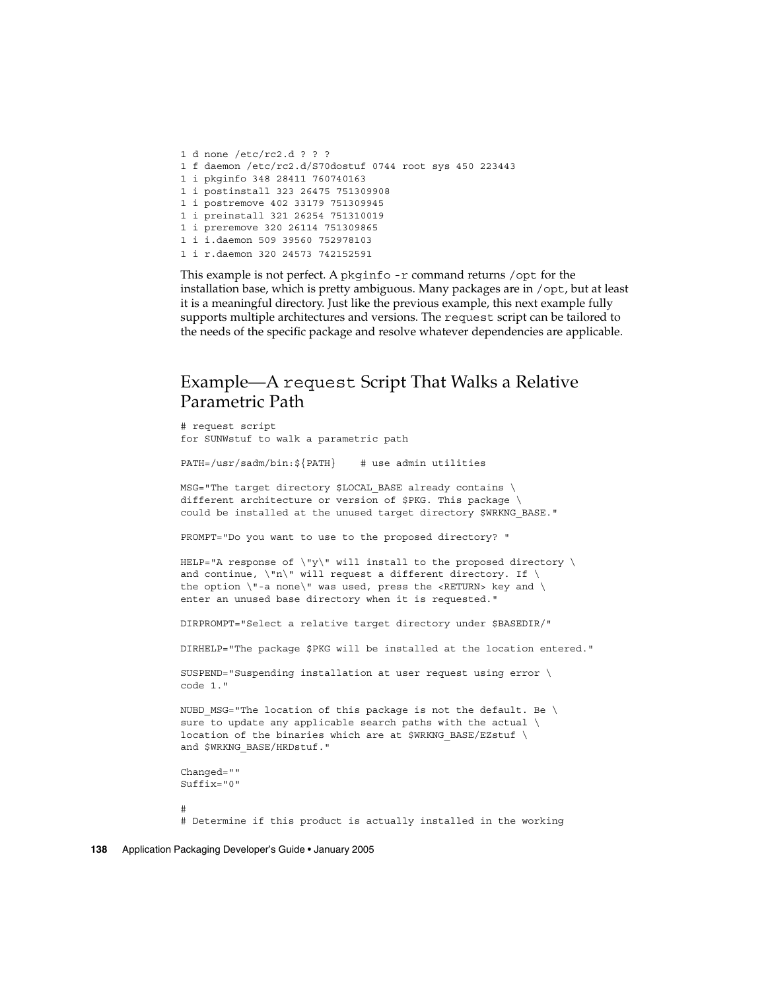1 d none /etc/rc2.d ? ? ? 1 f daemon /etc/rc2.d/S70dostuf 0744 root sys 450 223443 1 i pkginfo 348 28411 760740163 1 i postinstall 323 26475 751309908 1 i postremove 402 33179 751309945 1 i preinstall 321 26254 751310019 1 i preremove 320 26114 751309865 1 i i.daemon 509 39560 752978103 1 i r.daemon 320 24573 742152591

This example is not perfect. A pkginfo -r command returns /opt for the installation base, which is pretty ambiguous. Many packages are in /opt, but at least it is a meaningful directory. Just like the previous example, this next example fully supports multiple architectures and versions. The request script can be tailored to the needs of the specific package and resolve whatever dependencies are applicable.

### Example—A request Script That Walks a Relative Parametric Path

# request script for SUNWstuf to walk a parametric path  $PATH = /usr/sadm/bin: ${PATH}$  # use admin utilities MSG="The target directory \$LOCAL\_BASE already contains \ different architecture or version of \$PKG. This package \ could be installed at the unused target directory \$WRKNG\_BASE." PROMPT="Do you want to use to the proposed directory? " HELP="A response of  $\y\$ " will install to the proposed directory  $\setminus$ and continue, \"n\" will request a different directory. If \ the option  $\vee$ "-a none $\vee$ " was used, press the <RETURN> key and  $\wedge$ enter an unused base directory when it is requested." DIRPROMPT="Select a relative target directory under \$BASEDIR/" DIRHELP="The package \$PKG will be installed at the location entered." SUSPEND="Suspending installation at user request using error \ code 1." NUBD MSG="The location of this package is not the default. Be  $\setminus$ sure to update any applicable search paths with the actual \ location of the binaries which are at \$WRKNG BASE/EZstuf \ and \$WRKNG\_BASE/HRDstuf." Changed="" Suffix="0" # # Determine if this product is actually installed in the working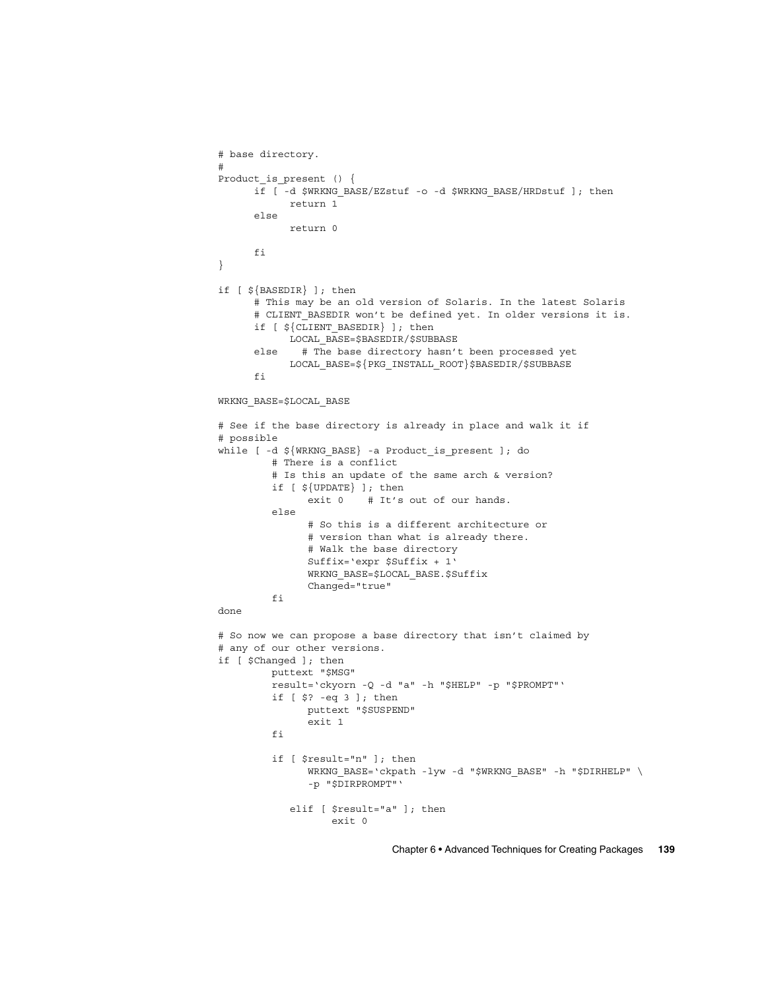```
# base directory.
#
Product_is_present () {
      if [ -d $WRKNG_BASE/EZstuf -o -d $WRKNG_BASE/HRDstuf ]; then
            return 1
      else
            return 0
     fi
}
if [ ${BASEDIR} ]; then
      # This may be an old version of Solaris. In the latest Solaris
      # CLIENT_BASEDIR won't be defined yet. In older versions it is.
      if [\sqrt{\text{CLIENT BASEDIR}}]; then
            LOCAL_BASE=$BASEDIR/$SUBBASE
      else # The base directory hasn't been processed yet
            LOCAL_BASE=${PKG_INSTALL_ROOT}$BASEDIR/$SUBBASE
      fi
WRKNG_BASE=$LOCAL_BASE
# See if the base directory is already in place and walk it if
# possible
while [ -d $ {WRKNG BASE} -a Product is present ]; do
         # There is a conflict
         # Is this an update of the same arch & version?
         if [ ${UPDATE} ]; then
               exit 0 # It's out of our hands.
         else
               # So this is a different architecture or
               # version than what is already there.
               # Walk the base directory
               Suffix='expr $Suffix + 1'
               WRKNG_BASE=$LOCAL_BASE.$Suffix
               Changed="true"
         fi
done
# So now we can propose a base directory that isn't claimed by
# any of our other versions.
if [ $Changed ]; then
        puttext "$MSG"
         result='ckyorn -Q -d "a" -h "$HELP" -p "$PROMPT"'
         if [ $? -eq 3 ]; then
               puttext "$SUSPEND"
               exit 1
         fi
         if [ $result="n" ]; then
               WRKNG BASE='ckpath -lyw -d "$WRKNG BASE" -h "$DIRHELP" \
               -p "$DIRPROMPT"'
            elif [ $result="a" ]; then
                   exit 0
```
Chapter 6 • Advanced Techniques for Creating Packages **139**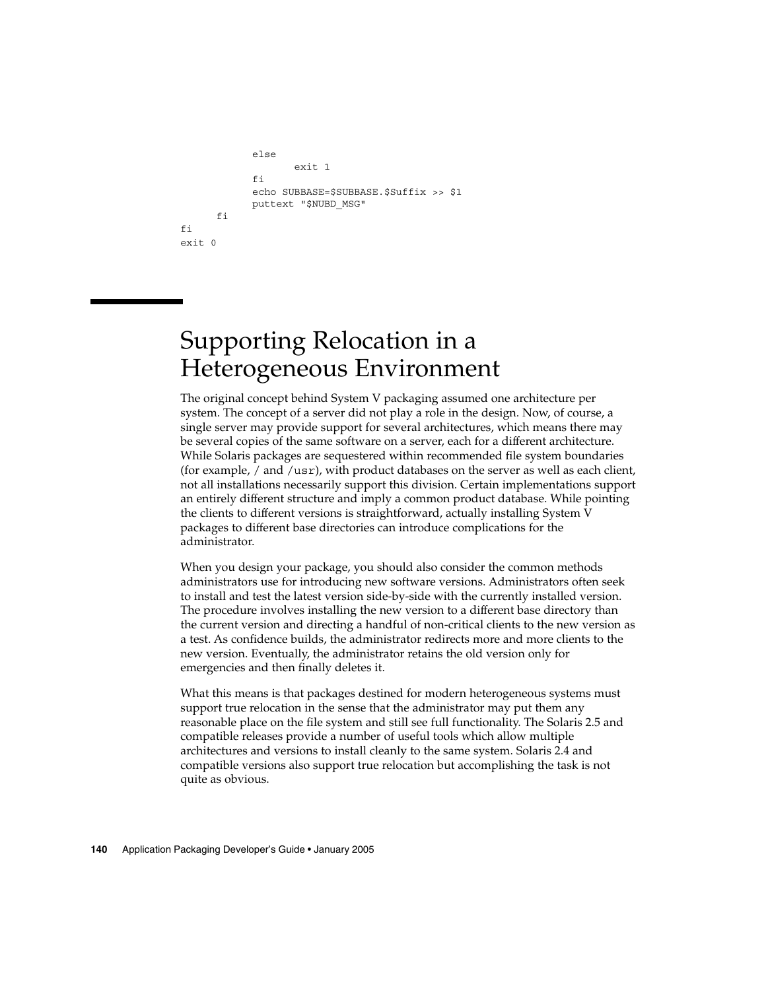```
else
                   exit 1
            f_iecho SUBBASE=$SUBBASE.$Suffix >> $1
            puttext "$NUBD_MSG"
      f_iext{p}
```
fi

# Supporting Relocation in a Heterogeneous Environment

The original concept behind System V packaging assumed one architecture per system. The concept of a server did not play a role in the design. Now, of course, a single server may provide support for several architectures, which means there may be several copies of the same software on a server, each for a different architecture. While Solaris packages are sequestered within recommended file system boundaries (for example, / and /usr), with product databases on the server as well as each client, not all installations necessarily support this division. Certain implementations support an entirely different structure and imply a common product database. While pointing the clients to different versions is straightforward, actually installing System V packages to different base directories can introduce complications for the administrator.

When you design your package, you should also consider the common methods administrators use for introducing new software versions. Administrators often seek to install and test the latest version side-by-side with the currently installed version. The procedure involves installing the new version to a different base directory than the current version and directing a handful of non-critical clients to the new version as a test. As confidence builds, the administrator redirects more and more clients to the new version. Eventually, the administrator retains the old version only for emergencies and then finally deletes it.

What this means is that packages destined for modern heterogeneous systems must support true relocation in the sense that the administrator may put them any reasonable place on the file system and still see full functionality. The Solaris 2.5 and compatible releases provide a number of useful tools which allow multiple architectures and versions to install cleanly to the same system. Solaris 2.4 and compatible versions also support true relocation but accomplishing the task is not quite as obvious.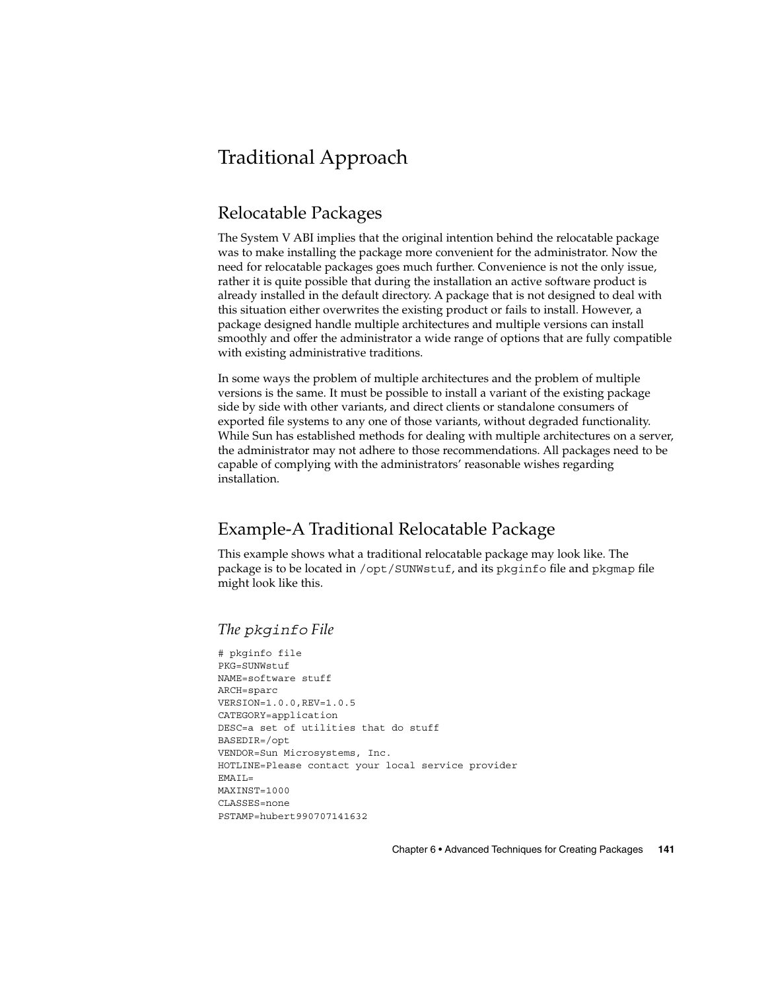# Traditional Approach

#### Relocatable Packages

The System V ABI implies that the original intention behind the relocatable package was to make installing the package more convenient for the administrator. Now the need for relocatable packages goes much further. Convenience is not the only issue, rather it is quite possible that during the installation an active software product is already installed in the default directory. A package that is not designed to deal with this situation either overwrites the existing product or fails to install. However, a package designed handle multiple architectures and multiple versions can install smoothly and offer the administrator a wide range of options that are fully compatible with existing administrative traditions.

In some ways the problem of multiple architectures and the problem of multiple versions is the same. It must be possible to install a variant of the existing package side by side with other variants, and direct clients or standalone consumers of exported file systems to any one of those variants, without degraded functionality. While Sun has established methods for dealing with multiple architectures on a server, the administrator may not adhere to those recommendations. All packages need to be capable of complying with the administrators' reasonable wishes regarding installation.

## Example-A Traditional Relocatable Package

This example shows what a traditional relocatable package may look like. The package is to be located in /opt/SUNWstuf, and its pkginfo file and pkgmap file might look like this.

#### *The pkginfo File*

# pkginfo file PKG=SUNWstuf NAME=software stuff ARCH=sparc VERSION=1.0.0,REV=1.0.5 CATEGORY=application DESC=a set of utilities that do stuff BASEDIR=/opt VENDOR=Sun Microsystems, Inc. HOTLINE=Please contact your local service provider EMAIL= MAXINST=1000 CLASSES=none PSTAMP=hubert990707141632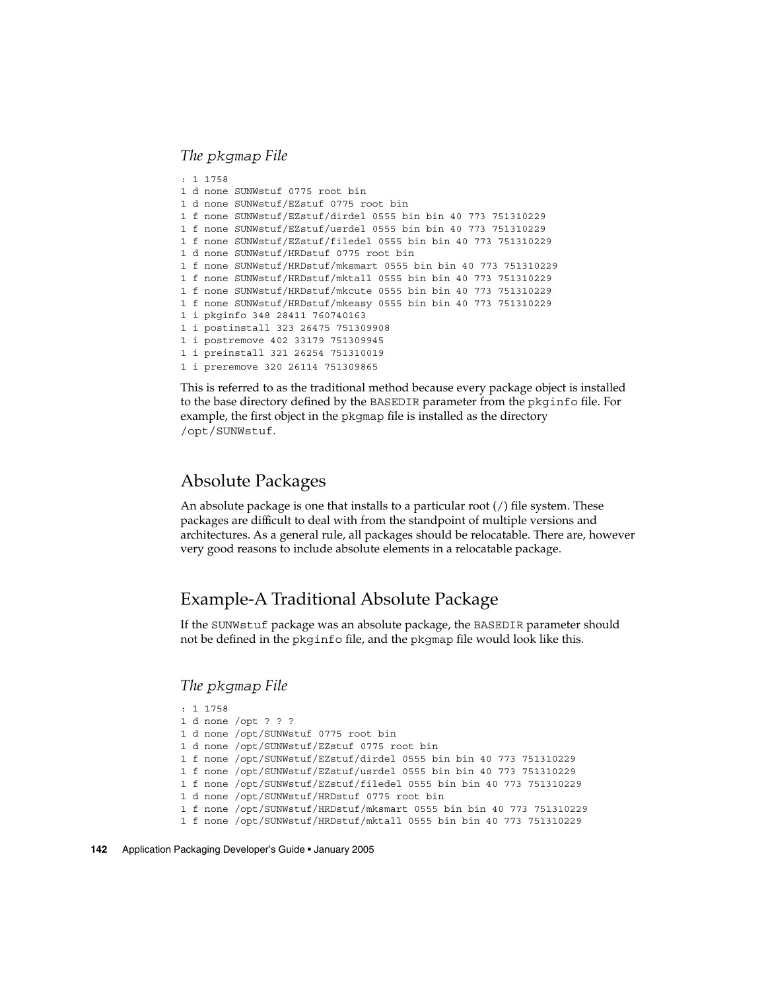*The pkgmap File*

```
: 1 1758
1 d none SUNWstuf 0775 root bin
1 d none SUNWstuf/EZstuf 0775 root bin
1 f none SUNWstuf/EZstuf/dirdel 0555 bin bin 40 773 751310229
1 f none SUNWstuf/EZstuf/usrdel 0555 bin bin 40 773 751310229
1 f none SUNWstuf/EZstuf/filedel 0555 bin bin 40 773 751310229
1 d none SUNWstuf/HRDstuf 0775 root bin
1 f none SUNWstuf/HRDstuf/mksmart 0555 bin bin 40 773 751310229
1 f none SUNWstuf/HRDstuf/mktall 0555 bin bin 40 773 751310229
1 f none SUNWstuf/HRDstuf/mkcute 0555 bin bin 40 773 751310229
1 f none SUNWstuf/HRDstuf/mkeasy 0555 bin bin 40 773 751310229
1 i pkginfo 348 28411 760740163
1 i postinstall 323 26475 751309908
1 i postremove 402 33179 751309945
1 i preinstall 321 26254 751310019
1 i preremove 320 26114 751309865
```
This is referred to as the traditional method because every package object is installed to the base directory defined by the BASEDIR parameter from the pkginfo file. For example, the first object in the pkgmap file is installed as the directory /opt/SUNWstuf.

#### Absolute Packages

An absolute package is one that installs to a particular root  $\alpha$  file system. These packages are difficult to deal with from the standpoint of multiple versions and architectures. As a general rule, all packages should be relocatable. There are, however very good reasons to include absolute elements in a relocatable package.

### Example-A Traditional Absolute Package

If the SUNWstuf package was an absolute package, the BASEDIR parameter should not be defined in the pkginfo file, and the pkgmap file would look like this.

#### *The pkgmap File*

```
: 1 1758
1 d none /opt ? ? ?
1 d none /opt/SUNWstuf 0775 root bin
1 d none /opt/SUNWstuf/EZstuf 0775 root bin
1 f none /opt/SUNWstuf/EZstuf/dirdel 0555 bin bin 40 773 751310229
1 f none /opt/SUNWstuf/EZstuf/usrdel 0555 bin bin 40 773 751310229
1 f none /opt/SUNWstuf/EZstuf/filedel 0555 bin bin 40 773 751310229
1 d none /opt/SUNWstuf/HRDstuf 0775 root bin
1 f none /opt/SUNWstuf/HRDstuf/mksmart 0555 bin bin 40 773 751310229
1 f none /opt/SUNWstuf/HRDstuf/mktall 0555 bin bin 40 773 751310229
```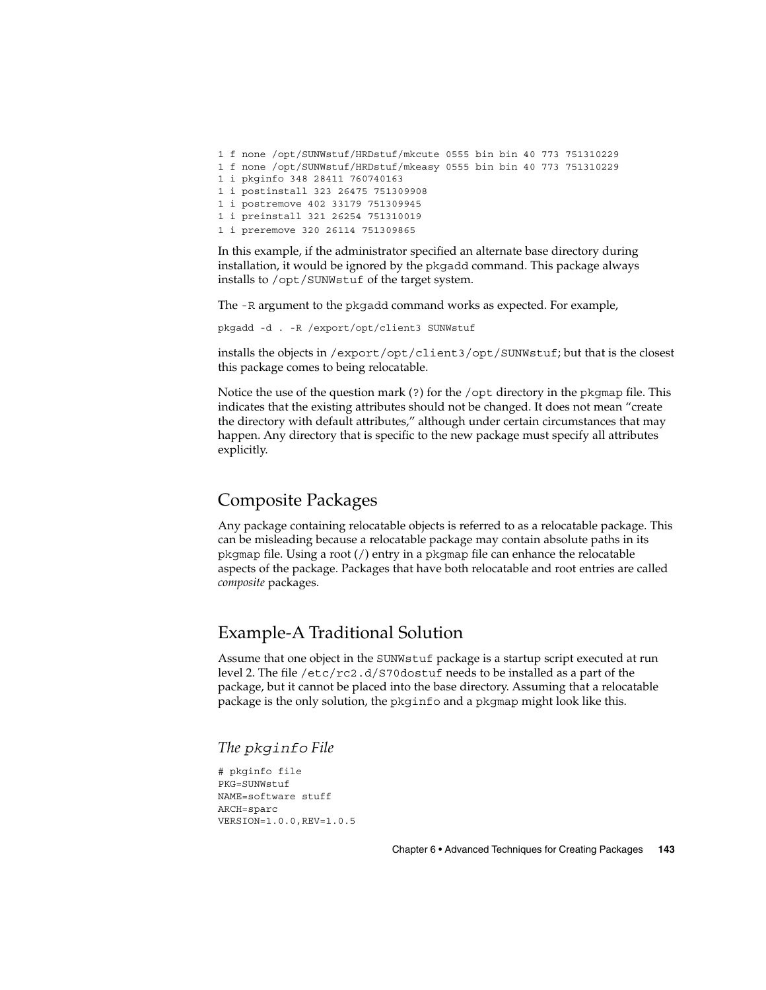1 f none /opt/SUNWstuf/HRDstuf/mkcute 0555 bin bin 40 773 751310229 1 f none /opt/SUNWstuf/HRDstuf/mkeasy 0555 bin bin 40 773 751310229 1 i pkginfo 348 28411 760740163 1 i postinstall 323 26475 751309908 1 i postremove 402 33179 751309945 1 i preinstall 321 26254 751310019 1 i preremove 320 26114 751309865

In this example, if the administrator specified an alternate base directory during installation, it would be ignored by the pkgadd command. This package always installs to /opt/SUNWstuf of the target system.

The -R argument to the pkgadd command works as expected. For example,

pkgadd -d . -R /export/opt/client3 SUNWstuf

installs the objects in /export/opt/client3/opt/SUNWstuf; but that is the closest this package comes to being relocatable.

Notice the use of the question mark (?) for the /opt directory in the pkgmap file. This indicates that the existing attributes should not be changed. It does not mean "create the directory with default attributes," although under certain circumstances that may happen. Any directory that is specific to the new package must specify all attributes explicitly.

#### Composite Packages

Any package containing relocatable objects is referred to as a relocatable package. This can be misleading because a relocatable package may contain absolute paths in its pkgmap file. Using a root (/) entry in a pkgmap file can enhance the relocatable aspects of the package. Packages that have both relocatable and root entries are called *composite* packages.

#### Example-A Traditional Solution

Assume that one object in the SUNWstuf package is a startup script executed at run level 2. The file /etc/rc2.d/S70dostuf needs to be installed as a part of the package, but it cannot be placed into the base directory. Assuming that a relocatable package is the only solution, the pkginfo and a pkgmap might look like this.

#### *The pkginfo File*

# pkginfo file PKG=SUNWstuf NAME=software stuff ARCH=sparc VERSION=1.0.0,REV=1.0.5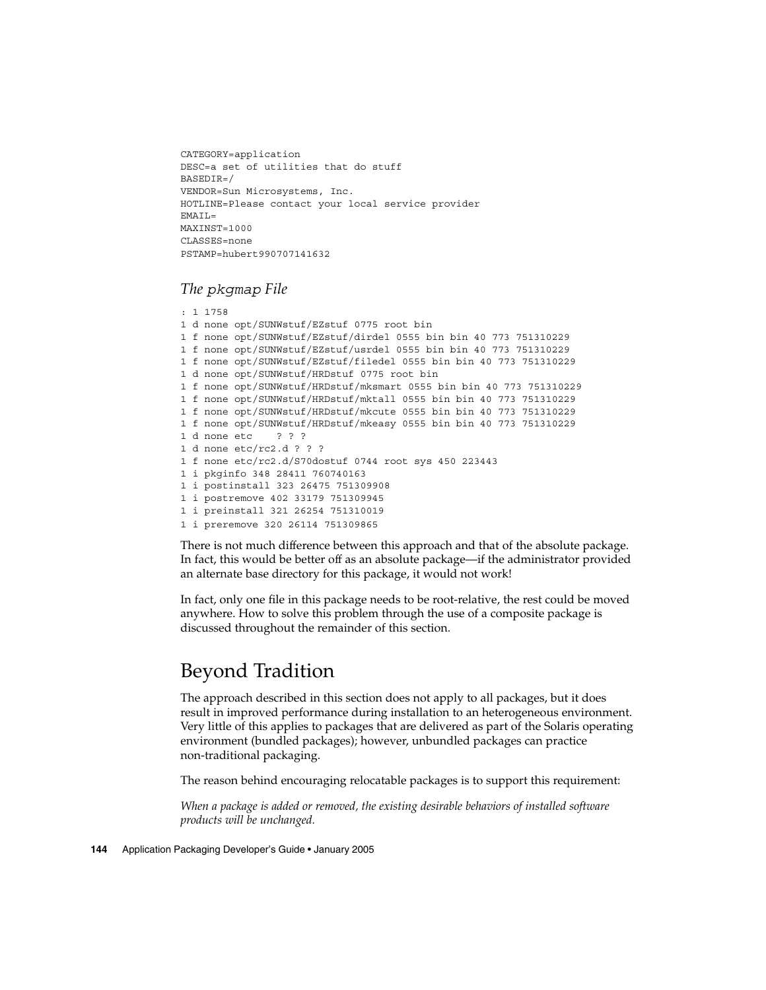```
CATEGORY=application
DESC=a set of utilities that do stuff
BASEDIR=/
VENDOR=Sun Microsystems, Inc.
HOTLINE=Please contact your local service provider
EMAIL=
MAXINST=1000
CLASSES=none
PSTAMP=hubert990707141632
```
#### *The pkgmap File*

```
: 1 1758
1 d none opt/SUNWstuf/EZstuf 0775 root bin
1 f none opt/SUNWstuf/EZstuf/dirdel 0555 bin bin 40 773 751310229
1 f none opt/SUNWstuf/EZstuf/usrdel 0555 bin bin 40 773 751310229
1 f none opt/SUNWstuf/EZstuf/filedel 0555 bin bin 40 773 751310229
1 d none opt/SUNWstuf/HRDstuf 0775 root bin
1 f none opt/SUNWstuf/HRDstuf/mksmart 0555 bin bin 40 773 751310229
1 f none opt/SUNWstuf/HRDstuf/mktall 0555 bin bin 40 773 751310229
1 f none opt/SUNWstuf/HRDstuf/mkcute 0555 bin bin 40 773 751310229
1 f none opt/SUNWstuf/HRDstuf/mkeasy 0555 bin bin 40 773 751310229
1 d none etc ? ? ?
1 d none etc/rc2.d ? ? ?
1 f none etc/rc2.d/S70dostuf 0744 root sys 450 223443
1 i pkginfo 348 28411 760740163
1 i postinstall 323 26475 751309908
1 i postremove 402 33179 751309945
1 i preinstall 321 26254 751310019
1 i preremove 320 26114 751309865
```
There is not much difference between this approach and that of the absolute package. In fact, this would be better off as an absolute package—if the administrator provided an alternate base directory for this package, it would not work!

In fact, only one file in this package needs to be root-relative, the rest could be moved anywhere. How to solve this problem through the use of a composite package is discussed throughout the remainder of this section.

## Beyond Tradition

The approach described in this section does not apply to all packages, but it does result in improved performance during installation to an heterogeneous environment. Very little of this applies to packages that are delivered as part of the Solaris operating environment (bundled packages); however, unbundled packages can practice non-traditional packaging.

The reason behind encouraging relocatable packages is to support this requirement:

*When a package is added or removed, the existing desirable behaviors of installed software products will be unchanged.*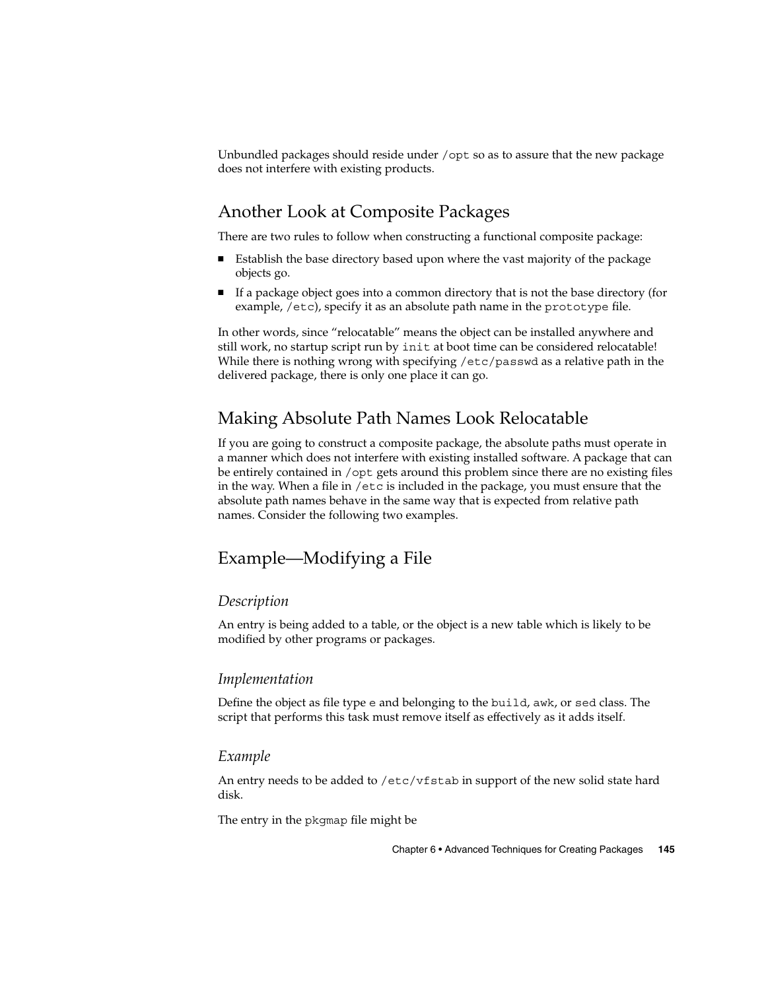Unbundled packages should reside under /opt so as to assure that the new package does not interfere with existing products.

### Another Look at Composite Packages

There are two rules to follow when constructing a functional composite package:

- Establish the base directory based upon where the vast majority of the package objects go.
- If a package object goes into a common directory that is not the base directory (for example, /etc), specify it as an absolute path name in the prototype file.

In other words, since "relocatable" means the object can be installed anywhere and still work, no startup script run by init at boot time can be considered relocatable! While there is nothing wrong with specifying /etc/passwd as a relative path in the delivered package, there is only one place it can go.

### Making Absolute Path Names Look Relocatable

If you are going to construct a composite package, the absolute paths must operate in a manner which does not interfere with existing installed software. A package that can be entirely contained in /opt gets around this problem since there are no existing files in the way. When a file in /etc is included in the package, you must ensure that the absolute path names behave in the same way that is expected from relative path names. Consider the following two examples.

### Example—Modifying a File

### *Description*

An entry is being added to a table, or the object is a new table which is likely to be modified by other programs or packages.

### *Implementation*

Define the object as file type e and belonging to the build, awk, or sed class. The script that performs this task must remove itself as effectively as it adds itself.

### *Example*

An entry needs to be added to /etc/vfstab in support of the new solid state hard disk.

The entry in the pkgmap file might be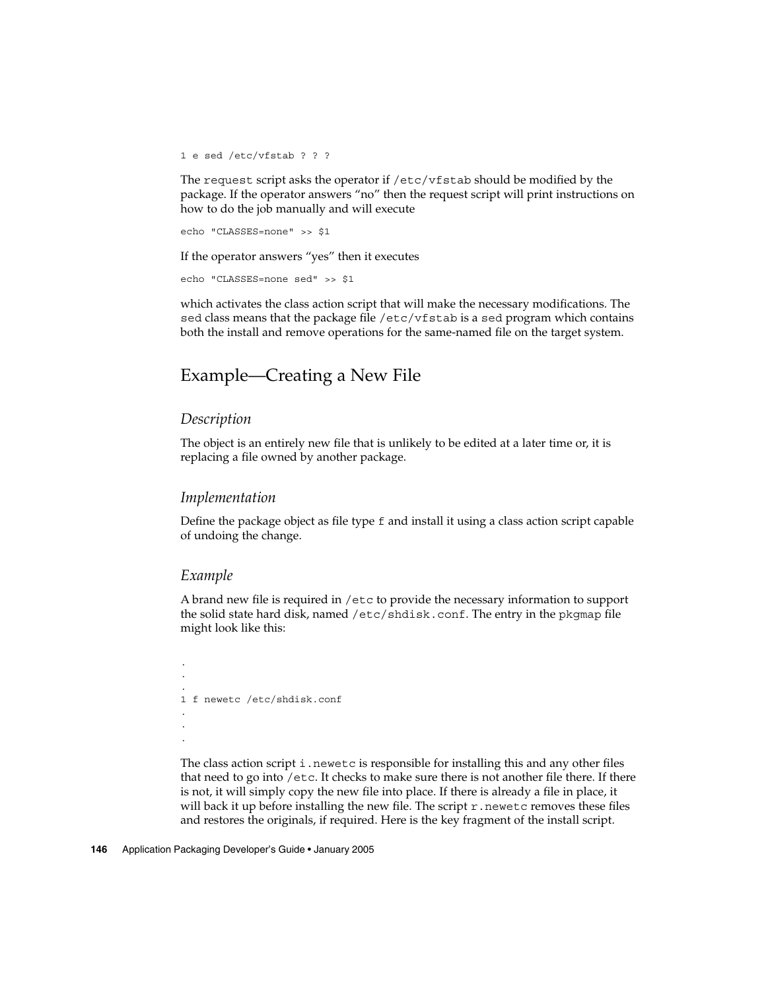1 e sed /etc/vfstab???

The request script asks the operator if /etc/vfstab should be modified by the package. If the operator answers "no" then the request script will print instructions on how to do the job manually and will execute

echo "CLASSES=none" >> \$1

If the operator answers "yes" then it executes

echo "CLASSES=none sed" >> \$1

which activates the class action script that will make the necessary modifications. The sed class means that the package file  $/etc/vf$ stab is a sed program which contains both the install and remove operations for the same-named file on the target system.

### Example—Creating a New File

#### *Description*

The object is an entirely new file that is unlikely to be edited at a later time or, it is replacing a file owned by another package.

#### *Implementation*

Define the package object as file type f and install it using a class action script capable of undoing the change.

#### *Example*

A brand new file is required in /etc to provide the necessary information to support the solid state hard disk, named /etc/shdisk.conf. The entry in the pkgmap file might look like this:

. . . 1 f newetc /etc/shdisk.conf . . .

The class action script i.newetc is responsible for installing this and any other files that need to go into /etc. It checks to make sure there is not another file there. If there is not, it will simply copy the new file into place. If there is already a file in place, it will back it up before installing the new file. The script  $r$  . newetc removes these files and restores the originals, if required. Here is the key fragment of the install script.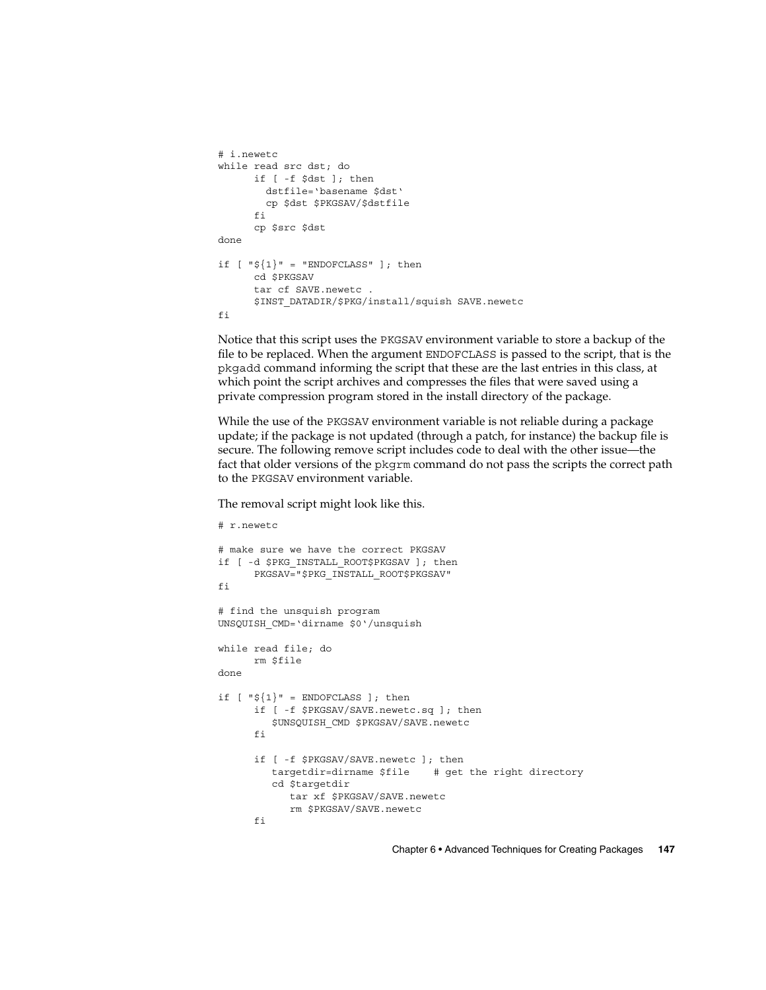```
# i.newetc
while read src dst; do
     if [ -f $dst ]; then
       dstfile='basename $dst'
       cp $dst $PKGSAV/$dstfile
     fi
     cp $src $dst
done
if [ "${1}" = "ENDOFCLASS" ]; then
      cd $PKGSAV
      tar cf SAVE.newetc
      $INST_DATADIR/$PKG/install/squish SAVE.newetc
fi
```
Notice that this script uses the PKGSAV environment variable to store a backup of the file to be replaced. When the argument ENDOFCLASS is passed to the script, that is the pkgadd command informing the script that these are the last entries in this class, at which point the script archives and compresses the files that were saved using a private compression program stored in the install directory of the package.

While the use of the PKGSAV environment variable is not reliable during a package update; if the package is not updated (through a patch, for instance) the backup file is secure. The following remove script includes code to deal with the other issue—the fact that older versions of the pkgrm command do not pass the scripts the correct path to the PKGSAV environment variable.

The removal script might look like this.

```
# r.newetc
# make sure we have the correct PKGSAV
if [ -d $PKG_INSTALL_ROOT$PKGSAV ]; then
      PKGSAV="$PKG_INSTALL_ROOT$PKGSAV"
fi
# find the unsquish program
UNSQUISH_CMD='dirname $0'/unsquish
while read file; do
     rm $file
done
if [ "${1}" = ENDOFCLASS ]; then
      if [ -f $PKGSAV/SAVE.newetc.sq ]; then
        $UNSQUISH_CMD $PKGSAV/SAVE.newetc
      f_iif [ -f $PKGSAV/SAVE.newetc ]; then
         targetdir=dirname $file # get the right directory
         cd $targetdir
           tar xf $PKGSAV/SAVE.newetc
            rm $PKGSAV/SAVE.newetc
      fi
```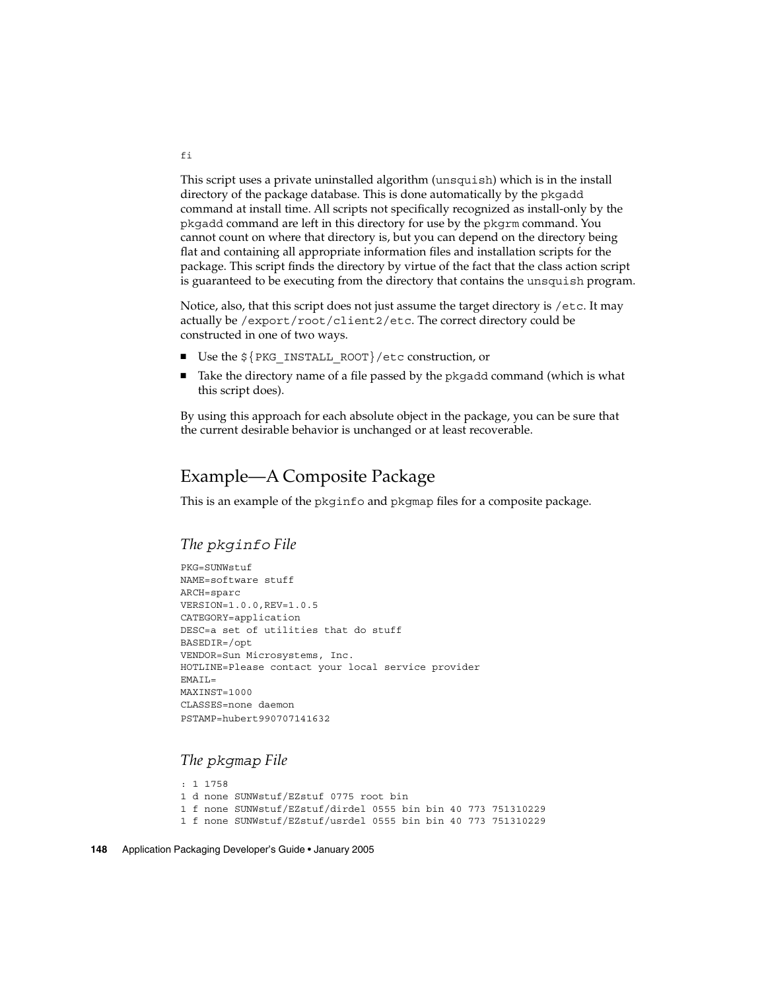This script uses a private uninstalled algorithm (unsquish) which is in the install directory of the package database. This is done automatically by the pkgadd command at install time. All scripts not specifically recognized as install-only by the pkgadd command are left in this directory for use by the pkgrm command. You cannot count on where that directory is, but you can depend on the directory being flat and containing all appropriate information files and installation scripts for the package. This script finds the directory by virtue of the fact that the class action script is guaranteed to be executing from the directory that contains the unsquish program.

Notice, also, that this script does not just assume the target directory is  $/$ etc. It may actually be /export/root/client2/etc. The correct directory could be constructed in one of two ways.

- Use the  $\S$ {PKG\_INSTALL\_ROOT}/etc construction, or
- Take the directory name of a file passed by the pkgadd command (which is what this script does).

By using this approach for each absolute object in the package, you can be sure that the current desirable behavior is unchanged or at least recoverable.

### Example—A Composite Package

This is an example of the pkginfo and pkgmap files for a composite package.

### *The pkginfo File*

```
PKG=SUNWstuf
NAME=software stuff
ARCH=sparc
VERSION=1.0.0,REV=1.0.5
CATEGORY=application
DESC=a set of utilities that do stuff
BASEDIR=/opt
VENDOR=Sun Microsystems, Inc.
HOTLINE=Please contact your local service provider
EMAIL=
MAXINST=1000
CLASSES=none daemon
PSTAMP=hubert990707141632
```
### *The pkgmap File*

```
: 1 1758
1 d none SUNWstuf/EZstuf 0775 root bin
1 f none SUNWstuf/EZstuf/dirdel 0555 bin bin 40 773 751310229
1 f none SUNWstuf/EZstuf/usrdel 0555 bin bin 40 773 751310229
```
fi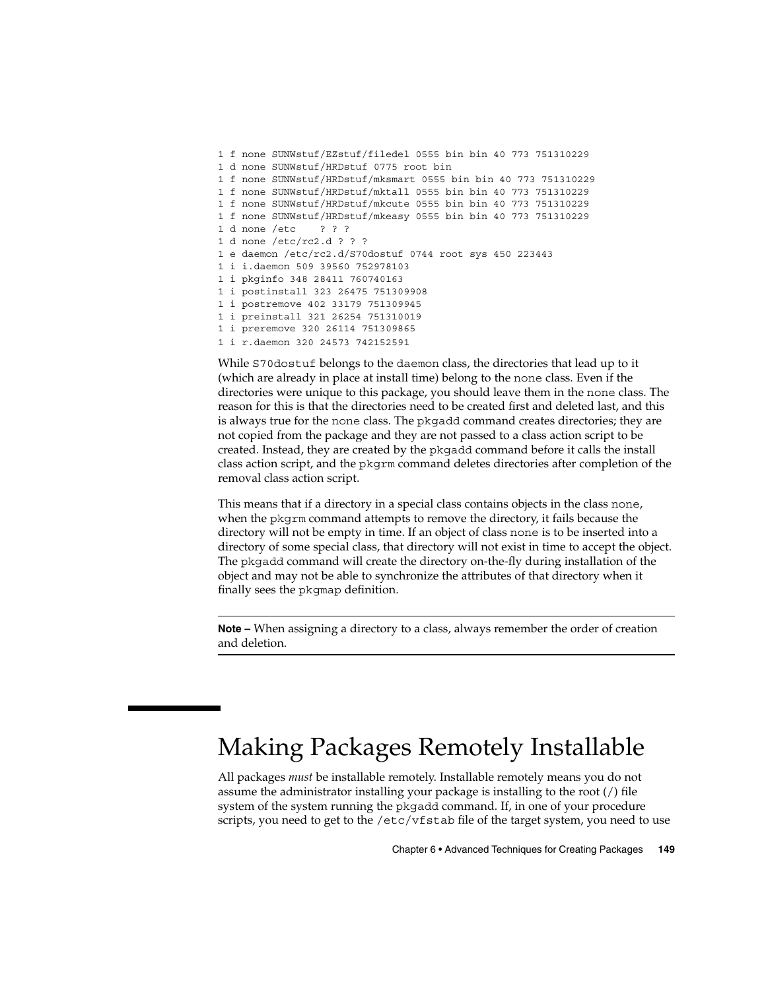```
1 f none SUNWstuf/EZstuf/filedel 0555 bin bin 40 773 751310229
1 d none SUNWstuf/HRDstuf 0775 root bin
1 f none SUNWstuf/HRDstuf/mksmart 0555 bin bin 40 773 751310229
1 f none SUNWstuf/HRDstuf/mktall 0555 bin bin 40 773 751310229
1 f none SUNWstuf/HRDstuf/mkcute 0555 bin bin 40 773 751310229
1 f none SUNWstuf/HRDstuf/mkeasy 0555 bin bin 40 773 751310229
1 d none /etc ? ? ?
1 d none /etc/rc2.d ? ? ?
1 e daemon /etc/rc2.d/S70dostuf 0744 root sys 450 223443
1 i i.daemon 509 39560 752978103
1 i pkginfo 348 28411 760740163
1 i postinstall 323 26475 751309908
1 i postremove 402 33179 751309945
1 i preinstall 321 26254 751310019
1 i preremove 320 26114 751309865
1 i r.daemon 320 24573 742152591
```
While S70dostuf belongs to the daemon class, the directories that lead up to it (which are already in place at install time) belong to the none class. Even if the directories were unique to this package, you should leave them in the none class. The reason for this is that the directories need to be created first and deleted last, and this is always true for the none class. The pkgadd command creates directories; they are not copied from the package and they are not passed to a class action script to be created. Instead, they are created by the pkgadd command before it calls the install class action script, and the pkgrm command deletes directories after completion of the removal class action script.

This means that if a directory in a special class contains objects in the class none, when the pkgrm command attempts to remove the directory, it fails because the directory will not be empty in time. If an object of class none is to be inserted into a directory of some special class, that directory will not exist in time to accept the object. The pkgadd command will create the directory on-the-fly during installation of the object and may not be able to synchronize the attributes of that directory when it finally sees the pkgmap definition.

**Note –** When assigning a directory to a class, always remember the order of creation and deletion.

# Making Packages Remotely Installable

All packages *must* be installable remotely. Installable remotely means you do not assume the administrator installing your package is installing to the root  $\binom{\ }{\ }$  file system of the system running the pkgadd command. If, in one of your procedure scripts, you need to get to the  $/etc$   $/$  vfstab file of the target system, you need to use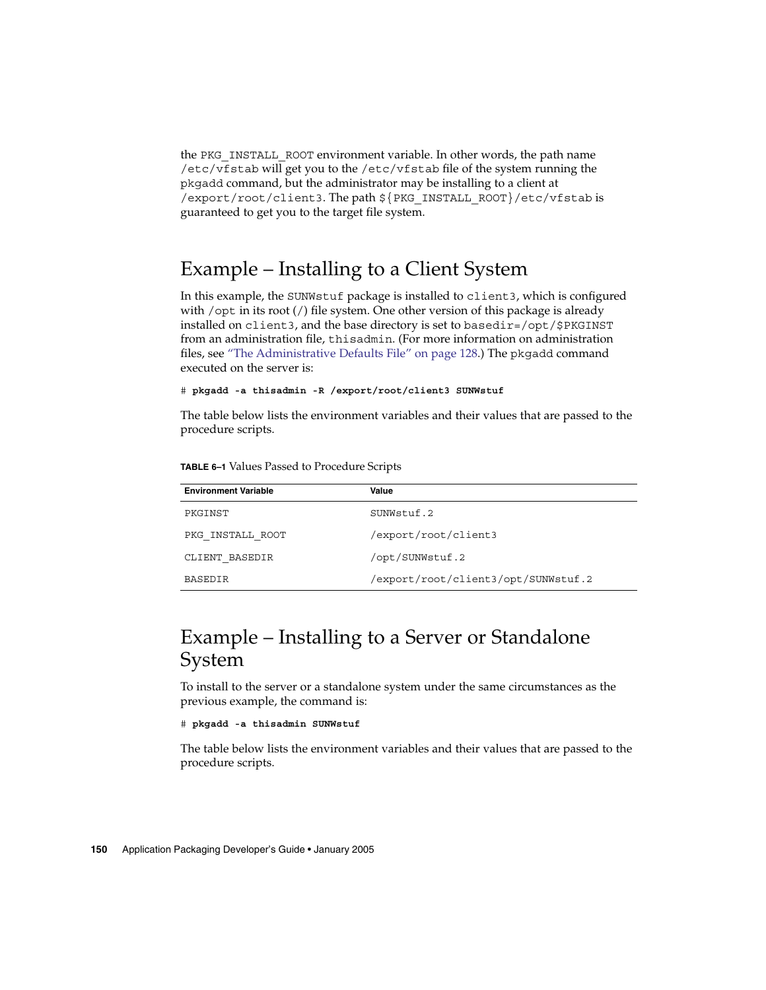the PKG\_INSTALL\_ROOT environment variable. In other words, the path name /etc/vfstab will get you to the /etc/vfstab file of the system running the pkgadd command, but the administrator may be installing to a client at /export/root/client3. The path \${PKG\_INSTALL\_ROOT}/etc/vfstab is guaranteed to get you to the target file system.

## Example – Installing to a Client System

In this example, the SUNWstuf package is installed to client3, which is configured with  $\gamma$  opt in its root  $\gamma$  file system. One other version of this package is already installed on client3, and the base directory is set to basedir=/opt/\$PKGINST from an administration file, thisadmin. (For more information on administration files, see ["The Administrative Defaults File"](#page-127-0) on page 128.) The pkgadd command executed on the server is:

# **pkgadd -a thisadmin -R /export/root/client3 SUNWstuf**

The table below lists the environment variables and their values that are passed to the procedure scripts.

| <b>Environment Variable</b> | Value                               |
|-----------------------------|-------------------------------------|
| PKGINST                     | SUNWstuf.2                          |
| PKG INSTALL ROOT            | /export/root/client3                |
| CLIENT BASEDIR              | /opt/SUNWstuf.2                     |
| BASEDIR                     | /export/root/client3/opt/SUNWstuf.2 |

**TABLE 6–1** Values Passed to Procedure Scripts

## Example – Installing to a Server or Standalone System

To install to the server or a standalone system under the same circumstances as the previous example, the command is:

# **pkgadd -a thisadmin SUNWstuf**

The table below lists the environment variables and their values that are passed to the procedure scripts.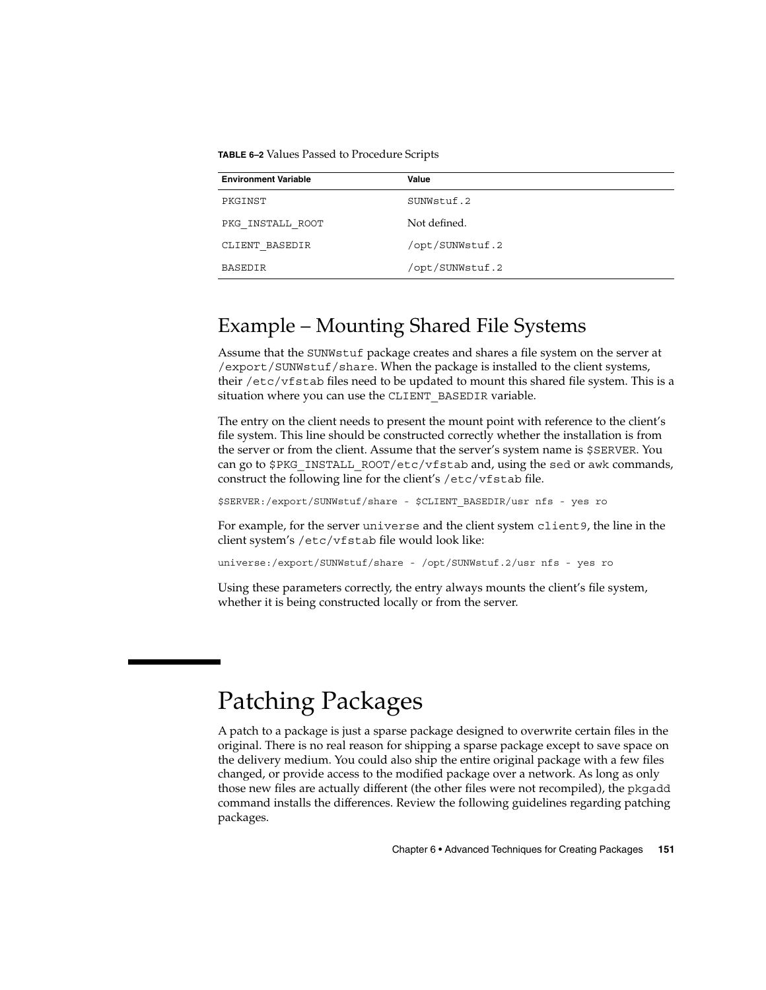**TABLE 6–2** Values Passed to Procedure Scripts

| <b>Environment Variable</b> | Value           |
|-----------------------------|-----------------|
| PKGINST                     | SUNWstuf.2      |
| PKG INSTALL ROOT            | Not defined.    |
| CLIENT BASEDIR              | /opt/SUNWstuf.2 |
| BASEDIR                     | /opt/SUNWstuf.2 |

## Example – Mounting Shared File Systems

Assume that the SUNWstuf package creates and shares a file system on the server at /export/SUNWstuf/share. When the package is installed to the client systems, their /etc/vfstab files need to be updated to mount this shared file system. This is a situation where you can use the CLIENT\_BASEDIR variable.

The entry on the client needs to present the mount point with reference to the client's file system. This line should be constructed correctly whether the installation is from the server or from the client. Assume that the server's system name is \$SERVER. You can go to \$PKG\_INSTALL\_ROOT/etc/vfstab and, using the sed or awk commands, construct the following line for the client's /etc/vfstab file.

\$SERVER:/export/SUNWstuf/share - \$CLIENT\_BASEDIR/usr nfs - yes ro

For example, for the server universe and the client system client9, the line in the client system's /etc/vfstab file would look like:

universe:/export/SUNWstuf/share - /opt/SUNWstuf.2/usr nfs - yes ro

Using these parameters correctly, the entry always mounts the client's file system, whether it is being constructed locally or from the server.

## Patching Packages

A patch to a package is just a sparse package designed to overwrite certain files in the original. There is no real reason for shipping a sparse package except to save space on the delivery medium. You could also ship the entire original package with a few files changed, or provide access to the modified package over a network. As long as only those new files are actually different (the other files were not recompiled), the pkgadd command installs the differences. Review the following guidelines regarding patching packages.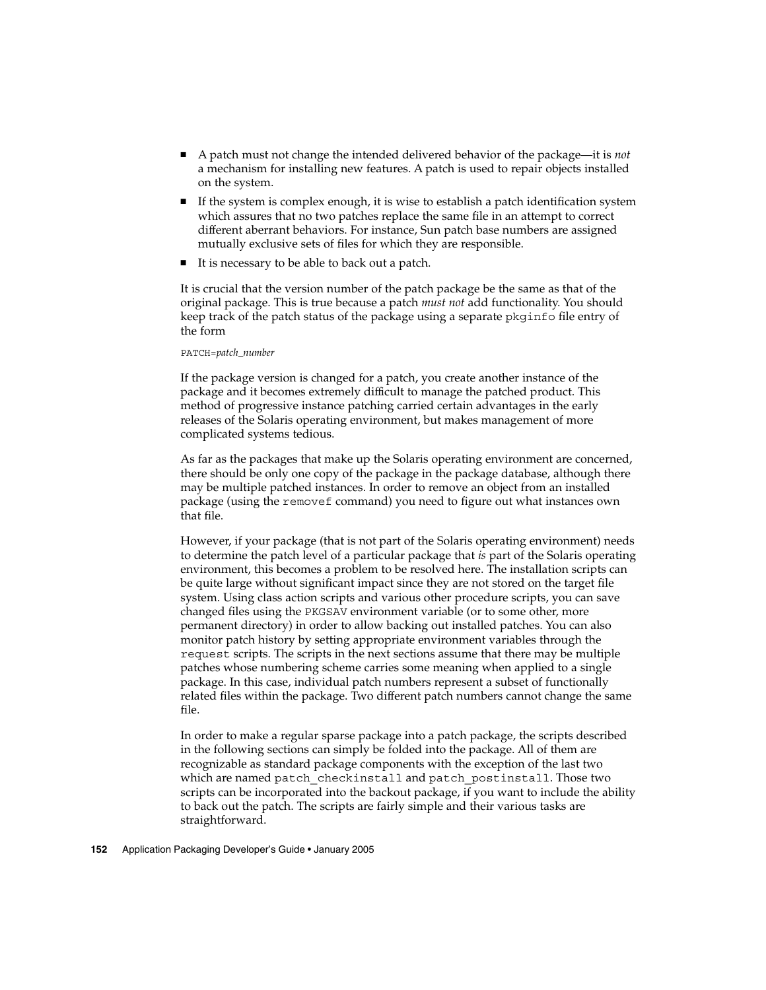- A patch must not change the intended delivered behavior of the package—it is *not* a mechanism for installing new features. A patch is used to repair objects installed on the system.
- If the system is complex enough, it is wise to establish a patch identification system which assures that no two patches replace the same file in an attempt to correct different aberrant behaviors. For instance, Sun patch base numbers are assigned mutually exclusive sets of files for which they are responsible.
- It is necessary to be able to back out a patch.

It is crucial that the version number of the patch package be the same as that of the original package. This is true because a patch *must not* add functionality. You should keep track of the patch status of the package using a separate pkginfo file entry of the form

#### PATCH=*patch\_number*

If the package version is changed for a patch, you create another instance of the package and it becomes extremely difficult to manage the patched product. This method of progressive instance patching carried certain advantages in the early releases of the Solaris operating environment, but makes management of more complicated systems tedious.

As far as the packages that make up the Solaris operating environment are concerned, there should be only one copy of the package in the package database, although there may be multiple patched instances. In order to remove an object from an installed package (using the removef command) you need to figure out what instances own that file.

However, if your package (that is not part of the Solaris operating environment) needs to determine the patch level of a particular package that *is* part of the Solaris operating environment, this becomes a problem to be resolved here. The installation scripts can be quite large without significant impact since they are not stored on the target file system. Using class action scripts and various other procedure scripts, you can save changed files using the PKGSAV environment variable (or to some other, more permanent directory) in order to allow backing out installed patches. You can also monitor patch history by setting appropriate environment variables through the request scripts. The scripts in the next sections assume that there may be multiple patches whose numbering scheme carries some meaning when applied to a single package. In this case, individual patch numbers represent a subset of functionally related files within the package. Two different patch numbers cannot change the same file.

In order to make a regular sparse package into a patch package, the scripts described in the following sections can simply be folded into the package. All of them are recognizable as standard package components with the exception of the last two which are named patch checkinstall and patch postinstall. Those two scripts can be incorporated into the backout package, if you want to include the ability to back out the patch. The scripts are fairly simple and their various tasks are straightforward.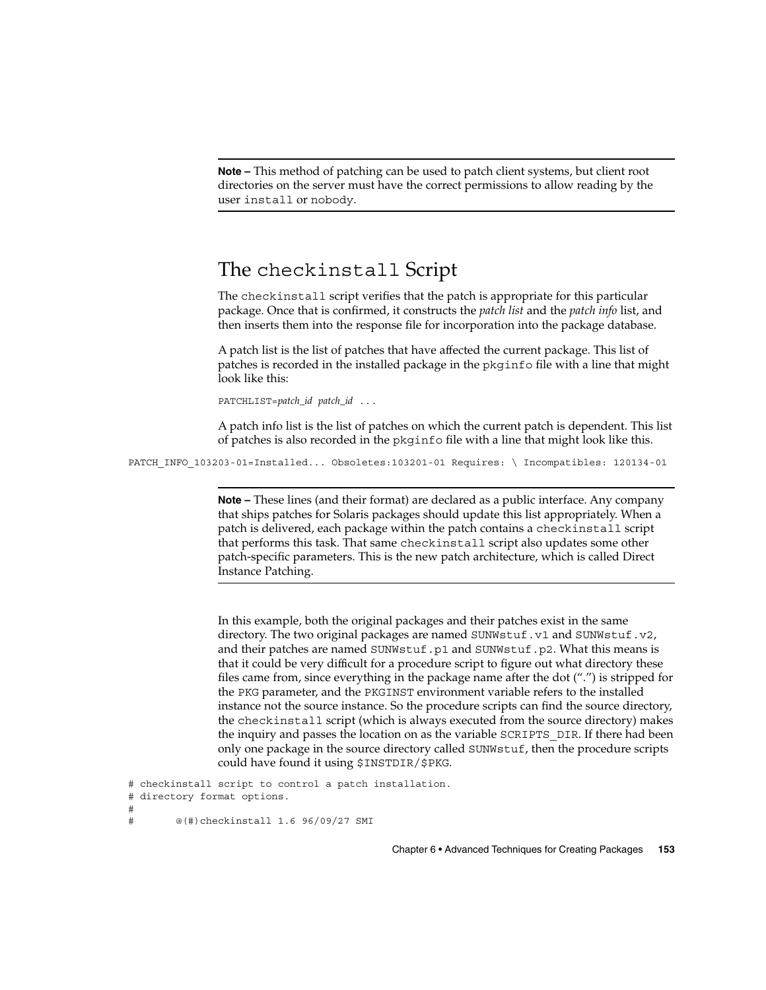**Note –** This method of patching can be used to patch client systems, but client root directories on the server must have the correct permissions to allow reading by the user install or nobody.

## The checkinstall Script

The checkinstall script verifies that the patch is appropriate for this particular package. Once that is confirmed, it constructs the *patch list* and the *patch info* list, and then inserts them into the response file for incorporation into the package database.

A patch list is the list of patches that have affected the current package. This list of patches is recorded in the installed package in the pkginfo file with a line that might look like this:

PATCHLIST=*patch\_id patch\_id* ...

A patch info list is the list of patches on which the current patch is dependent. This list of patches is also recorded in the pkginfo file with a line that might look like this.

PATCH\_INFO\_103203-01=Installed... Obsoletes:103201-01 Requires: \ Incompatibles: 120134-01

**Note –** These lines (and their format) are declared as a public interface. Any company that ships patches for Solaris packages should update this list appropriately. When a patch is delivered, each package within the patch contains a checkinstall script that performs this task. That same checkinstall script also updates some other patch-specific parameters. This is the new patch architecture, which is called Direct Instance Patching.

In this example, both the original packages and their patches exist in the same directory. The two original packages are named SUNWstuf.v1 and SUNWstuf.v2, and their patches are named SUNWstuf.p1 and SUNWstuf.p2. What this means is that it could be very difficult for a procedure script to figure out what directory these files came from, since everything in the package name after the dot (".") is stripped for the PKG parameter, and the PKGINST environment variable refers to the installed instance not the source instance. So the procedure scripts can find the source directory, the checkinstall script (which is always executed from the source directory) makes the inquiry and passes the location on as the variable SCRIPTS\_DIR. If there had been only one package in the source directory called SUNWstuf, then the procedure scripts could have found it using \$INSTDIR/\$PKG.

```
# checkinstall script to control a patch installation.
# directory format options.
#
```

```
# @(#)checkinstall 1.6 96/09/27 SMI
```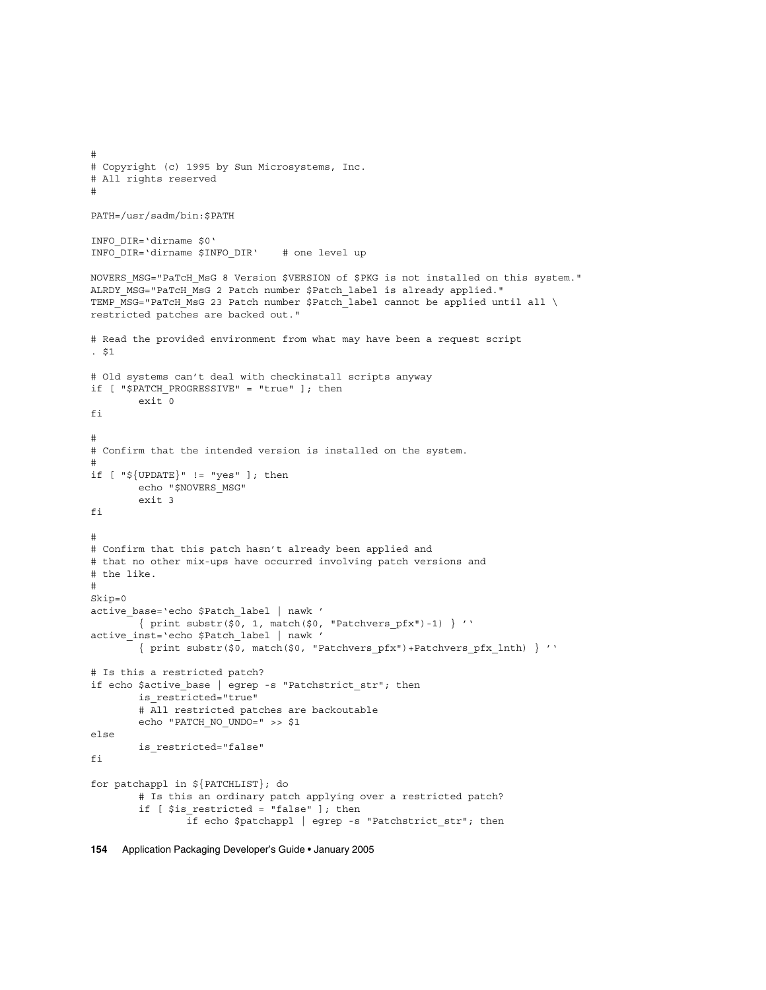```
#
# Copyright (c) 1995 by Sun Microsystems, Inc.
# All rights reserved
#
PATH=/usr/sadm/bin:$PATH
INFO_DIR='dirname $0'
INFO_DIR='dirname $INFO_DIR' # one level up
NOVERS MSG="PaTcH MsG 8 Version $VERSION of $PKG is not installed on this system."
ALRDY_MSG="PaTcH_MsG 2 Patch number $Patch_label is already applied."
TEMP_MSG="PaTcH_MsG 23 Patch number $Patch_label cannot be applied until all \
restricted patches are backed out."
# Read the provided environment from what may have been a request script
. $1
# Old systems can't deal with checkinstall scripts anyway
if [ "$PATCH_PROGRESSIVE" = "true" ]; then
        exit 0
f_i#
# Confirm that the intended version is installed on the system.
#
if [ "${UPDATE}" != "yes" ]; then
        echo "$NOVERS_MSG"
        exit 3
fi
#
# Confirm that this patch hasn't already been applied and
# that no other mix-ups have occurred involving patch versions and
# the like.
#
Skip=0
active_base='echo $Patch_label | nawk '
        \{ print substr($0, 1, match($0, "Patchvers pfx")-1) \} ''
active_inst='echo $Patch_label | nawk '
        { print substr($0, match($0, "Patchvers_pfx")+Patchvers_pfx_lnth) } ''
# Is this a restricted patch?
if echo $active_base | egrep -s "Patchstrict_str"; then
        is restricted="true"
        # All restricted patches are backoutable
        echo "PATCH_NO_UNDO=" >> $1
else
        is restricted="false"
fi
for patchappl in ${PATCHLIST}; do
        # Is this an ordinary patch applying over a restricted patch?
        if [ $is restricted = "false" ]; then
                if echo $patchappl | egrep -s "Patchstrict_str"; then
```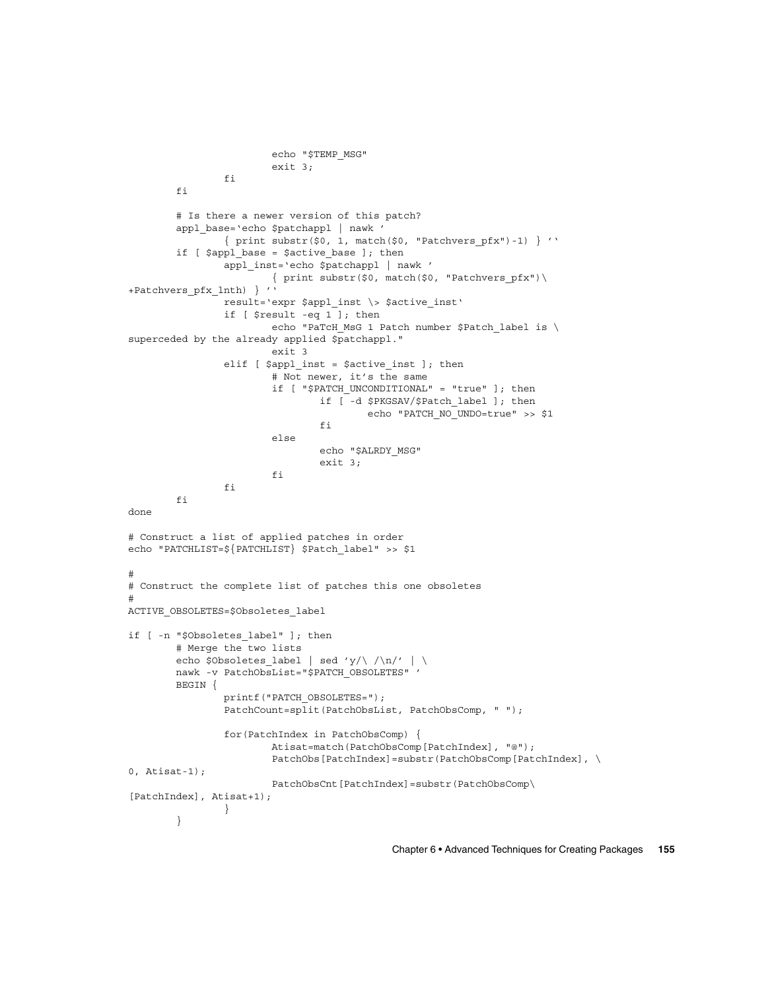```
echo "$TEMP_MSG"
                        exit 3;
                fi
        f_i# Is there a newer version of this patch?
        appl_base='echo $patchappl | nawk '
                \{ print substr($0, 1, match($0, "Patchvers pfx")-1) \} ''
        if [ $app1 base = $active base ]; then
                appl_inst='echo $patchappl | nawk '
                       { print substr($0, match($0, "Patchvers pfx")\
+Patchvers_pfx_lnth) } ''
                result='expr $appl_inst \> $active_inst'
                if [ $result -eq 1 ]; then
                        echo "PaTcH MsG 1 Patch number $Patch label is \
superceded by the already applied $patchappl."
                        exit 3
                elif [ $appl_inst = $active_inst ]; then
                        # Not newer, it's the same
                        if [ "$PATCH UNCONDITIONAL" = "true" ]; then
                                if [-d $PKGSAV/$Patch label ]; then
                                        echo "PATCH NO UNDO=true" >> $1
                                fi
                        else
                                echo "$ALRDY_MSG"
                                exit 3;
                        fi
                f_ifi
done
# Construct a list of applied patches in order
echo "PATCHLIST=${PATCHLIST} $Patch_label" >> $1
#
# Construct the complete list of patches this one obsoletes
#
ACTIVE_OBSOLETES=$Obsoletes_label
if [ -n "$Obsoletes_label" ]; then
        # Merge the two lists
        echo $Obsoletes_label | sed 'y/\ /\n/' | \
        nawk -v PatchObsList="$PATCH_OBSOLETES"
       BEGIN {
                printf("PATCH_OBSOLETES=");
                PatchCount=split(PatchObsList, PatchObsComp, " ");
                for(PatchIndex in PatchObsComp) {
                        Atisat=match(PatchObsComp[PatchIndex], "@");
                        PatchObs[PatchIndex]=substr(PatchObsComp[PatchIndex], \
0, Atisat-1);
                        PatchObsCnt[PatchIndex]=substr(PatchObsComp\
[PatchIndex], Atisat+1);
               }
        }
```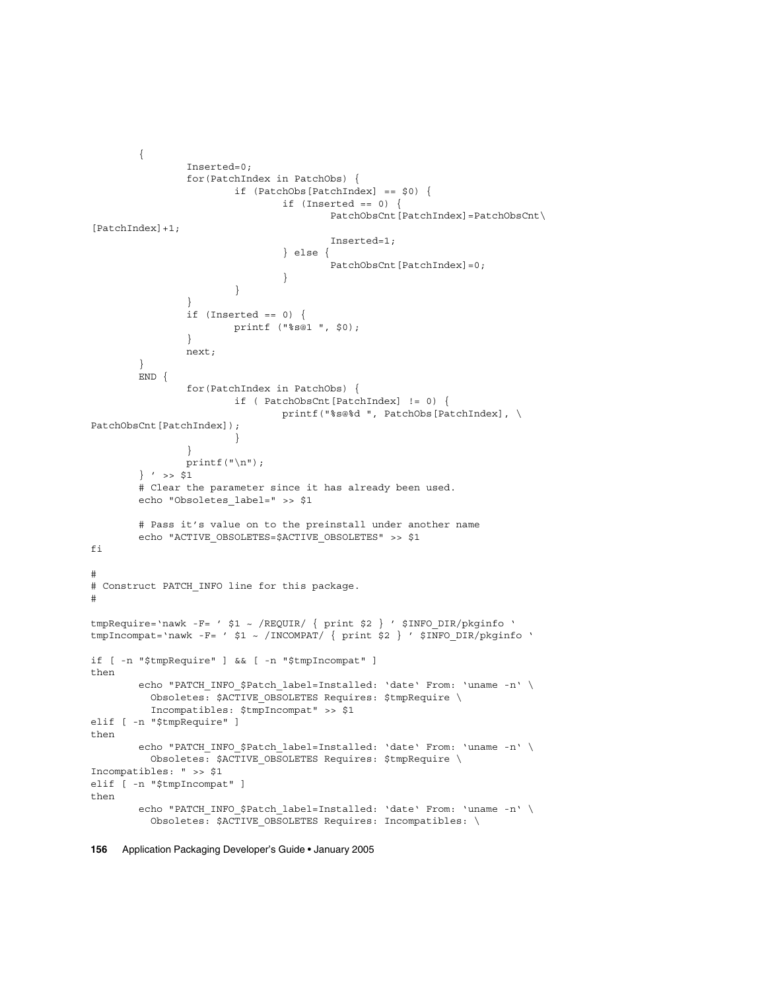```
{
                Inserted=0;
                for(PatchIndex in PatchObs) {
                        if (PatchObs[PatchIndex] == $0) {
                                if (Inserted == 0) {
                                         PatchObsCnt[PatchIndex]=PatchObsCnt\
[PatchIndex]+1;
                                         Inserted=1;
                                 } else {
                                         PatchObsCnt[PatchIndex]=0;
                                 }
                        }
                }
                if (Inserted == 0) {
                        printf ("%s@1 ", $0);
                }
                next;
        }
        END {
                for(PatchIndex in PatchObs) {
                        if ( PatchObsCnt[PatchIndex] != 0) {
                                printf("%s@%d ", PatchObs[PatchIndex], \
PatchObsCnt[PatchIndex]);
                        }
                }
                printf("\ln");
        } ' >> $1
        # Clear the parameter since it has already been used.
        echo "Obsoletes_label=" >> $1
        # Pass it's value on to the preinstall under another name
        echo "ACTIVE OBSOLETES=$ACTIVE OBSOLETES" >> $1
fi
#
# Construct PATCH_INFO line for this package.
#
tmpRequire='nawk -F= ' $1 \sim /REQUIR/ { print $2 } ' $INFO DIR/pkginfo '
tmpIncompat='nawk -F= ' $1 \sim /INCOMPATH/ { print $2 } ' $INFO DIR/pkginf0 '
if [ -n "$tmpRequire" ] && [ -n "$tmpIncompat" ]
then
        echo "PATCH_INFO_$Patch_label=Installed: 'date' From: 'uname -n' \
         Obsoletes: $ACTIVE OBSOLETES Requires: $tmpRequire \
         Incompatibles: $tmpIncompat" >> $1
elif [ -n "$tmpRequire" ]
then
        echo "PATCH INFO $Patch label=Installed: 'date' From: 'uname -n' \
          Obsoletes: $ACTIVE OBSOLETES Requires: $tmpRequire \
Incompatibles: " >> $1
elif [ -n "$tmpIncompat" ]
then
        echo "PATCH_INFO_$Patch_label=Installed: 'date' From: 'uname -n' \
          Obsoletes: $ACTIVE_OBSOLETES Requires: Incompatibles: \
```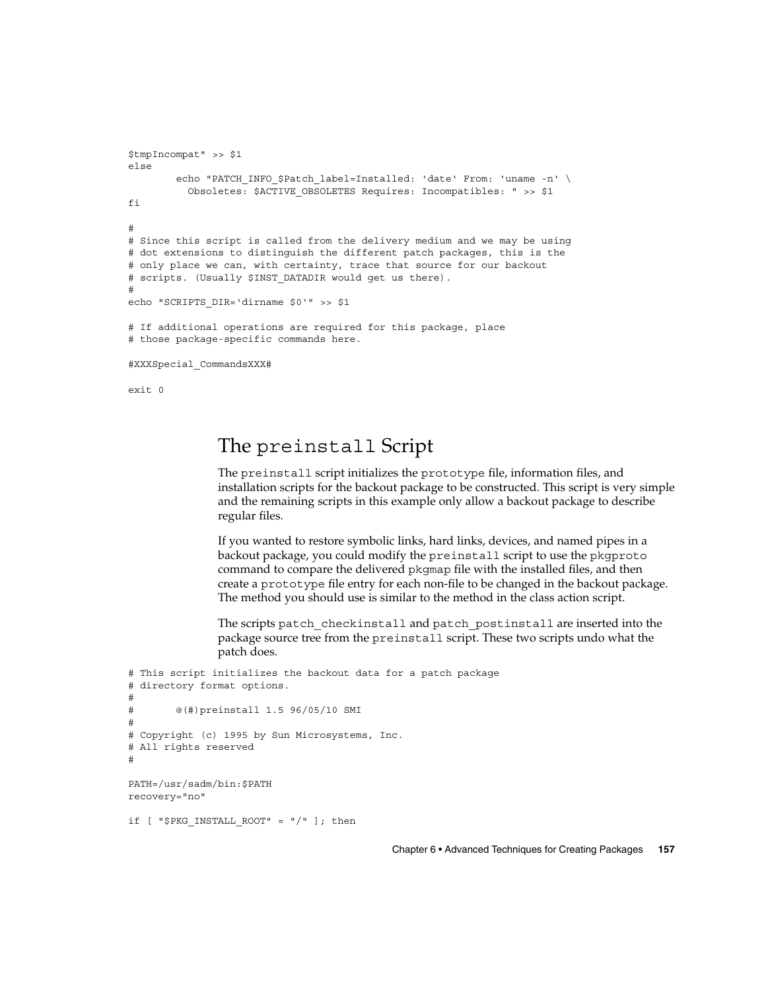```
$tmpIncompat" >> $1
else
        echo "PATCH INFO $Patch label=Installed: 'date' From: 'uname -n' \
         Obsoletes: $ACTIVE OBSOLETES Requires: Incompatibles: " >> $1
f_i#
# Since this script is called from the delivery medium and we may be using
# dot extensions to distinguish the different patch packages, this is the
# only place we can, with certainty, trace that source for our backout
# scripts. (Usually $INST DATADIR would get us there).
#
echo "SCRIPTS_DIR='dirname $0'" >> $1
# If additional operations are required for this package, place
# those package-specific commands here.
#XXXSpecial_CommandsXXX#
```
exit 0

## The preinstall Script

The preinstall script initializes the prototype file, information files, and installation scripts for the backout package to be constructed. This script is very simple and the remaining scripts in this example only allow a backout package to describe regular files.

If you wanted to restore symbolic links, hard links, devices, and named pipes in a backout package, you could modify the preinstall script to use the pkgproto command to compare the delivered pkgmap file with the installed files, and then create a prototype file entry for each non-file to be changed in the backout package. The method you should use is similar to the method in the class action script.

The scripts patch checkinstall and patch postinstall are inserted into the package source tree from the preinstall script. These two scripts undo what the patch does.

```
# This script initializes the backout data for a patch package
# directory format options.
#
# @(#)preinstall 1.5 96/05/10 SMI
#
# Copyright (c) 1995 by Sun Microsystems, Inc.
# All rights reserved
#
PATH=/usr/sadm/bin:$PATH
recovery="no"
if [ "$PKG INSTALL ROOT" = "/" ]; then
```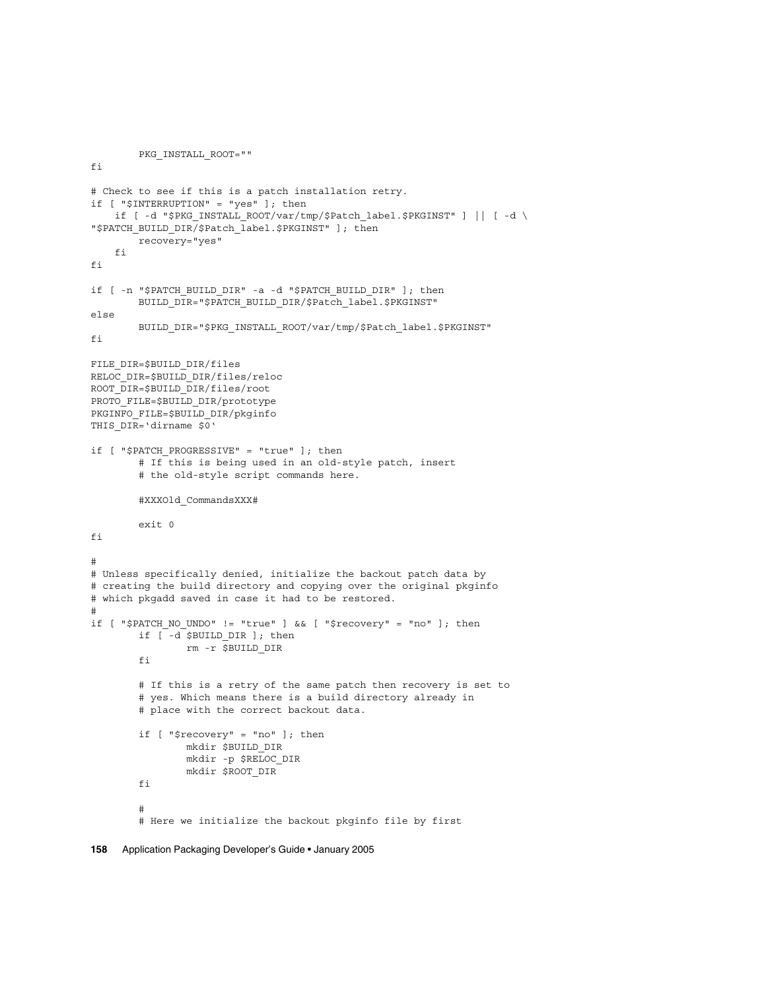```
PKG_INSTALL_ROOT=""
fi
# Check to see if this is a patch installation retry.
if [ "$INTERRUPTION" = "yes" ]; then
   if [-d "$PKG_INSTALL_ROOT/var/tmp/$Patch_label.$PKGINST" ] || [-d \ N]"$PATCH BUILD DIR/$Patch label.$PKGINST" ]; then
        recovery="yes"
    fi
fi
if [ -n "$PATCH_BUILD_DIR" -a -d "$PATCH_BUILD_DIR" ]; then
        BUILD_DIR="$PATCH_BUILD_DIR/$Patch_label.$PKGINST"
else
        BUILD_DIR="$PKG_INSTALL_ROOT/var/tmp/$Patch_label.$PKGINST"
fi
FILE_DIR=$BUILD_DIR/files
RELOC_DIR=$BUILD_DIR/files/reloc
ROOT_DIR=$BUILD_DIR/files/root
PROTO_FILE=$BUILD_DIR/prototype
PKGINFO_FILE=$BUILD_DIR/pkginfo
THIS DIR='dirname $0'
if [ "$PATCH_PROGRESSIVE" = "true" ]; then
        # If this is being used in an old-style patch, insert
        # the old-style script commands here.
        #XXXOld_CommandsXXX#
        exit 0
fi
#
# Unless specifically denied, initialize the backout patch data by
# creating the build directory and copying over the original pkginfo
# which pkgadd saved in case it had to be restored.
#
if [ "$PATCH_NO_UNDO" != "true" ] && [ "$recovery" = "no" ]; then
        if [ -d $BUILD_DIR ]; then
               rm -r $BUILD_DIR
        fi
        # If this is a retry of the same patch then recovery is set to
        # yes. Which means there is a build directory already in
        # place with the correct backout data.
        if [ "$recovery" = "no" ]; then
                mkdir $BUILD_DIR
                mkdir -p $RELOC_DIR
                mkdir $ROOT_DIR
        fi
        #
        # Here we initialize the backout pkginfo file by first
```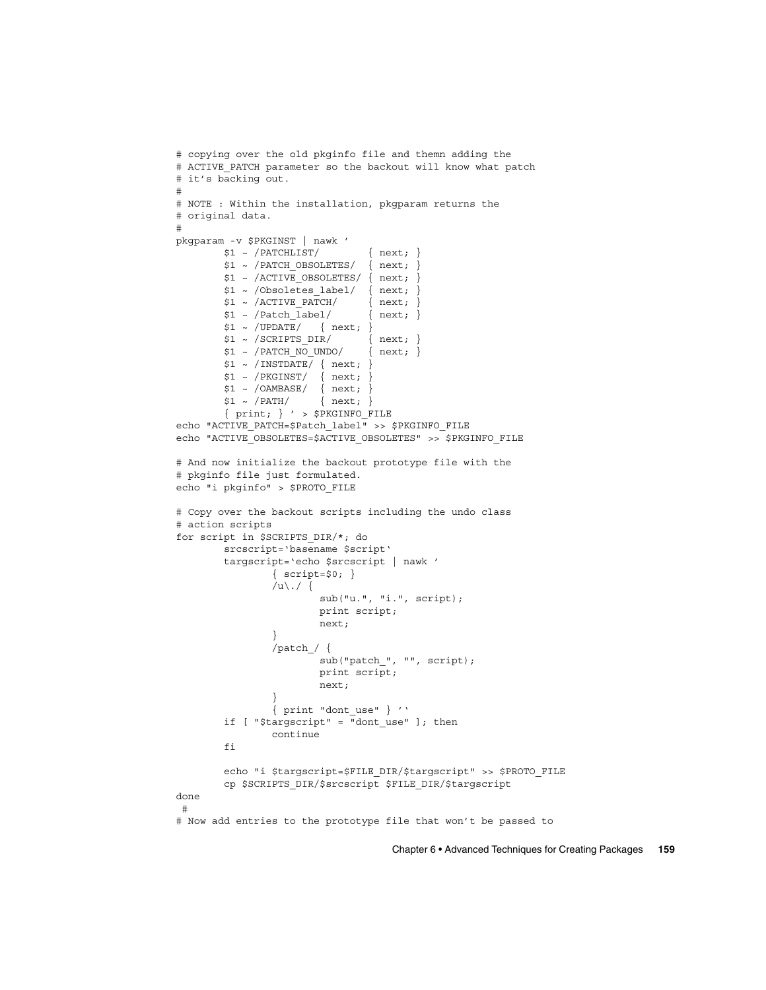```
# copying over the old pkginfo file and themn adding the
# ACTIVE PATCH parameter so the backout will know what patch
# it's backing out.
#
# NOTE : Within the installation, pkgparam returns the
# original data.
#
pkgparam -v $PKGINST | nawk '
       $1 \sim /PATCHLIST/ { next; }
        $1 ~ /PATCH_OBSOLETES/ { next; }
        $1 \sim /ACTIVE OBSOLETES/ { next;
        $1 ~ /Obsoletes_label/ { next; }
        $1 \sim /ACTIVE PATCH/ { next; }
       $1 \sim /Patch label/ { next; }
        $1 \sim /UPDATE/ { next; }
        $1 ~ /SCRIPTS_DIR/ { next; }
       $1 \sim /PATCH_NO_UNDO/ { next; }
        $1 \sim /INSTDATE / \{ next; \}$1 \sim /PKGINST/ { next; }
        $1 \sim /0AMBASE/ { next; }
        $1 \sim / PATH/ \{ next; \}\{ print; \} ' > $PKGINFO FILE
echo "ACTIVE PATCH=$Patch label" >> $PKGINFO FILE
echo "ACTIVE_OBSOLETES=$ACTIVE_OBSOLETES" >> $PKGINFO_FILE
# And now initialize the backout prototype file with the
# pkginfo file just formulated.
echo "i pkginfo" > $PROTO_FILE
# Copy over the backout scripts including the undo class
# action scripts
for script in $SCRIPTS_DIR/*; do
        srcscript='basename $script'
        targscript='echo $srcscript | nawk '
                \{ script=\$0; \}/u\./\{sub("u.", "i.", script);
                        print script;
                        next;
                }
                /patch_/ {
                        sub("patch_", "", script);
                        print script;
                        next;
                }
                \{ print "dont use" } 'if [ "$targscript" = "dont_use" ]; then
                continue
        fi
        echo "i $targscript=$FILE_DIR/$targscript" >> $PROTO_FILE
        cp $SCRIPTS_DIR/$srcscript $FILE_DIR/$targscript
done
#
# Now add entries to the prototype file that won't be passed to
```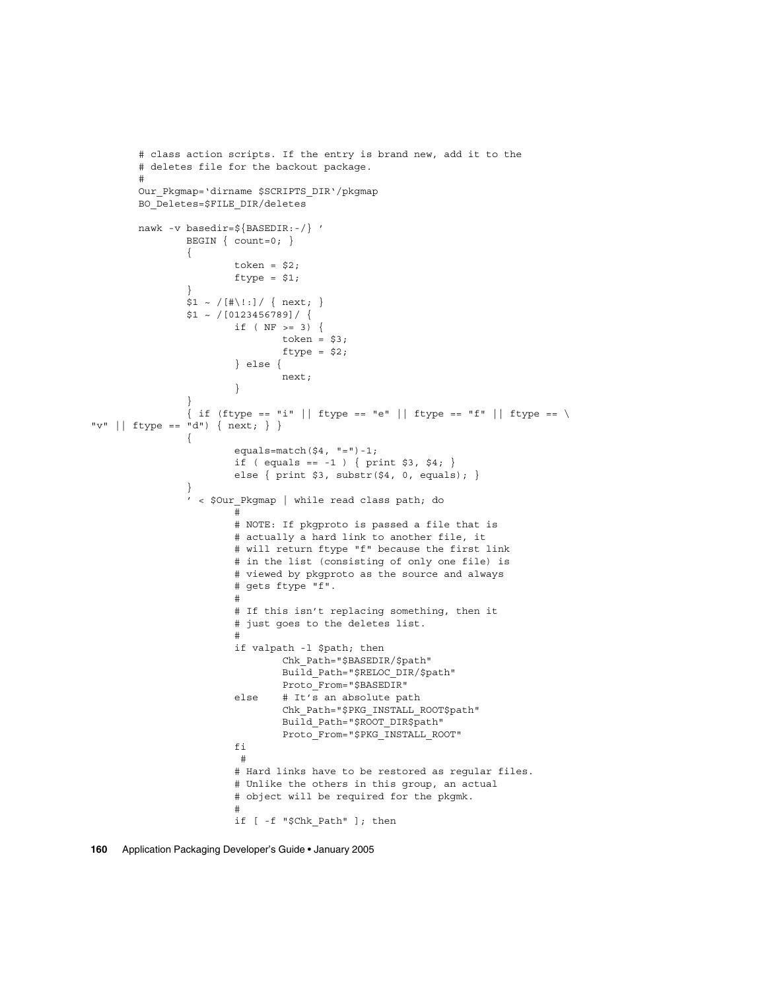```
# class action scripts. If the entry is brand new, add it to the
        # deletes file for the backout package.
        #
        Our_Pkgmap='dirname $SCRIPTS_DIR'/pkgmap
        BO_Deletes=$FILE_DIR/deletes
        nawk -v basedir=${BASEDIR:-/} '
                BEGIN \{ count=0; \}{
                         token = $2;ftype = $1;}
                 $1 - / [ \uparrow \! : ] / { next; }
                 $1 ~ /[0123456789]/ {
                         if ( NF >= 3) {
                                 token = $3;ftype = $2;} else {
                                 next;
                         }
                 }
                 \left\{ \begin{array}{c|c|c|c|c} \text{if (ftype == "i" || ftype == "e" || ftype == "f" || ftype == \end{array} \right."v" || ftype == "d") { next; } }
                 {
                         equals=match($4, "=")-1;
                         if ( equals == -1 ) { print $3, $4; }
                         else { print $3, substr($4, 0, equals); }
                 }
                 ' < $Our_Pkgmap | while read class path; do
                         #
                         # NOTE: If pkgproto is passed a file that is
                         # actually a hard link to another file, it
                         # will return ftype "f" because the first link
                         # in the list (consisting of only one file) is
                         # viewed by pkgproto as the source and always
                         # gets ftype "f".
                         #
                         # If this isn't replacing something, then it
                         # just goes to the deletes list.
                         #
                         if valpath -l $path; then
                                  Chk_Path="$BASEDIR/$path"
                                  Build_Path="$RELOC_DIR/$path"
                                 Proto From="$BASEDIR"
                         else # It's an absolute path
                                  Chk_Path="$PKG_INSTALL_ROOT$path"
                                  Build_Path="$ROOT_DIR$path"
                                  Proto_From="$PKG_INSTALL_ROOT"
                         fi
                          #
                         # Hard links have to be restored as regular files.
                         # Unlike the others in this group, an actual
                         # object will be required for the pkgmk.
                         #
                         if [ -f "$Chk_Path" ]; then
```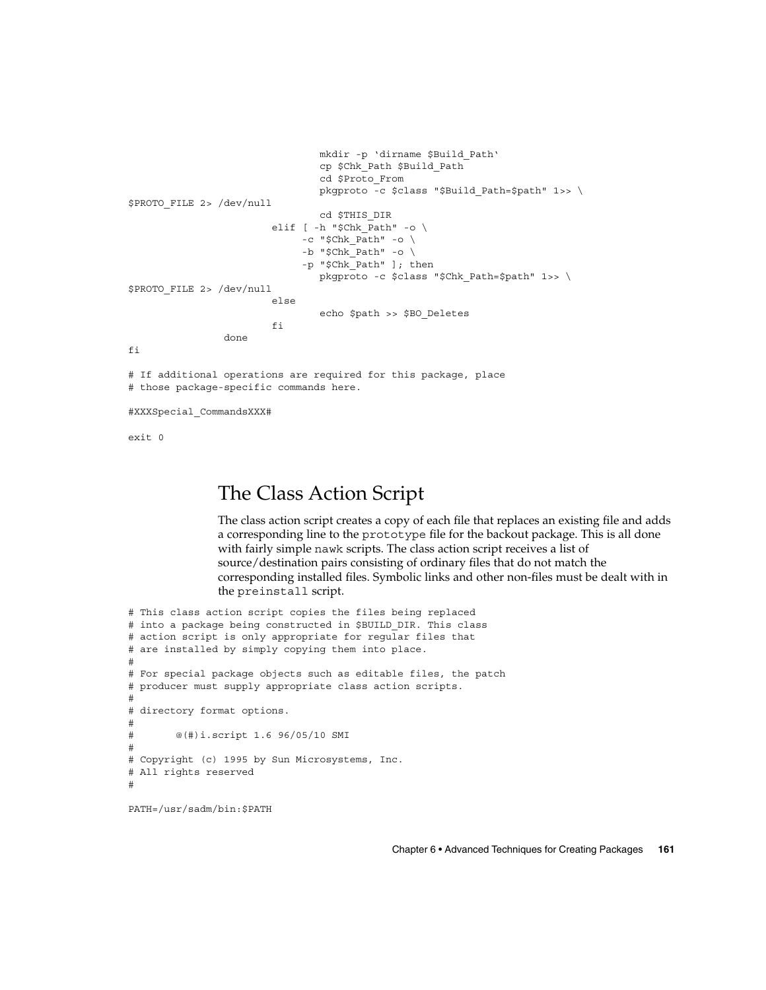```
mkdir -p 'dirname $Build_Path'
                                cp $Chk_Path $Build_Path
                                cd $Proto_From
                                pkgproto -c $class "$Build_Path=$path" 1>> \
$PROTO_FILE 2> /dev/null
                               cd $THIS_DIR
                        elif [-h "$Chk Path" -o \
                             -c "$Chk Path" -o \
                             -b "$Chk Path" -o \
                             -p "$Chk_Path" ]; then
                                pkgproto -c $class "$Chk Path=$path" 1>> \
$PROTO_FILE 2> /dev/null
                        else
                                echo $path >> $BO_Deletes
                        fi
                done
fi
# If additional operations are required for this package, place
# those package-specific commands here.
#XXXSpecial_CommandsXXX#
exit 0
```
### The Class Action Script

The class action script creates a copy of each file that replaces an existing file and adds a corresponding line to the prototype file for the backout package. This is all done with fairly simple nawk scripts. The class action script receives a list of source/destination pairs consisting of ordinary files that do not match the corresponding installed files. Symbolic links and other non-files must be dealt with in the preinstall script.

```
# This class action script copies the files being replaced
# into a package being constructed in $BUILD_DIR. This class
# action script is only appropriate for regular files that
# are installed by simply copying them into place.
#
# For special package objects such as editable files, the patch
# producer must supply appropriate class action scripts.
#
# directory format options.
#
# @(#)i.script 1.6 96/05/10 SMI
#
# Copyright (c) 1995 by Sun Microsystems, Inc.
# All rights reserved
#
```

```
PATH=/usr/sadm/bin:$PATH
```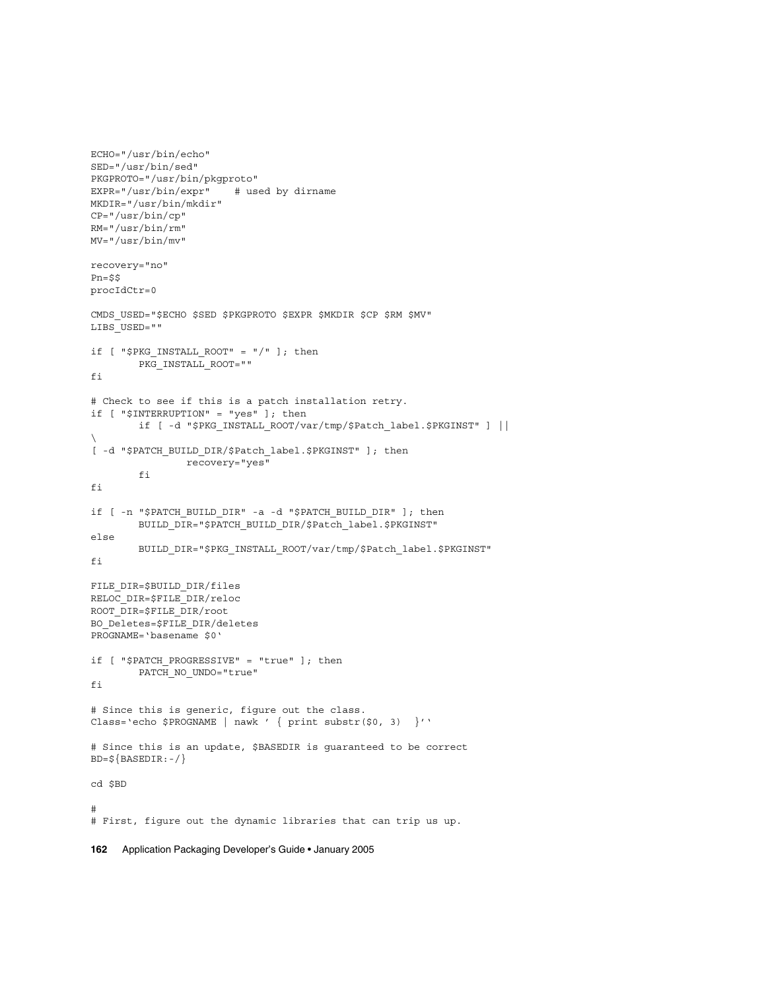```
ECHO="/usr/bin/echo"
SED="/usr/bin/sed"
PKGPROTO="/usr/bin/pkgproto"
EXPR="/usr/bin/expr" # used by dirname
MKDIR="/usr/bin/mkdir"
CP="/usr/bin/cp"
RM="/usr/bin/rm"
MV="/usr/bin/mv"
recovery="no"
Pn=$$
procIdCtr=0
CMDS_USED="$ECHO $SED $PKGPROTO $EXPR $MKDIR $CP $RM $MV"
LIBS_USED=""
if [ "$PKG_INSTALL_ROOT" = "/" ]; then
        PKG_INSTALL_ROOT=""
fi
# Check to see if this is a patch installation retry.
if [ "$INTERRUPTION" = "yes" ]; then
        if [ -d "$PKG_INSTALL_ROOT/var/tmp/$Patch_label.$PKGINST" ] ||
\setminus[ -d "$PATCH BUILD DIR/$Patch label.$PKGINST" ]; then
               recovery="yes"
        fi
fi
if [ -n "$PATCH_BUILD_DIR" -a -d "$PATCH_BUILD_DIR" ]; then
        BUILD DIR="$PATCH BUILD DIR/$Patch label.$PKGINST"
else
        BUILD_DIR="$PKG_INSTALL_ROOT/var/tmp/$Patch_label.$PKGINST"
fi
FILE_DIR=$BUILD_DIR/files
RELOC_DIR=$FILE_DIR/reloc
ROOT_DIR=$FILE_DIR/root
BO_Deletes=$FILE_DIR/deletes
PROGNAME='basename $0'
if [ "$PATCH_PROGRESSIVE" = "true" ]; then
        PATCH_NO_UNDO="true"
fi
# Since this is generic, figure out the class.
Class='echo $PROGNAME | nawk ' { print substr($0, 3) }''
# Since this is an update, $BASEDIR is guaranteed to be correct
BD=${BASEDIR:-/}
cd $BD
#
# First, figure out the dynamic libraries that can trip us up.
```

```
162 Application Packaging Developer's Guide • January 2005
```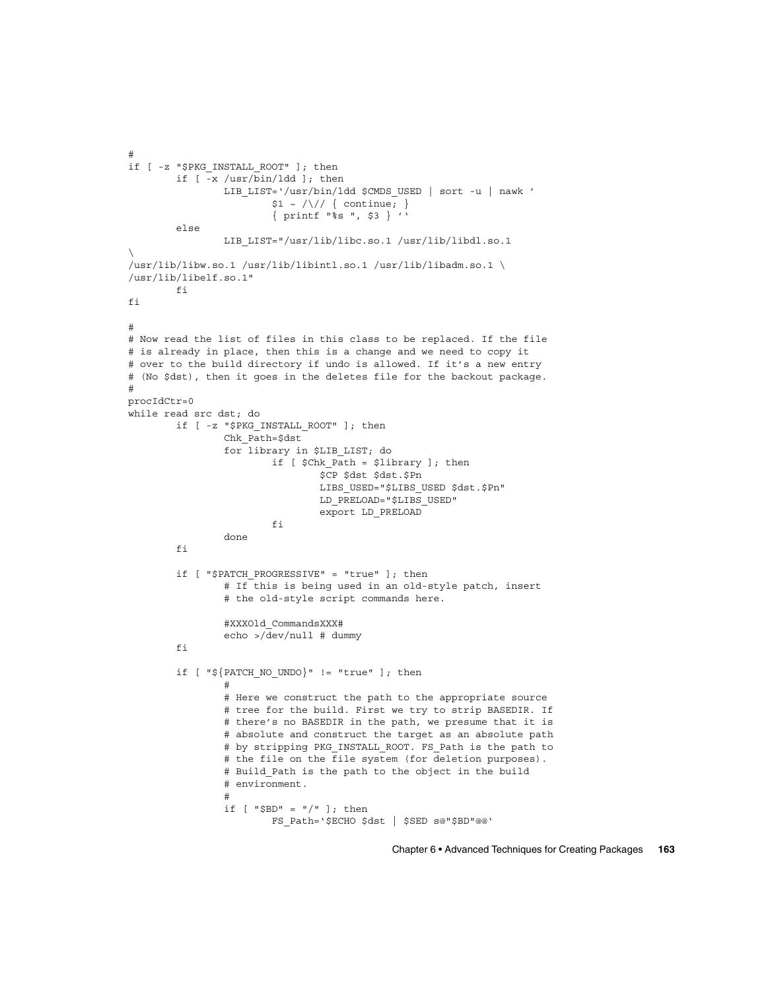```
#
if [ -z "$PKG_INSTALL_ROOT" ]; then
        if [ -x /usr/bin/ldd ]; then
                LIB_LIST='/usr/bin/ldd $CMDS_USED | sort -u | nawk '
                        $1 - \frac{\sqrt{7}}{6} continue; }
                        { printf "%s ", $3 } ''
        else
                LIB_LIST="/usr/lib/libc.so.1 /usr/lib/libdl.so.1
\
/usr/lib/libw.so.1 /usr/lib/libintl.so.1 /usr/lib/libadm.so.1 \
/usr/lib/libelf.so.1"
        fi
fi
#
# Now read the list of files in this class to be replaced. If the file
# is already in place, then this is a change and we need to copy it
# over to the build directory if undo is allowed. If it's a new entry
# (No $dst), then it goes in the deletes file for the backout package.
#
procIdCtr=0
while read src dst; do
        if [ -z "$PKG_INSTALL_ROOT" ]; then
                Chk_Path=$dst
                for library in $LIB_LIST; do
                        if [ $Chk_Path = $library ]; then
                                 $CP $dst $dst.$Pn
                                 LIBS USED="$LIBS USED $dst.$Pn"
                                 LD_PRELOAD="$LIBS_USED"
                                 export LD_PRELOAD
                        fi
                done
        fi
        if [ "$PATCH_PROGRESSIVE" = "true" ]; then
                # If this is being used in an old-style patch, insert
                # the old-style script commands here.
                #XXXOld_CommandsXXX#
                echo >/dev/null # dummy
        fi
        if [ "${PATCH NO UNDO}" != "true" ]; then
                #
                # Here we construct the path to the appropriate source
                # tree for the build. First we try to strip BASEDIR. If
                # there's no BASEDIR in the path, we presume that it is
                # absolute and construct the target as an absolute path
                # by stripping PKG_INSTALL_ROOT. FS_Path is the path to
                # the file on the file system (for deletion purposes).
                # Build_Path is the path to the object in the build
                # environment.
                 #
                if [ "$BD" = "/* ]; then
                        FS_Path='$ECHO $dst | $SED s@"$BD"@@'
```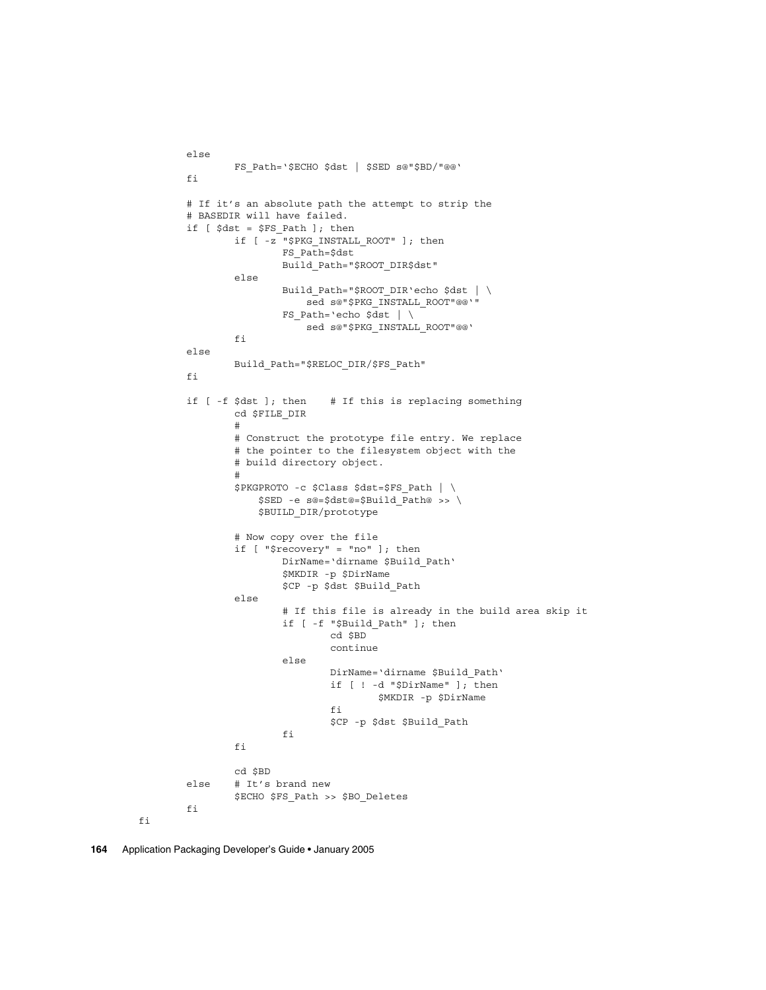```
else
        FS_Path='$ECHO $dst | $SED s@"$BD/"@@'
fi
# If it's an absolute path the attempt to strip the
# BASEDIR will have failed.
if [ $dst = $FS_Path ]; then
        if [ -z "$PKG_INSTALL_ROOT" ]; then
                FS_Path=$dst
                Build_Path="$ROOT_DIR$dst"
        else
                Build_Path="$ROOT_DIR'echo $dst | \
                    sed s@"$PKG_INSTALL_ROOT"@@'"
                FS Path='echo \overline{\S}dst | \
                    sed s@"$PKG_INSTALL_ROOT"@@'
        fi
else
       Build_Path="$RELOC_DIR/$FS_Path"
fi
if [ -f $dst ]; then # If this is replacing something
       cd $FILE_DIR
        #
        # Construct the prototype file entry. We replace
        # the pointer to the filesystem object with the
        # build directory object.
        #
        $PKGPROTO -c $Class $dst=$FS_Path | \
            $SED -e s@=$dst@=$Build_Path@ >> \
            $BUILD_DIR/prototype
        # Now copy over the file
        if [ "$recovery" = "no" ]; then
                DirName='dirname $Build_Path'
                $MKDIR -p $DirName
                $CP -p $dst $Build_Path
        else
                # If this file is already in the build area skip it
                if [ -f "$Build_Path" ]; then
                        cd $BD
                        continue
                else
                        DirName='dirname $Build_Path'
                        if [ ! -d "$DirName" ]; then
                                $MKDIR -p $DirName
                        fi
                        $CP -p $dst $Build_Path
                fi
       fi
       cd $BD
else # It's brand new
        $ECHO $FS_Path >> $BO_Deletes
fi
```
**164** Application Packaging Developer's Guide • January 2005

fi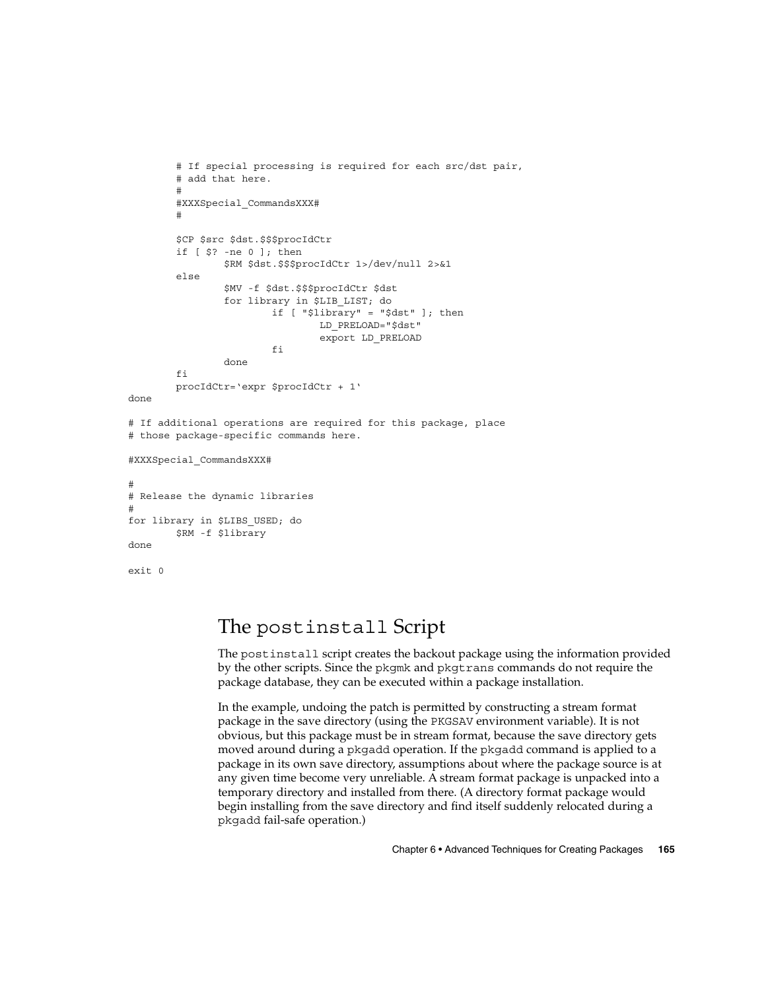```
# If special processing is required for each src/dst pair,
        # add that here.
        #
        #XXXSpecial_CommandsXXX#
        #
        $CP $src $dst.$$$procIdCtr
        if [ $? -ne 0 ]; then
                $RM $dst.$$$procIdCtr 1>/dev/null 2>&1
        else
                $MV -f $dst.$$$procIdCtr $dst
                for library in $LIB_LIST; do
                        if [ "$library" = "$dst" ]; then
                               LD_PRELOAD="$dst"
                               export LD_PRELOAD
                        fi
                done
        f_iprocIdCtr='expr $procIdCtr + 1'
done
# If additional operations are required for this package, place
# those package-specific commands here.
#XXXSpecial_CommandsXXX#
# Release the dynamic libraries
for library in $LIBS_USED; do
       $RM -f $library
done
exit 0
```
#

#

## The postinstall Script

The postinstall script creates the backout package using the information provided by the other scripts. Since the pkgmk and pkgtrans commands do not require the package database, they can be executed within a package installation.

In the example, undoing the patch is permitted by constructing a stream format package in the save directory (using the PKGSAV environment variable). It is not obvious, but this package must be in stream format, because the save directory gets moved around during a pkgadd operation. If the pkgadd command is applied to a package in its own save directory, assumptions about where the package source is at any given time become very unreliable. A stream format package is unpacked into a temporary directory and installed from there. (A directory format package would begin installing from the save directory and find itself suddenly relocated during a pkgadd fail-safe operation.)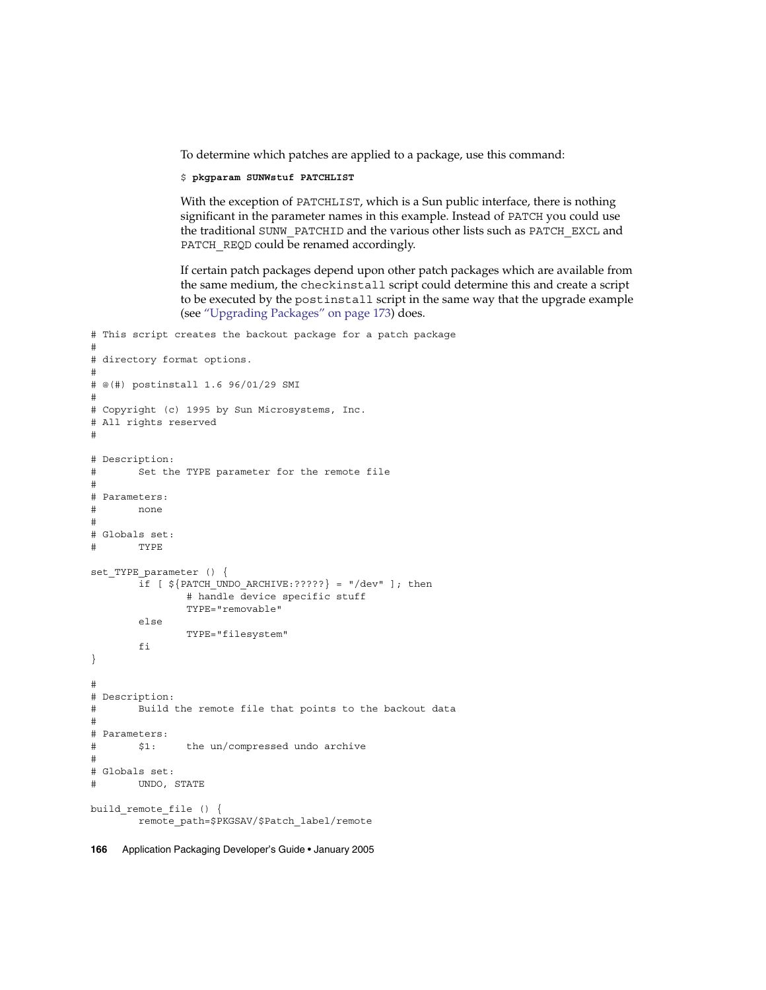To determine which patches are applied to a package, use this command:

\$ **pkgparam SUNWstuf PATCHLIST**

With the exception of PATCHLIST, which is a Sun public interface, there is nothing significant in the parameter names in this example. Instead of PATCH you could use the traditional SUNW\_PATCHID and the various other lists such as PATCH\_EXCL and PATCH\_REQD could be renamed accordingly.

If certain patch packages depend upon other patch packages which are available from the same medium, the checkinstall script could determine this and create a script to be executed by the postinstall script in the same way that the upgrade example (see ["Upgrading Packages"](#page-172-0) on page 173) does.

```
# This script creates the backout package for a patch package
#
# directory format options.
#
# @(#) postinstall 1.6 96/01/29 SMI
#
# Copyright (c) 1995 by Sun Microsystems, Inc.
# All rights reserved
#
# Description:
# Set the TYPE parameter for the remote file
#
# Parameters:
# none
#
# Globals set:
# TYPE
set TYPE parameter () {
       if [ ${PATCH_UNDO_ARCHIVE: ?????} = "/dev" ]; then
               # handle device specific stuff
               TYPE="removable"
       else
               TYPE="filesystem"
       fi
}
#
# Description:
# Build the remote file that points to the backout data
#
# Parameters:
# $1: the un/compressed undo archive
#
# Globals set:
# UNDO, STATE
build remote file () {
       remote_path=$PKGSAV/$Patch_label/remote
```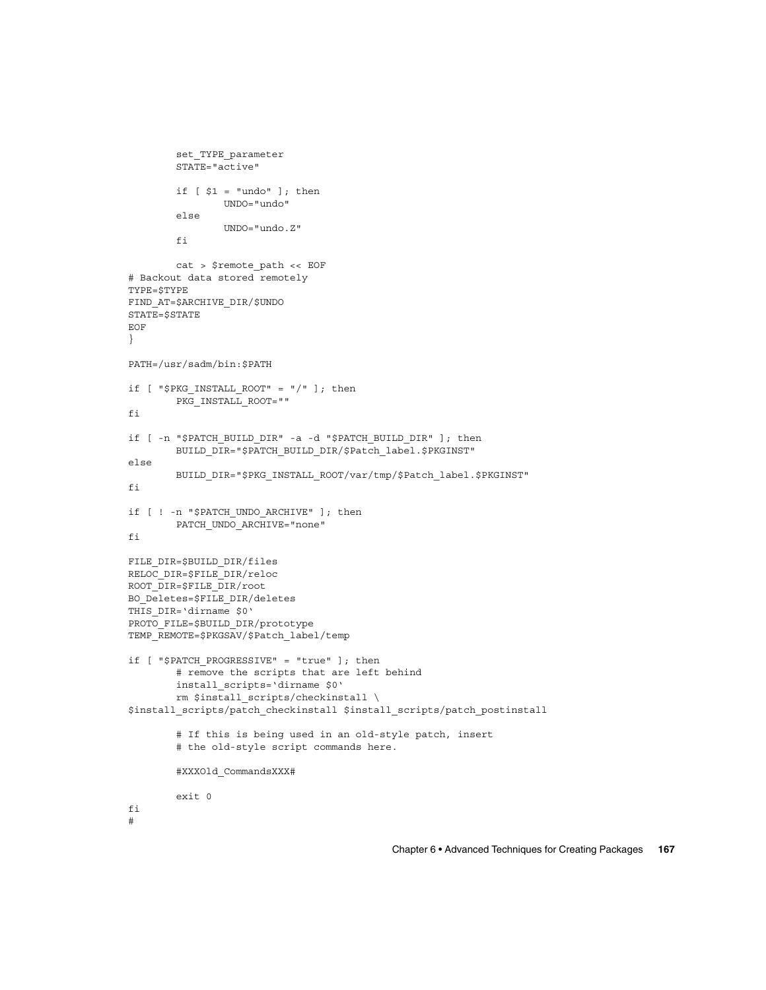```
set TYPE parameter
        STATE="active"
        if [ $1 = "undo" ]; then
                UNDO="undo"
        else
                UNDO="undo.Z"
        fi
        cat > $remote_path << EOF
# Backout data stored remotely
TYPE=$TYPE
FIND_AT=$ARCHIVE_DIR/$UNDO
STATE=$STATE
EOF
}
PATH=/usr/sadm/bin:$PATH
if [ "\$PKG_INSTALL_ROOT" = "\n" ]; then
        PKG_INSTALL_ROOT=""
fi
if [ -n "$PATCH_BUILD_DIR" -a -d "$PATCH_BUILD_DIR" ]; then
        BUILD DIR="$PATCH BUILD DIR/$Patch label.$PKGINST"
else
        BUILD_DIR="$PKG_INSTALL_ROOT/var/tmp/$Patch_label.$PKGINST"
fi
if [ ! -n "$PATCH_UNDO_ARCHIVE" ]; then
        PATCH_UNDO_ARCHIVE="none"
fi
FILE DIR=$BUILD DIR/files
RELOC_DIR=$FILE_DIR/reloc
ROOT_DIR=$FILE_DIR/root
BO_Deletes=$FILE_DIR/deletes
THIS DIR='dirname $0'
PROTO_FILE=$BUILD_DIR/prototype
TEMP_REMOTE=$PKGSAV/$Patch_label/temp
if [ "$PATCH_PROGRESSIVE" = "true" ]; then
        # remove the scripts that are left behind
        install_scripts='dirname $0'
        rm $install_scripts/checkinstall \
$install_scripts/patch_checkinstall $install_scripts/patch_postinstall
        # If this is being used in an old-style patch, insert
        # the old-style script commands here.
        #XXXOld_CommandsXXX#
        exit 0
fi
#
```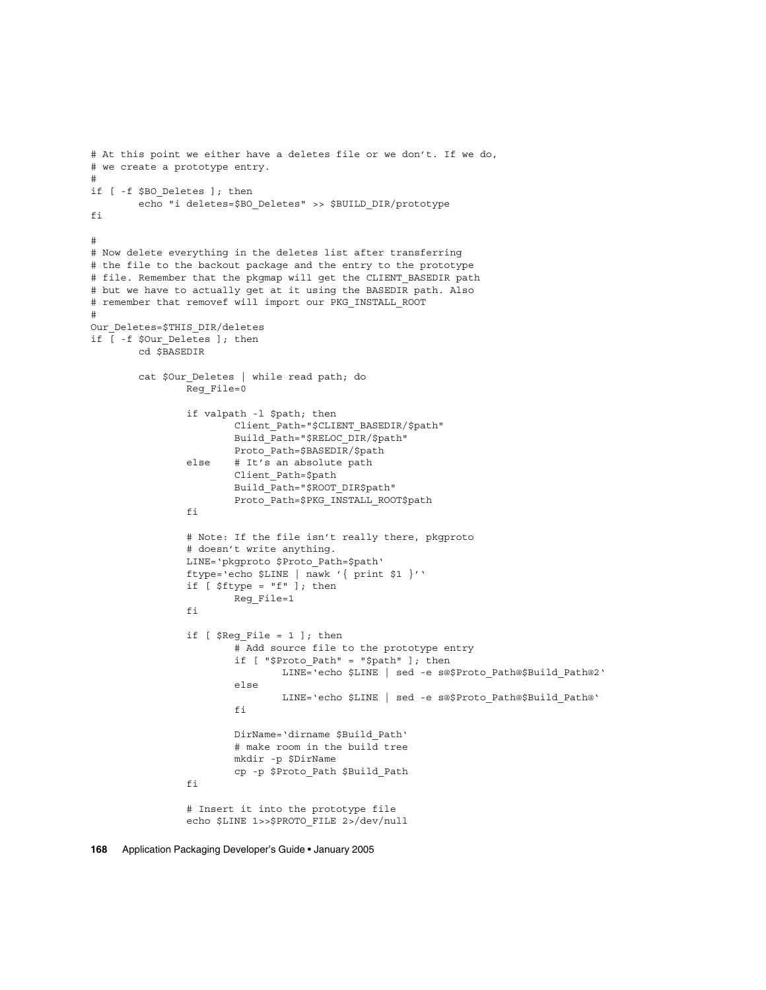```
# At this point we either have a deletes file or we don't. If we do,
# we create a prototype entry.
#
if [ -f $BO_Deletes ]; then
        echo "i deletes=$BO_Deletes" >> $BUILD_DIR/prototype
fi
#
# Now delete everything in the deletes list after transferring
# the file to the backout package and the entry to the prototype
# file. Remember that the pkgmap will get the CLIENT BASEDIR path
# but we have to actually get at it using the BASEDIR path. Also
# remember that removef will import our PKG_INSTALL_ROOT
#
Our Deletes=$THIS DIR/deletes
if [ -f $Our_Deletes ]; then
        cd $BASEDIR
        cat $Our_Deletes | while read path; do
                Reg_File=0
                if valpath -l $path; then
                        Client_Path="$CLIENT_BASEDIR/$path"
                        Build_Path="$RELOC_DIR/$path"
                        Proto_Path=$BASEDIR/$path
                else # It's an absolute path
                        Client_Path=$path
                        Build_Path="$ROOT_DIR$path"
                        Proto_Path=$PKG_INSTALL_ROOT$path
                fi
                # Note: If the file isn't really there, pkgproto
                # doesn't write anything.
                LINE='pkgproto $Proto_Path=$path'
                ftype='echo $LINE | nawk '{ print $1 }''
                if [ $ftype = "f" ]; then
                        Reg_File=1
                fi
                if [ $Reg_File = 1 ]; then
                        # Add source file to the prototype entry
                        if [ "$Proto_Path" = "$path" ]; then
                                LINE='echo $LINE | sed -e s@$Proto_Path@$Build_Path@2'
                        else
                                LINE='echo $LINE | sed -e s@$Proto_Path@$Build_Path@'
                        fi
                        DirName='dirname $Build_Path'
                        # make room in the build tree
                        mkdir -p $DirName
                        cp -p $Proto_Path $Build_Path
                fi
                # Insert it into the prototype file
                echo $LINE 1>>$PROTO_FILE 2>/dev/null
```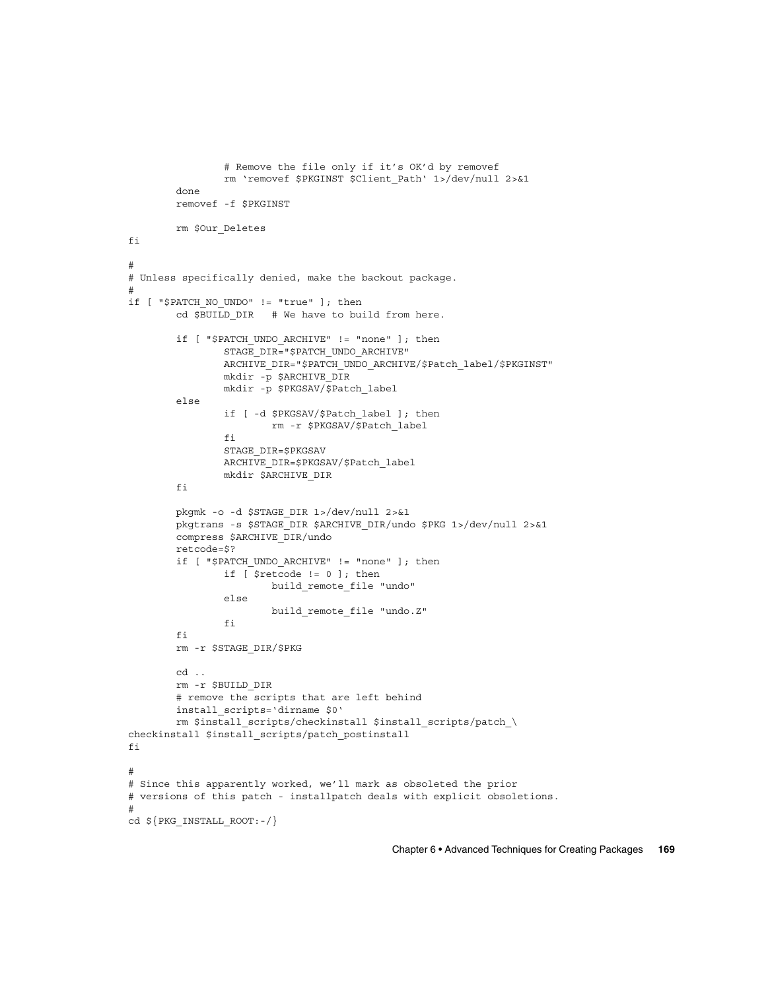```
# Remove the file only if it's OK'd by removef
                rm 'removef $PKGINST $Client_Path' 1>/dev/null 2>&1
        done
        removef -f $PKGINST
        rm $Our_Deletes
fi
#
# Unless specifically denied, make the backout package.
#
if [ "$PATCH_NO_UNDO" != "true" ]; then
        cd $BUILD_DIR # We have to build from here.
        if [ "$PATCH UNDO ARCHIVE" != "none" ]; then
                STAGE_DIR="$PATCH_UNDO_ARCHIVE"
                ARCHIVE_DIR="$PATCH_UNDO_ARCHIVE/$Patch_label/$PKGINST"
                mkdir -p $ARCHIVE_DIR
                mkdir -p $PKGSAV/$Patch_label
        else
                if [ -d $PKGSAV/$Patch_label ]; then
                        rm -r $PKGSAV/$Patch_label
                fi
                STAGE_DIR=$PKGSAV
                ARCHIVE_DIR=$PKGSAV/$Patch_label
                mkdir $ARCHIVE_DIR
        f_ipkgmk -o -d $STAGE_DIR 1>/dev/null 2>&1
       pkgtrans -s $STAGE_DIR $ARCHIVE_DIR/undo $PKG 1>/dev/null 2>&1
       compress $ARCHIVE_DIR/undo
        retcode=$?
        if [ "$PATCH_UNDO_ARCHIVE" != "none" ]; then
                if [ $retcode != 0 ]; then
                        build_remote_file "undo"
                else
                        build_remote_file "undo.Z"
                fi
        fi
       rm -r $STAGE_DIR/$PKG
        cd ..
       rm -r $BUILD_DIR
        # remove the scripts that are left behind
        install_scripts='dirname $0'
        rm $install_scripts/checkinstall $install_scripts/patch_\
checkinstall $install_scripts/patch_postinstall
fi
#
# Since this apparently worked, we'll mark as obsoleted the prior
# versions of this patch - installpatch deals with explicit obsoletions.
#
cd ${PKG_INSTALL_ROOT:-/}
```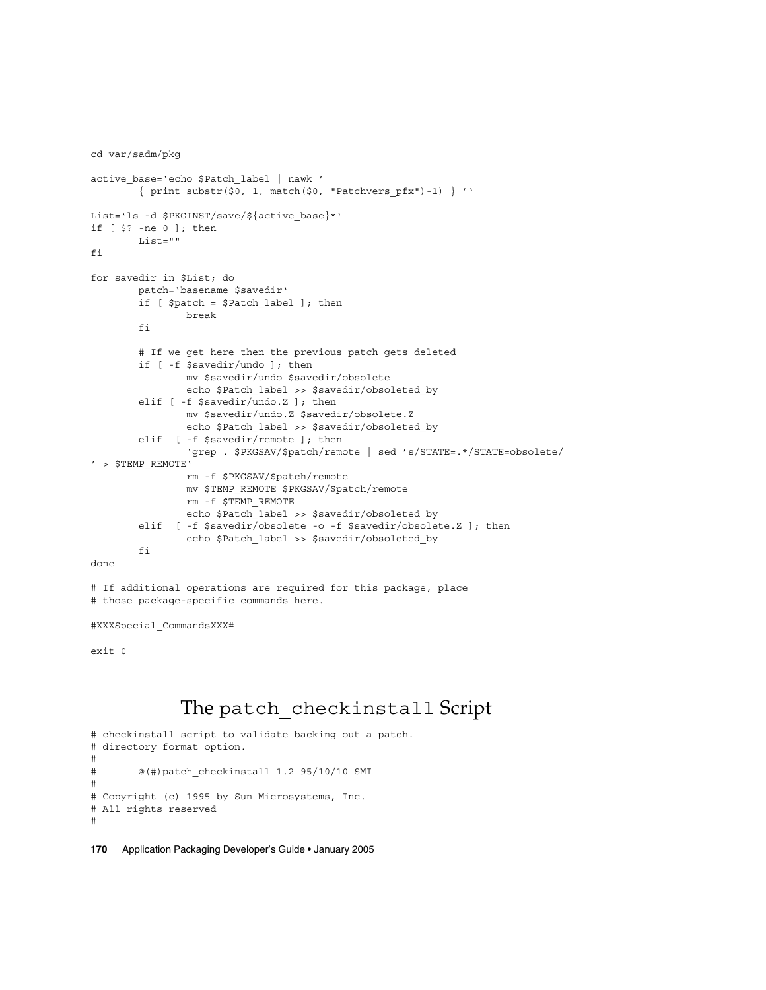```
cd var/sadm/pkg
active base='echo $Patch label | nawk '
        { print substr($0, 1, match($0, "Patchvers pfx")-1) } ''
List='ls -d $PKGINST/save/${active_base}*'
if [ $? -ne 0 ]; then
       List=""
f_ifor savedir in $List; do
        patch='basename $savedir'
        if [ $patch = $Patch_label ]; then
                break
        fi
        # If we get here then the previous patch gets deleted
        if [ -f $savedir/undo ]; then
                mv $savedir/undo $savedir/obsolete
                echo $Patch label >> $savedir/obsoleted by
        elif [ -f $savedir/undo.Z ]; then
                mv $savedir/undo.Z $savedir/obsolete.Z
                echo $Patch_label >> $savedir/obsoleted_by
        elif [ -f $savedir/remote ]; then
                'grep . $PKGSAV/$patch/remote | sed 's/STATE=.*/STATE=obsolete/
' > $TEMP_REMOTE'
                rm -f $PKGSAV/$patch/remote
                mv $TEMP_REMOTE $PKGSAV/$patch/remote
                rm -f $TEMP_REMOTE
                echo $Patch_label >> $savedir/obsoleted by
        elif [ -f $savedir/obsolete -o -f $savedir/obsolete.Z ]; then
                echo $Patch label >> $savedir/obsoleted by
        fi
done
# If additional operations are required for this package, place
# those package-specific commands here.
#XXXSpecial_CommandsXXX#
```
exit 0

## The patch checkinstall Script

```
# checkinstall script to validate backing out a patch.
# directory format option.
#
# @(#)patch_checkinstall 1.2 95/10/10 SMI
#
# Copyright (c) 1995 by Sun Microsystems, Inc.
# All rights reserved
#
```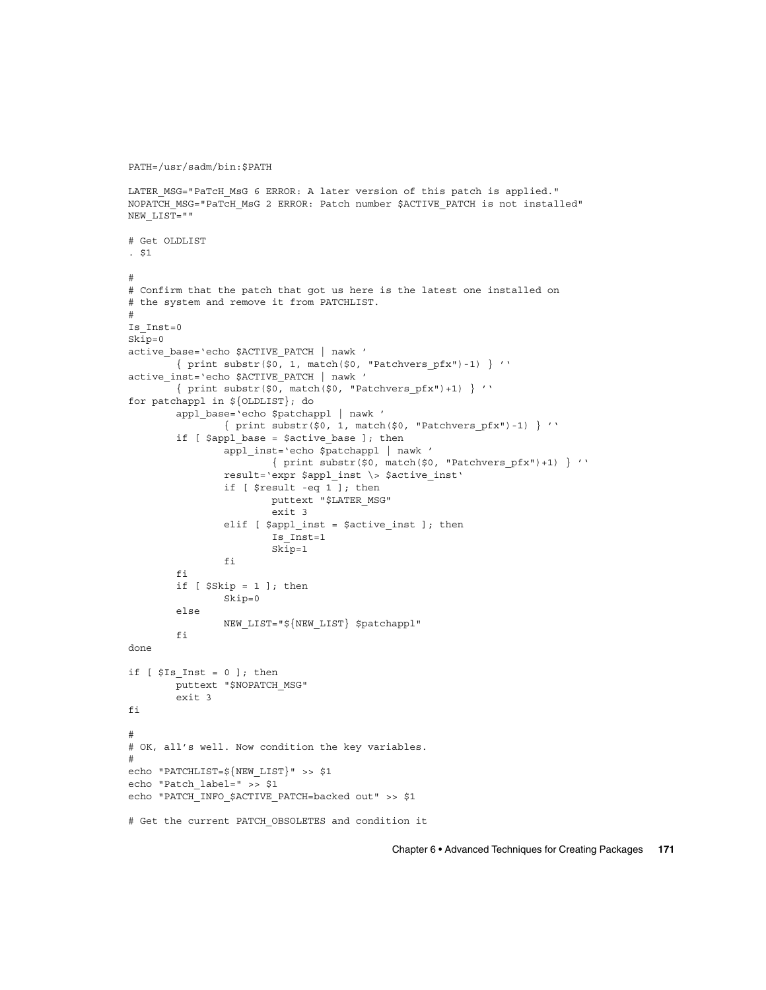```
PATH=/usr/sadm/bin:$PATH
```

```
LATER MSG="PaTcH MsG 6 ERROR: A later version of this patch is applied."
NOPATCH_MSG="PaTcH_MsG 2 ERROR: Patch number $ACTIVE_PATCH is not installed"
NEW_LIST=""
# Get OLDLIST
. $1
#
# Confirm that the patch that got us here is the latest one installed on
# the system and remove it from PATCHLIST.
#
Is_Inst=0
Skip=0
active_base='echo $ACTIVE_PATCH | nawk '
        \{ print substr($0, 1, match($0, "Patchvers_pfx")-1) \}''
active_inst='echo $ACTIVE_PATCH | nawk '
        { \prime \in \} print substr($0, match($0, "Patchvers pfx")+1) } ''
for patchappl in ${OLDLIST}; do
        appl_base='echo $patchappl | nawk '
                { print substr($0, 1, match($0, "Patchvers pfx")-1) } ''
        if [ $appl_base = $active_base ]; then
                appl_inst='echo $patchappl | nawk '
                        \{ print substr($0, match($0, "Patchvers_pfx")+1) \}''
                result='expr $appl_inst \> $active_inst'
                if [ $result -eq 1 ]; then
                        puttext "$LATER_MSG"
                        exit 3
                elif [ $appl inst = $active inst ]; then
                        Is_Inst=1
                        Skip=1
                 fi
        fi
        if [ $Skip = 1 ]; then
                Skip=0
        else
                NEW_LIST="${NEW_LIST} $patchappl"
        f_idone
if [ $Is Inst = 0 ]; then
        puttext "$NOPATCH MSG"
        exit 3
fi
#
# OK, all's well. Now condition the key variables.
#
echo "PATCHLIST=${NEW_LIST}" >> $1
echo "Patch_label=" >> $1
echo "PATCH_INFO_$ACTIVE_PATCH=backed out" >> $1
# Get the current PATCH_OBSOLETES and condition it
```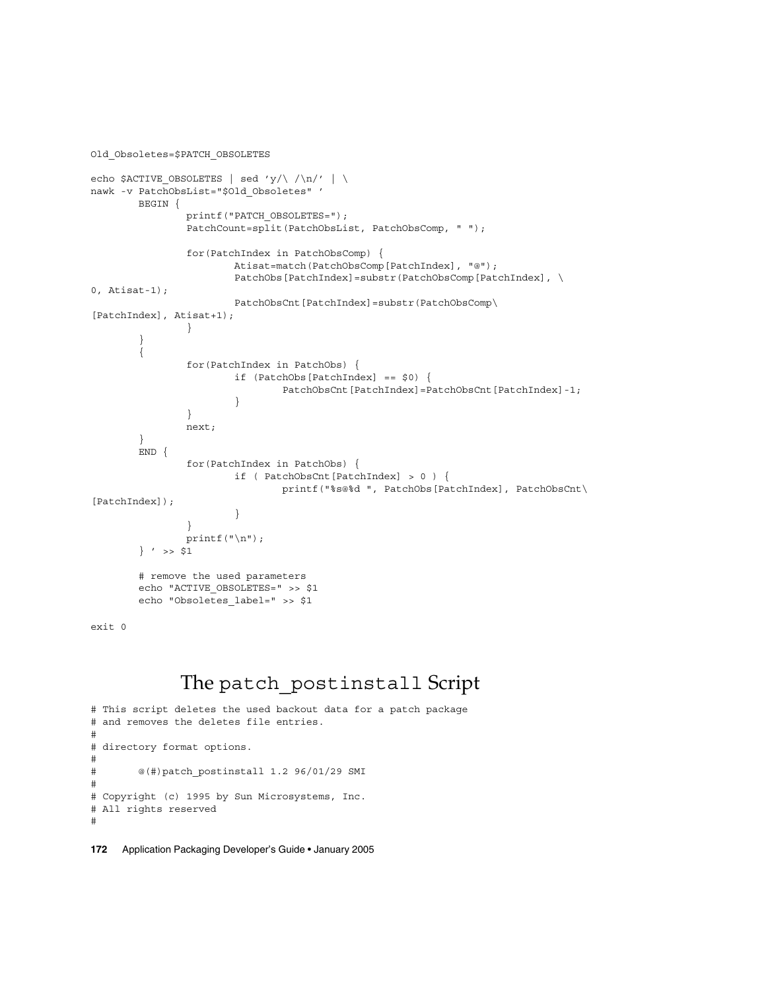```
Old_Obsoletes=$PATCH_OBSOLETES
echo $ACTIVE OBSOLETES | sed 'y/\ /\n/' | \
nawk -v PatchObsList="$Old_Obsoletes" '
       BEGIN {
                printf("PATCH_OBSOLETES=");
                PatchCount=split(PatchObsList, PatchObsComp, " ");
                for(PatchIndex in PatchObsComp) {
                        Atisat=match(PatchObsComp[PatchIndex], "@");
                        PatchObs[PatchIndex]=substr(PatchObsComp[PatchIndex], \
0, Atisat-1);
                        PatchObsCnt[PatchIndex]=substr(PatchObsComp\
[PatchIndex], Atisat+1);
                }
        }
        {
                for(PatchIndex in PatchObs) {
                        if (PatchObs[PatchIndex] == $0) {
                                PatchObsCnt[PatchIndex]=PatchObsCnt[PatchIndex]-1;
                        }
                }
                next;
        }
        END {
                for(PatchIndex in PatchObs) {
                        if ( PatchObsCnt[PatchIndex]>0){
                                printf("%s@%d ", PatchObs[PatchIndex], PatchObsCnt\
[PatchIndex]);
                        }
                }
                printf("n");
        } ' >> $1
        # remove the used parameters
        echo "ACTIVE OBSOLETES=" >> $1
        echo "Obsoletes_label=" >> $1
```

```
exit 0
```
## The patch\_postinstall Script

```
# This script deletes the used backout data for a patch package
# and removes the deletes file entries.
#
# directory format options.
#
# @(#)patch_postinstall 1.2 96/01/29 SMI
#
# Copyright (c) 1995 by Sun Microsystems, Inc.
# All rights reserved
#
```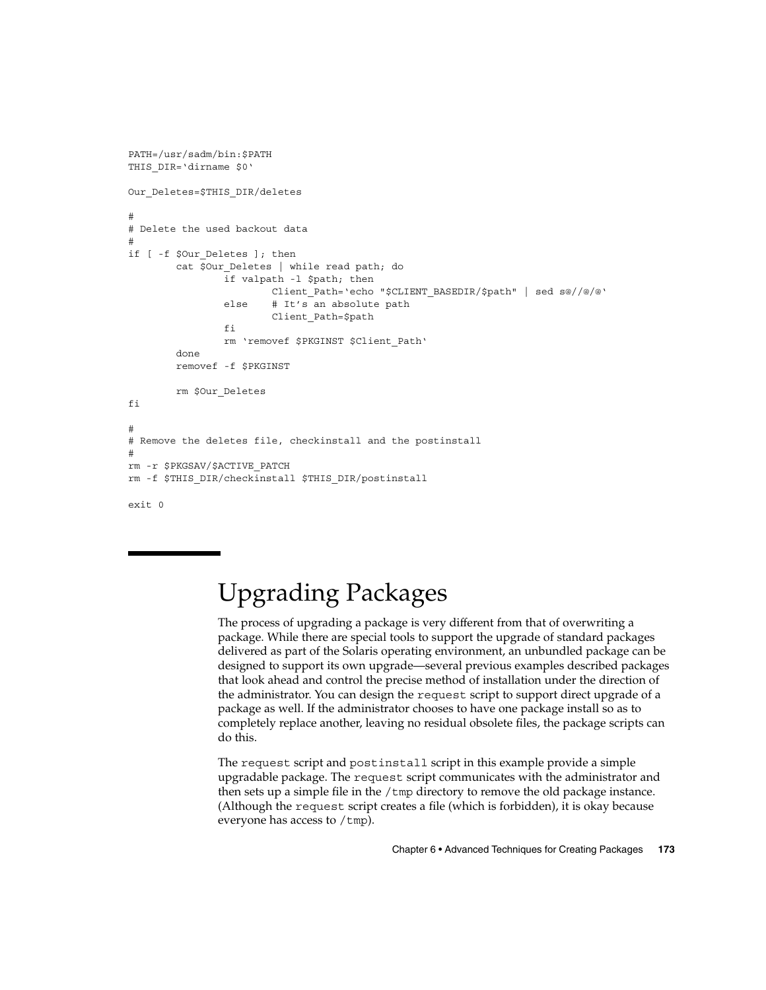```
PATH=/usr/sadm/bin:$PATH
THIS_DIR='dirname $0'
Our Deletes=$THIS DIR/deletes
#
# Delete the used backout data
#
if [ -f $Our_Deletes ]; then
        cat $Our_Deletes | while read path; do
                if valpath -l $path; then
                       Client_Path='echo "$CLIENT_BASEDIR/$path" | sed s@//@/@'
                else # It's an absolute path
                        Client_Path=$path
                f_irm 'removef $PKGINST $Client_Path'
        done
        removef -f $PKGINST
        rm $Our_Deletes
fi
#
# Remove the deletes file, checkinstall and the postinstall
#
rm -r $PKGSAV/$ACTIVE_PATCH
rm -f $THIS_DIR/checkinstall $THIS_DIR/postinstall
exit 0
```
# Upgrading Packages

The process of upgrading a package is very different from that of overwriting a package. While there are special tools to support the upgrade of standard packages delivered as part of the Solaris operating environment, an unbundled package can be designed to support its own upgrade—several previous examples described packages that look ahead and control the precise method of installation under the direction of the administrator. You can design the request script to support direct upgrade of a package as well. If the administrator chooses to have one package install so as to completely replace another, leaving no residual obsolete files, the package scripts can do this.

The request script and postinstall script in this example provide a simple upgradable package. The request script communicates with the administrator and then sets up a simple file in the  $/\text{tmp}$  directory to remove the old package instance. (Although the request script creates a file (which is forbidden), it is okay because everyone has access to /tmp).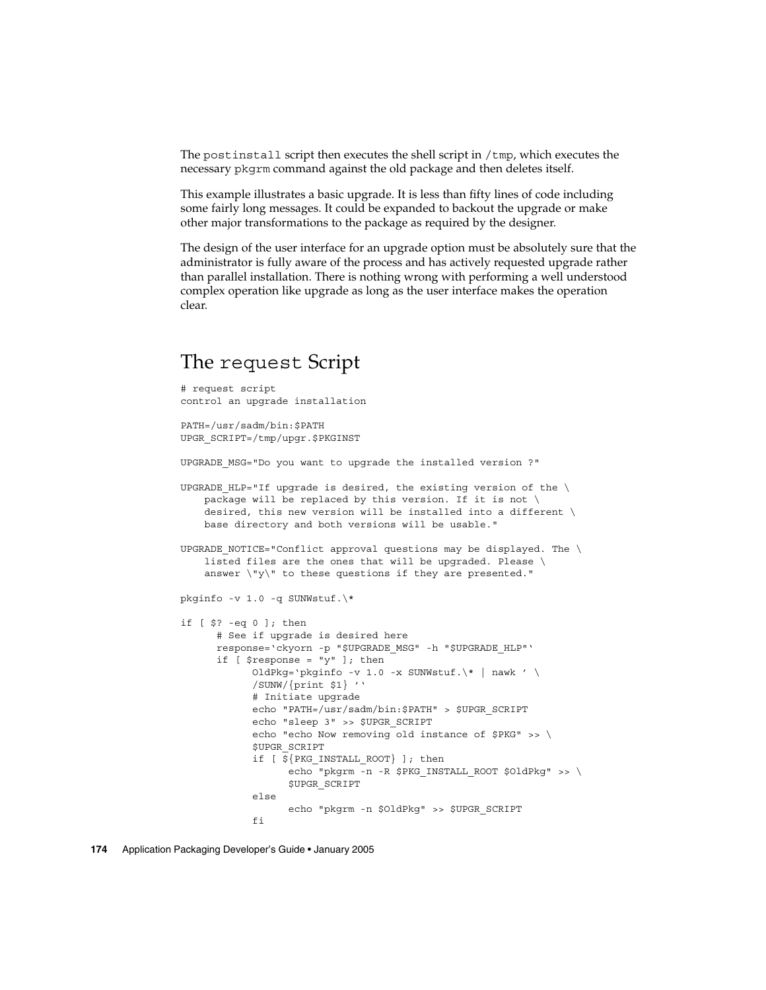The postinstall script then executes the shell script in  $/\text{tmp}$ , which executes the necessary pkgrm command against the old package and then deletes itself.

This example illustrates a basic upgrade. It is less than fifty lines of code including some fairly long messages. It could be expanded to backout the upgrade or make other major transformations to the package as required by the designer.

The design of the user interface for an upgrade option must be absolutely sure that the administrator is fully aware of the process and has actively requested upgrade rather than parallel installation. There is nothing wrong with performing a well understood complex operation like upgrade as long as the user interface makes the operation clear.

## The request Script

```
# request script
control an upgrade installation
PATH=/usr/sadm/bin:$PATH
UPGR_SCRIPT=/tmp/upgr.$PKGINST
UPGRADE_MSG="Do you want to upgrade the installed version ?"
UPGRADE HLP="If upgrade is desired, the existing version of the \setminuspackage will be replaced by this version. If it is not \
    desired, this new version will be installed into a different \
    base directory and both versions will be usable."
UPGRADE NOTICE="Conflict approval questions may be displayed. The \setminuslisted files are the ones that will be upgraded. Please \
    answer \forall"y\forall" to these questions if they are presented."
pkginfo -v 1.0 -q SUNWstuf.\*
if [ $? -eq 0 ]; then
      # See if upgrade is desired here
      response='ckyorn -p "$UPGRADE_MSG" -h "$UPGRADE_HLP"'
      if [ $response = "y" ]; then
            OldPkg='pkginfo -v 1.0 -x SUNWstuf.\* | nawk ' \
            /SUNW/{print $1} ''
            # Initiate upgrade
            echo "PATH=/usr/sadm/bin:$PATH" > $UPGR_SCRIPT
            echo "sleep 3" >> $UPGR_SCRIPT
            echo "echo Now removing old instance of $PKG" >> \
            $UPGR_SCRIPT
            if [ ${PKG_INSTALL_ROOT} ]; then
                   echo "pkgrm -n -R $PKG_INSTALL_ROOT $OldPkg" >> \
                   $UPGR_SCRIPT
            else
                  echo "pkgrm -n $OldPkg" >> $UPGR_SCRIPT
            fi
```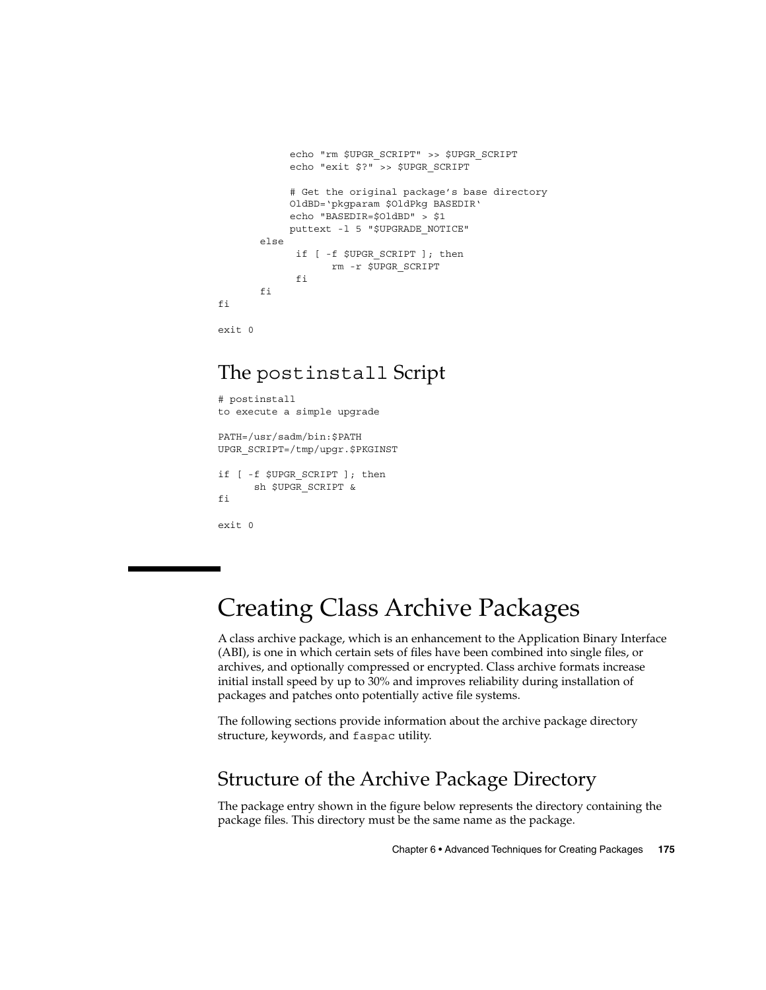```
echo "rm $UPGR_SCRIPT" >> $UPGR_SCRIPT
           echo "exit $?" >> $UPGR_SCRIPT
            # Get the original package's base directory
           OldBD='pkgparam $OldPkg BASEDIR'
           echo "BASEDIR=$OldBD" > $1
           puttext -l 5 "$UPGRADE_NOTICE"
      else
             if [ -f $UPGR_SCRIPT ]; then
                  rm -r $UPGR_SCRIPT
             fi
      fi
fi
```
exit 0

## The postinstall Script

```
# postinstall
to execute a simple upgrade
PATH=/usr/sadm/bin:$PATH
UPGR_SCRIPT=/tmp/upgr.$PKGINST
if [ -f $UPGR_SCRIPT ]; then
     sh $UPGR_SCRIPT &
fi
exit 0
```
# Creating Class Archive Packages

A class archive package, which is an enhancement to the Application Binary Interface (ABI), is one in which certain sets of files have been combined into single files, or archives, and optionally compressed or encrypted. Class archive formats increase initial install speed by up to 30% and improves reliability during installation of packages and patches onto potentially active file systems.

The following sections provide information about the archive package directory structure, keywords, and faspac utility.

## Structure of the Archive Package Directory

The package entry shown in the figure below represents the directory containing the package files. This directory must be the same name as the package.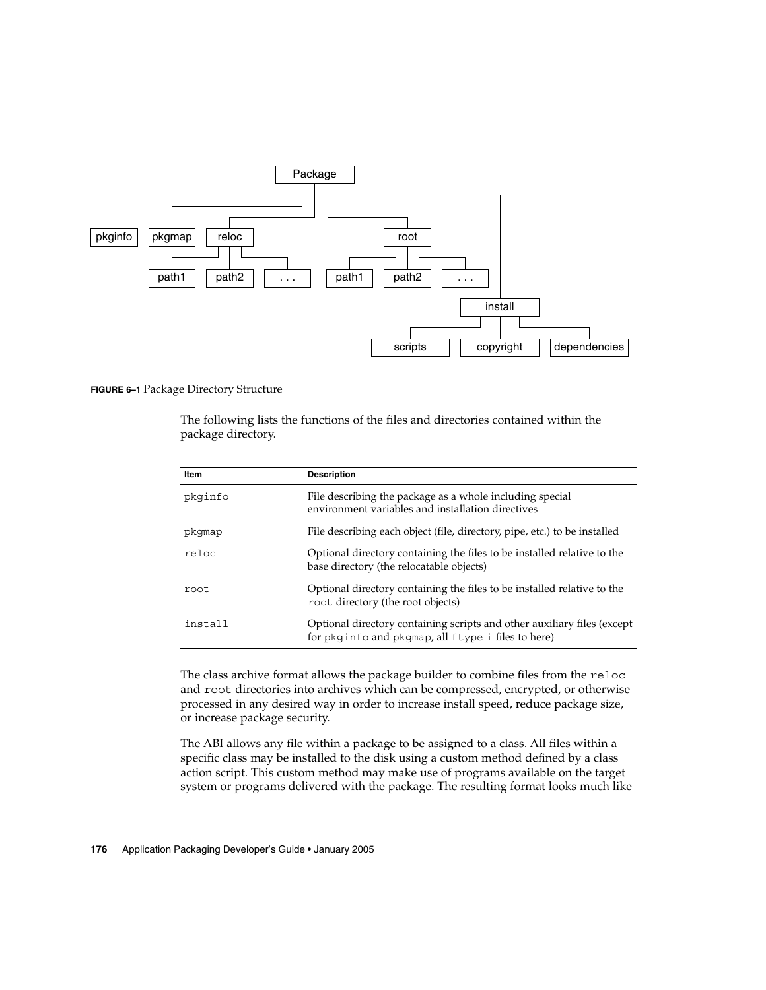

**FIGURE 6–1** Package Directory Structure

The following lists the functions of the files and directories contained within the package directory.

| Item    | <b>Description</b>                                                                                                            |
|---------|-------------------------------------------------------------------------------------------------------------------------------|
| pkqinfo | File describing the package as a whole including special<br>environment variables and installation directives                 |
| pkqmap  | File describing each object (file, directory, pipe, etc.) to be installed                                                     |
| reloc   | Optional directory containing the files to be installed relative to the<br>base directory (the relocatable objects)           |
| root    | Optional directory containing the files to be installed relative to the<br>root directory (the root objects)                  |
| install | Optional directory containing scripts and other auxiliary files (except<br>for pkginfo and pkgmap, all ftype i files to here) |

The class archive format allows the package builder to combine files from the reloc and root directories into archives which can be compressed, encrypted, or otherwise processed in any desired way in order to increase install speed, reduce package size, or increase package security.

The ABI allows any file within a package to be assigned to a class. All files within a specific class may be installed to the disk using a custom method defined by a class action script. This custom method may make use of programs available on the target system or programs delivered with the package. The resulting format looks much like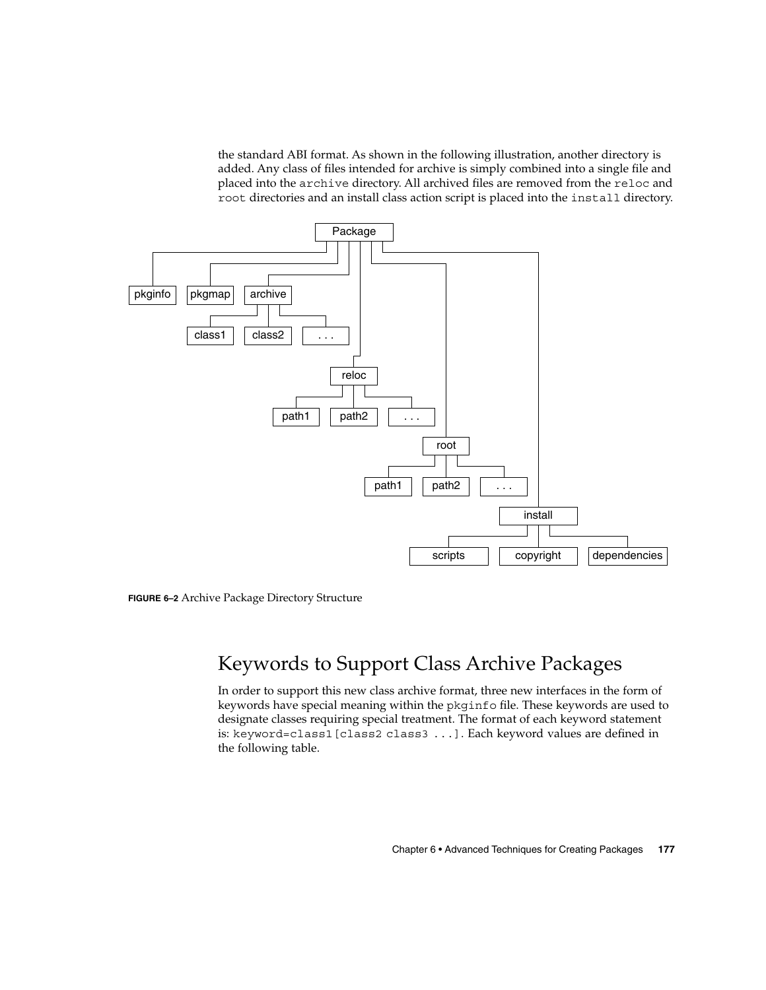the standard ABI format. As shown in the following illustration, another directory is added. Any class of files intended for archive is simply combined into a single file and placed into the archive directory. All archived files are removed from the reloc and root directories and an install class action script is placed into the install directory.



**FIGURE 6–2** Archive Package Directory Structure

# Keywords to Support Class Archive Packages

In order to support this new class archive format, three new interfaces in the form of keywords have special meaning within the pkginfo file. These keywords are used to designate classes requiring special treatment. The format of each keyword statement is: keyword=class1[class2 class3 ...]. Each keyword values are defined in the following table.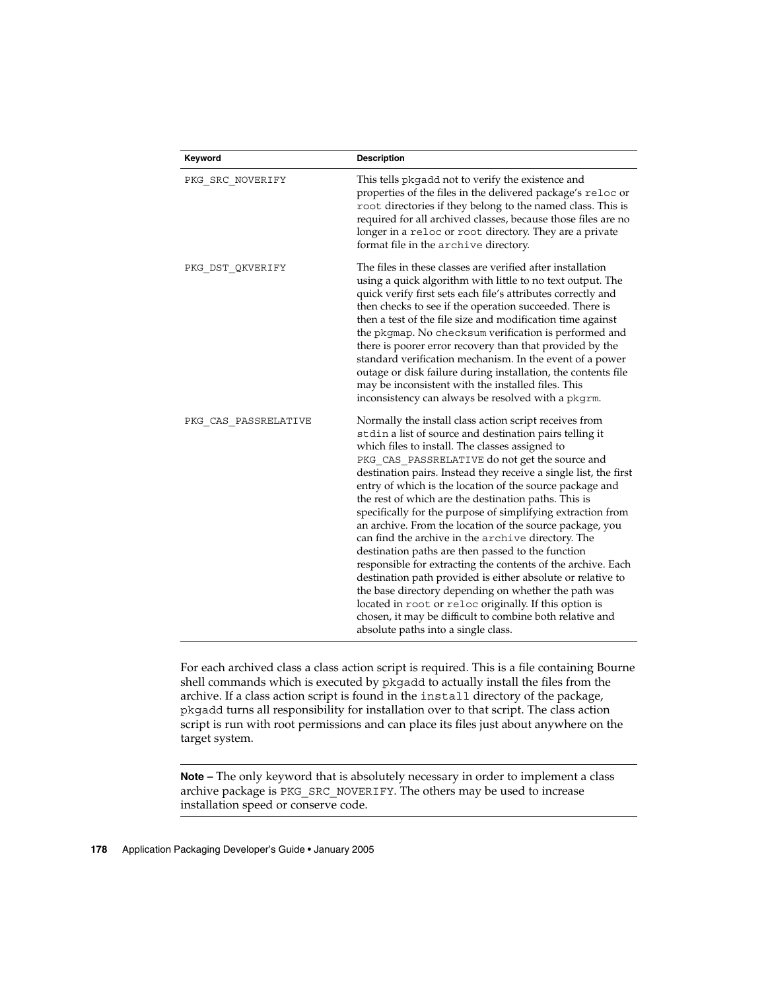| Keyword              | <b>Description</b>                                                                                                                                                                                                                                                                                                                                                                                                                                                                                                                                                                                                                                                                                                                                                                                                                                                                                                                                                                                       |
|----------------------|----------------------------------------------------------------------------------------------------------------------------------------------------------------------------------------------------------------------------------------------------------------------------------------------------------------------------------------------------------------------------------------------------------------------------------------------------------------------------------------------------------------------------------------------------------------------------------------------------------------------------------------------------------------------------------------------------------------------------------------------------------------------------------------------------------------------------------------------------------------------------------------------------------------------------------------------------------------------------------------------------------|
| PKG_SRC_NOVERIFY     | This tells pkgadd not to verify the existence and<br>properties of the files in the delivered package's reloc or<br>root directories if they belong to the named class. This is<br>required for all archived classes, because those files are no<br>longer in a reloc or root directory. They are a private<br>format file in the archive directory.                                                                                                                                                                                                                                                                                                                                                                                                                                                                                                                                                                                                                                                     |
| PKG_DST_QKVERIFY     | The files in these classes are verified after installation<br>using a quick algorithm with little to no text output. The<br>quick verify first sets each file's attributes correctly and<br>then checks to see if the operation succeeded. There is<br>then a test of the file size and modification time against<br>the pkgmap. No checksum verification is performed and<br>there is poorer error recovery than that provided by the<br>standard verification mechanism. In the event of a power<br>outage or disk failure during installation, the contents file<br>may be inconsistent with the installed files. This<br>inconsistency can always be resolved with a pkgrm.                                                                                                                                                                                                                                                                                                                          |
| PKG_CAS_PASSRELATIVE | Normally the install class action script receives from<br>stdin a list of source and destination pairs telling it<br>which files to install. The classes assigned to<br>PKG CAS PASSRELATIVE do not get the source and<br>destination pairs. Instead they receive a single list, the first<br>entry of which is the location of the source package and<br>the rest of which are the destination paths. This is<br>specifically for the purpose of simplifying extraction from<br>an archive. From the location of the source package, you<br>can find the archive in the archive directory. The<br>destination paths are then passed to the function<br>responsible for extracting the contents of the archive. Each<br>destination path provided is either absolute or relative to<br>the base directory depending on whether the path was<br>located in root or reloc originally. If this option is<br>chosen, it may be difficult to combine both relative and<br>absolute paths into a single class. |

For each archived class a class action script is required. This is a file containing Bourne shell commands which is executed by pkgadd to actually install the files from the archive. If a class action script is found in the install directory of the package, pkgadd turns all responsibility for installation over to that script. The class action script is run with root permissions and can place its files just about anywhere on the target system.

**Note –** The only keyword that is absolutely necessary in order to implement a class archive package is PKG\_SRC\_NOVERIFY. The others may be used to increase installation speed or conserve code.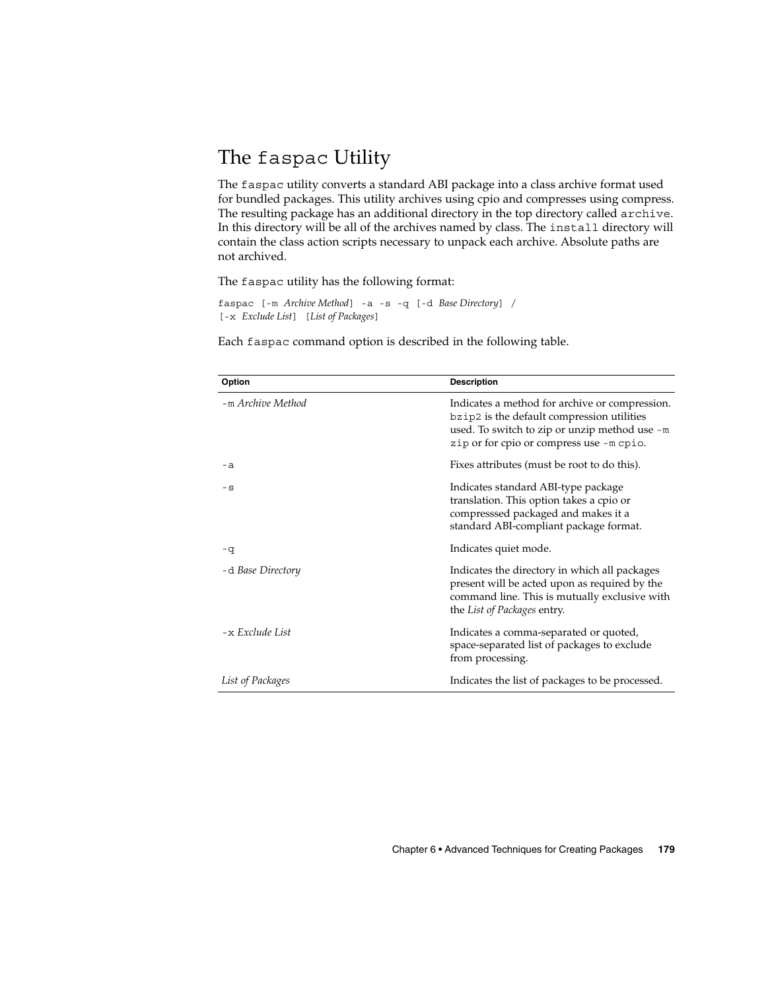## The faspac Utility

The faspac utility converts a standard ABI package into a class archive format used for bundled packages. This utility archives using cpio and compresses using compress. The resulting package has an additional directory in the top directory called archive. In this directory will be all of the archives named by class. The install directory will contain the class action scripts necessary to unpack each archive. Absolute paths are not archived.

The faspac utility has the following format:

faspac [-m *Archive Method*] -a -s -q [-d *Base Directory*] / [-x *Exclude List*] [*List of Packages*]

Each faspac command option is described in the following table.

| Option            | <b>Description</b>                                                                                                                                                                        |
|-------------------|-------------------------------------------------------------------------------------------------------------------------------------------------------------------------------------------|
| -m Archive Method | Indicates a method for archive or compression.<br>bzip2 is the default compression utilities<br>used. To switch to zip or unzip method use -m<br>zip or for cpio or compress use -m cpio. |
| -а                | Fixes attributes (must be root to do this).                                                                                                                                               |
| - s               | Indicates standard ABI-type package<br>translation. This option takes a cpio or<br>compresssed packaged and makes it a<br>standard ABI-compliant package format.                          |
| -q                | Indicates quiet mode.                                                                                                                                                                     |
| -d Base Directory | Indicates the directory in which all packages<br>present will be acted upon as required by the<br>command line. This is mutually exclusive with<br>the List of Packages entry.            |
| $-x$ Exclude List | Indicates a comma-separated or quoted,<br>space-separated list of packages to exclude<br>from processing.                                                                                 |
| List of Packages  | Indicates the list of packages to be processed.                                                                                                                                           |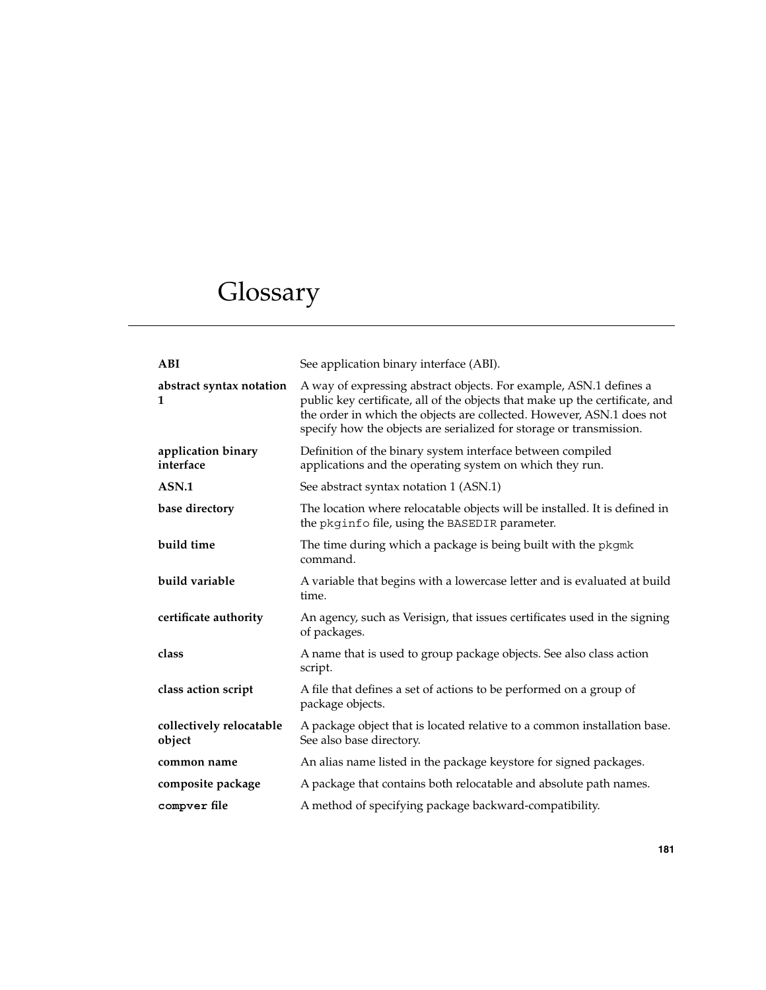# Glossary

| ABI                                | See application binary interface (ABI).                                                                                                                                                                                                                                                            |
|------------------------------------|----------------------------------------------------------------------------------------------------------------------------------------------------------------------------------------------------------------------------------------------------------------------------------------------------|
| abstract syntax notation<br>1      | A way of expressing abstract objects. For example, ASN.1 defines a<br>public key certificate, all of the objects that make up the certificate, and<br>the order in which the objects are collected. However, ASN.1 does not<br>specify how the objects are serialized for storage or transmission. |
| application binary<br>interface    | Definition of the binary system interface between compiled<br>applications and the operating system on which they run.                                                                                                                                                                             |
| ASN.1                              | See abstract syntax notation 1 (ASN.1)                                                                                                                                                                                                                                                             |
| base directory                     | The location where relocatable objects will be installed. It is defined in<br>the pkginfo file, using the BASEDIR parameter.                                                                                                                                                                       |
| build time                         | The time during which a package is being built with the pkgmk<br>command.                                                                                                                                                                                                                          |
| build variable                     | A variable that begins with a lowercase letter and is evaluated at build<br>time.                                                                                                                                                                                                                  |
| certificate authority              | An agency, such as Verisign, that issues certificates used in the signing<br>of packages.                                                                                                                                                                                                          |
| class                              | A name that is used to group package objects. See also class action<br>script.                                                                                                                                                                                                                     |
| class action script                | A file that defines a set of actions to be performed on a group of<br>package objects.                                                                                                                                                                                                             |
| collectively relocatable<br>object | A package object that is located relative to a common installation base.<br>See also base directory.                                                                                                                                                                                               |
| common name                        | An alias name listed in the package keystore for signed packages.                                                                                                                                                                                                                                  |
| composite package                  | A package that contains both relocatable and absolute path names.                                                                                                                                                                                                                                  |
| compver file                       | A method of specifying package backward-compatibility.                                                                                                                                                                                                                                             |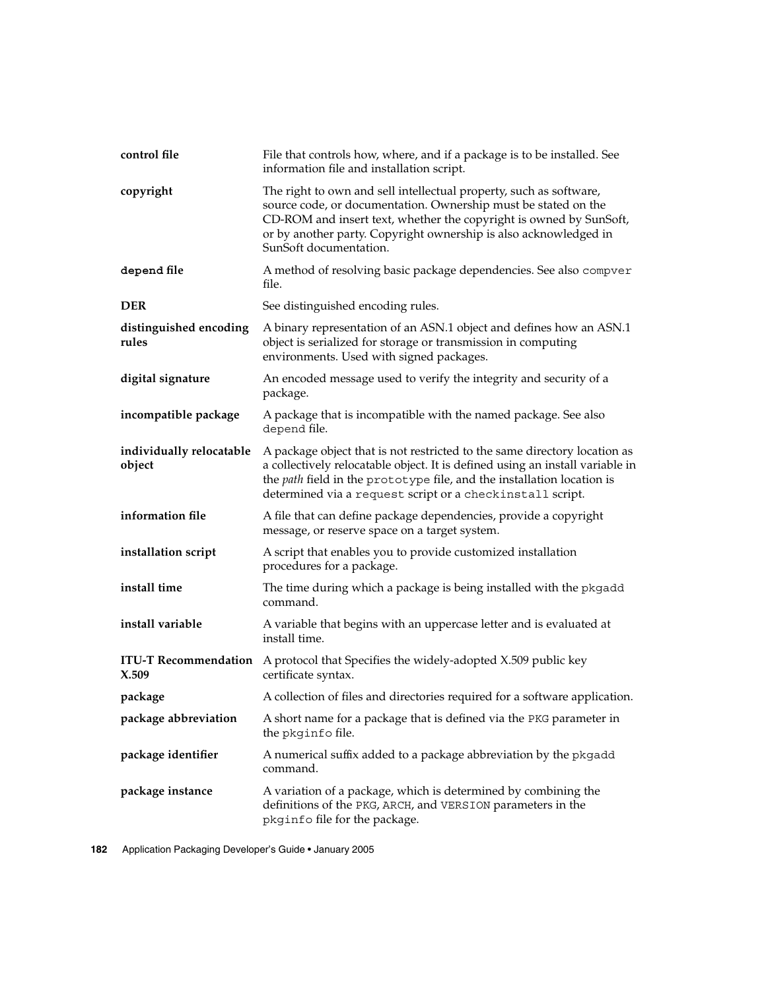| control file                         | File that controls how, where, and if a package is to be installed. See<br>information file and installation script.                                                                                                                                                                                     |
|--------------------------------------|----------------------------------------------------------------------------------------------------------------------------------------------------------------------------------------------------------------------------------------------------------------------------------------------------------|
| copyright                            | The right to own and sell intellectual property, such as software,<br>source code, or documentation. Ownership must be stated on the<br>CD-ROM and insert text, whether the copyright is owned by SunSoft,<br>or by another party. Copyright ownership is also acknowledged in<br>SunSoft documentation. |
| depend file                          | A method of resolving basic package dependencies. See also compver<br>file.                                                                                                                                                                                                                              |
| <b>DER</b>                           | See distinguished encoding rules.                                                                                                                                                                                                                                                                        |
| distinguished encoding<br>rules      | A binary representation of an ASN.1 object and defines how an ASN.1<br>object is serialized for storage or transmission in computing<br>environments. Used with signed packages.                                                                                                                         |
| digital signature                    | An encoded message used to verify the integrity and security of a<br>package.                                                                                                                                                                                                                            |
| incompatible package                 | A package that is incompatible with the named package. See also<br>depend file.                                                                                                                                                                                                                          |
| individually relocatable<br>object   | A package object that is not restricted to the same directory location as<br>a collectively relocatable object. It is defined using an install variable in<br>the path field in the prototype file, and the installation location is<br>determined via a request script or a checkinstall script.        |
| information file                     | A file that can define package dependencies, provide a copyright<br>message, or reserve space on a target system.                                                                                                                                                                                        |
| installation script                  | A script that enables you to provide customized installation<br>procedures for a package.                                                                                                                                                                                                                |
| install time                         | The time during which a package is being installed with the pkgadd<br>command.                                                                                                                                                                                                                           |
| install variable                     | A variable that begins with an uppercase letter and is evaluated at<br>install time.                                                                                                                                                                                                                     |
| <b>ITU-T Recommendation</b><br>X.509 | A protocol that Specifies the widely-adopted X.509 public key<br>certificate syntax.                                                                                                                                                                                                                     |
| package                              | A collection of files and directories required for a software application.                                                                                                                                                                                                                               |
| package abbreviation                 | A short name for a package that is defined via the PKG parameter in<br>the pkginfo file.                                                                                                                                                                                                                 |
| package identifier                   | A numerical suffix added to a package abbreviation by the pkgadd<br>command.                                                                                                                                                                                                                             |
| package instance                     | A variation of a package, which is determined by combining the<br>definitions of the PKG, ARCH, and VERSION parameters in the<br>pkginfo file for the package.                                                                                                                                           |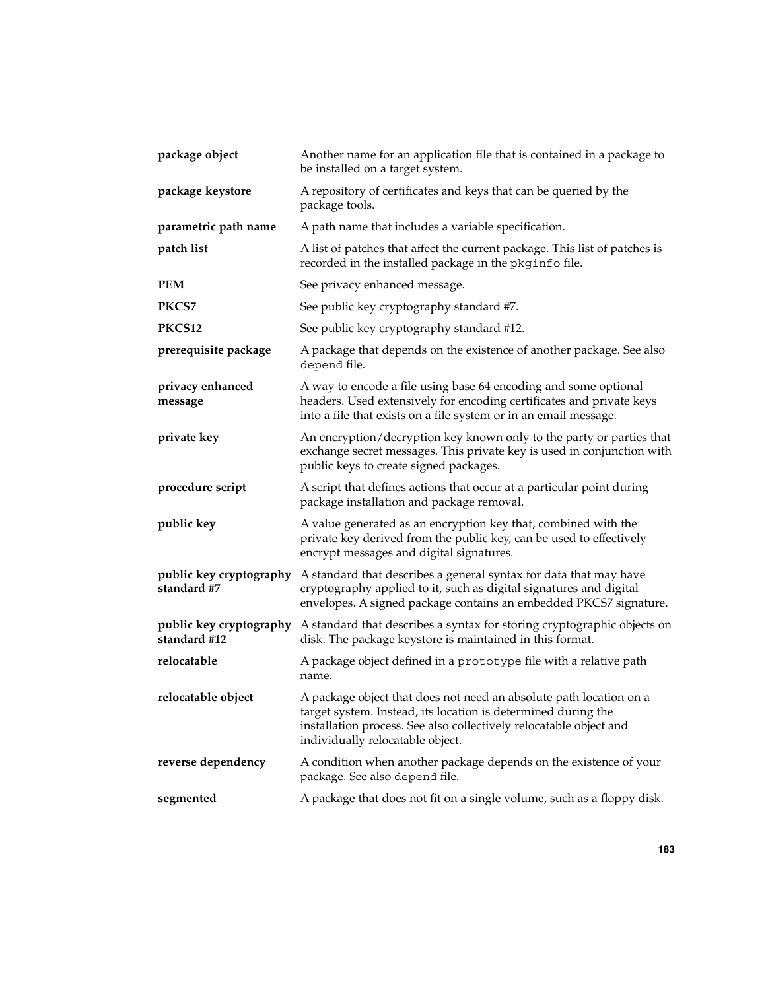| package object                         | Another name for an application file that is contained in a package to<br>be installed on a target system.                                                                                                                                    |
|----------------------------------------|-----------------------------------------------------------------------------------------------------------------------------------------------------------------------------------------------------------------------------------------------|
| package keystore                       | A repository of certificates and keys that can be queried by the<br>package tools.                                                                                                                                                            |
| parametric path name                   | A path name that includes a variable specification.                                                                                                                                                                                           |
| patch list                             | A list of patches that affect the current package. This list of patches is<br>recorded in the installed package in the pkginfo file.                                                                                                          |
| <b>PEM</b>                             | See privacy enhanced message.                                                                                                                                                                                                                 |
| PKCS7                                  | See public key cryptography standard #7.                                                                                                                                                                                                      |
| PKCS12                                 | See public key cryptography standard #12.                                                                                                                                                                                                     |
| prerequisite package                   | A package that depends on the existence of another package. See also<br>depend file.                                                                                                                                                          |
| privacy enhanced<br>message            | A way to encode a file using base 64 encoding and some optional<br>headers. Used extensively for encoding certificates and private keys<br>into a file that exists on a file system or in an email message.                                   |
| private key                            | An encryption/decryption key known only to the party or parties that<br>exchange secret messages. This private key is used in conjunction with<br>public keys to create signed packages.                                                      |
| procedure script                       | A script that defines actions that occur at a particular point during<br>package installation and package removal.                                                                                                                            |
| public key                             | A value generated as an encryption key that, combined with the<br>private key derived from the public key, can be used to effectively<br>encrypt messages and digital signatures.                                                             |
| public key cryptography<br>standard #7 | A standard that describes a general syntax for data that may have<br>cryptography applied to it, such as digital signatures and digital<br>envelopes. A signed package contains an embedded PKCS7 signature.                                  |
| standard #12                           | public key cryptography A standard that describes a syntax for storing cryptographic objects on<br>disk. The package keystore is maintained in this format.                                                                                   |
| relocatable                            | A package object defined in a prototype file with a relative path<br>name.                                                                                                                                                                    |
| relocatable object                     | A package object that does not need an absolute path location on a<br>target system. Instead, its location is determined during the<br>installation process. See also collectively relocatable object and<br>individually relocatable object. |
| reverse dependency                     | A condition when another package depends on the existence of your<br>package. See also depend file.                                                                                                                                           |
| segmented                              | A package that does not fit on a single volume, such as a floppy disk.                                                                                                                                                                        |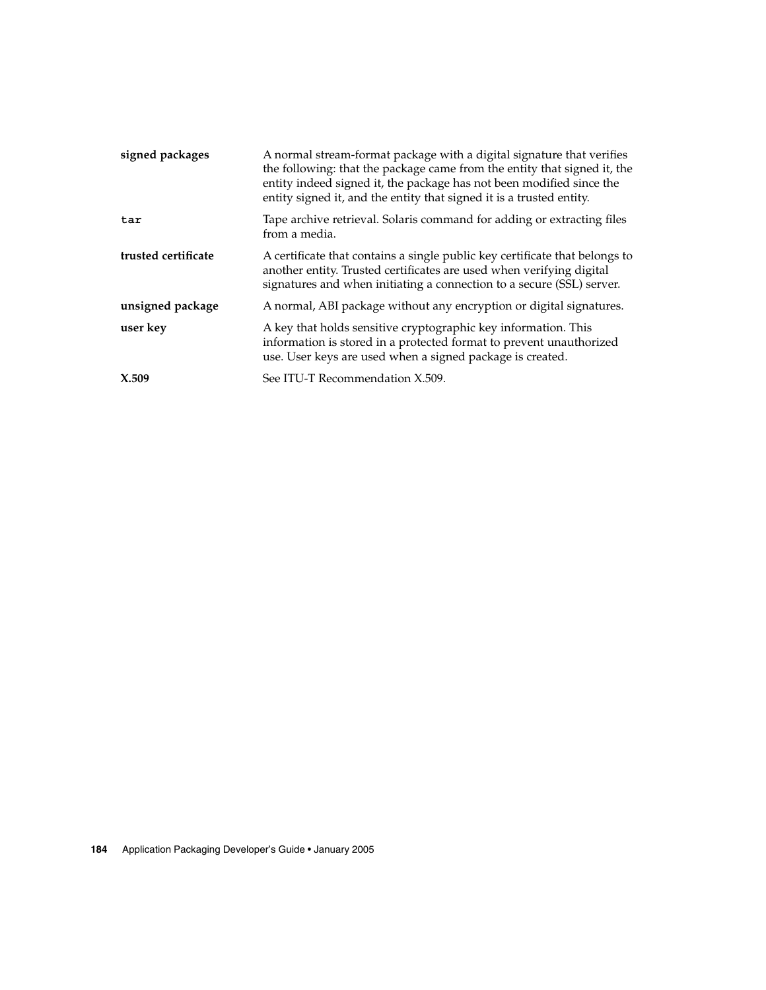| signed packages     | A normal stream-format package with a digital signature that verifies<br>the following: that the package came from the entity that signed it, the<br>entity indeed signed it, the package has not been modified since the<br>entity signed it, and the entity that signed it is a trusted entity. |
|---------------------|---------------------------------------------------------------------------------------------------------------------------------------------------------------------------------------------------------------------------------------------------------------------------------------------------|
| tar                 | Tape archive retrieval. Solaris command for adding or extracting files<br>from a media.                                                                                                                                                                                                           |
| trusted certificate | A certificate that contains a single public key certificate that belongs to<br>another entity. Trusted certificates are used when verifying digital<br>signatures and when initiating a connection to a secure (SSL) server.                                                                      |
| unsigned package    | A normal, ABI package without any encryption or digital signatures.                                                                                                                                                                                                                               |
| user key            | A key that holds sensitive cryptographic key information. This<br>information is stored in a protected format to prevent unauthorized<br>use. User keys are used when a signed package is created.                                                                                                |
| X.509               | See ITU-T Recommendation X.509.                                                                                                                                                                                                                                                                   |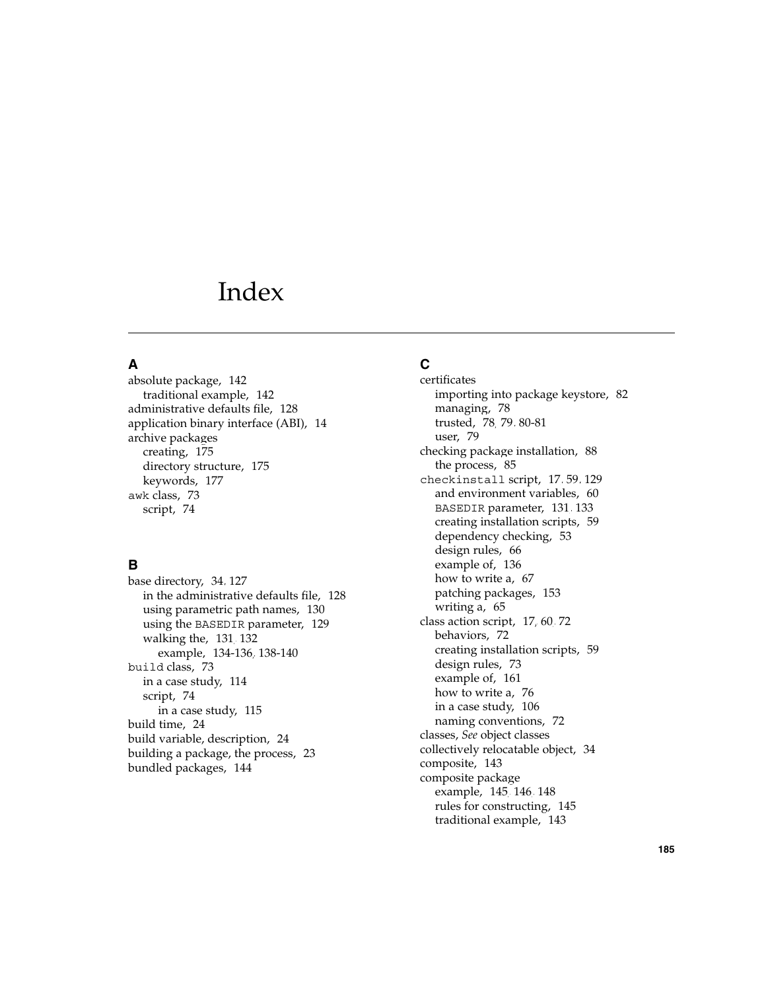# Index

# **A**

absolute package, [142](#page-141-0) traditional example, [142](#page-141-0) administrative defaults file, [128](#page-127-0) application binary interface (ABI), [14](#page-13-0) archive packages creating, [175](#page-174-0) directory structure, [175](#page-174-0) keywords, [177](#page-176-0) awk class, [73](#page-72-0) script, [74](#page-73-0)

# **B**

base directory, [34,](#page-33-0) [127](#page-126-0) in the administrative defaults file, [128](#page-127-0) using parametric path names, [130](#page-129-0) using the BASEDIR parameter, [129](#page-128-0) walking the, [131,](#page-130-0) [132](#page-131-0) example, [134-136,](#page-133-0) [138-140](#page-137-0) build class, [73](#page-72-0) in a case study, [114](#page-113-0) script, [74](#page-73-0) in a case study, [115](#page-114-0) build time, [24](#page-23-0) build variable, description, [24](#page-23-0) building a package, the process, [23](#page-22-0) bundled packages, [144](#page-143-0)

# **C**

certificates importing into package keystore, [82](#page-81-0) managing, [78](#page-77-0) trusted, [78,](#page-77-0) [79,](#page-78-0) [80-81](#page-79-0) user, [79](#page-78-0) checking package installation, [88](#page-87-0) the process, [85](#page-84-0) checkinstall script, [17,](#page-16-0) [59,](#page-58-0) [129](#page-128-0) and environment variables, [60](#page-59-0) BASEDIR parameter, [131,](#page-130-0) [133](#page-132-0) creating installation scripts, [59](#page-58-0) dependency checking, [53](#page-52-0) design rules, [66](#page-65-0) example of, [136](#page-135-0) how to write a, [67](#page-66-0) patching packages, [153](#page-152-0) writing a, [65](#page-64-0) class action script, [17,](#page-16-0) [60,](#page-59-0) [72](#page-71-0) behaviors, [72](#page-71-0) creating installation scripts, [59](#page-58-0) design rules, [73](#page-72-0) example of, [161](#page-160-0) how to write a, [76](#page-75-0) in a case study, [106](#page-105-0) naming conventions, [72](#page-71-0) classes, *See* object classes collectively relocatable object, [34](#page-33-0) composite, [143](#page-142-0) composite package example, [145,](#page-144-0) [146,](#page-145-0) [148](#page-147-0) rules for constructing, [145](#page-144-0) traditional example, [143](#page-142-0)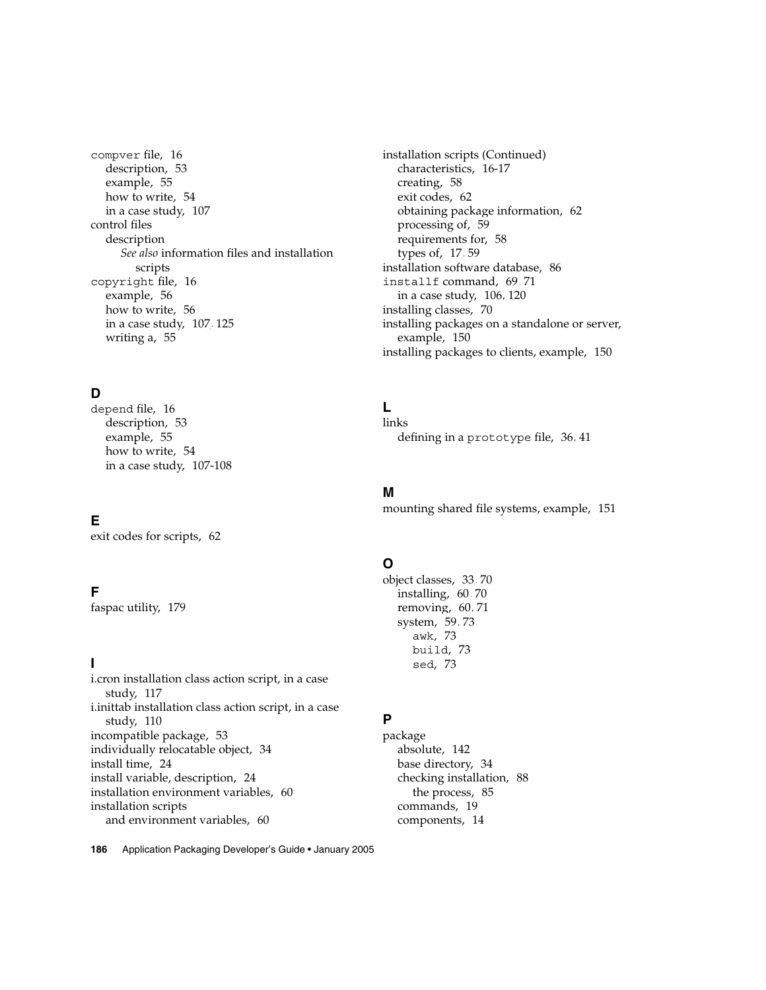compver file, [16](#page-15-0) description, [53](#page-52-0) example, [55](#page-54-0) how to write, [54](#page-53-0) in a case study, [107](#page-106-0) control files description *See also* information files and installation scripts copyright file, [16](#page-15-0) example, [56](#page-55-0) how to write, [56](#page-55-0) in a case study, [107,](#page-106-0) [125](#page-124-0) writing a, [55](#page-54-0)

# **D**

depend file, [16](#page-15-0) description, [53](#page-52-0) example, [55](#page-54-0) how to write, [54](#page-53-0) in a case study, [107-108](#page-106-0)

#### **E**

exit codes for scripts, [62](#page-61-0)

#### **F**

faspac utility, [179](#page-178-0)

#### **I**

i.cron installation class action script, in a case study, [117](#page-116-0) i.inittab installation class action script, in a case study, [110](#page-109-0) incompatible package, [53](#page-52-0) individually relocatable object, [34](#page-33-0) install time, [24](#page-23-0) install variable, description, [24](#page-23-0) installation environment variables, [60](#page-59-0) installation scripts and environment variables, [60](#page-59-0)

installation scripts (Continued) characteristics, [16-17](#page-15-0) creating, [58](#page-57-0) exit codes, [62](#page-61-0) obtaining package information, [62](#page-61-0) processing of, [59](#page-58-0) requirements for, [58](#page-57-0) types of, [17,](#page-16-0) [59](#page-58-0) installation software database, [86](#page-85-0) installf command, [69,](#page-68-0) [71](#page-70-0) in a case study, [106,](#page-105-0) [120](#page-119-0) installing classes, [70](#page-69-0) installing packages on a standalone or server, example, [150](#page-149-0) installing packages to clients, example, [150](#page-149-0)

**L** links

defining in a prototype file, [36,](#page-35-0) [41](#page-40-0)

#### **M**

mounting shared file systems, example, [151](#page-150-0)

#### **O**

object classes, [33,](#page-32-0) [70](#page-69-0) installing, [60,](#page-59-0) [70](#page-69-0) removing, [60,](#page-59-0) [71](#page-70-0) system, [59,](#page-58-0) [73](#page-72-0) awk, [73](#page-72-0) build, [73](#page-72-0) sed, [73](#page-72-0)

#### **P**

package absolute, [142](#page-141-0) base directory, [34](#page-33-0) checking installation, [88](#page-87-0) the process, [85](#page-84-0) commands, [19](#page-18-0) components, [14](#page-13-0)

**186** Application Packaging Developer's Guide • January 2005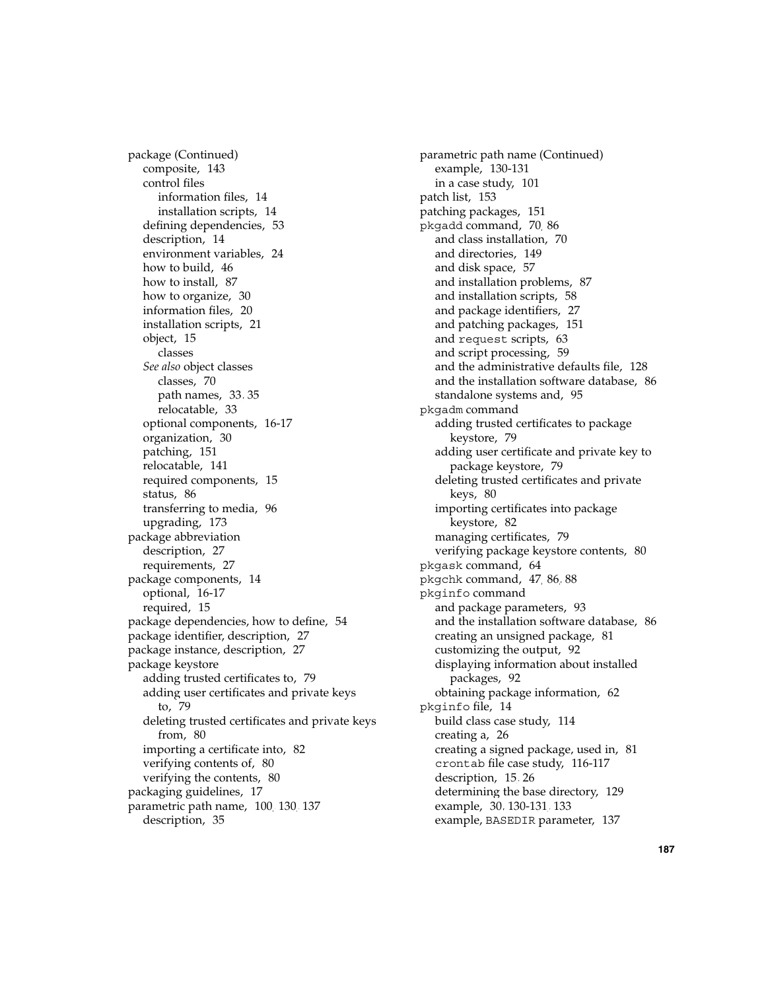package (Continued) composite, [143](#page-142-0) control files information files, [14](#page-13-0) installation scripts, [14](#page-13-0) defining dependencies, [53](#page-52-0) description, [14](#page-13-0) environment variables, [24](#page-23-0) how to build, [46](#page-45-0) how to install, [87](#page-86-0) how to organize, [30](#page-29-0) information files, [20](#page-19-0) installation scripts, [21](#page-20-0) object, [15](#page-14-0) classes *See also* object classes classes, [70](#page-69-0) path names, [33,](#page-32-0) [35](#page-34-0) relocatable, [33](#page-32-0) optional components, [16-17](#page-15-0) organization, [30](#page-29-0) patching, [151](#page-150-0) relocatable, [141](#page-140-0) required components, [15](#page-14-0) status, [86](#page-85-0) transferring to media, [96](#page-95-0) upgrading, [173](#page-172-0) package abbreviation description, [27](#page-26-0) requirements, [27](#page-26-0) package components, [14](#page-13-0) optional, [16-17](#page-15-0) required, [15](#page-14-0) package dependencies, how to define, [54](#page-53-0) package identifier, description, [27](#page-26-0) package instance, description, [27](#page-26-0) package keystore adding trusted certificates to, [79](#page-78-0) adding user certificates and private keys to, [79](#page-78-0) deleting trusted certificates and private keys from, [80](#page-79-0) importing a certificate into, [82](#page-81-0) verifying contents of, [80](#page-79-0) verifying the contents, [80](#page-79-0) packaging guidelines, [17](#page-16-0) parametric path name, [100,](#page-99-0) [130,](#page-129-0) [137](#page-136-0) description, [35](#page-34-0)

parametric path name (Continued) example, [130-131](#page-129-0) in a case study, [101](#page-100-0) patch list, [153](#page-152-0) patching packages, [151](#page-150-0) pkgadd command, [70,](#page-69-0) [86](#page-85-0) and class installation, [70](#page-69-0) and directories, [149](#page-148-0) and disk space, [57](#page-56-0) and installation problems, [87](#page-86-0) and installation scripts, [58](#page-57-0) and package identifiers, [27](#page-26-0) and patching packages, [151](#page-150-0) and request scripts, [63](#page-62-0) and script processing, [59](#page-58-0) and the administrative defaults file, [128](#page-127-0) and the installation software database, [86](#page-85-0) standalone systems and, [95](#page-94-0) pkgadm command adding trusted certificates to package keystore, [79](#page-78-0) adding user certificate and private key to package keystore, [79](#page-78-0) deleting trusted certificates and private keys, [80](#page-79-0) importing certificates into package keystore, [82](#page-81-0) managing certificates, [79](#page-78-0) verifying package keystore contents, [80](#page-79-0) pkgask command, [64](#page-63-0) pkgchk command, [47,](#page-46-0) [86,](#page-85-0) [88](#page-87-0) pkginfo command and package parameters, [93](#page-92-0) and the installation software database, [86](#page-85-0) creating an unsigned package, [81](#page-80-0) customizing the output, [92](#page-91-0) displaying information about installed packages, [92](#page-91-0) obtaining package information, [62](#page-61-0) pkginfo file, [14](#page-13-0) build class case study, [114](#page-113-0) creating a, [26](#page-25-0) creating a signed package, used in, [81](#page-80-0) crontab file case study, [116-117](#page-115-0) description, [15,](#page-14-0) [26](#page-25-0) determining the base directory, [129](#page-128-0) example, [30,](#page-29-0) [130-131,](#page-129-0) [133](#page-132-0) example, BASEDIR parameter, [137](#page-136-0)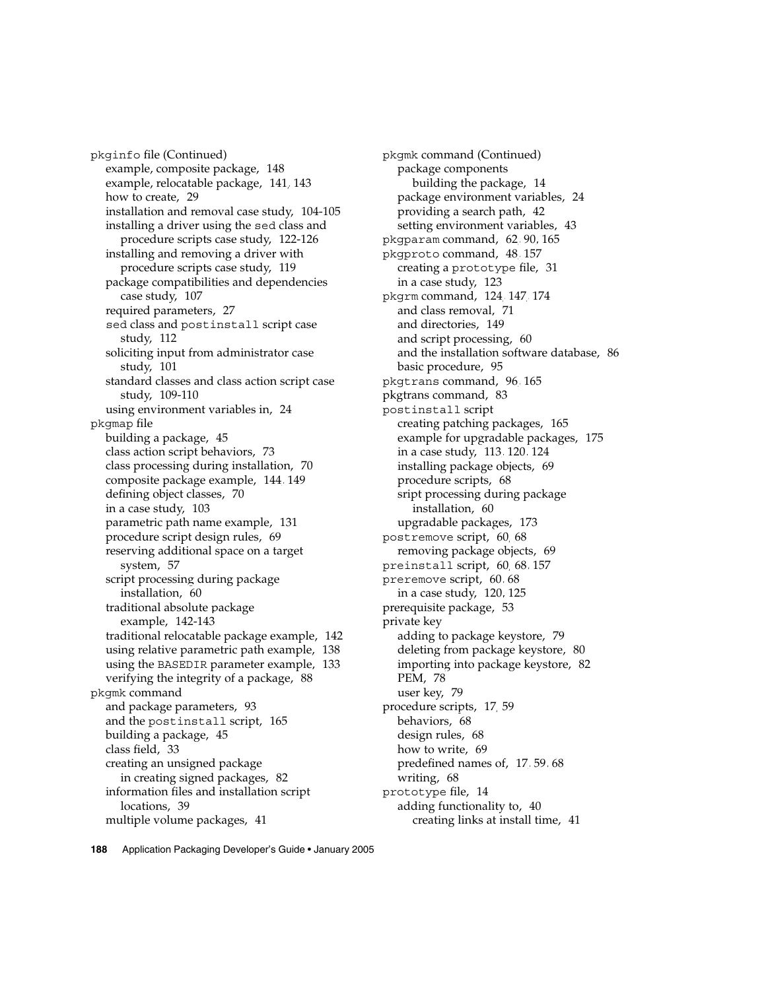pkginfo file (Continued) example, composite package, [148](#page-147-0) example, relocatable package, [141,](#page-140-0) [143](#page-142-0) how to create, [29](#page-28-0) installation and removal case study, [104-105](#page-103-0) installing a driver using the sed class and procedure scripts case study, [122-126](#page-121-0) installing and removing a driver with procedure scripts case study, [119](#page-118-0) package compatibilities and dependencies case study, [107](#page-106-0) required parameters, [27](#page-26-0) sed class and postinstall script case study, [112](#page-111-0) soliciting input from administrator case study, [101](#page-100-0) standard classes and class action script case study, [109-110](#page-108-0) using environment variables in, [24](#page-23-0) pkgmap file building a package, [45](#page-44-0) class action script behaviors, [73](#page-72-0) class processing during installation, [70](#page-69-0) composite package example, [144,](#page-143-0) [149](#page-148-0) defining object classes, [70](#page-69-0) in a case study, [103](#page-102-0) parametric path name example, [131](#page-130-0) procedure script design rules, [69](#page-68-0) reserving additional space on a target system, [57](#page-56-0) script processing during package installation, [60](#page-59-0) traditional absolute package example, [142-143](#page-141-0) traditional relocatable package example, [142](#page-141-0) using relative parametric path example, [138](#page-137-0) using the BASEDIR parameter example, [133](#page-132-0) verifying the integrity of a package, [88](#page-87-0) pkgmk command and package parameters, [93](#page-92-0) and the postinstall script, [165](#page-164-0) building a package, [45](#page-44-0) class field, [33](#page-32-0) creating an unsigned package in creating signed packages, [82](#page-81-0) information files and installation script locations, [39](#page-38-0) multiple volume packages, [41](#page-40-0)

pkgmk command (Continued) package components building the package, [14](#page-13-0) package environment variables, [24](#page-23-0) providing a search path, [42](#page-41-0) setting environment variables, [43](#page-42-0) pkgparam command, [62,](#page-61-0) [90,](#page-89-0) [165](#page-164-0) pkgproto command, [48,](#page-47-0) [157](#page-156-0) creating a prototype file, [31](#page-30-0) in a case study, [123](#page-122-0) pkgrm command, [124,](#page-123-0) [147,](#page-146-0) [174](#page-173-0) and class removal, [71](#page-70-0) and directories, [149](#page-148-0) and script processing, [60](#page-59-0) and the installation software database, [86](#page-85-0) basic procedure, [95](#page-94-0) pkgtrans command, [96,](#page-95-0) [165](#page-164-0) pkgtrans command, [83](#page-82-0) postinstall script creating patching packages, [165](#page-164-0) example for upgradable packages, [175](#page-174-0) in a case study, [113,](#page-112-0) [120,](#page-119-0) [124](#page-123-0) installing package objects, [69](#page-68-0) procedure scripts, [68](#page-67-0) sript processing during package installation, [60](#page-59-0) upgradable packages, [173](#page-172-0) postremove script, [60,](#page-59-0) [68](#page-67-0) removing package objects, [69](#page-68-0) preinstall script, [60,](#page-59-0) [68,](#page-67-0) [157](#page-156-0) preremove script, [60,](#page-59-0) [68](#page-67-0) in a case study, [120,](#page-119-0) [125](#page-124-0) prerequisite package, [53](#page-52-0) private key adding to package keystore, [79](#page-78-0) deleting from package keystore, [80](#page-79-0) importing into package keystore, [82](#page-81-0) PEM, [78](#page-77-0) user key, [79](#page-78-0) procedure scripts, [17,](#page-16-0) [59](#page-58-0) behaviors, [68](#page-67-0) design rules, [68](#page-67-0) how to write, [69](#page-68-0) predefined names of, [17,](#page-16-0) [59,](#page-58-0) [68](#page-67-0) writing, [68](#page-67-0) prototype file, [14](#page-13-0) adding functionality to, [40](#page-39-0) creating links at install time, [41](#page-40-0)

**188** Application Packaging Developer's Guide • January 2005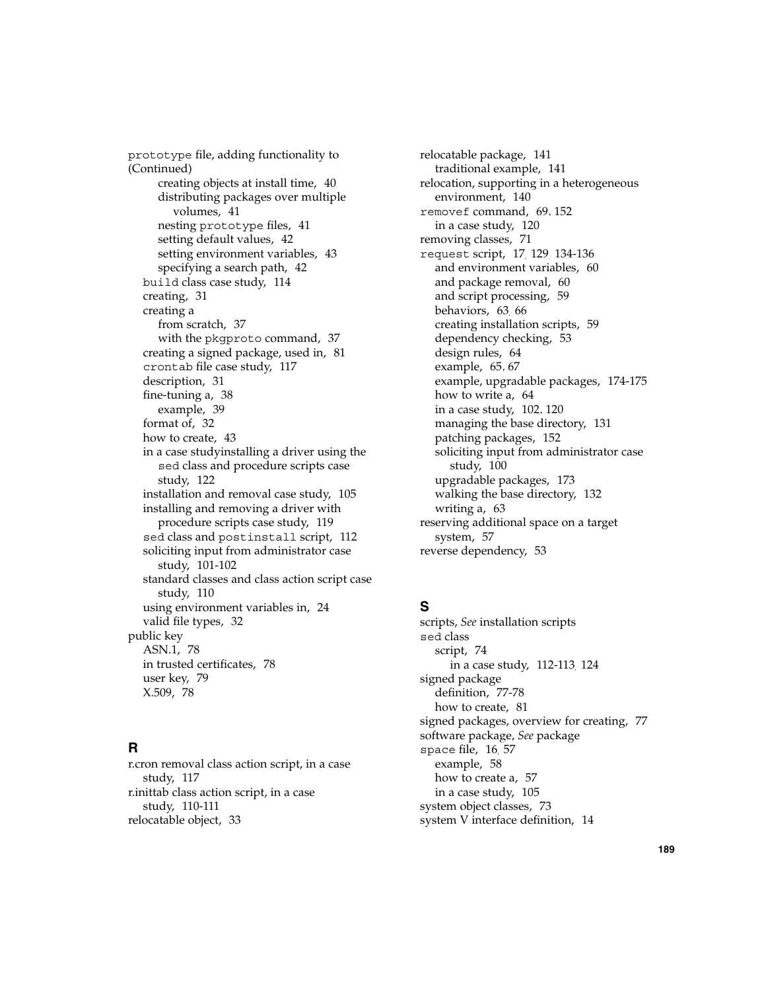prototype file, adding functionality to (Continued) creating objects at install time, [40](#page-39-0) distributing packages over multiple volumes, [41](#page-40-0) nesting prototype files, [41](#page-40-0) setting default values, [42](#page-41-0) setting environment variables, [43](#page-42-0) specifying a search path, [42](#page-41-0) build class case study, [114](#page-113-0) creating, [31](#page-30-0) creating a from scratch, [37](#page-36-0) with the pkgproto command, [37](#page-36-0) creating a signed package, used in, [81](#page-80-0) crontab file case study, [117](#page-116-0) description, [31](#page-30-0) fine-tuning a, [38](#page-37-0) example, [39](#page-38-0) format of, [32](#page-31-0) how to create, [43](#page-42-0) in a case studyinstalling a driver using the sed class and procedure scripts case study, [122](#page-121-0) installation and removal case study, [105](#page-104-0) installing and removing a driver with procedure scripts case study, [119](#page-118-0) sed class and postinstall script, [112](#page-111-0) soliciting input from administrator case study, [101-102](#page-100-0) standard classes and class action script case study, [110](#page-109-0) using environment variables in, [24](#page-23-0) valid file types, [32](#page-31-0) public key ASN.1, [78](#page-77-0) in trusted certificates, [78](#page-77-0) user key, [79](#page-78-0) X.509, [78](#page-77-0)

# **R**

r.cron removal class action script, in a case study, [117](#page-116-0) r.inittab class action script, in a case study, [110-111](#page-109-0) relocatable object, [33](#page-32-0)

relocatable package, [141](#page-140-0) traditional example, [141](#page-140-0) relocation, supporting in a heterogeneous environment, [140](#page-139-0) removef command, [69,](#page-68-0) [152](#page-151-0) in a case study, [120](#page-119-0) removing classes, [71](#page-70-0) request script, [17,](#page-16-0) [129,](#page-128-0) [134-136](#page-133-0) and environment variables, [60](#page-59-0) and package removal, [60](#page-59-0) and script processing, [59](#page-58-0) behaviors, [63,](#page-62-0) [66](#page-65-0) creating installation scripts, [59](#page-58-0) dependency checking, [53](#page-52-0) design rules, [64](#page-63-0) example, [65,](#page-64-0) [67](#page-66-0) example, upgradable packages, [174-175](#page-173-0) how to write a, [64](#page-63-0) in a case study, [102,](#page-101-0) [120](#page-119-0) managing the base directory, [131](#page-130-0) patching packages, [152](#page-151-0) soliciting input from administrator case study, [100](#page-99-0) upgradable packages, [173](#page-172-0) walking the base directory, [132](#page-131-0) writing a, [63](#page-62-0) reserving additional space on a target system, [57](#page-56-0) reverse dependency, [53](#page-52-0)

# **S**

scripts, *See* installation scripts sed class script, [74](#page-73-0) in a case study, [112-113,](#page-111-0) [124](#page-123-0) signed package definition, [77-78](#page-76-0) how to create, [81](#page-80-0) signed packages, overview for creating, [77](#page-76-0) software package, *See* package space file, [16,](#page-15-0) [57](#page-56-0) example, [58](#page-57-0) how to create a, [57](#page-56-0) in a case study, [105](#page-104-0) system object classes, [73](#page-72-0) system V interface definition, [14](#page-13-0)